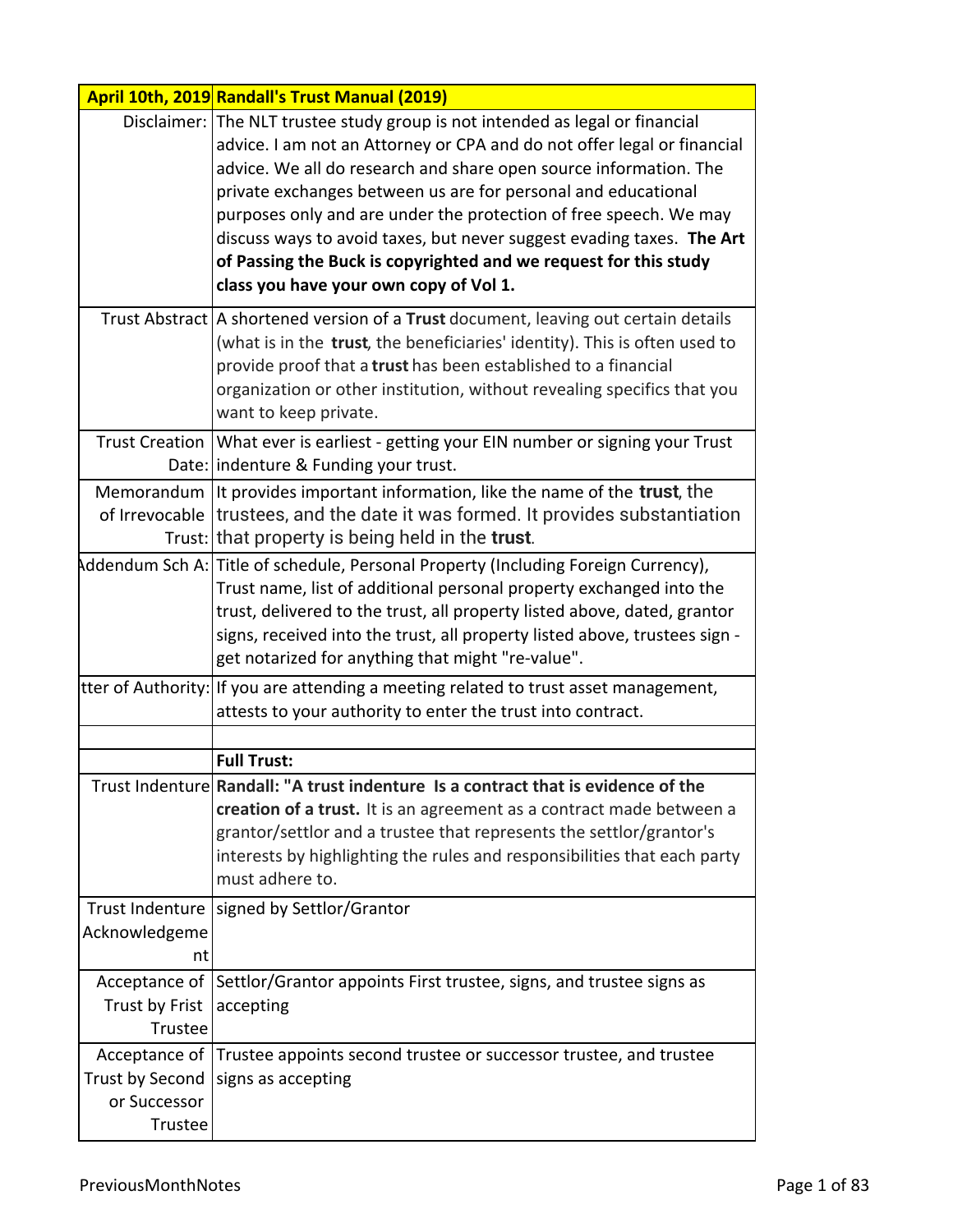|                                            | April 10th, 2019 Randall's Trust Manual (2019)                                                                                                                                                                                                                                                                                                                                                                                                                                                                                                             |
|--------------------------------------------|------------------------------------------------------------------------------------------------------------------------------------------------------------------------------------------------------------------------------------------------------------------------------------------------------------------------------------------------------------------------------------------------------------------------------------------------------------------------------------------------------------------------------------------------------------|
|                                            | Disclaimer: The NLT trustee study group is not intended as legal or financial<br>advice. I am not an Attorney or CPA and do not offer legal or financial<br>advice. We all do research and share open source information. The<br>private exchanges between us are for personal and educational<br>purposes only and are under the protection of free speech. We may<br>discuss ways to avoid taxes, but never suggest evading taxes. The Art<br>of Passing the Buck is copyrighted and we request for this study<br>class you have your own copy of Vol 1. |
|                                            | Trust Abstract   A shortened version of a Trust document, leaving out certain details<br>(what is in the trust, the beneficiaries' identity). This is often used to<br>provide proof that a trust has been established to a financial<br>organization or other institution, without revealing specifics that you<br>want to keep private.                                                                                                                                                                                                                  |
|                                            | Trust Creation   What ever is earliest - getting your EIN number or signing your Trust<br>Date: indenture & Funding your trust.                                                                                                                                                                                                                                                                                                                                                                                                                            |
|                                            | Memorandum It provides important information, like the name of the <b>trust</b> , the<br>of Irrevocable trustees, and the date it was formed. It provides substantiation<br>Trust: that property is being held in the trust.                                                                                                                                                                                                                                                                                                                               |
|                                            | Addendum Sch A: Title of schedule, Personal Property (Including Foreign Currency),<br>Trust name, list of additional personal property exchanged into the<br>trust, delivered to the trust, all property listed above, dated, grantor<br>signs, received into the trust, all property listed above, trustees sign -<br>get notarized for anything that might "re-value".                                                                                                                                                                                   |
|                                            | tter of Authority: If you are attending a meeting related to trust asset management,<br>attests to your authority to enter the trust into contract.                                                                                                                                                                                                                                                                                                                                                                                                        |
|                                            |                                                                                                                                                                                                                                                                                                                                                                                                                                                                                                                                                            |
|                                            | <b>Full Trust:</b><br>Trust Indenture Randall: "A trust indenture Is a contract that is evidence of the<br>creation of a trust. It is an agreement as a contract made between a<br>grantor/settlor and a trustee that represents the settlor/grantor's<br>interests by highlighting the rules and responsibilities that each party<br>must adhere to.                                                                                                                                                                                                      |
| Acknowledgeme<br>nt                        | Trust Indenture   signed by Settlor/Grantor                                                                                                                                                                                                                                                                                                                                                                                                                                                                                                                |
| Trust by Frist<br>Trustee                  | Acceptance of Settlor/Grantor appoints First trustee, signs, and trustee signs as<br>accepting                                                                                                                                                                                                                                                                                                                                                                                                                                                             |
| Trust by Second<br>or Successor<br>Trustee | Acceptance of Trustee appoints second trustee or successor trustee, and trustee<br>signs as accepting                                                                                                                                                                                                                                                                                                                                                                                                                                                      |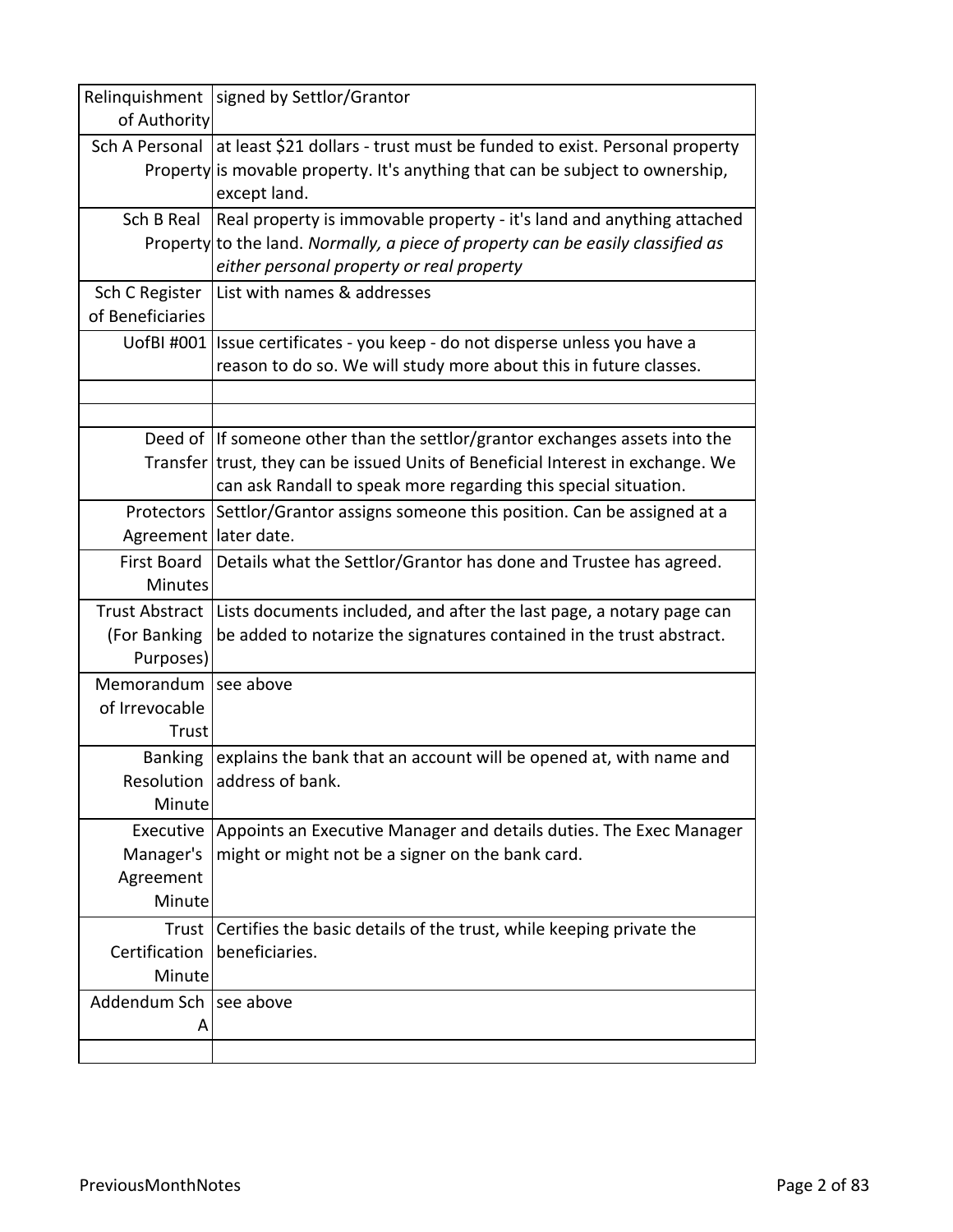|                         | Relinquishment   signed by Settlor/Grantor                                      |
|-------------------------|---------------------------------------------------------------------------------|
| of Authority            |                                                                                 |
| Sch A Personal          | at least \$21 dollars - trust must be funded to exist. Personal property        |
|                         | Property is movable property. It's anything that can be subject to ownership,   |
|                         | except land.                                                                    |
| Sch B Real              | Real property is immovable property - it's land and anything attached           |
|                         | Property to the land. Normally, a piece of property can be easily classified as |
|                         | either personal property or real property                                       |
| Sch C Register          | List with names & addresses                                                     |
| of Beneficiaries        |                                                                                 |
|                         | UofBI #001   Issue certificates - you keep - do not disperse unless you have a  |
|                         | reason to do so. We will study more about this in future classes.               |
|                         |                                                                                 |
|                         |                                                                                 |
|                         | Deed of If someone other than the settlor/grantor exchanges assets into the     |
|                         | Transfer trust, they can be issued Units of Beneficial Interest in exchange. We |
|                         | can ask Randall to speak more regarding this special situation.                 |
|                         | Protectors Settlor/Grantor assigns someone this position. Can be assigned at a  |
| Agreement   later date. |                                                                                 |
| First Board             | Details what the Settlor/Grantor has done and Trustee has agreed.               |
| <b>Minutes</b>          |                                                                                 |
| <b>Trust Abstract</b>   | Lists documents included, and after the last page, a notary page can            |
| (For Banking            | be added to notarize the signatures contained in the trust abstract.            |
| Purposes)               |                                                                                 |
| Memorandum              | see above                                                                       |
| of Irrevocable          |                                                                                 |
| Trust                   |                                                                                 |
| <b>Banking</b>          | explains the bank that an account will be opened at, with name and              |
|                         | Resolution address of bank.                                                     |
| Minute                  |                                                                                 |
| Executive               | Appoints an Executive Manager and details duties. The Exec Manager              |
| Manager's               | might or might not be a signer on the bank card.                                |
| Agreement               |                                                                                 |
| Minute                  |                                                                                 |
| Trust                   | Certifies the basic details of the trust, while keeping private the             |
| Certification           | beneficiaries.                                                                  |
| Minute                  |                                                                                 |
| Addendum Sch            | see above                                                                       |
| Α                       |                                                                                 |
|                         |                                                                                 |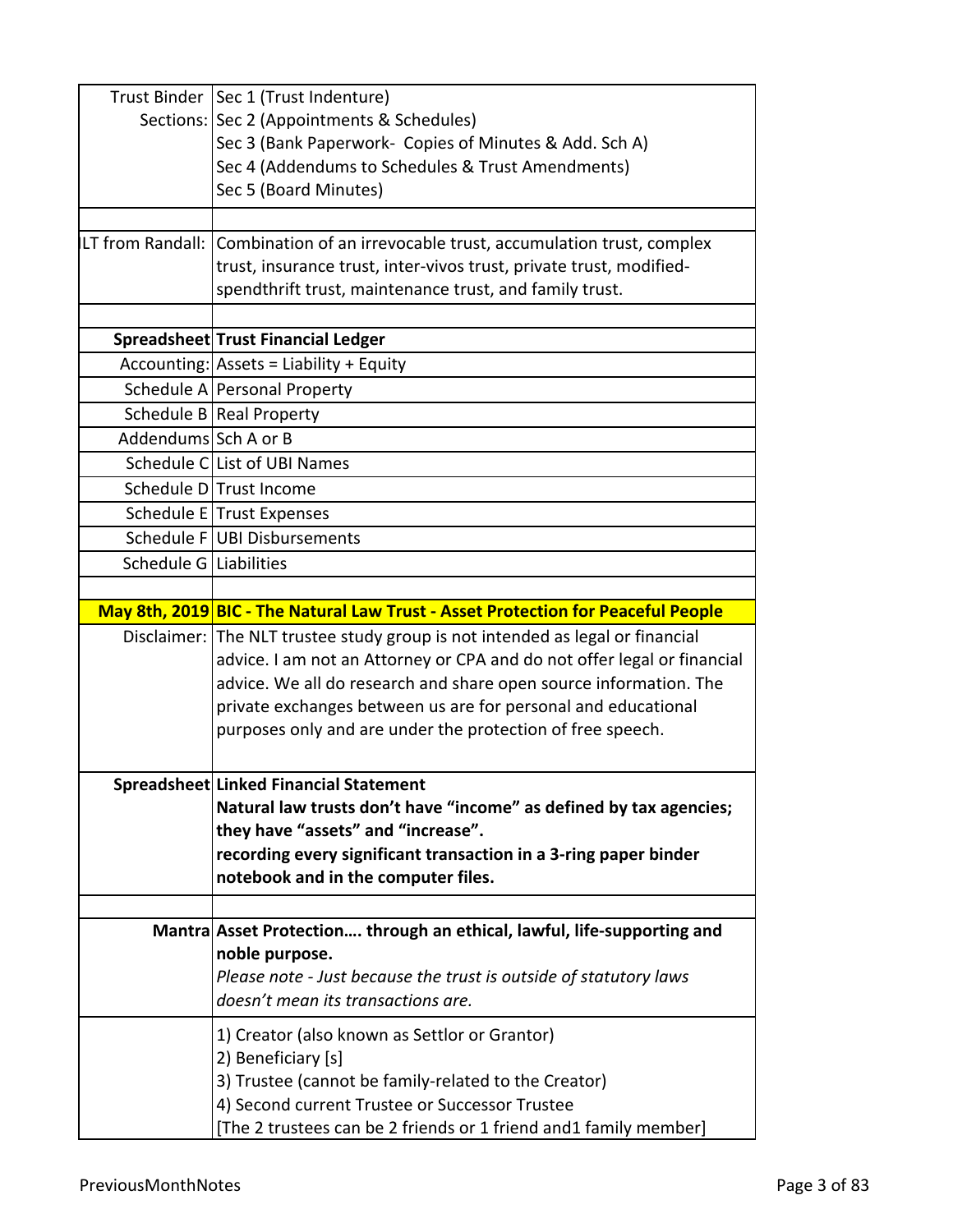|                        | Trust Binder   Sec 1 (Trust Indenture)                                            |
|------------------------|-----------------------------------------------------------------------------------|
|                        | Sections: Sec 2 (Appointments & Schedules)                                        |
|                        | Sec 3 (Bank Paperwork- Copies of Minutes & Add. Sch A)                            |
|                        | Sec 4 (Addendums to Schedules & Trust Amendments)                                 |
|                        | Sec 5 (Board Minutes)                                                             |
|                        |                                                                                   |
|                        | LT from Randall: Combination of an irrevocable trust, accumulation trust, complex |
|                        | trust, insurance trust, inter-vivos trust, private trust, modified-               |
|                        | spendthrift trust, maintenance trust, and family trust.                           |
|                        |                                                                                   |
|                        | Spreadsheet Trust Financial Ledger                                                |
|                        | Accounting: Assets = Liability + Equity                                           |
|                        | Schedule A Personal Property                                                      |
|                        | Schedule B   Real Property                                                        |
| Addendums Sch A or B   |                                                                                   |
|                        | Schedule CList of UBI Names                                                       |
|                        | Schedule D Trust Income                                                           |
|                        | Schedule E Trust Expenses                                                         |
|                        | Schedule F UBI Disbursements                                                      |
| Schedule G Liabilities |                                                                                   |
|                        |                                                                                   |
|                        | May 8th, 2019 BIC - The Natural Law Trust - Asset Protection for Peaceful People  |
|                        | Disclaimer: The NLT trustee study group is not intended as legal or financial     |
|                        | advice. I am not an Attorney or CPA and do not offer legal or financial           |
|                        | advice. We all do research and share open source information. The                 |
|                        | private exchanges between us are for personal and educational                     |
|                        | purposes only and are under the protection of free speech.                        |
|                        | Spreadsheet Linked Financial Statement                                            |
|                        | Natural law trusts don't have "income" as defined by tax agencies;                |
|                        | they have "assets" and "increase".                                                |
|                        | recording every significant transaction in a 3-ring paper binder                  |
|                        | notebook and in the computer files.                                               |
|                        |                                                                                   |
|                        | Mantra Asset Protection through an ethical, lawful, life-supporting and           |
|                        | noble purpose.                                                                    |
|                        | Please note - Just because the trust is outside of statutory laws                 |
|                        | doesn't mean its transactions are.                                                |
|                        | 1) Creator (also known as Settlor or Grantor)                                     |
|                        | 2) Beneficiary [s]                                                                |
|                        | 3) Trustee (cannot be family-related to the Creator)                              |
|                        | 4) Second current Trustee or Successor Trustee                                    |
|                        | [The 2 trustees can be 2 friends or 1 friend and1 family member]                  |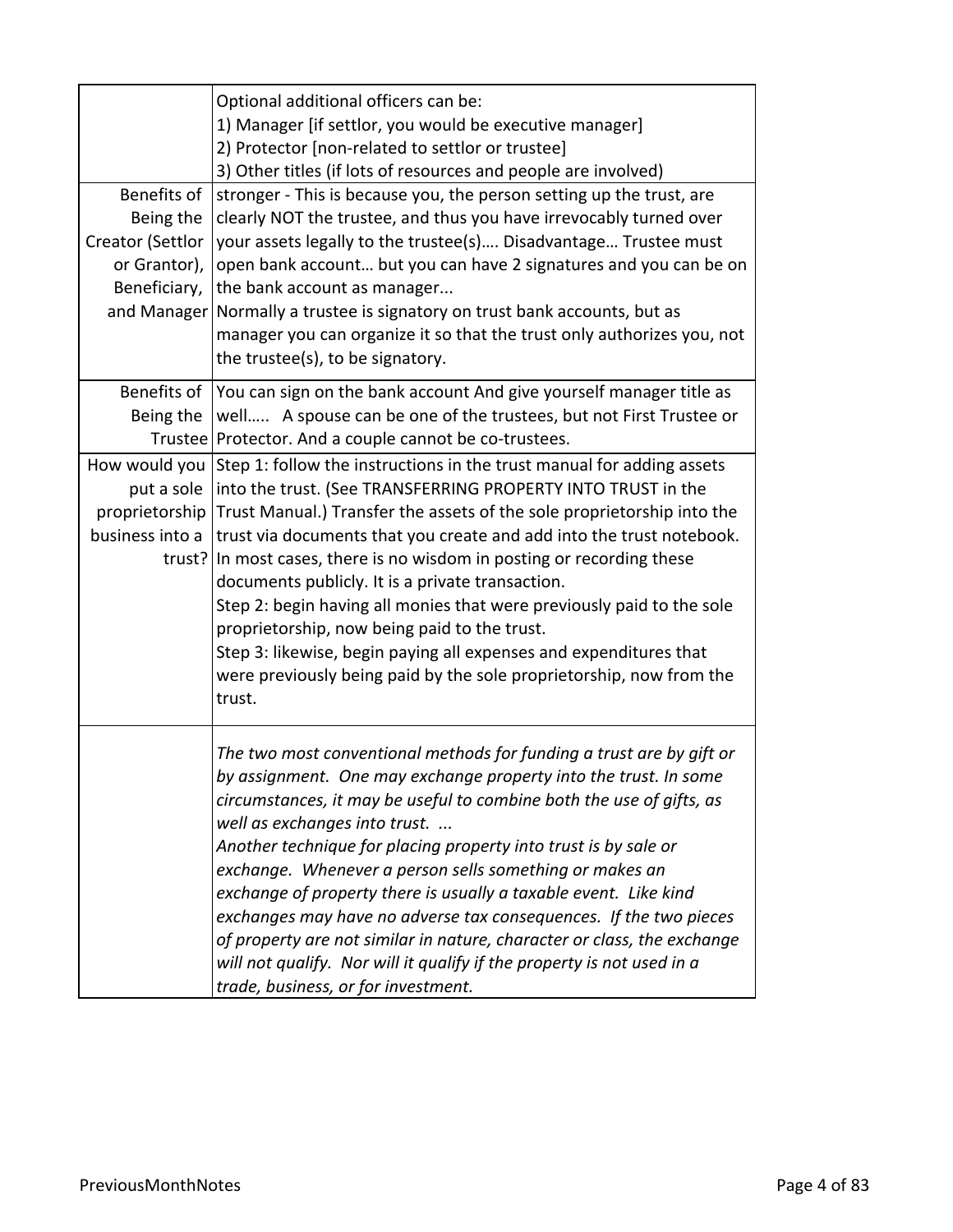| Benefits of<br>Being the<br>Creator (Settlor<br>or Grantor),<br>Beneficiary,<br>and Manager | Optional additional officers can be:<br>1) Manager [if settlor, you would be executive manager]<br>2) Protector [non-related to settlor or trustee]<br>3) Other titles (if lots of resources and people are involved)<br>stronger - This is because you, the person setting up the trust, are<br>clearly NOT the trustee, and thus you have irrevocably turned over<br>your assets legally to the trustee(s) Disadvantage Trustee must<br>open bank account but you can have 2 signatures and you can be on<br>the bank account as manager<br>Normally a trustee is signatory on trust bank accounts, but as                                                                                                         |
|---------------------------------------------------------------------------------------------|----------------------------------------------------------------------------------------------------------------------------------------------------------------------------------------------------------------------------------------------------------------------------------------------------------------------------------------------------------------------------------------------------------------------------------------------------------------------------------------------------------------------------------------------------------------------------------------------------------------------------------------------------------------------------------------------------------------------|
|                                                                                             | manager you can organize it so that the trust only authorizes you, not<br>the trustee(s), to be signatory.                                                                                                                                                                                                                                                                                                                                                                                                                                                                                                                                                                                                           |
| Benefits of  <br>Being the                                                                  | You can sign on the bank account And give yourself manager title as<br>well A spouse can be one of the trustees, but not First Trustee or<br>Trustee Protector. And a couple cannot be co-trustees.                                                                                                                                                                                                                                                                                                                                                                                                                                                                                                                  |
| How would you<br>put a sole<br>proprietorship<br>business into a                            | Step 1: follow the instructions in the trust manual for adding assets<br>into the trust. (See TRANSFERRING PROPERTY INTO TRUST in the<br>Trust Manual.) Transfer the assets of the sole proprietorship into the<br>trust via documents that you create and add into the trust notebook.<br>trust? In most cases, there is no wisdom in posting or recording these<br>documents publicly. It is a private transaction.<br>Step 2: begin having all monies that were previously paid to the sole<br>proprietorship, now being paid to the trust.<br>Step 3: likewise, begin paying all expenses and expenditures that<br>were previously being paid by the sole proprietorship, now from the<br>trust.                 |
|                                                                                             | The two most conventional methods for funding a trust are by gift or<br>by assignment. One may exchange property into the trust. In some<br>circumstances, it may be useful to combine both the use of gifts, as<br>well as exchanges into trust.<br>Another technique for placing property into trust is by sale or<br>exchange. Whenever a person sells something or makes an<br>exchange of property there is usually a taxable event. Like kind<br>exchanges may have no adverse tax consequences. If the two pieces<br>of property are not similar in nature, character or class, the exchange<br>will not qualify. Nor will it qualify if the property is not used in a<br>trade, business, or for investment. |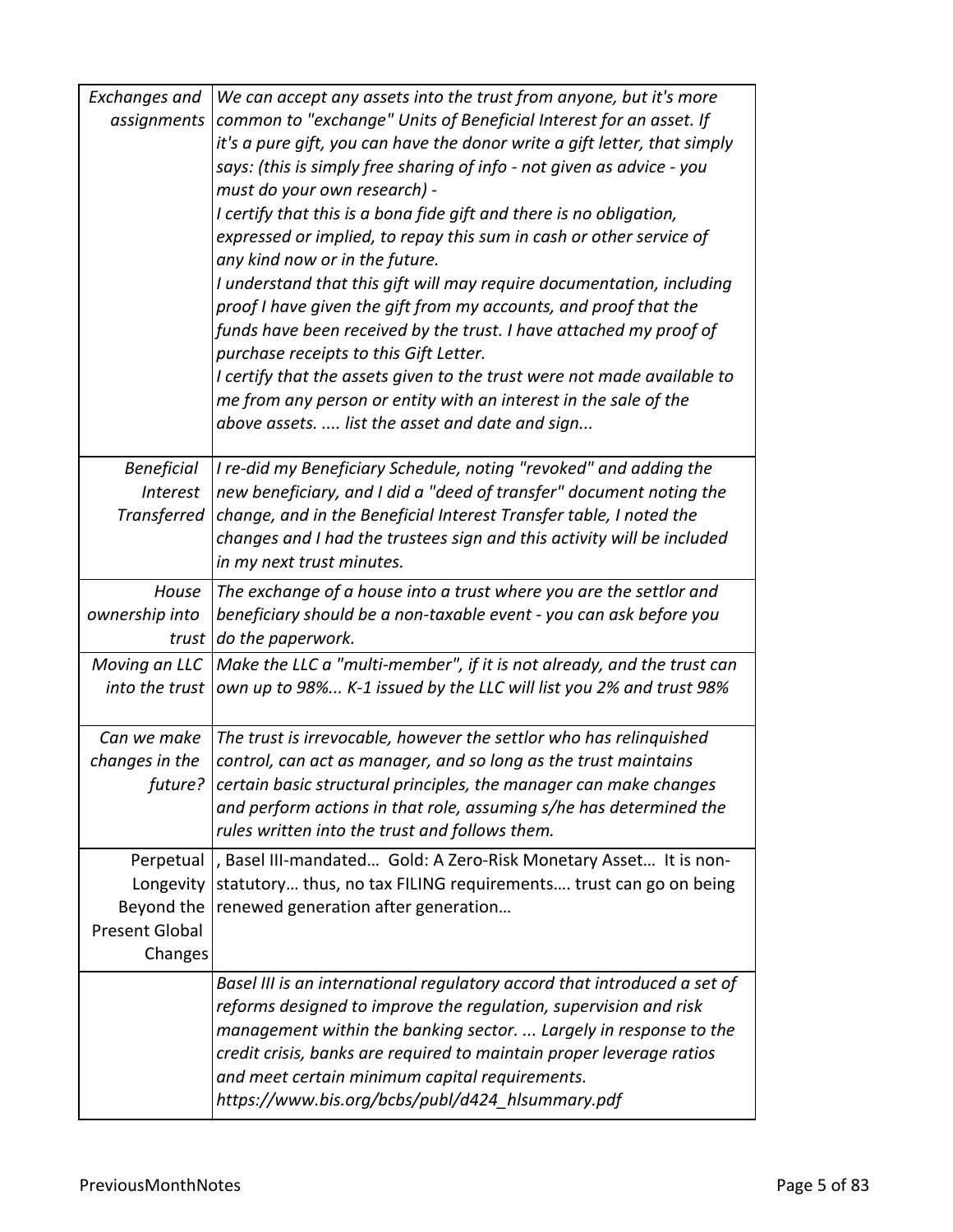| Exchanges and         | We can accept any assets into the trust from anyone, but it's more                                      |
|-----------------------|---------------------------------------------------------------------------------------------------------|
| assignments           | common to "exchange" Units of Beneficial Interest for an asset. If                                      |
|                       | it's a pure gift, you can have the donor write a gift letter, that simply                               |
|                       | says: (this is simply free sharing of info - not given as advice - you                                  |
|                       | must do your own research) -                                                                            |
|                       | I certify that this is a bona fide gift and there is no obligation,                                     |
|                       | expressed or implied, to repay this sum in cash or other service of                                     |
|                       | any kind now or in the future.<br>I understand that this gift will may require documentation, including |
|                       | proof I have given the gift from my accounts, and proof that the                                        |
|                       | funds have been received by the trust. I have attached my proof of                                      |
|                       | purchase receipts to this Gift Letter.                                                                  |
|                       | I certify that the assets given to the trust were not made available to                                 |
|                       | me from any person or entity with an interest in the sale of the                                        |
|                       | above assets.  list the asset and date and sign                                                         |
|                       |                                                                                                         |
| <b>Beneficial</b>     | I re-did my Beneficiary Schedule, noting "revoked" and adding the                                       |
| <b>Interest</b>       | new beneficiary, and I did a "deed of transfer" document noting the                                     |
| Transferred           | change, and in the Beneficial Interest Transfer table, I noted the                                      |
|                       | changes and I had the trustees sign and this activity will be included                                  |
|                       | in my next trust minutes.                                                                               |
| House                 | The exchange of a house into a trust where you are the settlor and                                      |
| ownership into        | beneficiary should be a non-taxable event - you can ask before you                                      |
| trust                 | do the paperwork.                                                                                       |
| Moving an LLC         | Make the LLC a "multi-member", if it is not already, and the trust can                                  |
| into the trust        | own up to 98% K-1 issued by the LLC will list you 2% and trust 98%                                      |
| Can we make           | The trust is irrevocable, however the settlor who has relinquished                                      |
| changes in the        | control, can act as manager, and so long as the trust maintains                                         |
|                       | future? certain basic structural principles, the manager can make changes                               |
|                       | and perform actions in that role, assuming s/he has determined the                                      |
|                       | rules written into the trust and follows them.                                                          |
| Perpetual             | , Basel III-mandated Gold: A Zero-Risk Monetary Asset It is non-                                        |
| Longevity             | statutory thus, no tax FILING requirements trust can go on being                                        |
| Beyond the            | renewed generation after generation                                                                     |
| <b>Present Global</b> |                                                                                                         |
| Changes               |                                                                                                         |
|                       | Basel III is an international regulatory accord that introduced a set of                                |
|                       | reforms designed to improve the regulation, supervision and risk                                        |
|                       | management within the banking sector.  Largely in response to the                                       |
|                       | credit crisis, banks are required to maintain proper leverage ratios                                    |
|                       | and meet certain minimum capital requirements.                                                          |
|                       | https://www.bis.org/bcbs/publ/d424_hlsummary.pdf                                                        |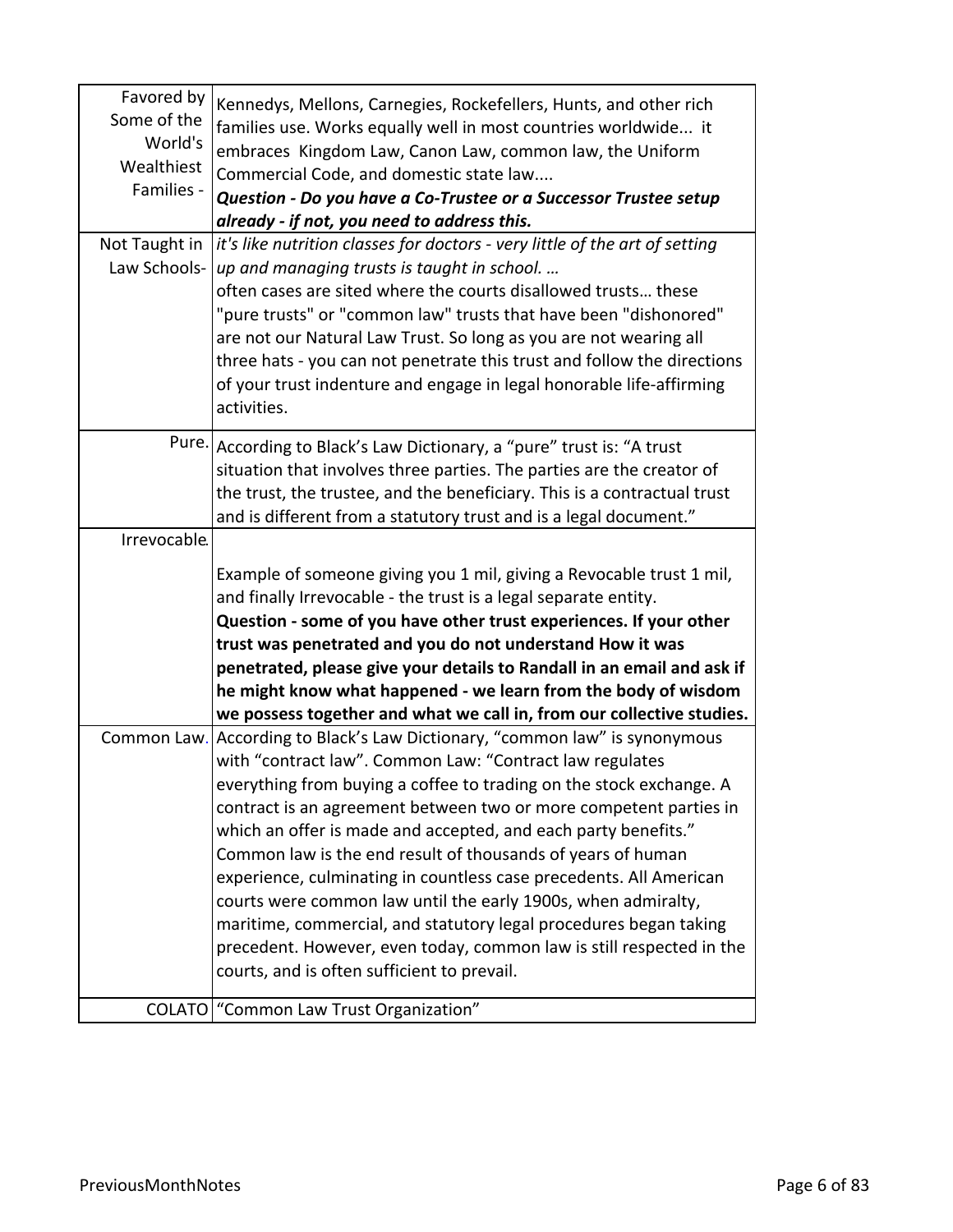| Favored by<br>Some of the<br>World's<br>Wealthiest<br>Families - | Kennedys, Mellons, Carnegies, Rockefellers, Hunts, and other rich<br>families use. Works equally well in most countries worldwide it<br>embraces Kingdom Law, Canon Law, common law, the Uniform<br>Commercial Code, and domestic state law<br>Question - Do you have a Co-Trustee or a Successor Trustee setup<br>already - if not, you need to address this.                                                           |
|------------------------------------------------------------------|--------------------------------------------------------------------------------------------------------------------------------------------------------------------------------------------------------------------------------------------------------------------------------------------------------------------------------------------------------------------------------------------------------------------------|
| Not Taught in                                                    | it's like nutrition classes for doctors - very little of the art of setting                                                                                                                                                                                                                                                                                                                                              |
| Law Schools-                                                     | up and managing trusts is taught in school.<br>often cases are sited where the courts disallowed trusts these<br>"pure trusts" or "common law" trusts that have been "dishonored"<br>are not our Natural Law Trust. So long as you are not wearing all<br>three hats - you can not penetrate this trust and follow the directions<br>of your trust indenture and engage in legal honorable life-affirming<br>activities. |
|                                                                  | Pure. According to Black's Law Dictionary, a "pure" trust is: "A trust                                                                                                                                                                                                                                                                                                                                                   |
|                                                                  | situation that involves three parties. The parties are the creator of<br>the trust, the trustee, and the beneficiary. This is a contractual trust                                                                                                                                                                                                                                                                        |
|                                                                  | and is different from a statutory trust and is a legal document."                                                                                                                                                                                                                                                                                                                                                        |
| Irrevocable.                                                     |                                                                                                                                                                                                                                                                                                                                                                                                                          |
|                                                                  | Example of someone giving you 1 mil, giving a Revocable trust 1 mil,<br>and finally Irrevocable - the trust is a legal separate entity.                                                                                                                                                                                                                                                                                  |
|                                                                  | Question - some of you have other trust experiences. If your other<br>trust was penetrated and you do not understand How it was                                                                                                                                                                                                                                                                                          |
|                                                                  | penetrated, please give your details to Randall in an email and ask if                                                                                                                                                                                                                                                                                                                                                   |
|                                                                  | he might know what happened - we learn from the body of wisdom                                                                                                                                                                                                                                                                                                                                                           |
|                                                                  | we possess together and what we call in, from our collective studies.<br>Common Law. According to Black's Law Dictionary, "common law" is synonymous                                                                                                                                                                                                                                                                     |
|                                                                  | with "contract law". Common Law: "Contract law regulates                                                                                                                                                                                                                                                                                                                                                                 |
|                                                                  | everything from buying a coffee to trading on the stock exchange. A                                                                                                                                                                                                                                                                                                                                                      |
|                                                                  | contract is an agreement between two or more competent parties in                                                                                                                                                                                                                                                                                                                                                        |
|                                                                  | which an offer is made and accepted, and each party benefits."                                                                                                                                                                                                                                                                                                                                                           |
|                                                                  | Common law is the end result of thousands of years of human                                                                                                                                                                                                                                                                                                                                                              |
|                                                                  | experience, culminating in countless case precedents. All American<br>courts were common law until the early 1900s, when admiralty,                                                                                                                                                                                                                                                                                      |
|                                                                  | maritime, commercial, and statutory legal procedures began taking                                                                                                                                                                                                                                                                                                                                                        |
|                                                                  | precedent. However, even today, common law is still respected in the                                                                                                                                                                                                                                                                                                                                                     |
|                                                                  | courts, and is often sufficient to prevail.                                                                                                                                                                                                                                                                                                                                                                              |
| <b>COLATO</b>                                                    | "Common Law Trust Organization"                                                                                                                                                                                                                                                                                                                                                                                          |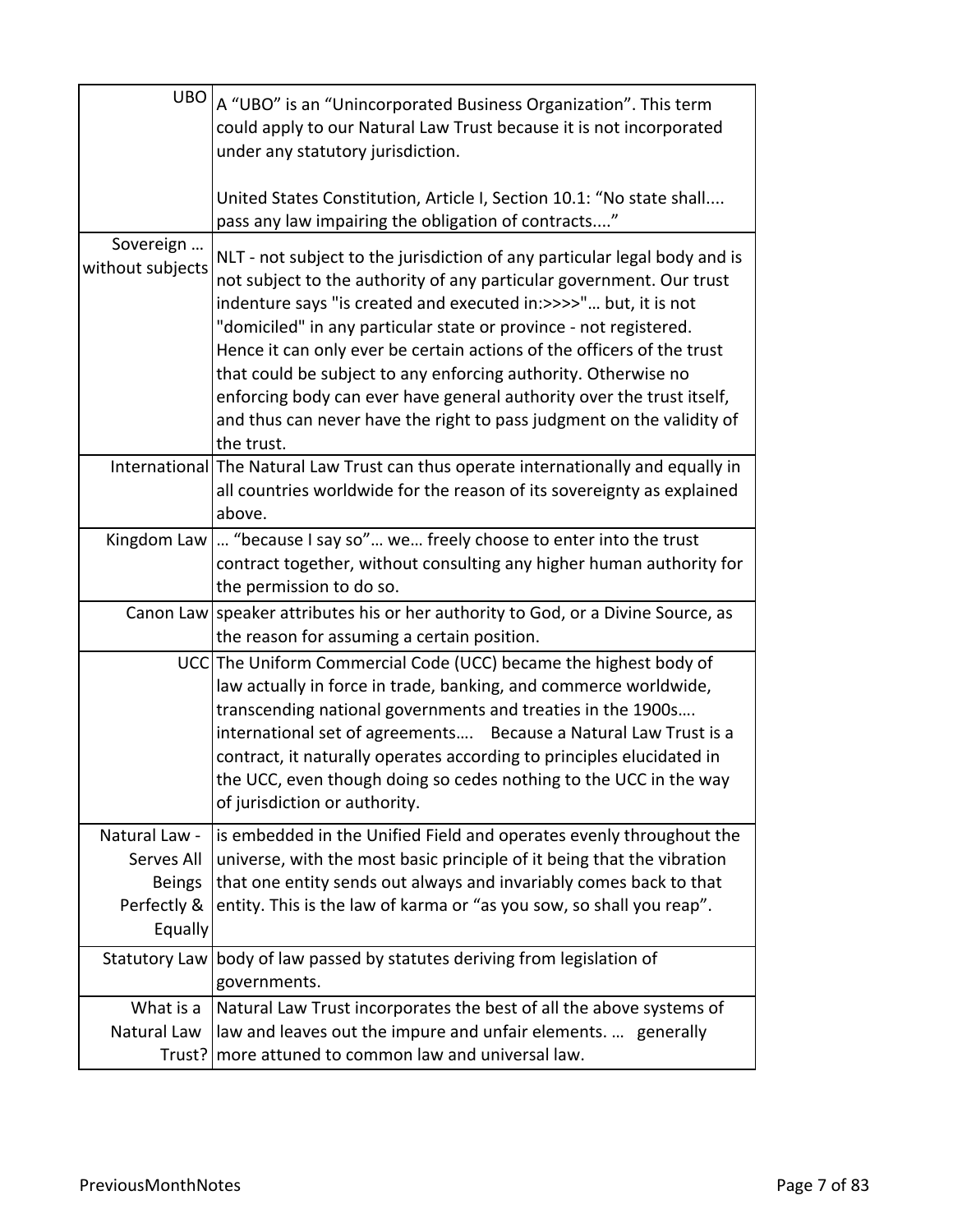| UBO                                                                    | A "UBO" is an "Unincorporated Business Organization". This term<br>could apply to our Natural Law Trust because it is not incorporated<br>under any statutory jurisdiction.<br>United States Constitution, Article I, Section 10.1: "No state shall                                                                                                                                                                                                                                                                                                                                                    |
|------------------------------------------------------------------------|--------------------------------------------------------------------------------------------------------------------------------------------------------------------------------------------------------------------------------------------------------------------------------------------------------------------------------------------------------------------------------------------------------------------------------------------------------------------------------------------------------------------------------------------------------------------------------------------------------|
|                                                                        | pass any law impairing the obligation of contracts"                                                                                                                                                                                                                                                                                                                                                                                                                                                                                                                                                    |
| Sovereign<br>without subjects                                          | NLT - not subject to the jurisdiction of any particular legal body and is<br>not subject to the authority of any particular government. Our trust<br>indenture says "is created and executed in: >>>>" but, it is not<br>"domiciled" in any particular state or province - not registered.<br>Hence it can only ever be certain actions of the officers of the trust<br>that could be subject to any enforcing authority. Otherwise no<br>enforcing body can ever have general authority over the trust itself,<br>and thus can never have the right to pass judgment on the validity of<br>the trust. |
|                                                                        | International The Natural Law Trust can thus operate internationally and equally in<br>all countries worldwide for the reason of its sovereignty as explained<br>above.                                                                                                                                                                                                                                                                                                                                                                                                                                |
| Kingdom Law                                                            | "because I say so" we freely choose to enter into the trust<br>contract together, without consulting any higher human authority for<br>the permission to do so.                                                                                                                                                                                                                                                                                                                                                                                                                                        |
|                                                                        | Canon Law speaker attributes his or her authority to God, or a Divine Source, as<br>the reason for assuming a certain position.                                                                                                                                                                                                                                                                                                                                                                                                                                                                        |
|                                                                        | UCC The Uniform Commercial Code (UCC) became the highest body of<br>law actually in force in trade, banking, and commerce worldwide,<br>transcending national governments and treaties in the 1900s<br>international set of agreements Because a Natural Law Trust is a<br>contract, it naturally operates according to principles elucidated in<br>the UCC, even though doing so cedes nothing to the UCC in the way<br>of jurisdiction or authority.                                                                                                                                                 |
| Natural Law -<br>Serves All<br><b>Beings</b><br>Perfectly &<br>Equally | is embedded in the Unified Field and operates evenly throughout the<br>universe, with the most basic principle of it being that the vibration<br>that one entity sends out always and invariably comes back to that<br>entity. This is the law of karma or "as you sow, so shall you reap".                                                                                                                                                                                                                                                                                                            |
| <b>Statutory Law</b>                                                   | body of law passed by statutes deriving from legislation of<br>governments.                                                                                                                                                                                                                                                                                                                                                                                                                                                                                                                            |
| What is a                                                              | Natural Law Trust incorporates the best of all the above systems of                                                                                                                                                                                                                                                                                                                                                                                                                                                                                                                                    |
| Natural Law<br>Trust?                                                  | law and leaves out the impure and unfair elements.  generally<br>more attuned to common law and universal law.                                                                                                                                                                                                                                                                                                                                                                                                                                                                                         |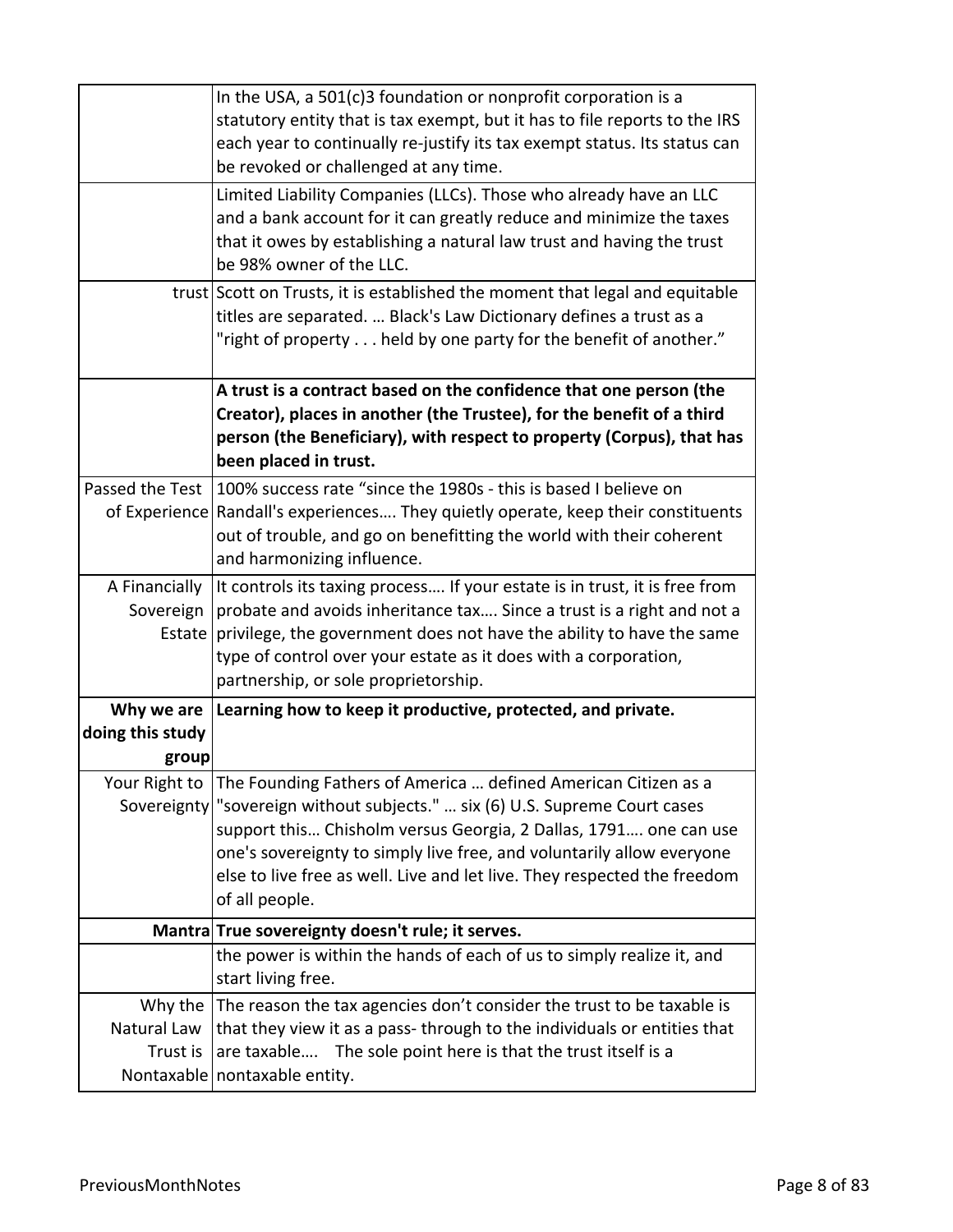|                                         | In the USA, a 501(c)3 foundation or nonprofit corporation is a<br>statutory entity that is tax exempt, but it has to file reports to the IRS<br>each year to continually re-justify its tax exempt status. Its status can<br>be revoked or challenged at any time.                                                                                                                                       |
|-----------------------------------------|----------------------------------------------------------------------------------------------------------------------------------------------------------------------------------------------------------------------------------------------------------------------------------------------------------------------------------------------------------------------------------------------------------|
|                                         | Limited Liability Companies (LLCs). Those who already have an LLC<br>and a bank account for it can greatly reduce and minimize the taxes<br>that it owes by establishing a natural law trust and having the trust<br>be 98% owner of the LLC.                                                                                                                                                            |
|                                         | trust Scott on Trusts, it is established the moment that legal and equitable<br>titles are separated.  Black's Law Dictionary defines a trust as a<br>"right of property held by one party for the benefit of another."                                                                                                                                                                                  |
|                                         | A trust is a contract based on the confidence that one person (the<br>Creator), places in another (the Trustee), for the benefit of a third<br>person (the Beneficiary), with respect to property (Corpus), that has<br>been placed in trust.                                                                                                                                                            |
|                                         | Passed the Test 100% success rate "since the 1980s - this is based I believe on<br>of Experience Randall's experiences They quietly operate, keep their constituents<br>out of trouble, and go on benefitting the world with their coherent<br>and harmonizing influence.                                                                                                                                |
| A Financially<br>Sovereign<br>Estate    | It controls its taxing process If your estate is in trust, it is free from<br>probate and avoids inheritance tax Since a trust is a right and not a<br>privilege, the government does not have the ability to have the same<br>type of control over your estate as it does with a corporation,<br>partnership, or sole proprietorship.                                                                   |
| Why we are<br>doing this study<br>group | Learning how to keep it productive, protected, and private.                                                                                                                                                                                                                                                                                                                                              |
|                                         | Your Right to The Founding Fathers of America  defined American Citizen as a<br>Sovereignty   "sovereign without subjects."  six (6) U.S. Supreme Court cases<br>support this Chisholm versus Georgia, 2 Dallas, 1791 one can use<br>one's sovereignty to simply live free, and voluntarily allow everyone<br>else to live free as well. Live and let live. They respected the freedom<br>of all people. |
|                                         | Mantra True sovereignty doesn't rule; it serves.                                                                                                                                                                                                                                                                                                                                                         |
|                                         | the power is within the hands of each of us to simply realize it, and<br>start living free.                                                                                                                                                                                                                                                                                                              |
| Why the<br>Natural Law<br>Trust is      | The reason the tax agencies don't consider the trust to be taxable is<br>that they view it as a pass-through to the individuals or entities that<br>are taxable The sole point here is that the trust itself is a<br>Nontaxable   nontaxable entity.                                                                                                                                                     |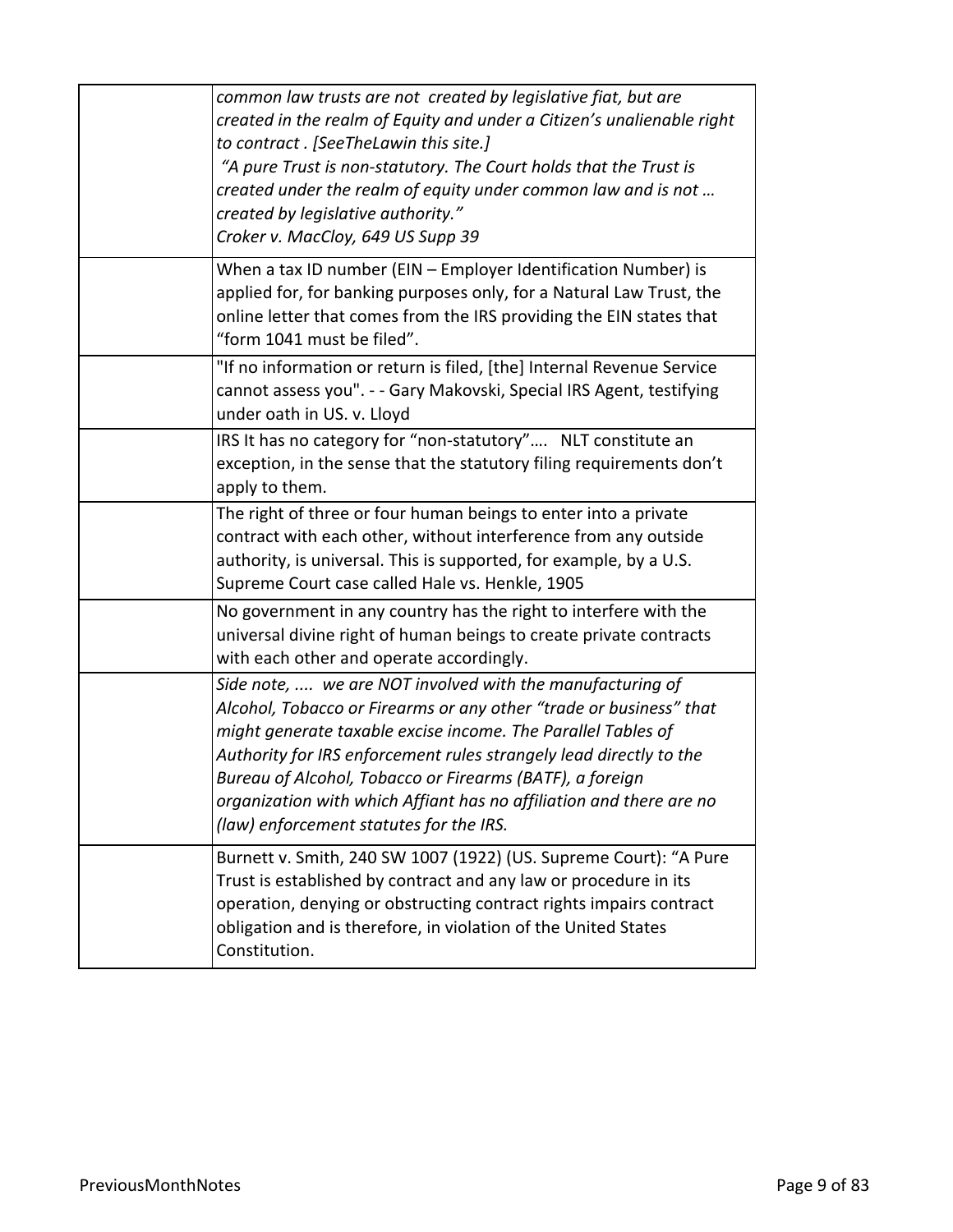| common law trusts are not created by legislative fiat, but are<br>created in the realm of Equity and under a Citizen's unalienable right<br>to contract . [SeeTheLawin this site.]<br>"A pure Trust is non-statutory. The Court holds that the Trust is<br>created under the realm of equity under common law and is not<br>created by legislative authority."<br>Croker v. MacCloy, 649 US Supp 39                                                 |
|-----------------------------------------------------------------------------------------------------------------------------------------------------------------------------------------------------------------------------------------------------------------------------------------------------------------------------------------------------------------------------------------------------------------------------------------------------|
| When a tax ID number (EIN - Employer Identification Number) is<br>applied for, for banking purposes only, for a Natural Law Trust, the<br>online letter that comes from the IRS providing the EIN states that<br>"form 1041 must be filed".                                                                                                                                                                                                         |
| "If no information or return is filed, [the] Internal Revenue Service<br>cannot assess you". - - Gary Makovski, Special IRS Agent, testifying<br>under oath in US. v. Lloyd                                                                                                                                                                                                                                                                         |
| IRS It has no category for "non-statutory" NLT constitute an<br>exception, in the sense that the statutory filing requirements don't<br>apply to them.                                                                                                                                                                                                                                                                                              |
| The right of three or four human beings to enter into a private<br>contract with each other, without interference from any outside<br>authority, is universal. This is supported, for example, by a U.S.<br>Supreme Court case called Hale vs. Henkle, 1905                                                                                                                                                                                         |
| No government in any country has the right to interfere with the<br>universal divine right of human beings to create private contracts<br>with each other and operate accordingly.                                                                                                                                                                                                                                                                  |
| Side note,  we are NOT involved with the manufacturing of<br>Alcohol, Tobacco or Firearms or any other "trade or business" that<br>might generate taxable excise income. The Parallel Tables of<br>Authority for IRS enforcement rules strangely lead directly to the<br>Bureau of Alcohol, Tobacco or Firearms (BATF), a foreign<br>organization with which Affiant has no affiliation and there are no<br>(law) enforcement statutes for the IRS. |
| Burnett v. Smith, 240 SW 1007 (1922) (US. Supreme Court): "A Pure<br>Trust is established by contract and any law or procedure in its<br>operation, denying or obstructing contract rights impairs contract<br>obligation and is therefore, in violation of the United States<br>Constitution.                                                                                                                                                      |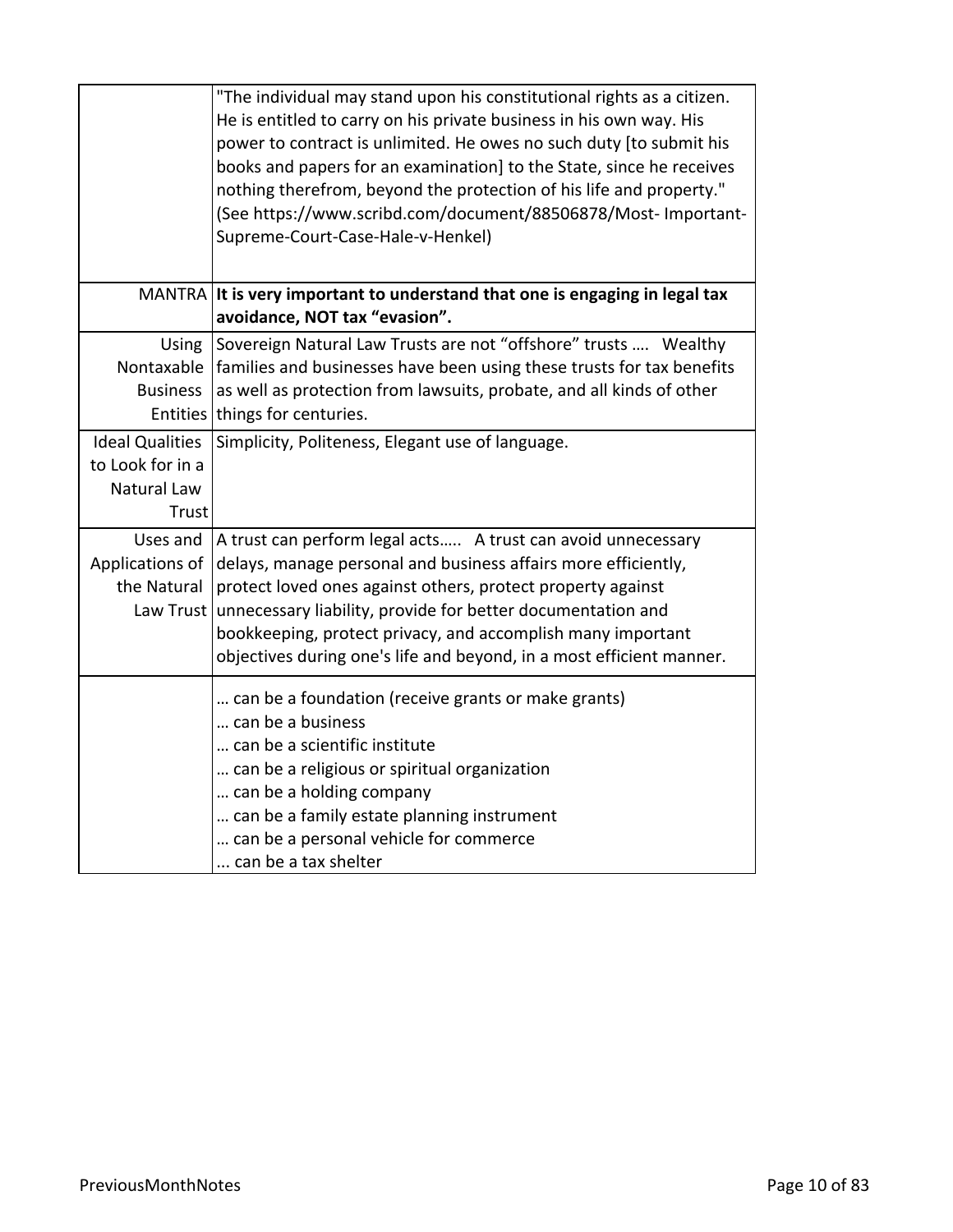|                                | "The individual may stand upon his constitutional rights as a citizen.<br>He is entitled to carry on his private business in his own way. His<br>power to contract is unlimited. He owes no such duty [to submit his<br>books and papers for an examination] to the State, since he receives |
|--------------------------------|----------------------------------------------------------------------------------------------------------------------------------------------------------------------------------------------------------------------------------------------------------------------------------------------|
|                                | nothing therefrom, beyond the protection of his life and property."<br>(See https://www.scribd.com/document/88506878/Most- Important-<br>Supreme-Court-Case-Hale-v-Henkel)                                                                                                                   |
|                                | MANTRA It is very important to understand that one is engaging in legal tax<br>avoidance, NOT tax "evasion".                                                                                                                                                                                 |
| Using                          | Sovereign Natural Law Trusts are not "offshore" trusts  Wealthy                                                                                                                                                                                                                              |
|                                | Nontaxable   families and businesses have been using these trusts for tax benefits                                                                                                                                                                                                           |
| <b>Business</b>                | as well as protection from lawsuits, probate, and all kinds of other                                                                                                                                                                                                                         |
|                                | Entities things for centuries.                                                                                                                                                                                                                                                               |
| <b>Ideal Qualities</b>         | Simplicity, Politeness, Elegant use of language.                                                                                                                                                                                                                                             |
| to Look for in a               |                                                                                                                                                                                                                                                                                              |
| Natural Law<br>Trust           |                                                                                                                                                                                                                                                                                              |
|                                |                                                                                                                                                                                                                                                                                              |
| Uses and                       | A trust can perform legal acts A trust can avoid unnecessary                                                                                                                                                                                                                                 |
| Applications of<br>the Natural | delays, manage personal and business affairs more efficiently,<br>protect loved ones against others, protect property against                                                                                                                                                                |
|                                | Law Trust unnecessary liability, provide for better documentation and                                                                                                                                                                                                                        |
|                                | bookkeeping, protect privacy, and accomplish many important                                                                                                                                                                                                                                  |
|                                | objectives during one's life and beyond, in a most efficient manner.                                                                                                                                                                                                                         |
|                                | can be a foundation (receive grants or make grants)<br>can be a business                                                                                                                                                                                                                     |
|                                | can be a scientific institute                                                                                                                                                                                                                                                                |
|                                | can be a religious or spiritual organization                                                                                                                                                                                                                                                 |
|                                | can be a holding company                                                                                                                                                                                                                                                                     |
|                                | can be a family estate planning instrument                                                                                                                                                                                                                                                   |
|                                | can be a personal vehicle for commerce                                                                                                                                                                                                                                                       |
|                                | can be a tax shelter                                                                                                                                                                                                                                                                         |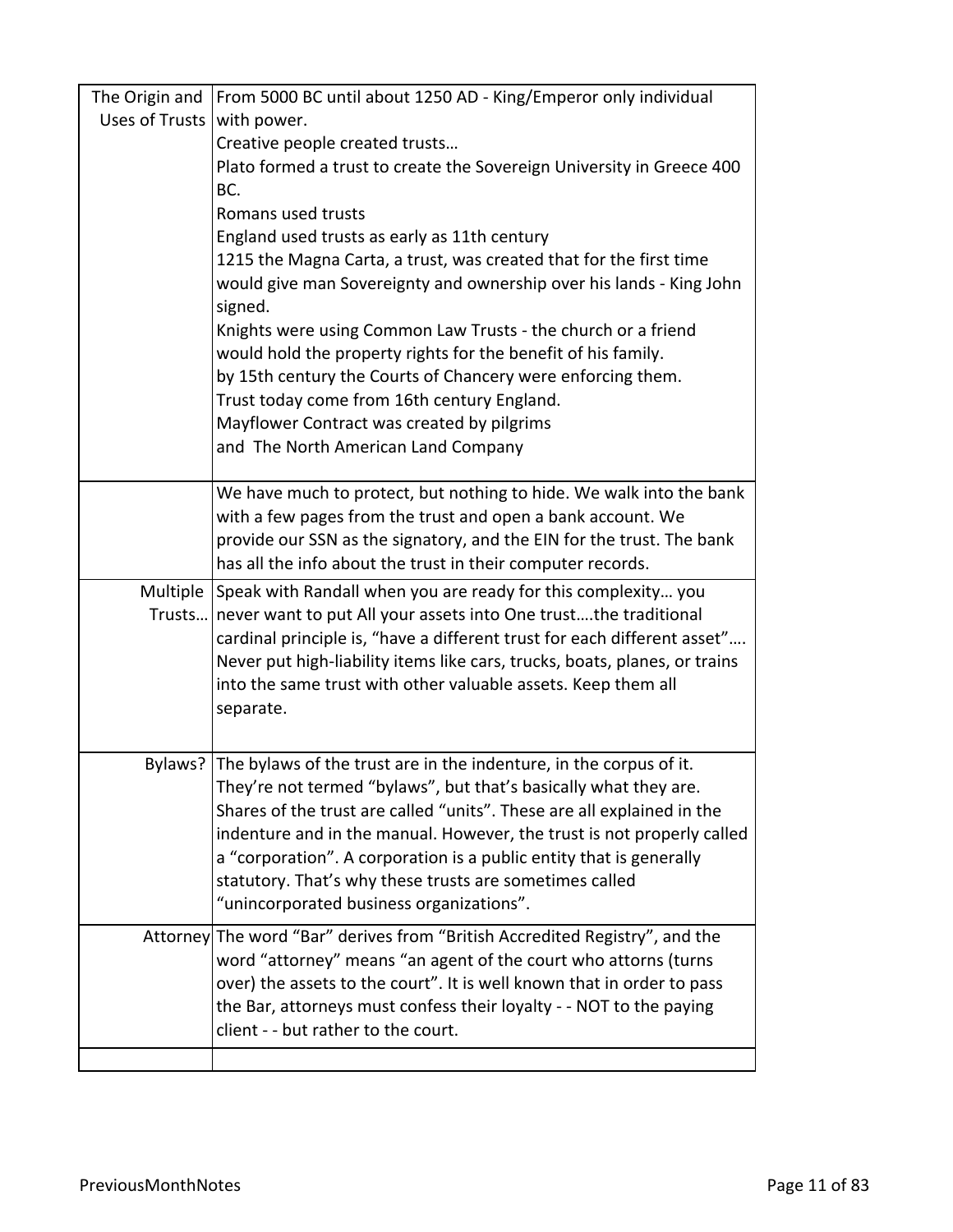|                              | The Origin and   From 5000 BC until about 1250 AD - King/Emperor only individual                                                                 |
|------------------------------|--------------------------------------------------------------------------------------------------------------------------------------------------|
| Uses of Trusts   with power. |                                                                                                                                                  |
|                              | Creative people created trusts                                                                                                                   |
|                              | Plato formed a trust to create the Sovereign University in Greece 400                                                                            |
|                              | BC.                                                                                                                                              |
|                              | Romans used trusts                                                                                                                               |
|                              | England used trusts as early as 11th century                                                                                                     |
|                              | 1215 the Magna Carta, a trust, was created that for the first time                                                                               |
|                              | would give man Sovereignty and ownership over his lands - King John<br>signed.                                                                   |
|                              | Knights were using Common Law Trusts - the church or a friend                                                                                    |
|                              | would hold the property rights for the benefit of his family.                                                                                    |
|                              | by 15th century the Courts of Chancery were enforcing them.                                                                                      |
|                              | Trust today come from 16th century England.                                                                                                      |
|                              | Mayflower Contract was created by pilgrims                                                                                                       |
|                              | and The North American Land Company                                                                                                              |
|                              |                                                                                                                                                  |
|                              | We have much to protect, but nothing to hide. We walk into the bank                                                                              |
|                              | with a few pages from the trust and open a bank account. We                                                                                      |
|                              | provide our SSN as the signatory, and the EIN for the trust. The bank                                                                            |
|                              | has all the info about the trust in their computer records.                                                                                      |
|                              | Multiple Speak with Randall when you are ready for this complexity you<br>Trusts never want to put All your assets into One trustthe traditional |
|                              | cardinal principle is, "have a different trust for each different asset"                                                                         |
|                              | Never put high-liability items like cars, trucks, boats, planes, or trains                                                                       |
|                              | into the same trust with other valuable assets. Keep them all                                                                                    |
|                              | separate.                                                                                                                                        |
|                              |                                                                                                                                                  |
| Bylaws?                      | The bylaws of the trust are in the indenture, in the corpus of it.                                                                               |
|                              | They're not termed "bylaws", but that's basically what they are.                                                                                 |
|                              | Shares of the trust are called "units". These are all explained in the                                                                           |
|                              | indenture and in the manual. However, the trust is not properly called                                                                           |
|                              | a "corporation". A corporation is a public entity that is generally                                                                              |
|                              | statutory. That's why these trusts are sometimes called                                                                                          |
|                              | "unincorporated business organizations".                                                                                                         |
|                              | Attorney The word "Bar" derives from "British Accredited Registry", and the                                                                      |
|                              | word "attorney" means "an agent of the court who attorns (turns                                                                                  |
|                              | over) the assets to the court". It is well known that in order to pass                                                                           |
|                              | the Bar, attorneys must confess their loyalty - - NOT to the paying                                                                              |
|                              | client - - but rather to the court.                                                                                                              |
|                              |                                                                                                                                                  |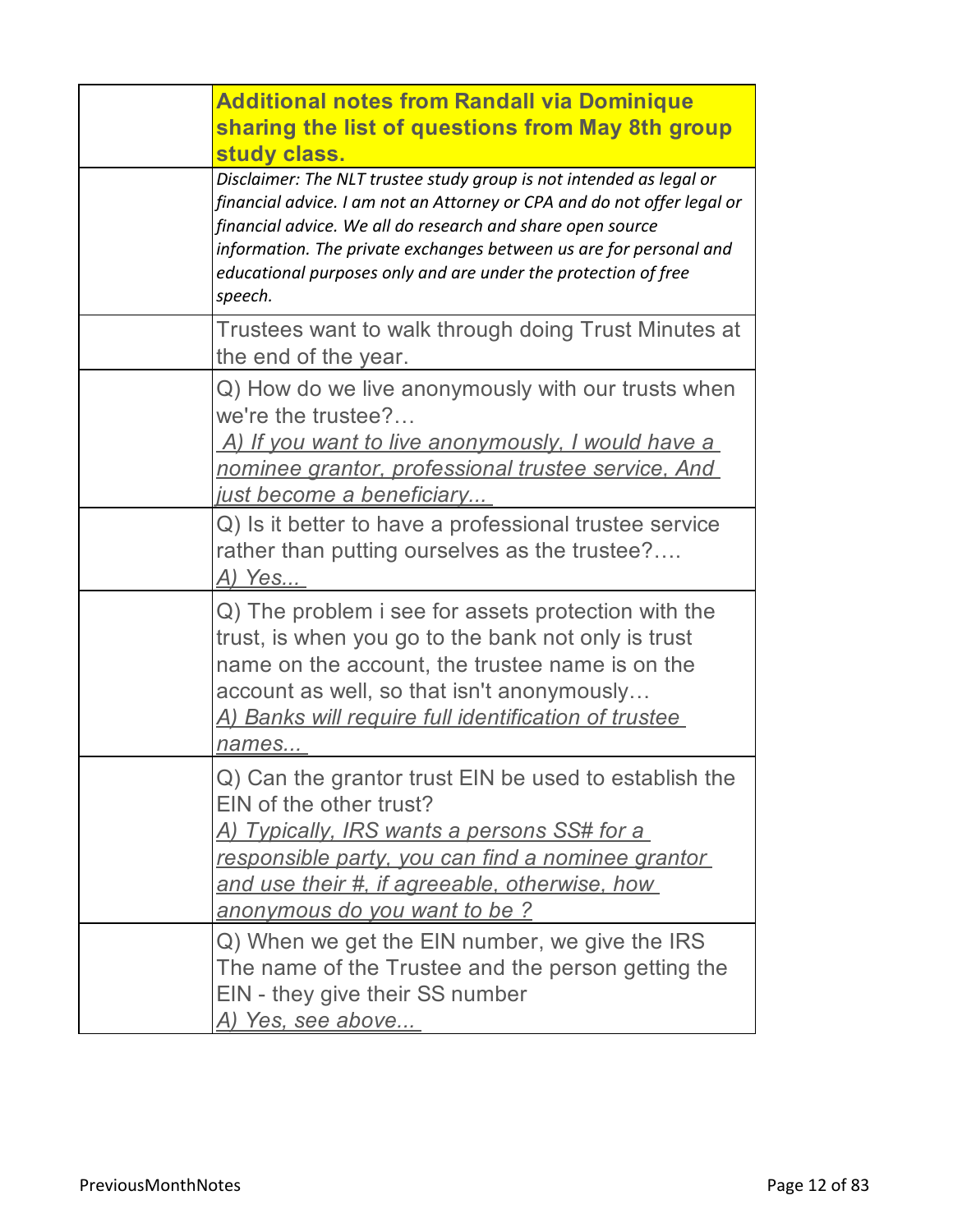| <b>Additional notes from Randall via Dominique</b><br>sharing the list of questions from May 8th group<br>study class.                                                                                                                                                                                                                                          |
|-----------------------------------------------------------------------------------------------------------------------------------------------------------------------------------------------------------------------------------------------------------------------------------------------------------------------------------------------------------------|
| Disclaimer: The NLT trustee study group is not intended as legal or<br>financial advice. I am not an Attorney or CPA and do not offer legal or<br>financial advice. We all do research and share open source<br>information. The private exchanges between us are for personal and<br>educational purposes only and are under the protection of free<br>speech. |
| Trustees want to walk through doing Trust Minutes at<br>the end of the year.                                                                                                                                                                                                                                                                                    |
| Q) How do we live anonymously with our trusts when<br>we're the trustee?<br>A) If you want to live anonymously, I would have a<br>nominee grantor, professional trustee service, And<br><u>just become a beneficiary</u>                                                                                                                                        |
| Q) Is it better to have a professional trustee service<br>rather than putting ourselves as the trustee?<br>A) Yes                                                                                                                                                                                                                                               |
| Q) The problem i see for assets protection with the<br>trust, is when you go to the bank not only is trust<br>name on the account, the trustee name is on the<br>account as well, so that isn't anonymously<br>A) Banks will require full identification of trustee<br>names                                                                                    |
| Q) Can the grantor trust EIN be used to establish the<br>EIN of the other trust?<br><u>A) Typically, IRS wants a persons SS# for a </u><br>responsible party, you can find a nominee grantor<br>and use their #, if agreeable, otherwise, how<br>anonymous do you want to be?                                                                                   |
| Q) When we get the EIN number, we give the IRS<br>The name of the Trustee and the person getting the<br>EIN - they give their SS number<br>A) Yes, see above                                                                                                                                                                                                    |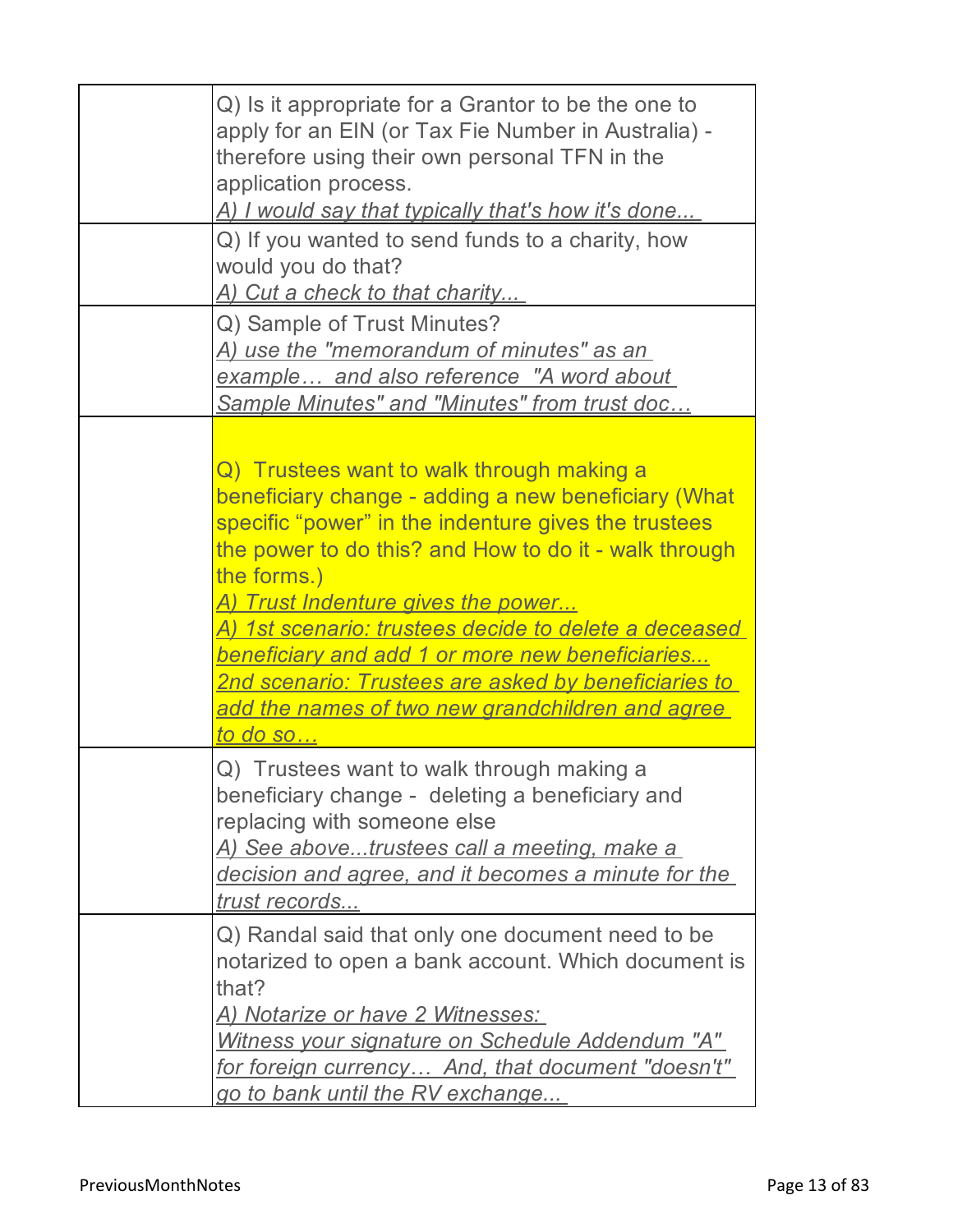| Q) Is it appropriate for a Grantor to be the one to<br>apply for an EIN (or Tax Fie Number in Australia) -<br>therefore using their own personal TFN in the<br>application process.<br>A) I would say that typically that's how it's done                                                                                                                                                                                                                                                                                                 |
|-------------------------------------------------------------------------------------------------------------------------------------------------------------------------------------------------------------------------------------------------------------------------------------------------------------------------------------------------------------------------------------------------------------------------------------------------------------------------------------------------------------------------------------------|
| Q) If you wanted to send funds to a charity, how<br>would you do that?<br>A) Cut a check to that charity                                                                                                                                                                                                                                                                                                                                                                                                                                  |
| Q) Sample of Trust Minutes?<br><u>A) use the "memorandum of minutes" as an</u><br>example and also reference "A word about<br>Sample Minutes" and "Minutes" from trust doc                                                                                                                                                                                                                                                                                                                                                                |
| Q) Trustees want to walk through making a<br>beneficiary change - adding a new beneficiary (What<br>specific "power" in the indenture gives the trustees<br>the power to do this? and How to do it - walk through<br>the forms.)<br><u>A) Trust Indenture gives the power</u><br><u>A) 1st scenario: trustees decide to delete a deceased </u><br><u>beneficiary and add 1 or more new beneficiaries</u><br><u> 2nd scenario: Trustees are asked by beneficiaries to </u><br>add the names of two new grandchildren and agree<br>to do so |
| Q) Trustees want to walk through making a<br>beneficiary change - deleting a beneficiary and<br>replacing with someone else<br>A) See abovetrustees call a meeting, make a<br>decision and agree, and it becomes a minute for the<br>trust records                                                                                                                                                                                                                                                                                        |
| Q) Randal said that only one document need to be<br>notarized to open a bank account. Which document is<br>that?<br><u>A) Notarize or have 2 Witnesses:</u><br>Witness your signature on Schedule Addendum "A"<br>for foreign currency And, that document "doesn't"<br>go to bank until the RV exchange                                                                                                                                                                                                                                   |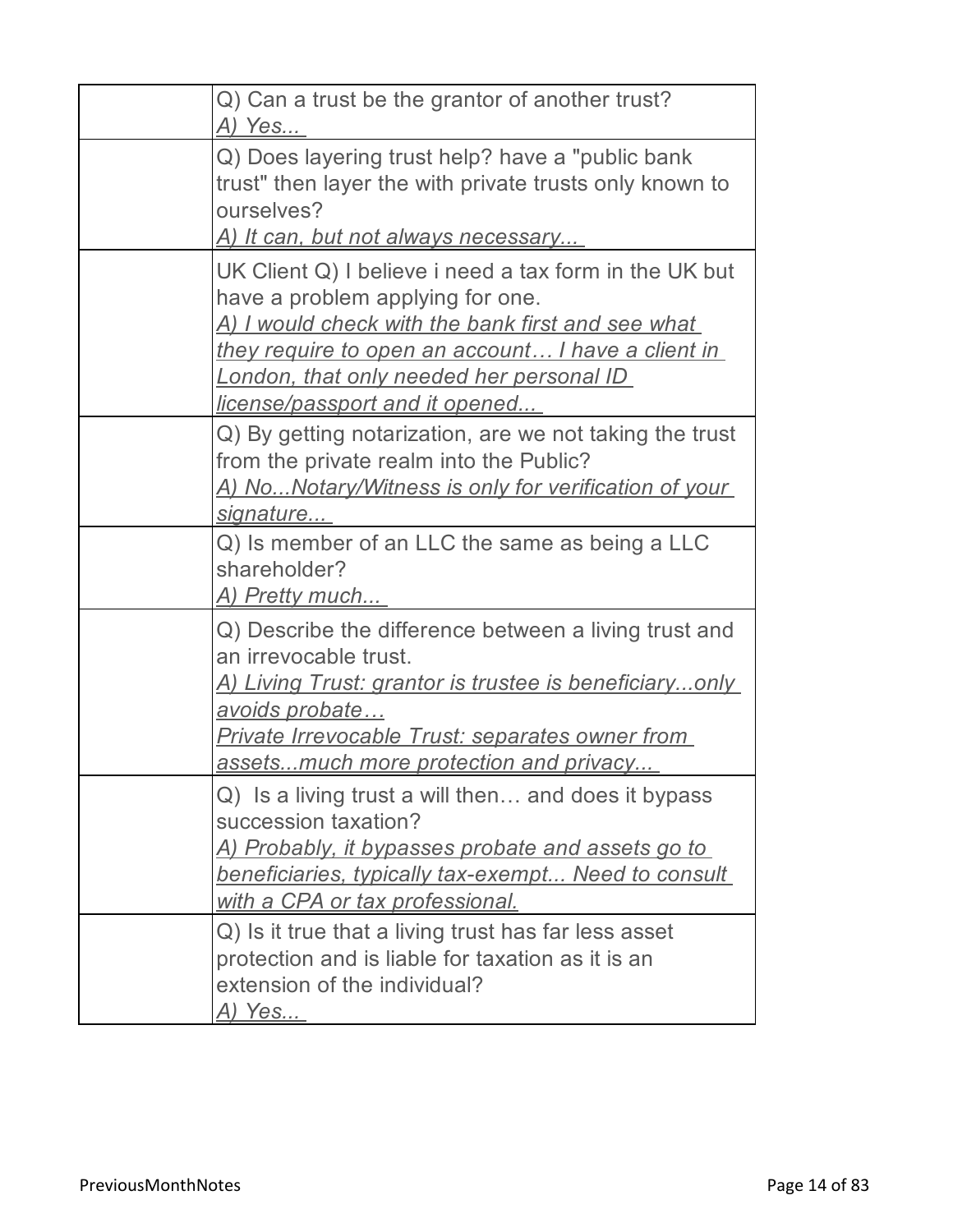| Q) Can a trust be the grantor of another trust?<br>A) Yes                                                                                                                                                                                                                                          |
|----------------------------------------------------------------------------------------------------------------------------------------------------------------------------------------------------------------------------------------------------------------------------------------------------|
| Q) Does layering trust help? have a "public bank<br>trust" then layer the with private trusts only known to<br>ourselves?<br><u>A) It can, but not always necessary </u>                                                                                                                           |
| UK Client Q) I believe i need a tax form in the UK but<br>have a problem applying for one.<br><u>A) I would check with the bank first and see what </u><br>they require to open an account I have a client in<br><b>London, that only needed her personal ID</b><br>license/passport and it opened |
| Q) By getting notarization, are we not taking the trust<br>from the private realm into the Public?<br><u>A) NoNotary/Witness is only for verification of your</u><br>signature                                                                                                                     |
| Q) Is member of an LLC the same as being a LLC<br>shareholder?<br><u>A) Pretty much</u>                                                                                                                                                                                                            |
| Q) Describe the difference between a living trust and<br>an irrevocable trust.<br><u>A) Living Trust: grantor is trustee is beneficiaryonly_</u><br>avoids probate<br><u> Private Irrevocable Trust: separates owner from </u><br>assetsmuch more protection and privacy                           |
| Q) Is a living trust a will then and does it bypass<br>succession taxation?<br><u>A) Probably, it bypasses probate and assets go to </u><br><u>beneficiaries, typically tax-exempt Need to consult</u><br>with a CPA or tax professional.                                                          |
| Q) Is it true that a living trust has far less asset<br>protection and is liable for taxation as it is an<br>extension of the individual?<br><u>A) Yes</u>                                                                                                                                         |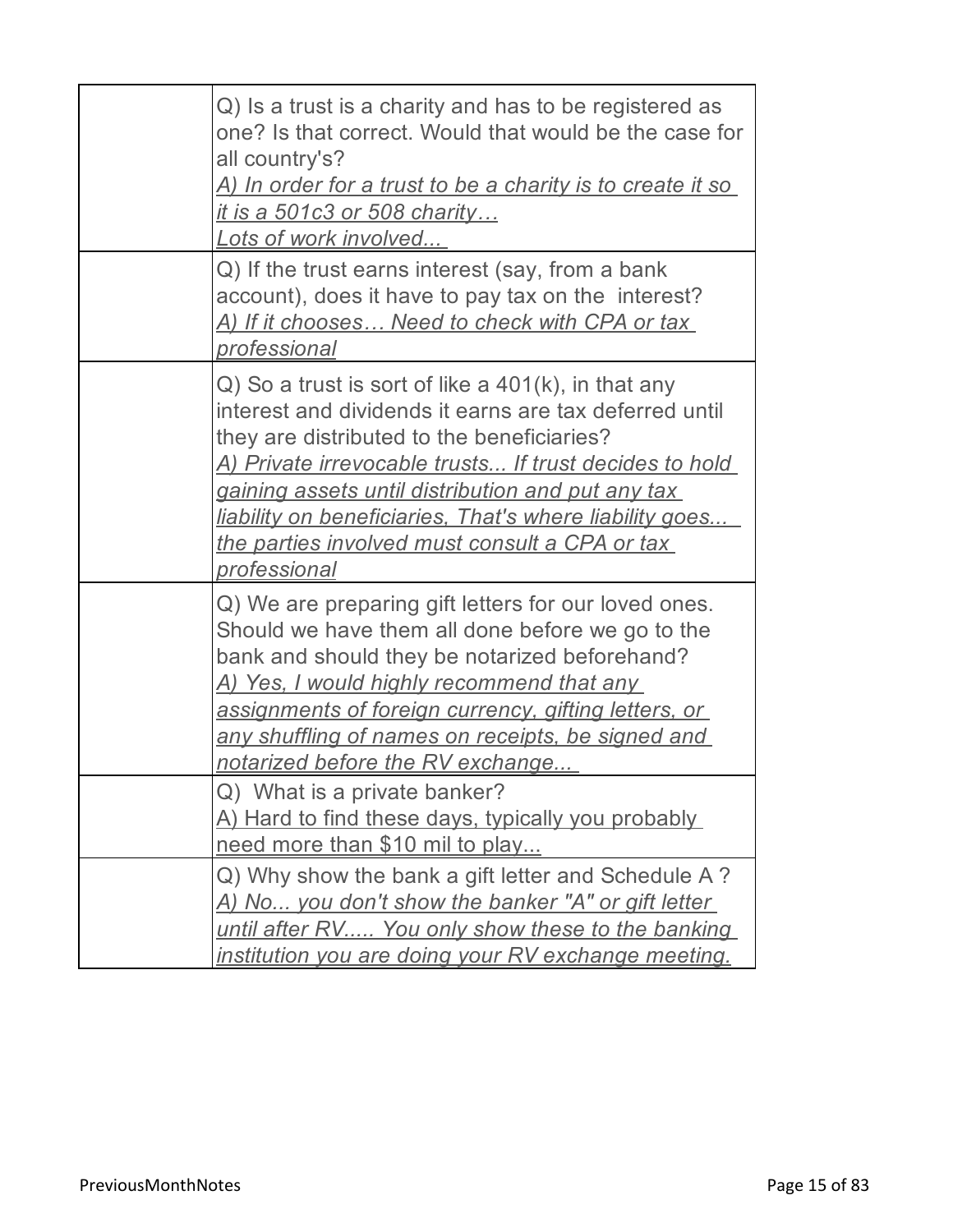| Q) Is a trust is a charity and has to be registered as<br>one? Is that correct. Would that would be the case for<br>all country's?<br><u>A) In order for a trust to be a charity is to create it so_</u><br><u>it is a 501c3 or 508 charity</u><br>Lots of work involved                                                                                                                                                  |
|---------------------------------------------------------------------------------------------------------------------------------------------------------------------------------------------------------------------------------------------------------------------------------------------------------------------------------------------------------------------------------------------------------------------------|
| Q) If the trust earns interest (say, from a bank<br>account), does it have to pay tax on the interest?<br>A) If it chooses Need to check with CPA or tax<br><u>professional</u>                                                                                                                                                                                                                                           |
| $Q$ ) So a trust is sort of like a 401(k), in that any<br>interest and dividends it earns are tax deferred until<br>they are distributed to the beneficiaries?<br><u>A) Private irrevocable trusts If trust decides to hold_</u><br>gaining assets until distribution and put any tax<br>liability on beneficiaries, That's where liability goes<br><u>the parties involved must consult a CPA or tax</u><br>professional |
| Q) We are preparing gift letters for our loved ones.<br>Should we have them all done before we go to the<br>bank and should they be notarized beforehand?<br><u>A) Yes, I would highly recommend that any </u><br>assignments of foreign currency, gifting letters, or<br>any shuffling of names on receipts, be signed and<br>notarized before the RV exchange                                                           |
| Q) What is a private banker?<br>A) Hard to find these days, typically you probably<br>need more than \$10 mil to play                                                                                                                                                                                                                                                                                                     |
| Q) Why show the bank a gift letter and Schedule A?<br><u>A) No you don't show the banker "A" or gift letter </u><br>until after RV You only show these to the banking<br>institution you are doing your RV exchange meeting.                                                                                                                                                                                              |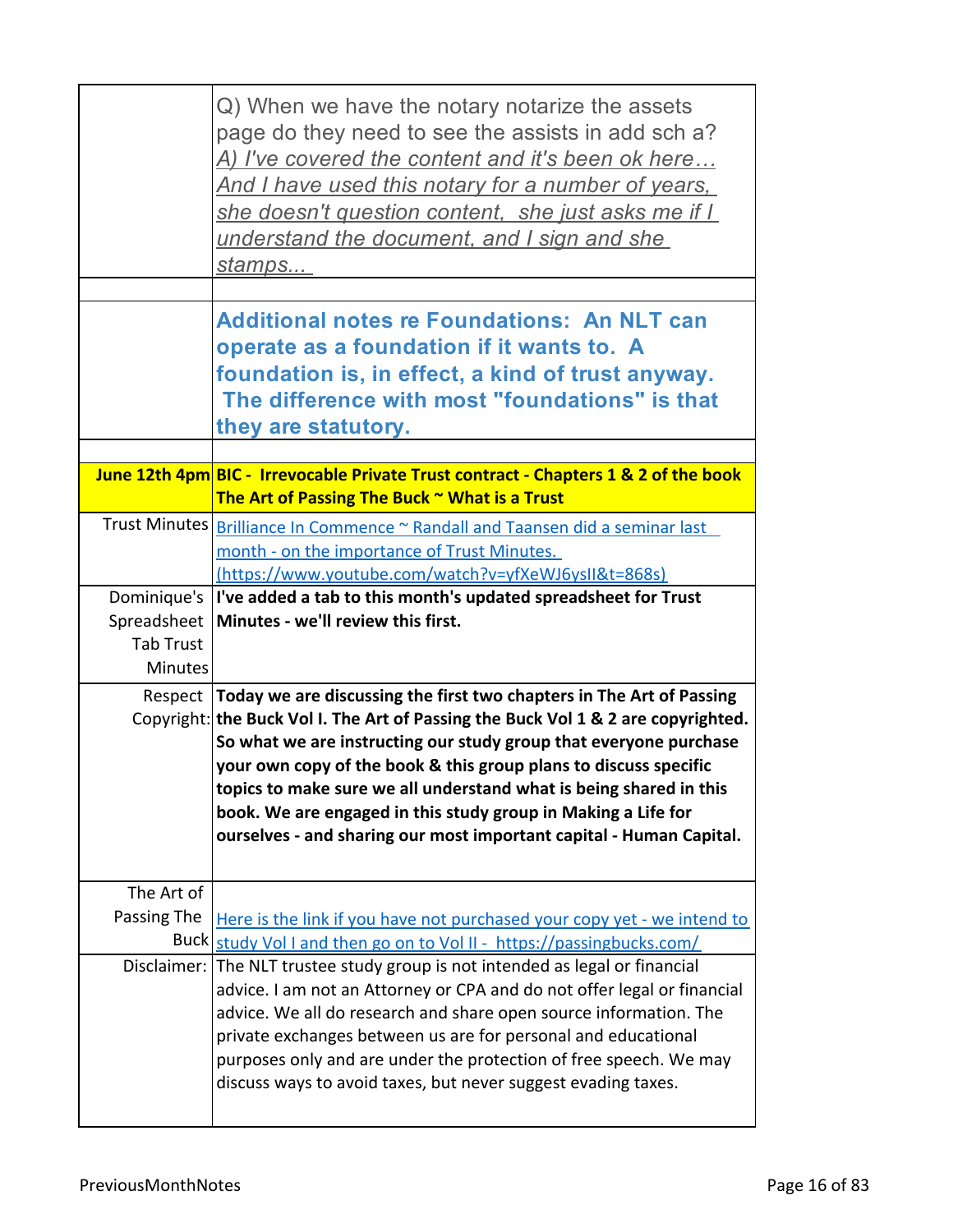|                  | Q) When we have the notary notarize the assets<br>page do they need to see the assists in add sch a?<br><u>A) I've covered the content and it's been ok here</u><br><u>And I have used this notary for a number of years, </u><br>she doesn't question content, she just asks me if I<br>understand the document, and I sign and she<br>stamps                                                                                                                                                                           |
|------------------|--------------------------------------------------------------------------------------------------------------------------------------------------------------------------------------------------------------------------------------------------------------------------------------------------------------------------------------------------------------------------------------------------------------------------------------------------------------------------------------------------------------------------|
|                  | <b>Additional notes re Foundations: An NLT can</b><br>operate as a foundation if it wants to. A<br>foundation is, in effect, a kind of trust anyway.<br>The difference with most "foundations" is that<br>they are statutory.                                                                                                                                                                                                                                                                                            |
|                  | June 12th 4pm BIC - Irrevocable Private Trust contract - Chapters 1 & 2 of the book                                                                                                                                                                                                                                                                                                                                                                                                                                      |
|                  | The Art of Passing The Buck $\sim$ What is a Trust                                                                                                                                                                                                                                                                                                                                                                                                                                                                       |
|                  | Trust Minutes <i>Brilliance In Commence</i> ~ Randall and Taansen did a seminar last<br>month - on the importance of Trust Minutes.                                                                                                                                                                                                                                                                                                                                                                                      |
|                  | https://www.youtube.com/watch?v=yfXeWJ6ysII&t=868s)                                                                                                                                                                                                                                                                                                                                                                                                                                                                      |
|                  | Dominique's  I've added a tab to this month's updated spreadsheet for Trust                                                                                                                                                                                                                                                                                                                                                                                                                                              |
| <b>Tab Trust</b> | Spreadsheet   Minutes - we'll review this first.                                                                                                                                                                                                                                                                                                                                                                                                                                                                         |
| <b>Minutes</b>   |                                                                                                                                                                                                                                                                                                                                                                                                                                                                                                                          |
|                  |                                                                                                                                                                                                                                                                                                                                                                                                                                                                                                                          |
|                  | Respect Today we are discussing the first two chapters in The Art of Passing<br>Copyright: the Buck Vol I. The Art of Passing the Buck Vol 1 & 2 are copyrighted.<br>So what we are instructing our study group that everyone purchase<br>your own copy of the book & this group plans to discuss specific<br>topics to make sure we all understand what is being shared in this<br>book. We are engaged in this study group in Making a Life for<br>ourselves - and sharing our most important capital - Human Capital. |
| The Art of       |                                                                                                                                                                                                                                                                                                                                                                                                                                                                                                                          |
| Passing The      | Here is the link if you have not purchased your copy yet - we intend to                                                                                                                                                                                                                                                                                                                                                                                                                                                  |
|                  | Buck study Vol I and then go on to Vol II - https://passingbucks.com/                                                                                                                                                                                                                                                                                                                                                                                                                                                    |
| Disclaimer:      | The NLT trustee study group is not intended as legal or financial<br>advice. I am not an Attorney or CPA and do not offer legal or financial<br>advice. We all do research and share open source information. The<br>private exchanges between us are for personal and educational<br>purposes only and are under the protection of free speech. We may<br>discuss ways to avoid taxes, but never suggest evading taxes.                                                                                                 |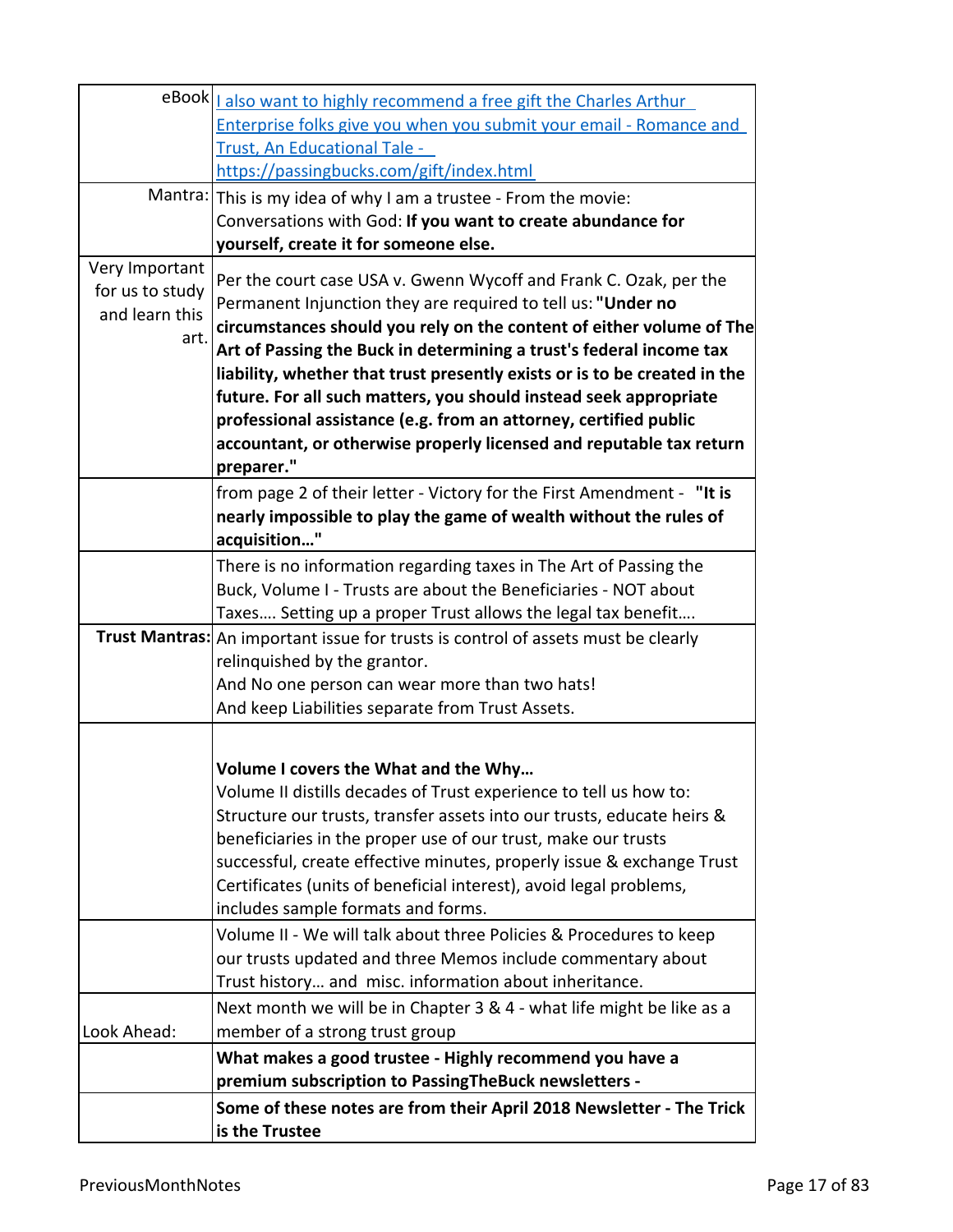|                 | eBook   Lalso want to highly recommend a free gift the Charles Arthur             |
|-----------------|-----------------------------------------------------------------------------------|
|                 | Enterprise folks give you when you submit your email - Romance and                |
|                 | Trust, An Educational Tale -                                                      |
|                 | https://passingbucks.com/gift/index.html                                          |
|                 | Mantra: This is my idea of why I am a trustee - From the movie:                   |
|                 | Conversations with God: If you want to create abundance for                       |
|                 | yourself, create it for someone else.                                             |
| Very Important  | Per the court case USA v. Gwenn Wycoff and Frank C. Ozak, per the                 |
| for us to study | Permanent Injunction they are required to tell us: "Under no                      |
| and learn this  | circumstances should you rely on the content of either volume of The              |
| art.            | Art of Passing the Buck in determining a trust's federal income tax               |
|                 | liability, whether that trust presently exists or is to be created in the         |
|                 | future. For all such matters, you should instead seek appropriate                 |
|                 | professional assistance (e.g. from an attorney, certified public                  |
|                 | accountant, or otherwise properly licensed and reputable tax return               |
|                 | preparer."                                                                        |
|                 | from page 2 of their letter - Victory for the First Amendment - "It is            |
|                 | nearly impossible to play the game of wealth without the rules of                 |
|                 | acquisition"                                                                      |
|                 | There is no information regarding taxes in The Art of Passing the                 |
|                 | Buck, Volume I - Trusts are about the Beneficiaries - NOT about                   |
|                 | Taxes Setting up a proper Trust allows the legal tax benefit                      |
|                 | Trust Mantras: An important issue for trusts is control of assets must be clearly |
|                 | relinquished by the grantor.                                                      |
|                 | And No one person can wear more than two hats!                                    |
|                 | And keep Liabilities separate from Trust Assets.                                  |
|                 |                                                                                   |
|                 | Volume I covers the What and the Why                                              |
|                 | Volume II distills decades of Trust experience to tell us how to:                 |
|                 | Structure our trusts, transfer assets into our trusts, educate heirs &            |
|                 | beneficiaries in the proper use of our trust, make our trusts                     |
|                 | successful, create effective minutes, properly issue & exchange Trust             |
|                 | Certificates (units of beneficial interest), avoid legal problems,                |
|                 | includes sample formats and forms.                                                |
|                 | Volume II - We will talk about three Policies & Procedures to keep                |
|                 | our trusts updated and three Memos include commentary about                       |
|                 | Trust history and misc. information about inheritance.                            |
|                 | Next month we will be in Chapter 3 & 4 - what life might be like as a             |
| Look Ahead:     | member of a strong trust group                                                    |
|                 | What makes a good trustee - Highly recommend you have a                           |
|                 | premium subscription to PassingTheBuck newsletters -                              |
|                 | Some of these notes are from their April 2018 Newsletter - The Trick              |
|                 | is the Trustee                                                                    |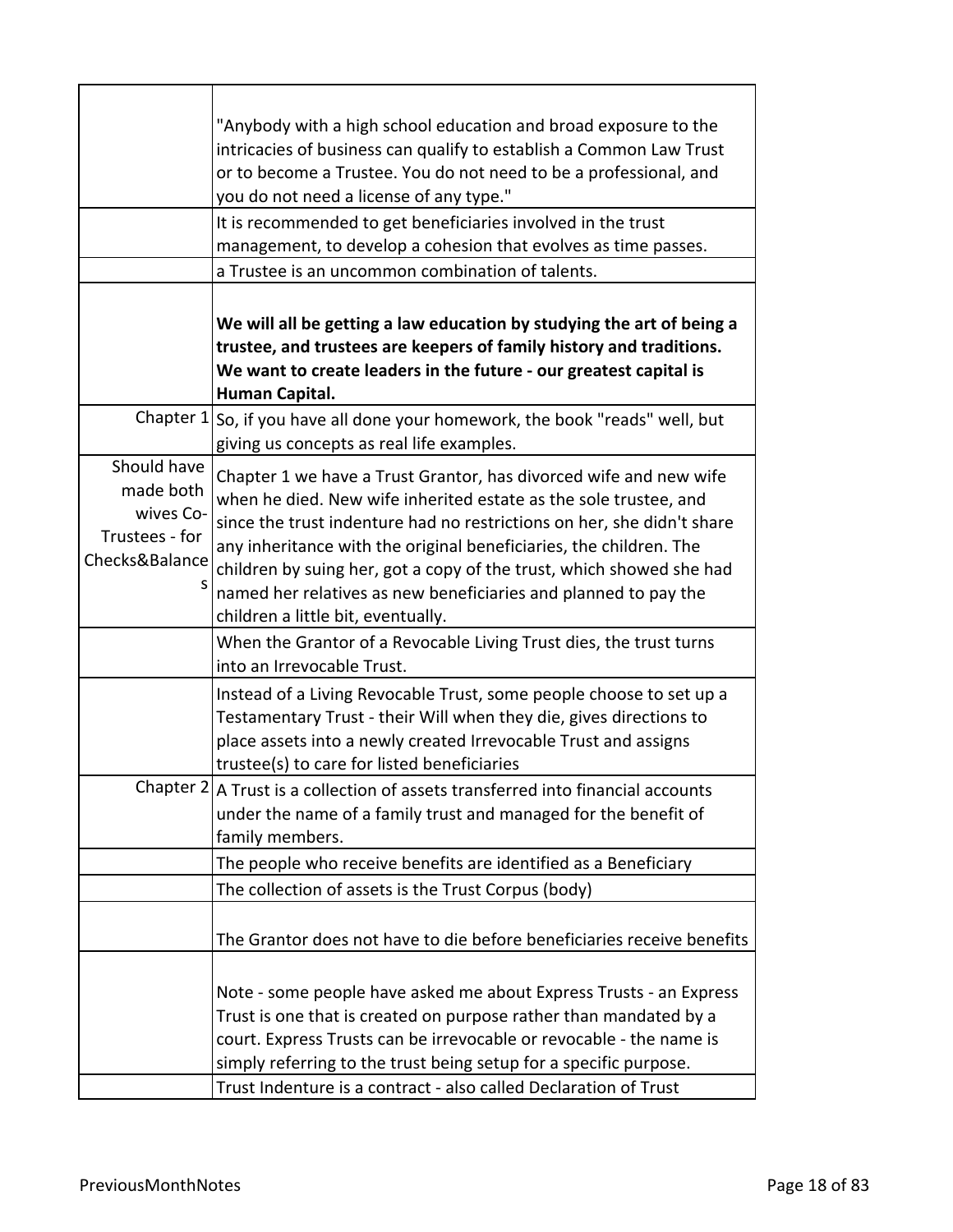|                                                                           | "Anybody with a high school education and broad exposure to the                                                                                                                                                                                                                                                                                                                                                                                                        |
|---------------------------------------------------------------------------|------------------------------------------------------------------------------------------------------------------------------------------------------------------------------------------------------------------------------------------------------------------------------------------------------------------------------------------------------------------------------------------------------------------------------------------------------------------------|
|                                                                           | intricacies of business can qualify to establish a Common Law Trust                                                                                                                                                                                                                                                                                                                                                                                                    |
|                                                                           | or to become a Trustee. You do not need to be a professional, and                                                                                                                                                                                                                                                                                                                                                                                                      |
|                                                                           | you do not need a license of any type."                                                                                                                                                                                                                                                                                                                                                                                                                                |
|                                                                           | It is recommended to get beneficiaries involved in the trust                                                                                                                                                                                                                                                                                                                                                                                                           |
|                                                                           | management, to develop a cohesion that evolves as time passes.                                                                                                                                                                                                                                                                                                                                                                                                         |
|                                                                           | a Trustee is an uncommon combination of talents.                                                                                                                                                                                                                                                                                                                                                                                                                       |
|                                                                           | We will all be getting a law education by studying the art of being a<br>trustee, and trustees are keepers of family history and traditions.<br>We want to create leaders in the future - our greatest capital is<br>Human Capital.                                                                                                                                                                                                                                    |
| Chapter 1                                                                 | So, if you have all done your homework, the book "reads" well, but<br>giving us concepts as real life examples.                                                                                                                                                                                                                                                                                                                                                        |
| Should have<br>made both<br>wives Co-<br>Trustees - for<br>Checks&Balance | Chapter 1 we have a Trust Grantor, has divorced wife and new wife<br>when he died. New wife inherited estate as the sole trustee, and<br>since the trust indenture had no restrictions on her, she didn't share<br>any inheritance with the original beneficiaries, the children. The<br>children by suing her, got a copy of the trust, which showed she had<br>named her relatives as new beneficiaries and planned to pay the<br>children a little bit, eventually. |
|                                                                           | When the Grantor of a Revocable Living Trust dies, the trust turns<br>into an Irrevocable Trust.                                                                                                                                                                                                                                                                                                                                                                       |
|                                                                           | Instead of a Living Revocable Trust, some people choose to set up a<br>Testamentary Trust - their Will when they die, gives directions to<br>place assets into a newly created Irrevocable Trust and assigns<br>trustee(s) to care for listed beneficiaries                                                                                                                                                                                                            |
|                                                                           | Chapter 2   A Trust is a collection of assets transferred into financial accounts<br>under the name of a family trust and managed for the benefit of<br>family members.                                                                                                                                                                                                                                                                                                |
|                                                                           | The people who receive benefits are identified as a Beneficiary                                                                                                                                                                                                                                                                                                                                                                                                        |
|                                                                           | The collection of assets is the Trust Corpus (body)                                                                                                                                                                                                                                                                                                                                                                                                                    |
|                                                                           | The Grantor does not have to die before beneficiaries receive benefits                                                                                                                                                                                                                                                                                                                                                                                                 |
|                                                                           | Note - some people have asked me about Express Trusts - an Express<br>Trust is one that is created on purpose rather than mandated by a<br>court. Express Trusts can be irrevocable or revocable - the name is<br>simply referring to the trust being setup for a specific purpose.<br>Trust Indenture is a contract - also called Declaration of Trust                                                                                                                |
|                                                                           |                                                                                                                                                                                                                                                                                                                                                                                                                                                                        |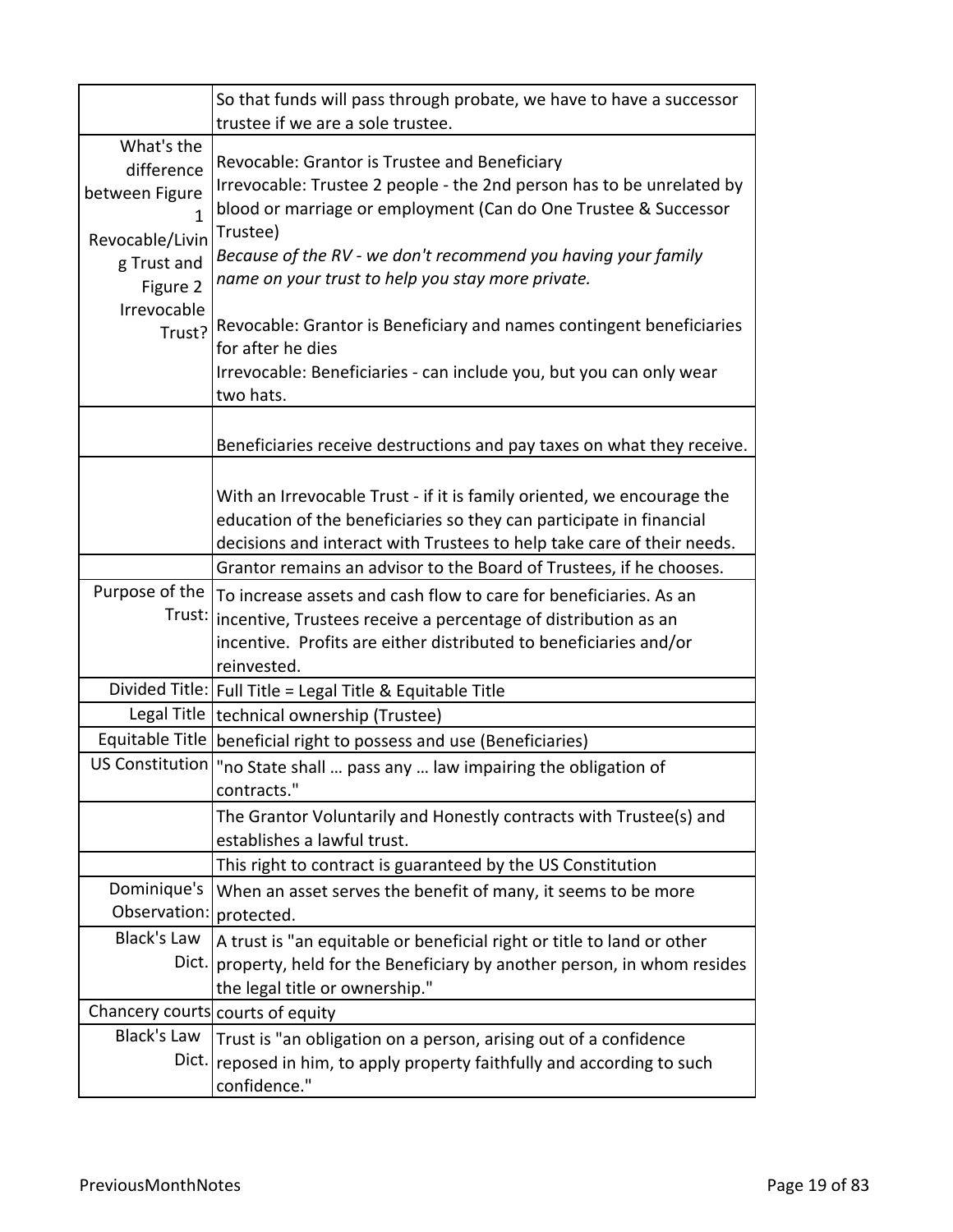|                                                                                          | So that funds will pass through probate, we have to have a successor<br>trustee if we are a sole trustee.                                                                                                                                                                                                                   |
|------------------------------------------------------------------------------------------|-----------------------------------------------------------------------------------------------------------------------------------------------------------------------------------------------------------------------------------------------------------------------------------------------------------------------------|
| What's the<br>difference<br>between Figure<br>Revocable/Livin<br>g Trust and<br>Figure 2 | Revocable: Grantor is Trustee and Beneficiary<br>Irrevocable: Trustee 2 people - the 2nd person has to be unrelated by<br>blood or marriage or employment (Can do One Trustee & Successor<br>Trustee)<br>Because of the RV - we don't recommend you having your family<br>name on your trust to help you stay more private. |
| Irrevocable<br>Trust?                                                                    | Revocable: Grantor is Beneficiary and names contingent beneficiaries<br>for after he dies<br>Irrevocable: Beneficiaries - can include you, but you can only wear<br>two hats.                                                                                                                                               |
|                                                                                          | Beneficiaries receive destructions and pay taxes on what they receive.                                                                                                                                                                                                                                                      |
|                                                                                          | With an Irrevocable Trust - if it is family oriented, we encourage the<br>education of the beneficiaries so they can participate in financial<br>decisions and interact with Trustees to help take care of their needs.                                                                                                     |
|                                                                                          | Grantor remains an advisor to the Board of Trustees, if he chooses.                                                                                                                                                                                                                                                         |
| Purpose of the<br>Trust:                                                                 | To increase assets and cash flow to care for beneficiaries. As an<br>incentive, Trustees receive a percentage of distribution as an<br>incentive. Profits are either distributed to beneficiaries and/or<br>reinvested.                                                                                                     |
|                                                                                          | Divided Title:   Full Title = Legal Title & Equitable Title                                                                                                                                                                                                                                                                 |
| Legal Title                                                                              | technical ownership (Trustee)                                                                                                                                                                                                                                                                                               |
| Equitable Title                                                                          | beneficial right to possess and use (Beneficiaries)                                                                                                                                                                                                                                                                         |
| US Constitution                                                                          | "no State shall  pass any  law impairing the obligation of<br>contracts."                                                                                                                                                                                                                                                   |
|                                                                                          | The Grantor Voluntarily and Honestly contracts with Trustee(s) and<br>establishes a lawful trust.                                                                                                                                                                                                                           |
|                                                                                          | This right to contract is guaranteed by the US Constitution                                                                                                                                                                                                                                                                 |
| Dominique's<br>Observation:                                                              | When an asset serves the benefit of many, it seems to be more<br>protected.                                                                                                                                                                                                                                                 |
| <b>Black's Law</b><br>Dict.                                                              | A trust is "an equitable or beneficial right or title to land or other<br>property, held for the Beneficiary by another person, in whom resides<br>the legal title or ownership."                                                                                                                                           |
|                                                                                          | Chancery courts courts of equity                                                                                                                                                                                                                                                                                            |
| <b>Black's Law</b><br>Dict.                                                              | Trust is "an obligation on a person, arising out of a confidence<br>reposed in him, to apply property faithfully and according to such<br>confidence."                                                                                                                                                                      |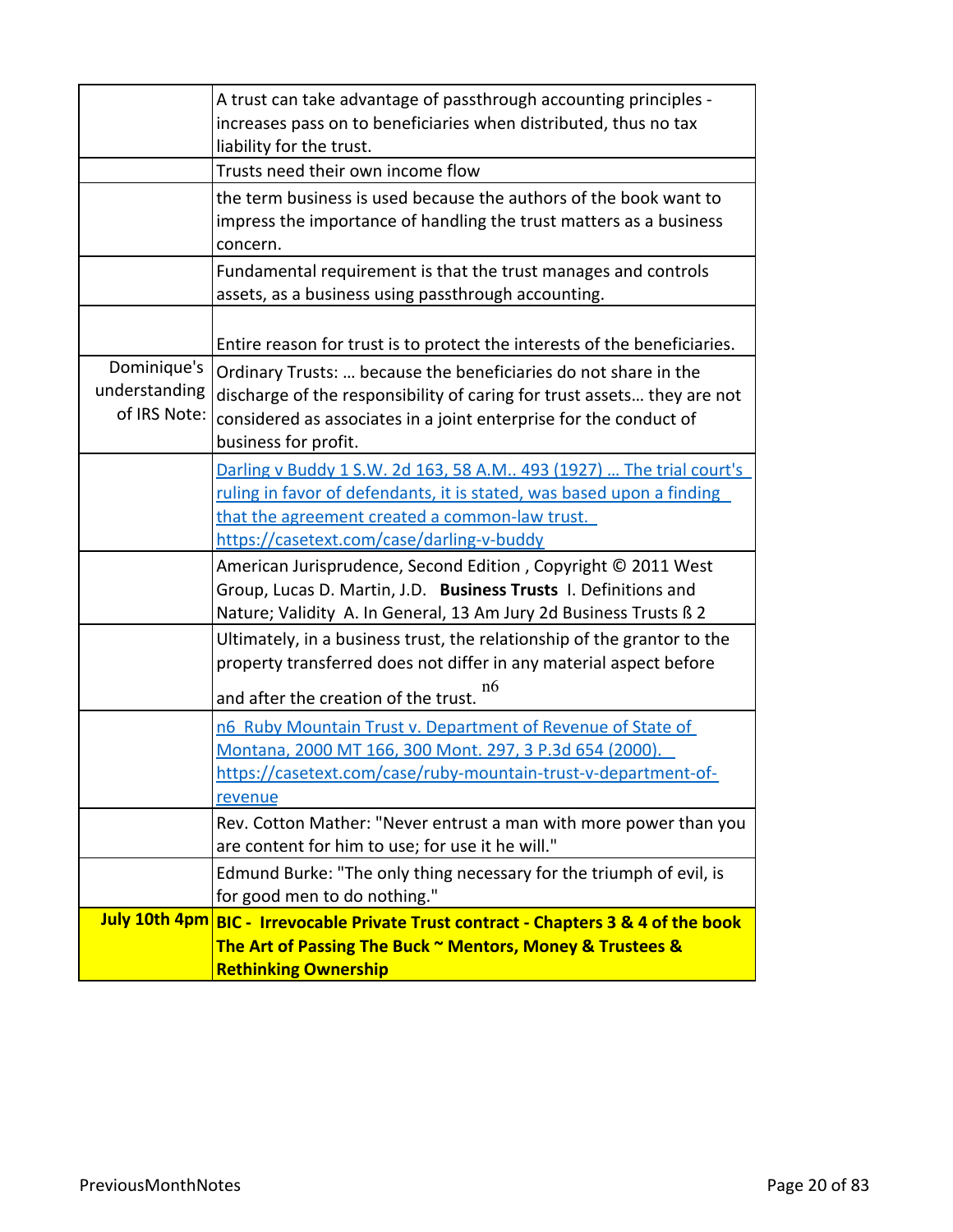|                                              | A trust can take advantage of passthrough accounting principles -<br>increases pass on to beneficiaries when distributed, thus no tax<br>liability for the trust.                                                                       |
|----------------------------------------------|-----------------------------------------------------------------------------------------------------------------------------------------------------------------------------------------------------------------------------------------|
|                                              | Trusts need their own income flow                                                                                                                                                                                                       |
|                                              | the term business is used because the authors of the book want to<br>impress the importance of handling the trust matters as a business<br>concern.                                                                                     |
|                                              | Fundamental requirement is that the trust manages and controls<br>assets, as a business using passthrough accounting.                                                                                                                   |
|                                              | Entire reason for trust is to protect the interests of the beneficiaries.                                                                                                                                                               |
| Dominique's<br>understanding<br>of IRS Note: | Ordinary Trusts:  because the beneficiaries do not share in the<br>discharge of the responsibility of caring for trust assets they are not<br>considered as associates in a joint enterprise for the conduct of<br>business for profit. |
|                                              | Darling v Buddy 1 S.W. 2d 163, 58 A.M 493 (1927)  The trial court's                                                                                                                                                                     |
|                                              | ruling in favor of defendants, it is stated, was based upon a finding                                                                                                                                                                   |
|                                              | that the agreement created a common-law trust.                                                                                                                                                                                          |
|                                              | https://casetext.com/case/darling-v-buddy                                                                                                                                                                                               |
|                                              | American Jurisprudence, Second Edition, Copyright © 2011 West<br>Group, Lucas D. Martin, J.D. Business Trusts I. Definitions and<br>Nature; Validity A. In General, 13 Am Jury 2d Business Trusts ß 2                                   |
|                                              | Ultimately, in a business trust, the relationship of the grantor to the<br>property transferred does not differ in any material aspect before<br>n6<br>and after the creation of the trust.                                             |
|                                              | n6 Ruby Mountain Trust v. Department of Revenue of State of<br>Montana, 2000 MT 166, 300 Mont. 297, 3 P.3d 654 (2000).<br>https://casetext.com/case/ruby-mountain-trust-v-department-of-<br>revenue                                     |
|                                              | Rev. Cotton Mather: "Never entrust a man with more power than you<br>are content for him to use; for use it he will."                                                                                                                   |
|                                              | Edmund Burke: "The only thing necessary for the triumph of evil, is<br>for good men to do nothing."                                                                                                                                     |
|                                              | July 10th 4pm BIC - Irrevocable Private Trust contract - Chapters 3 & 4 of the book<br>The Art of Passing The Buck ~ Mentors, Money & Trustees &<br><b>Rethinking Ownership</b>                                                         |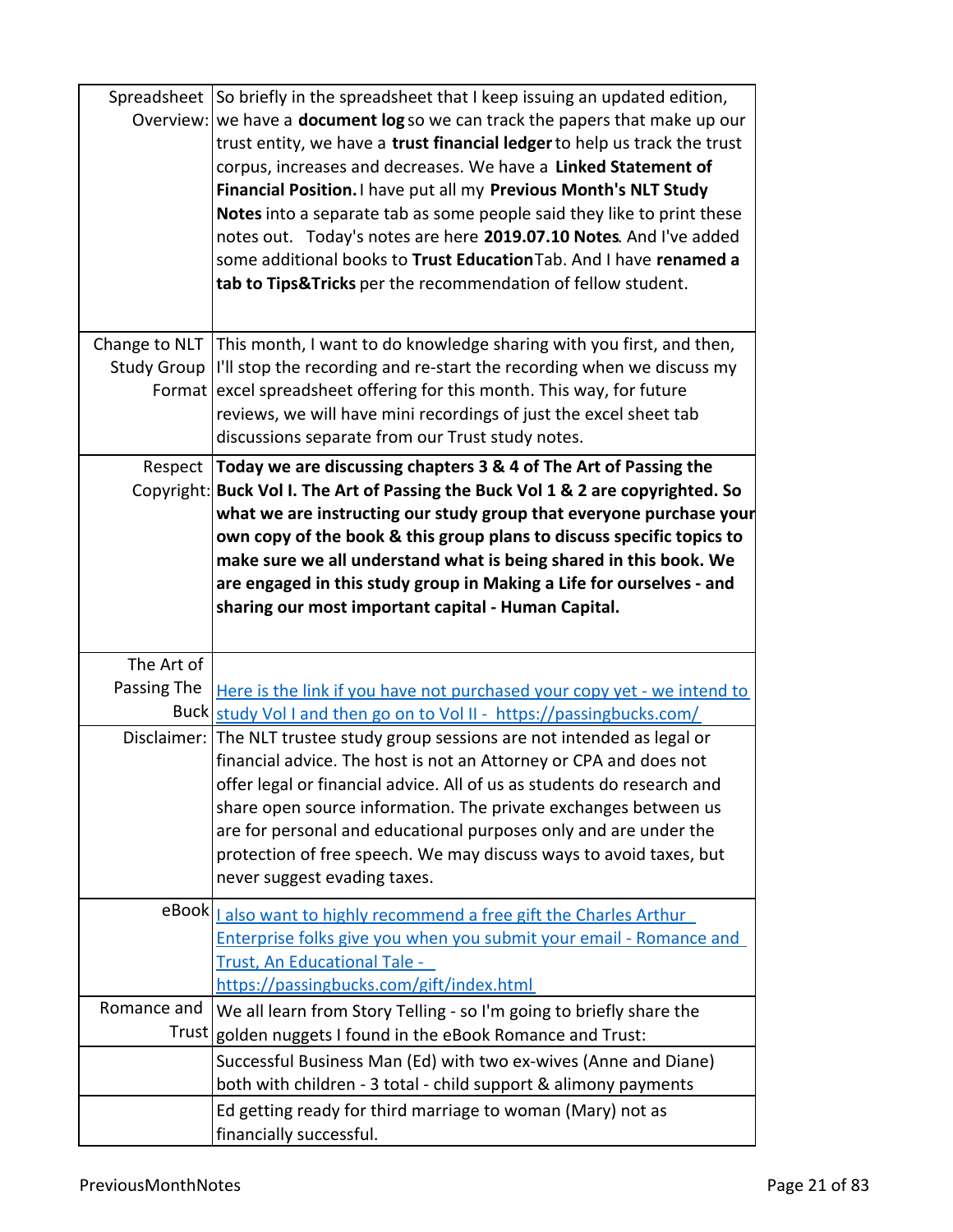|             | Spreadsheet So briefly in the spreadsheet that I keep issuing an updated edition,<br>Overview: we have a <b>document log</b> so we can track the papers that make up our<br>trust entity, we have a trust financial ledger to help us track the trust<br>corpus, increases and decreases. We have a Linked Statement of<br>Financial Position. I have put all my Previous Month's NLT Study<br>Notes into a separate tab as some people said they like to print these<br>notes out. Today's notes are here 2019.07.10 Notes. And I've added<br>some additional books to Trust Education Tab. And I have renamed a<br>tab to Tips& Tricks per the recommendation of fellow student. |
|-------------|------------------------------------------------------------------------------------------------------------------------------------------------------------------------------------------------------------------------------------------------------------------------------------------------------------------------------------------------------------------------------------------------------------------------------------------------------------------------------------------------------------------------------------------------------------------------------------------------------------------------------------------------------------------------------------|
|             | Change to NLT This month, I want to do knowledge sharing with you first, and then,                                                                                                                                                                                                                                                                                                                                                                                                                                                                                                                                                                                                 |
|             | Study Group  I'll stop the recording and re-start the recording when we discuss my                                                                                                                                                                                                                                                                                                                                                                                                                                                                                                                                                                                                 |
|             | Format excel spreadsheet offering for this month. This way, for future                                                                                                                                                                                                                                                                                                                                                                                                                                                                                                                                                                                                             |
|             | reviews, we will have mini recordings of just the excel sheet tab                                                                                                                                                                                                                                                                                                                                                                                                                                                                                                                                                                                                                  |
|             | discussions separate from our Trust study notes.                                                                                                                                                                                                                                                                                                                                                                                                                                                                                                                                                                                                                                   |
| Respect     | Today we are discussing chapters 3 & 4 of The Art of Passing the                                                                                                                                                                                                                                                                                                                                                                                                                                                                                                                                                                                                                   |
|             | Copyright: Buck Vol I. The Art of Passing the Buck Vol 1 & 2 are copyrighted. So<br>what we are instructing our study group that everyone purchase your<br>own copy of the book & this group plans to discuss specific topics to<br>make sure we all understand what is being shared in this book. We<br>are engaged in this study group in Making a Life for ourselves - and<br>sharing our most important capital - Human Capital.                                                                                                                                                                                                                                               |
| The Art of  |                                                                                                                                                                                                                                                                                                                                                                                                                                                                                                                                                                                                                                                                                    |
| Passing The | Here is the link if you have not purchased your copy yet - we intend to                                                                                                                                                                                                                                                                                                                                                                                                                                                                                                                                                                                                            |
|             | Buck study Vol I and then go on to Vol II - https://passingbucks.com/                                                                                                                                                                                                                                                                                                                                                                                                                                                                                                                                                                                                              |
|             | Disclaimer: The NLT trustee study group sessions are not intended as legal or<br>financial advice. The host is not an Attorney or CPA and does not<br>offer legal or financial advice. All of us as students do research and<br>share open source information. The private exchanges between us<br>are for personal and educational purposes only and are under the<br>protection of free speech. We may discuss ways to avoid taxes, but<br>never suggest evading taxes.                                                                                                                                                                                                          |
|             | eBook   also want to highly recommend a free gift the Charles Arthur                                                                                                                                                                                                                                                                                                                                                                                                                                                                                                                                                                                                               |
|             | Enterprise folks give you when you submit your email - Romance and                                                                                                                                                                                                                                                                                                                                                                                                                                                                                                                                                                                                                 |
|             | Trust, An Educational Tale -                                                                                                                                                                                                                                                                                                                                                                                                                                                                                                                                                                                                                                                       |
|             | https://passingbucks.com/gift/index.html                                                                                                                                                                                                                                                                                                                                                                                                                                                                                                                                                                                                                                           |
| Romance and | We all learn from Story Telling - so I'm going to briefly share the                                                                                                                                                                                                                                                                                                                                                                                                                                                                                                                                                                                                                |
|             | Trust golden nuggets I found in the eBook Romance and Trust:                                                                                                                                                                                                                                                                                                                                                                                                                                                                                                                                                                                                                       |
|             | Successful Business Man (Ed) with two ex-wives (Anne and Diane)                                                                                                                                                                                                                                                                                                                                                                                                                                                                                                                                                                                                                    |
|             |                                                                                                                                                                                                                                                                                                                                                                                                                                                                                                                                                                                                                                                                                    |
|             | both with children - 3 total - child support & alimony payments<br>Ed getting ready for third marriage to woman (Mary) not as                                                                                                                                                                                                                                                                                                                                                                                                                                                                                                                                                      |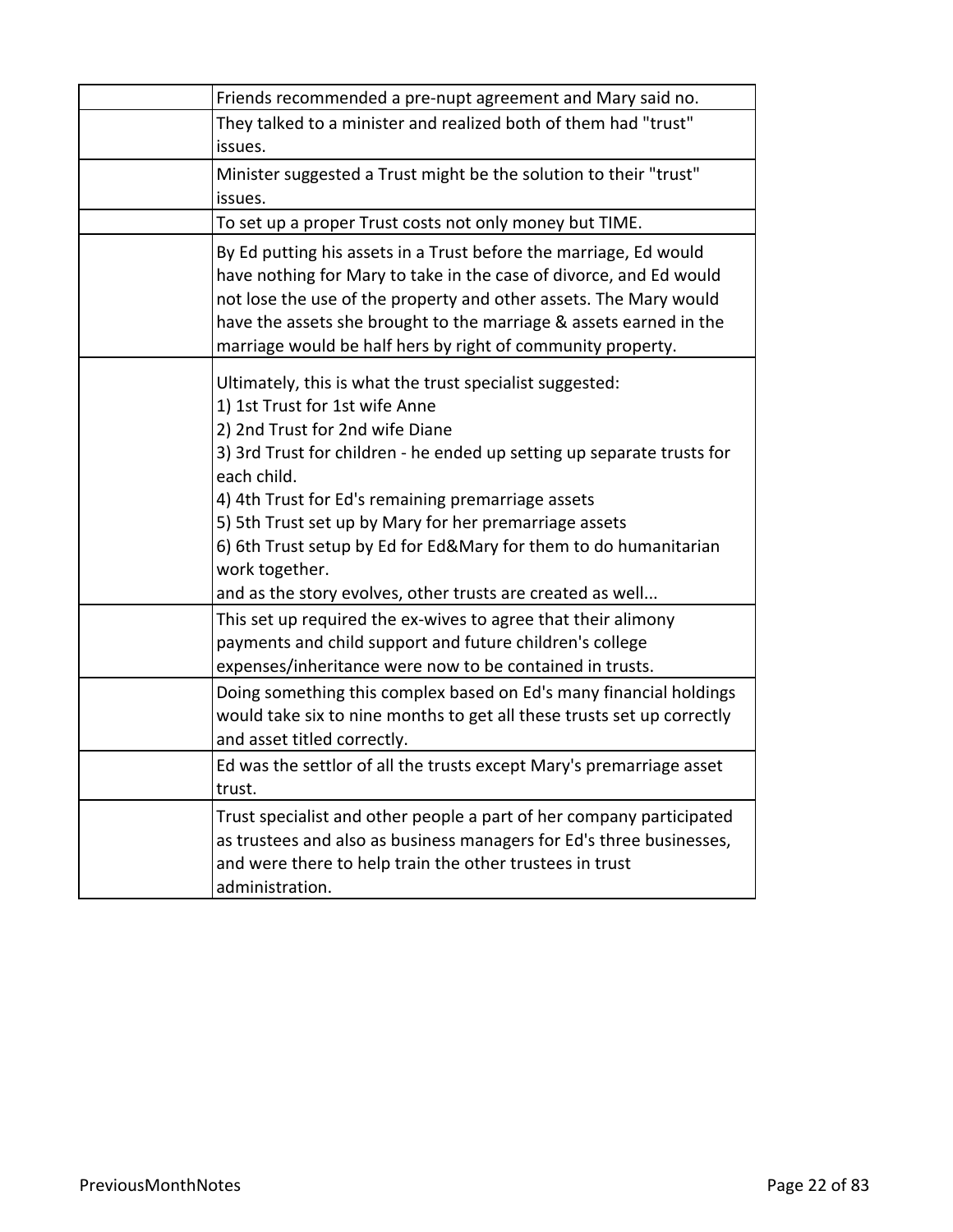| Friends recommended a pre-nupt agreement and Mary said no.                                                                                                                                                                                                                                                                                                                                                                                                                                 |
|--------------------------------------------------------------------------------------------------------------------------------------------------------------------------------------------------------------------------------------------------------------------------------------------------------------------------------------------------------------------------------------------------------------------------------------------------------------------------------------------|
| They talked to a minister and realized both of them had "trust"<br>issues.                                                                                                                                                                                                                                                                                                                                                                                                                 |
| Minister suggested a Trust might be the solution to their "trust"<br>issues.                                                                                                                                                                                                                                                                                                                                                                                                               |
| To set up a proper Trust costs not only money but TIME.                                                                                                                                                                                                                                                                                                                                                                                                                                    |
| By Ed putting his assets in a Trust before the marriage, Ed would<br>have nothing for Mary to take in the case of divorce, and Ed would<br>not lose the use of the property and other assets. The Mary would<br>have the assets she brought to the marriage & assets earned in the<br>marriage would be half hers by right of community property.                                                                                                                                          |
| Ultimately, this is what the trust specialist suggested:<br>1) 1st Trust for 1st wife Anne<br>2) 2nd Trust for 2nd wife Diane<br>3) 3rd Trust for children - he ended up setting up separate trusts for<br>each child.<br>4) 4th Trust for Ed's remaining premarriage assets<br>5) 5th Trust set up by Mary for her premarriage assets<br>6) 6th Trust setup by Ed for Ed&Mary for them to do humanitarian<br>work together.<br>and as the story evolves, other trusts are created as well |
| This set up required the ex-wives to agree that their alimony<br>payments and child support and future children's college<br>expenses/inheritance were now to be contained in trusts.                                                                                                                                                                                                                                                                                                      |
| Doing something this complex based on Ed's many financial holdings<br>would take six to nine months to get all these trusts set up correctly<br>and asset titled correctly.                                                                                                                                                                                                                                                                                                                |
| Ed was the settlor of all the trusts except Mary's premarriage asset<br>trust.                                                                                                                                                                                                                                                                                                                                                                                                             |
| Trust specialist and other people a part of her company participated<br>as trustees and also as business managers for Ed's three businesses,<br>and were there to help train the other trustees in trust<br>administration.                                                                                                                                                                                                                                                                |
|                                                                                                                                                                                                                                                                                                                                                                                                                                                                                            |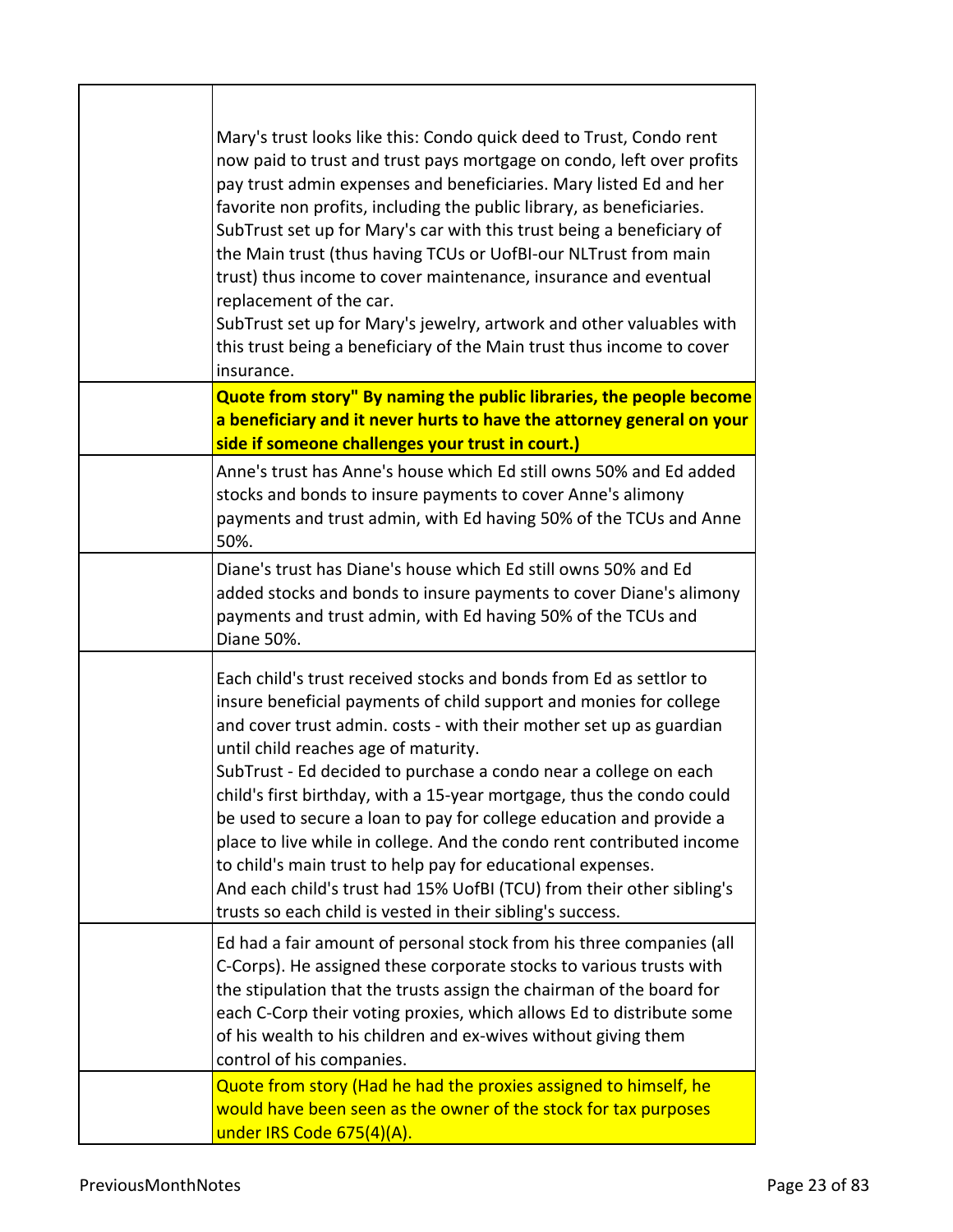| Mary's trust looks like this: Condo quick deed to Trust, Condo rent<br>now paid to trust and trust pays mortgage on condo, left over profits<br>pay trust admin expenses and beneficiaries. Mary listed Ed and her<br>favorite non profits, including the public library, as beneficiaries.<br>SubTrust set up for Mary's car with this trust being a beneficiary of<br>the Main trust (thus having TCUs or UofBI-our NLTrust from main<br>trust) thus income to cover maintenance, insurance and eventual<br>replacement of the car.<br>SubTrust set up for Mary's jewelry, artwork and other valuables with<br>this trust being a beneficiary of the Main trust thus income to cover<br>insurance.                                                       |
|------------------------------------------------------------------------------------------------------------------------------------------------------------------------------------------------------------------------------------------------------------------------------------------------------------------------------------------------------------------------------------------------------------------------------------------------------------------------------------------------------------------------------------------------------------------------------------------------------------------------------------------------------------------------------------------------------------------------------------------------------------|
| Quote from story" By naming the public libraries, the people become                                                                                                                                                                                                                                                                                                                                                                                                                                                                                                                                                                                                                                                                                        |
| a beneficiary and it never hurts to have the attorney general on your<br>side if someone challenges your trust in court.)                                                                                                                                                                                                                                                                                                                                                                                                                                                                                                                                                                                                                                  |
| Anne's trust has Anne's house which Ed still owns 50% and Ed added<br>stocks and bonds to insure payments to cover Anne's alimony<br>payments and trust admin, with Ed having 50% of the TCUs and Anne<br>50%.                                                                                                                                                                                                                                                                                                                                                                                                                                                                                                                                             |
| Diane's trust has Diane's house which Ed still owns 50% and Ed<br>added stocks and bonds to insure payments to cover Diane's alimony<br>payments and trust admin, with Ed having 50% of the TCUs and<br>Diane 50%.                                                                                                                                                                                                                                                                                                                                                                                                                                                                                                                                         |
| Each child's trust received stocks and bonds from Ed as settlor to<br>insure beneficial payments of child support and monies for college<br>and cover trust admin. costs - with their mother set up as guardian<br>until child reaches age of maturity.<br>SubTrust - Ed decided to purchase a condo near a college on each<br>child's first birthday, with a 15-year mortgage, thus the condo could<br>be used to secure a loan to pay for college education and provide a<br>place to live while in college. And the condo rent contributed income<br>to child's main trust to help pay for educational expenses.<br>And each child's trust had 15% UofBI (TCU) from their other sibling's<br>trusts so each child is vested in their sibling's success. |
| Ed had a fair amount of personal stock from his three companies (all<br>C-Corps). He assigned these corporate stocks to various trusts with<br>the stipulation that the trusts assign the chairman of the board for<br>each C-Corp their voting proxies, which allows Ed to distribute some<br>of his wealth to his children and ex-wives without giving them<br>control of his companies.                                                                                                                                                                                                                                                                                                                                                                 |
| Quote from story (Had he had the proxies assigned to himself, he<br>would have been seen as the owner of the stock for tax purposes<br>under IRS Code 675(4)(A).                                                                                                                                                                                                                                                                                                                                                                                                                                                                                                                                                                                           |

 $\mathsf{r}$ 

Τ

٦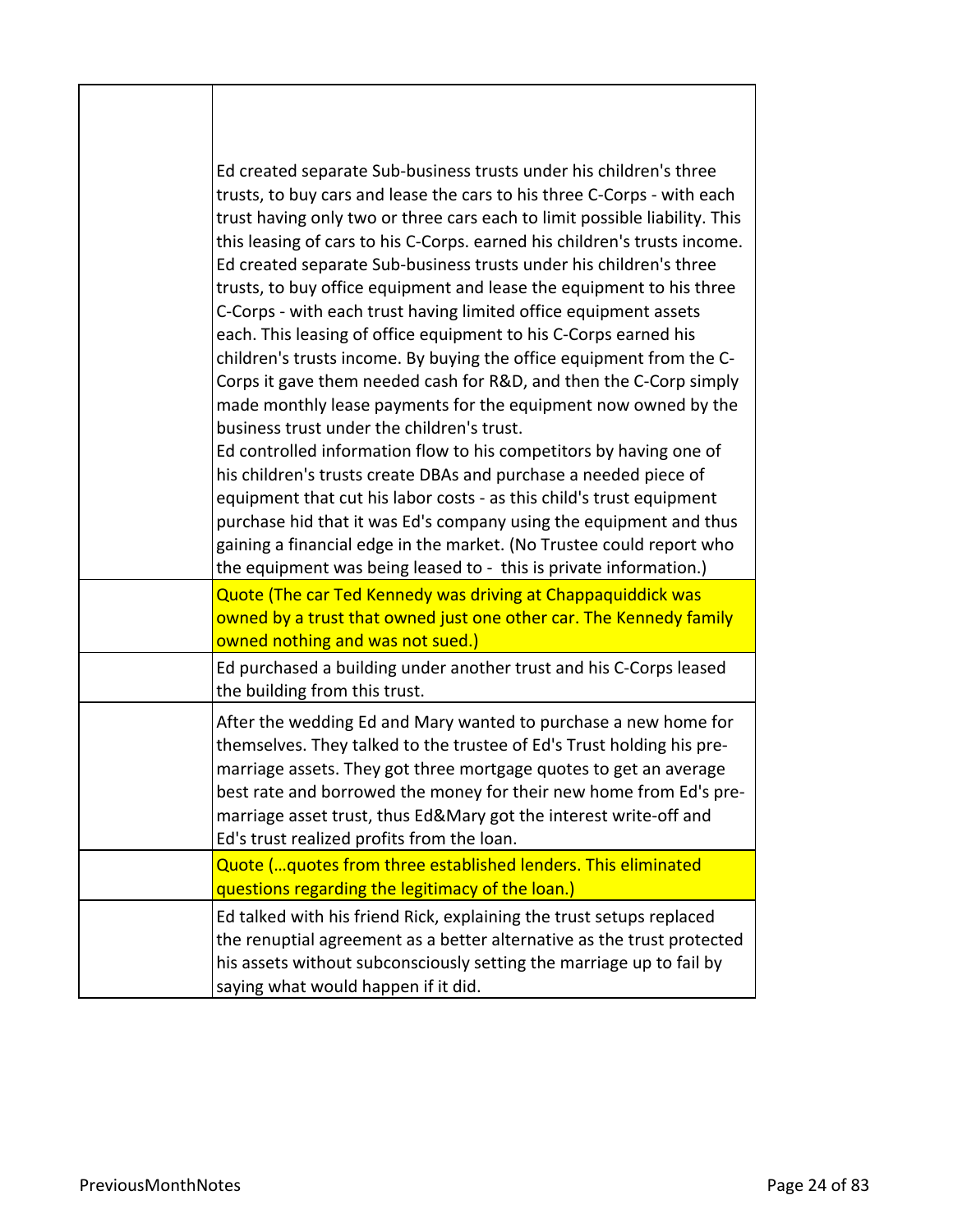| Ed created separate Sub-business trusts under his children's three<br>trusts, to buy cars and lease the cars to his three C-Corps - with each<br>trust having only two or three cars each to limit possible liability. This<br>this leasing of cars to his C-Corps. earned his children's trusts income.<br>Ed created separate Sub-business trusts under his children's three<br>trusts, to buy office equipment and lease the equipment to his three<br>C-Corps - with each trust having limited office equipment assets<br>each. This leasing of office equipment to his C-Corps earned his<br>children's trusts income. By buying the office equipment from the C-<br>Corps it gave them needed cash for R&D, and then the C-Corp simply<br>made monthly lease payments for the equipment now owned by the<br>business trust under the children's trust.<br>Ed controlled information flow to his competitors by having one of<br>his children's trusts create DBAs and purchase a needed piece of<br>equipment that cut his labor costs - as this child's trust equipment<br>purchase hid that it was Ed's company using the equipment and thus<br>gaining a financial edge in the market. (No Trustee could report who<br>the equipment was being leased to - this is private information.) |
|---------------------------------------------------------------------------------------------------------------------------------------------------------------------------------------------------------------------------------------------------------------------------------------------------------------------------------------------------------------------------------------------------------------------------------------------------------------------------------------------------------------------------------------------------------------------------------------------------------------------------------------------------------------------------------------------------------------------------------------------------------------------------------------------------------------------------------------------------------------------------------------------------------------------------------------------------------------------------------------------------------------------------------------------------------------------------------------------------------------------------------------------------------------------------------------------------------------------------------------------------------------------------------------------------|
| Quote (The car Ted Kennedy was driving at Chappaquiddick was                                                                                                                                                                                                                                                                                                                                                                                                                                                                                                                                                                                                                                                                                                                                                                                                                                                                                                                                                                                                                                                                                                                                                                                                                                      |
| owned by a trust that owned just one other car. The Kennedy family<br>owned nothing and was not sued.)                                                                                                                                                                                                                                                                                                                                                                                                                                                                                                                                                                                                                                                                                                                                                                                                                                                                                                                                                                                                                                                                                                                                                                                            |
| Ed purchased a building under another trust and his C-Corps leased<br>the building from this trust.                                                                                                                                                                                                                                                                                                                                                                                                                                                                                                                                                                                                                                                                                                                                                                                                                                                                                                                                                                                                                                                                                                                                                                                               |
| After the wedding Ed and Mary wanted to purchase a new home for<br>themselves. They talked to the trustee of Ed's Trust holding his pre-<br>marriage assets. They got three mortgage quotes to get an average<br>best rate and borrowed the money for their new home from Ed's pre-<br>marriage asset trust, thus Ed&Mary got the interest write-off and<br>Ed's trust realized profits from the loan.                                                                                                                                                                                                                                                                                                                                                                                                                                                                                                                                                                                                                                                                                                                                                                                                                                                                                            |
| Quote ( quotes from three established lenders. This eliminated<br>questions regarding the legitimacy of the loan.)                                                                                                                                                                                                                                                                                                                                                                                                                                                                                                                                                                                                                                                                                                                                                                                                                                                                                                                                                                                                                                                                                                                                                                                |
| Ed talked with his friend Rick, explaining the trust setups replaced<br>the renuptial agreement as a better alternative as the trust protected<br>his assets without subconsciously setting the marriage up to fail by<br>saying what would happen if it did.                                                                                                                                                                                                                                                                                                                                                                                                                                                                                                                                                                                                                                                                                                                                                                                                                                                                                                                                                                                                                                     |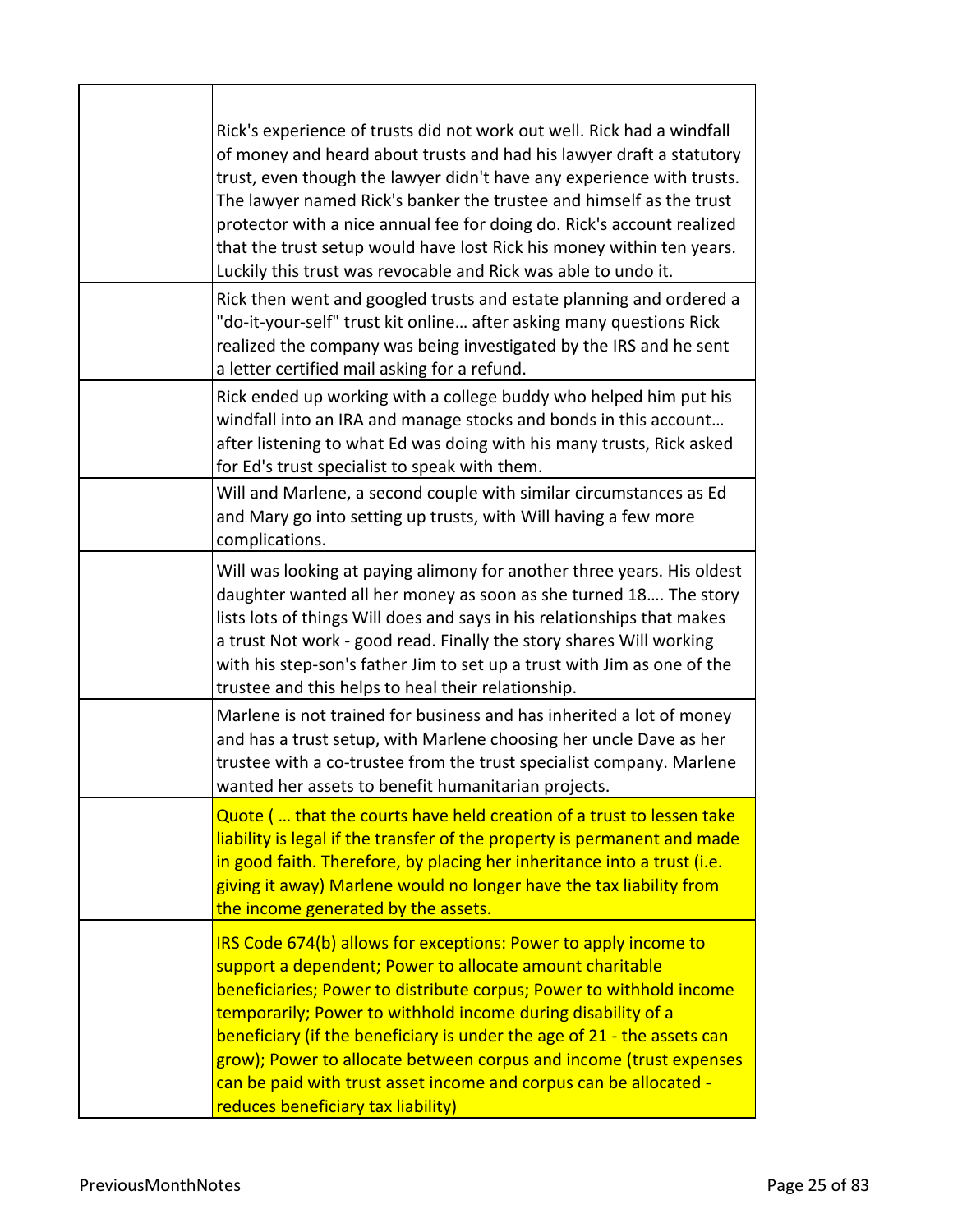| Rick's experience of trusts did not work out well. Rick had a windfall<br>of money and heard about trusts and had his lawyer draft a statutory<br>trust, even though the lawyer didn't have any experience with trusts.<br>The lawyer named Rick's banker the trustee and himself as the trust<br>protector with a nice annual fee for doing do. Rick's account realized<br>that the trust setup would have lost Rick his money within ten years.<br>Luckily this trust was revocable and Rick was able to undo it.            |
|--------------------------------------------------------------------------------------------------------------------------------------------------------------------------------------------------------------------------------------------------------------------------------------------------------------------------------------------------------------------------------------------------------------------------------------------------------------------------------------------------------------------------------|
| Rick then went and googled trusts and estate planning and ordered a<br>"do-it-your-self" trust kit online after asking many questions Rick<br>realized the company was being investigated by the IRS and he sent<br>a letter certified mail asking for a refund.                                                                                                                                                                                                                                                               |
| Rick ended up working with a college buddy who helped him put his<br>windfall into an IRA and manage stocks and bonds in this account<br>after listening to what Ed was doing with his many trusts, Rick asked<br>for Ed's trust specialist to speak with them.                                                                                                                                                                                                                                                                |
| Will and Marlene, a second couple with similar circumstances as Ed<br>and Mary go into setting up trusts, with Will having a few more<br>complications.                                                                                                                                                                                                                                                                                                                                                                        |
| Will was looking at paying alimony for another three years. His oldest<br>daughter wanted all her money as soon as she turned 18 The story<br>lists lots of things Will does and says in his relationships that makes<br>a trust Not work - good read. Finally the story shares Will working<br>with his step-son's father Jim to set up a trust with Jim as one of the<br>trustee and this helps to heal their relationship.                                                                                                  |
| Marlene is not trained for business and has inherited a lot of money<br>and has a trust setup, with Marlene choosing her uncle Dave as her<br>trustee with a co-trustee from the trust specialist company. Marlene<br>wanted her assets to benefit humanitarian projects.                                                                                                                                                                                                                                                      |
| Quote ( that the courts have held creation of a trust to lessen take<br>liability is legal if the transfer of the property is permanent and made<br>in good faith. Therefore, by placing her inheritance into a trust (i.e.<br>giving it away) Marlene would no longer have the tax liability from<br>the income generated by the assets.                                                                                                                                                                                      |
| IRS Code 674(b) allows for exceptions: Power to apply income to<br>support a dependent; Power to allocate amount charitable<br>beneficiaries; Power to distribute corpus; Power to withhold income<br>temporarily; Power to withhold income during disability of a<br>beneficiary (if the beneficiary is under the age of 21 - the assets can<br>grow); Power to allocate between corpus and income (trust expenses<br>can be paid with trust asset income and corpus can be allocated -<br>reduces beneficiary tax liability) |

ı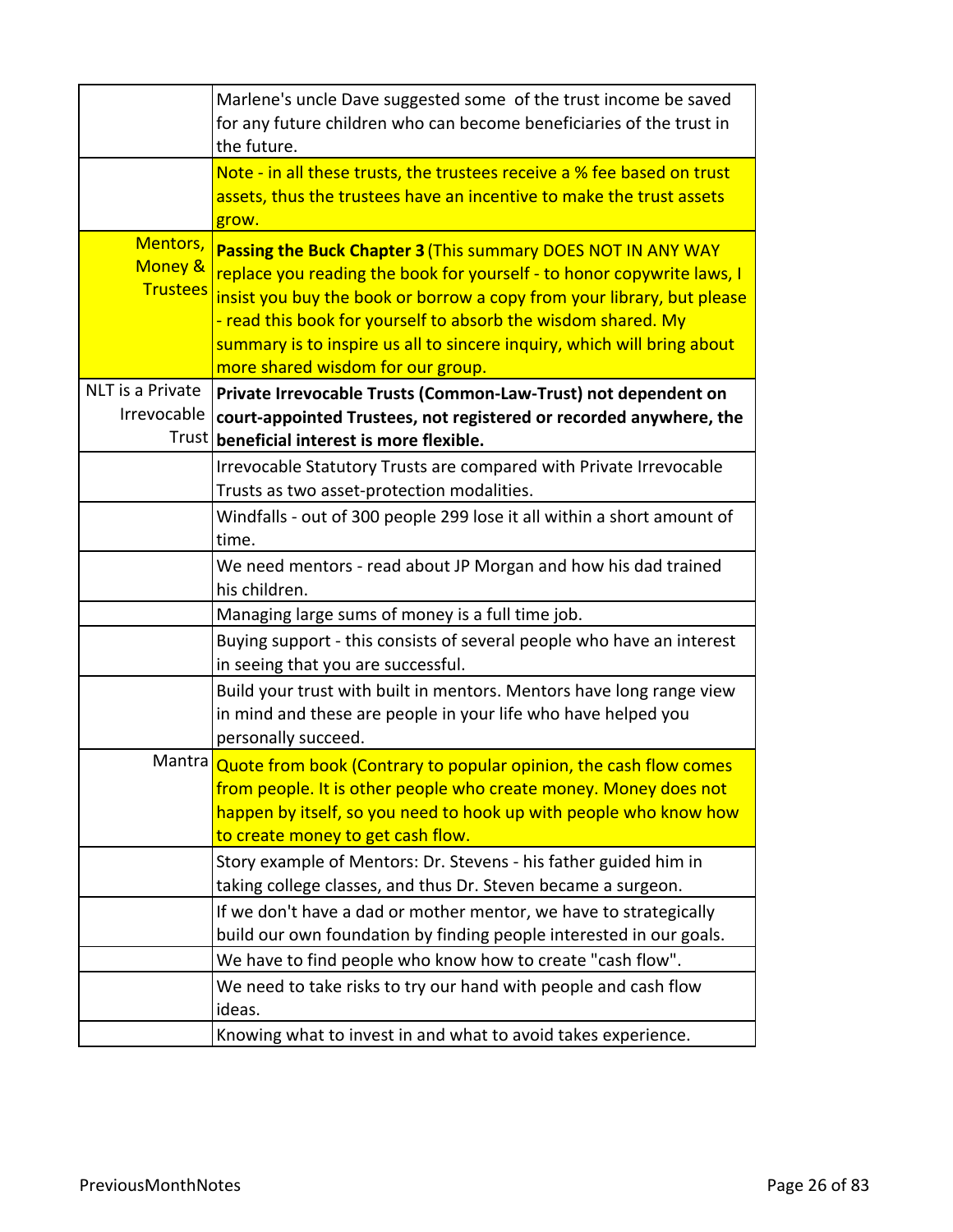|                                        | Marlene's uncle Dave suggested some of the trust income be saved<br>for any future children who can become beneficiaries of the trust in<br>the future.                                                                                                                                                                                                                                           |
|----------------------------------------|---------------------------------------------------------------------------------------------------------------------------------------------------------------------------------------------------------------------------------------------------------------------------------------------------------------------------------------------------------------------------------------------------|
|                                        | Note - in all these trusts, the trustees receive a % fee based on trust<br>assets, thus the trustees have an incentive to make the trust assets<br>grow.                                                                                                                                                                                                                                          |
| Mentors,<br>Money &<br><b>Trustees</b> | Passing the Buck Chapter 3 (This summary DOES NOT IN ANY WAY<br>replace you reading the book for yourself - to honor copywrite laws, I<br>insist you buy the book or borrow a copy from your library, but please<br>- read this book for yourself to absorb the wisdom shared. My<br>summary is to inspire us all to sincere inquiry, which will bring about<br>more shared wisdom for our group. |
| NLT is a Private<br>Irrevocable        | Private Irrevocable Trusts (Common-Law-Trust) not dependent on<br>court-appointed Trustees, not registered or recorded anywhere, the<br>Trust beneficial interest is more flexible.                                                                                                                                                                                                               |
|                                        | Irrevocable Statutory Trusts are compared with Private Irrevocable<br>Trusts as two asset-protection modalities.                                                                                                                                                                                                                                                                                  |
|                                        | Windfalls - out of 300 people 299 lose it all within a short amount of<br>time.                                                                                                                                                                                                                                                                                                                   |
|                                        | We need mentors - read about JP Morgan and how his dad trained<br>his children.                                                                                                                                                                                                                                                                                                                   |
|                                        | Managing large sums of money is a full time job.                                                                                                                                                                                                                                                                                                                                                  |
|                                        | Buying support - this consists of several people who have an interest<br>in seeing that you are successful.                                                                                                                                                                                                                                                                                       |
|                                        | Build your trust with built in mentors. Mentors have long range view<br>in mind and these are people in your life who have helped you<br>personally succeed.                                                                                                                                                                                                                                      |
|                                        | Mantra Quote from book (Contrary to popular opinion, the cash flow comes<br>from people. It is other people who create money. Money does not<br>happen by itself, so you need to hook up with people who know how<br>to create money to get cash flow.                                                                                                                                            |
|                                        | Story example of Mentors: Dr. Stevens - his father guided him in<br>taking college classes, and thus Dr. Steven became a surgeon.                                                                                                                                                                                                                                                                 |
|                                        | If we don't have a dad or mother mentor, we have to strategically<br>build our own foundation by finding people interested in our goals.                                                                                                                                                                                                                                                          |
|                                        | We have to find people who know how to create "cash flow".                                                                                                                                                                                                                                                                                                                                        |
|                                        | We need to take risks to try our hand with people and cash flow<br>ideas.                                                                                                                                                                                                                                                                                                                         |
|                                        | Knowing what to invest in and what to avoid takes experience.                                                                                                                                                                                                                                                                                                                                     |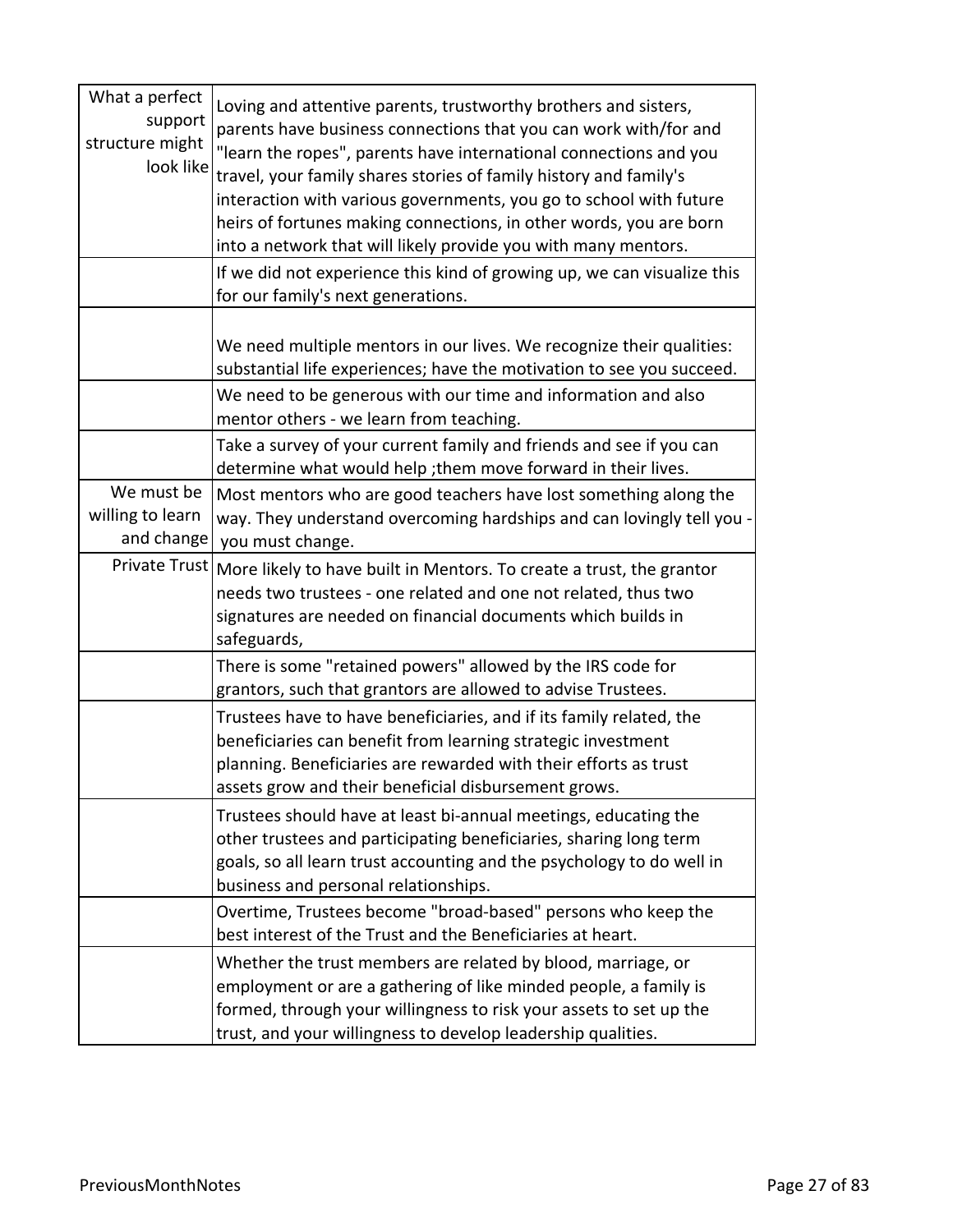| What a perfect<br>support<br>structure might<br>look like | Loving and attentive parents, trustworthy brothers and sisters,<br>parents have business connections that you can work with/for and<br>"learn the ropes", parents have international connections and you<br>travel, your family shares stories of family history and family's<br>interaction with various governments, you go to school with future<br>heirs of fortunes making connections, in other words, you are born<br>into a network that will likely provide you with many mentors.<br>If we did not experience this kind of growing up, we can visualize this |
|-----------------------------------------------------------|------------------------------------------------------------------------------------------------------------------------------------------------------------------------------------------------------------------------------------------------------------------------------------------------------------------------------------------------------------------------------------------------------------------------------------------------------------------------------------------------------------------------------------------------------------------------|
|                                                           | for our family's next generations.                                                                                                                                                                                                                                                                                                                                                                                                                                                                                                                                     |
|                                                           | We need multiple mentors in our lives. We recognize their qualities:<br>substantial life experiences; have the motivation to see you succeed.<br>We need to be generous with our time and information and also                                                                                                                                                                                                                                                                                                                                                         |
|                                                           | mentor others - we learn from teaching.                                                                                                                                                                                                                                                                                                                                                                                                                                                                                                                                |
|                                                           | Take a survey of your current family and friends and see if you can<br>determine what would help; them move forward in their lives.                                                                                                                                                                                                                                                                                                                                                                                                                                    |
| We must be<br>willing to learn<br>and change              | Most mentors who are good teachers have lost something along the<br>way. They understand overcoming hardships and can lovingly tell you -<br>you must change.                                                                                                                                                                                                                                                                                                                                                                                                          |
| Private Trust                                             | More likely to have built in Mentors. To create a trust, the grantor<br>needs two trustees - one related and one not related, thus two<br>signatures are needed on financial documents which builds in<br>safeguards,                                                                                                                                                                                                                                                                                                                                                  |
|                                                           | There is some "retained powers" allowed by the IRS code for<br>grantors, such that grantors are allowed to advise Trustees.                                                                                                                                                                                                                                                                                                                                                                                                                                            |
|                                                           | Trustees have to have beneficiaries, and if its family related, the<br>beneficiaries can benefit from learning strategic investment<br>planning. Beneficiaries are rewarded with their efforts as trust<br>assets grow and their beneficial disbursement grows.                                                                                                                                                                                                                                                                                                        |
|                                                           | Trustees should have at least bi-annual meetings, educating the<br>other trustees and participating beneficiaries, sharing long term<br>goals, so all learn trust accounting and the psychology to do well in<br>business and personal relationships.                                                                                                                                                                                                                                                                                                                  |
|                                                           | Overtime, Trustees become "broad-based" persons who keep the<br>best interest of the Trust and the Beneficiaries at heart.                                                                                                                                                                                                                                                                                                                                                                                                                                             |
|                                                           | Whether the trust members are related by blood, marriage, or<br>employment or are a gathering of like minded people, a family is<br>formed, through your willingness to risk your assets to set up the<br>trust, and your willingness to develop leadership qualities.                                                                                                                                                                                                                                                                                                 |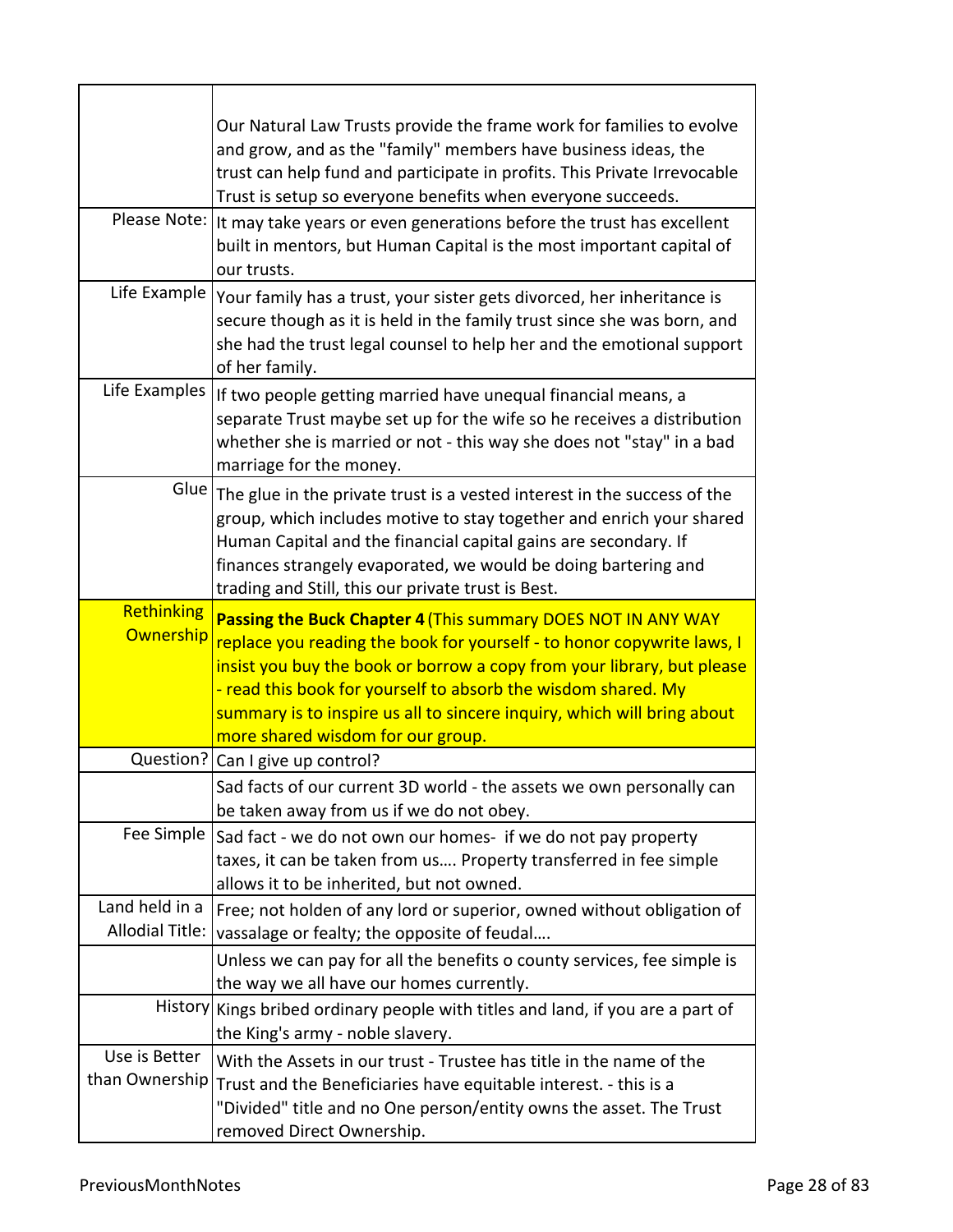|                                          | Our Natural Law Trusts provide the frame work for families to evolve<br>and grow, and as the "family" members have business ideas, the<br>trust can help fund and participate in profits. This Private Irrevocable<br>Trust is setup so everyone benefits when everyone succeeds.                                                                                                                 |
|------------------------------------------|---------------------------------------------------------------------------------------------------------------------------------------------------------------------------------------------------------------------------------------------------------------------------------------------------------------------------------------------------------------------------------------------------|
| Please Note:                             | It may take years or even generations before the trust has excellent<br>built in mentors, but Human Capital is the most important capital of<br>our trusts.                                                                                                                                                                                                                                       |
| Life Example                             | Your family has a trust, your sister gets divorced, her inheritance is<br>secure though as it is held in the family trust since she was born, and<br>she had the trust legal counsel to help her and the emotional support<br>of her family.                                                                                                                                                      |
| Life Examples                            | If two people getting married have unequal financial means, a<br>separate Trust maybe set up for the wife so he receives a distribution<br>whether she is married or not - this way she does not "stay" in a bad<br>marriage for the money.                                                                                                                                                       |
| Glue                                     | The glue in the private trust is a vested interest in the success of the<br>group, which includes motive to stay together and enrich your shared<br>Human Capital and the financial capital gains are secondary. If<br>finances strangely evaporated, we would be doing bartering and<br>trading and Still, this our private trust is Best.                                                       |
| Rethinking<br>Ownership                  | Passing the Buck Chapter 4 (This summary DOES NOT IN ANY WAY<br>replace you reading the book for yourself - to honor copywrite laws, I<br>insist you buy the book or borrow a copy from your library, but please<br>- read this book for yourself to absorb the wisdom shared. My<br>summary is to inspire us all to sincere inquiry, which will bring about<br>more shared wisdom for our group. |
| Question?                                | Can I give up control?                                                                                                                                                                                                                                                                                                                                                                            |
|                                          | Sad facts of our current 3D world - the assets we own personally can<br>be taken away from us if we do not obey.                                                                                                                                                                                                                                                                                  |
| Fee Simple                               | Sad fact - we do not own our homes- if we do not pay property<br>taxes, it can be taken from us Property transferred in fee simple<br>allows it to be inherited, but not owned.                                                                                                                                                                                                                   |
| Land held in a<br><b>Allodial Title:</b> | Free; not holden of any lord or superior, owned without obligation of                                                                                                                                                                                                                                                                                                                             |
|                                          | vassalage or fealty; the opposite of feudal                                                                                                                                                                                                                                                                                                                                                       |
|                                          | Unless we can pay for all the benefits o county services, fee simple is<br>the way we all have our homes currently.                                                                                                                                                                                                                                                                               |
| <b>History</b>                           | Kings bribed ordinary people with titles and land, if you are a part of<br>the King's army - noble slavery.                                                                                                                                                                                                                                                                                       |
| Use is Better                            | With the Assets in our trust - Trustee has title in the name of the                                                                                                                                                                                                                                                                                                                               |
| than Ownership                           | Trust and the Beneficiaries have equitable interest. - this is a<br>"Divided" title and no One person/entity owns the asset. The Trust<br>removed Direct Ownership.                                                                                                                                                                                                                               |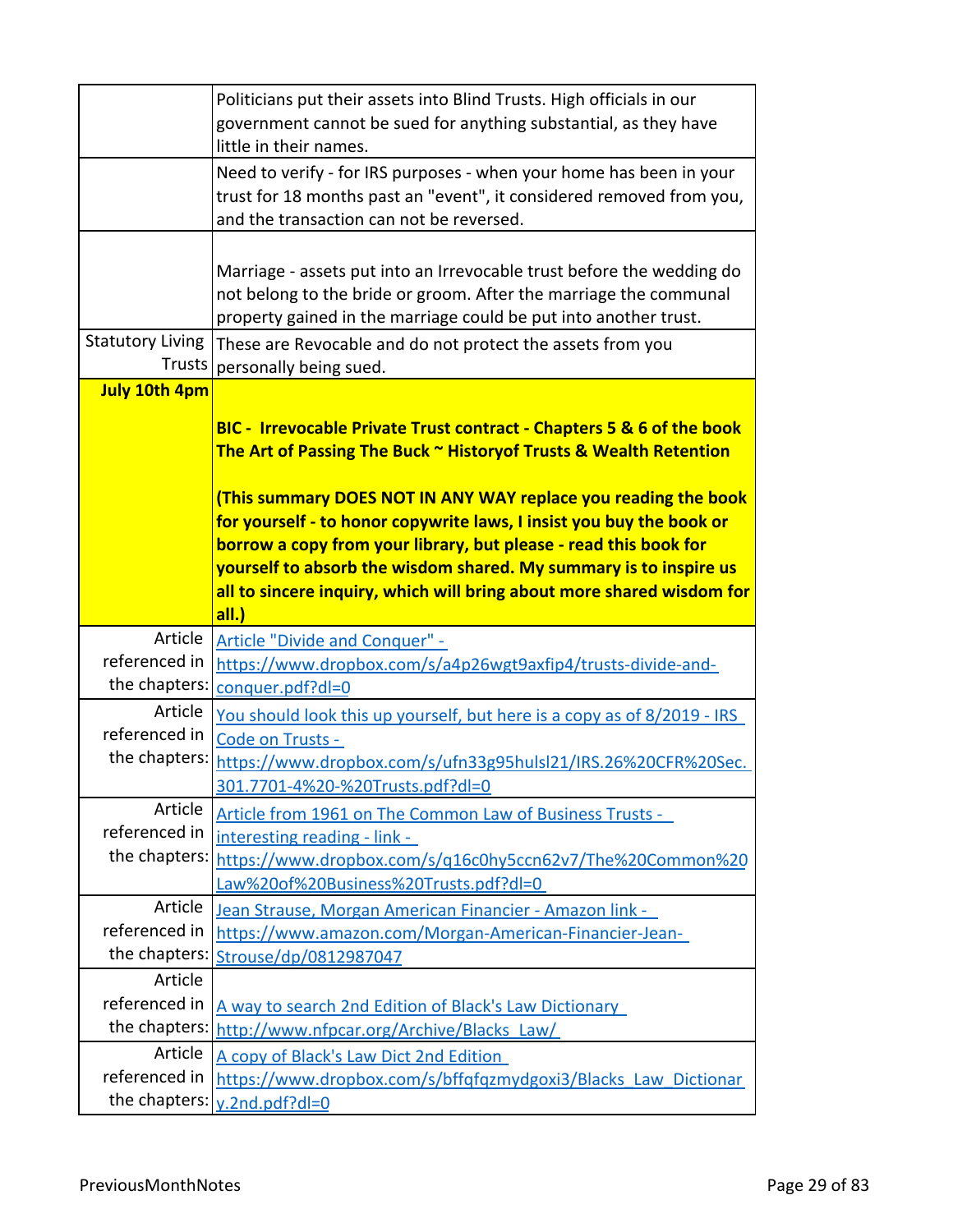|                                | Politicians put their assets into Blind Trusts. High officials in our                                                                                                                                          |
|--------------------------------|----------------------------------------------------------------------------------------------------------------------------------------------------------------------------------------------------------------|
|                                | government cannot be sued for anything substantial, as they have<br>little in their names.                                                                                                                     |
|                                | Need to verify - for IRS purposes - when your home has been in your<br>trust for 18 months past an "event", it considered removed from you,<br>and the transaction can not be reversed.                        |
|                                |                                                                                                                                                                                                                |
|                                | Marriage - assets put into an Irrevocable trust before the wedding do<br>not belong to the bride or groom. After the marriage the communal<br>property gained in the marriage could be put into another trust. |
| <b>Statutory Living</b>        | These are Revocable and do not protect the assets from you                                                                                                                                                     |
|                                | Trusts   personally being sued.                                                                                                                                                                                |
| <b>July 10th 4pm</b>           |                                                                                                                                                                                                                |
|                                | BIC - Irrevocable Private Trust contract - Chapters 5 & 6 of the book                                                                                                                                          |
|                                | The Art of Passing The Buck ~ History of Trusts & Wealth Retention                                                                                                                                             |
|                                |                                                                                                                                                                                                                |
|                                | (This summary DOES NOT IN ANY WAY replace you reading the book<br>for yourself - to honor copywrite laws, I insist you buy the book or                                                                         |
|                                | borrow a copy from your library, but please - read this book for                                                                                                                                               |
|                                | yourself to absorb the wisdom shared. My summary is to inspire us                                                                                                                                              |
|                                | all to sincere inquiry, which will bring about more shared wisdom for                                                                                                                                          |
|                                |                                                                                                                                                                                                                |
|                                | all.)                                                                                                                                                                                                          |
| Article                        | <b>Article "Divide and Conquer" -</b>                                                                                                                                                                          |
| referenced in                  | https://www.dropbox.com/s/a4p26wgt9axfip4/trusts-divide-and-                                                                                                                                                   |
| the chapters:                  | conquer.pdf?dl=0                                                                                                                                                                                               |
| Article                        | You should look this up yourself, but here is a copy as of 8/2019 - IRS                                                                                                                                        |
| referenced in                  | Code on Trusts -                                                                                                                                                                                               |
| the chapters:                  | https://www.dropbox.com/s/ufn33g95hulsl21/IRS.26%20CFR%20Sec.                                                                                                                                                  |
|                                | 301.7701-4%20-%20Trusts.pdf?dl=0                                                                                                                                                                               |
| Article                        | Article from 1961 on The Common Law of Business Trusts -                                                                                                                                                       |
| referenced in                  | interesting reading - link -                                                                                                                                                                                   |
| the chapters:                  | https://www.dropbox.com/s/q16c0hy5ccn62v7/The%20Common%20                                                                                                                                                      |
|                                | Law%20of%20Business%20Trusts.pdf?dl=0                                                                                                                                                                          |
| Article                        | Jean Strause, Morgan American Financier - Amazon link -                                                                                                                                                        |
| referenced in                  | https://www.amazon.com/Morgan-American-Financier-Jean-                                                                                                                                                         |
| the chapters:                  | Strouse/dp/0812987047                                                                                                                                                                                          |
| Article                        |                                                                                                                                                                                                                |
| referenced in                  | A way to search 2nd Edition of Black's Law Dictionary                                                                                                                                                          |
| the chapters:                  | http://www.nfpcar.org/Archive/Blacks Law/                                                                                                                                                                      |
| Article                        | A copy of Black's Law Dict 2nd Edition                                                                                                                                                                         |
| referenced in<br>the chapters: | https://www.dropbox.com/s/bffqfqzmydgoxi3/Blacks Law Dictionar<br>y.2nd.pdf?dl=0                                                                                                                               |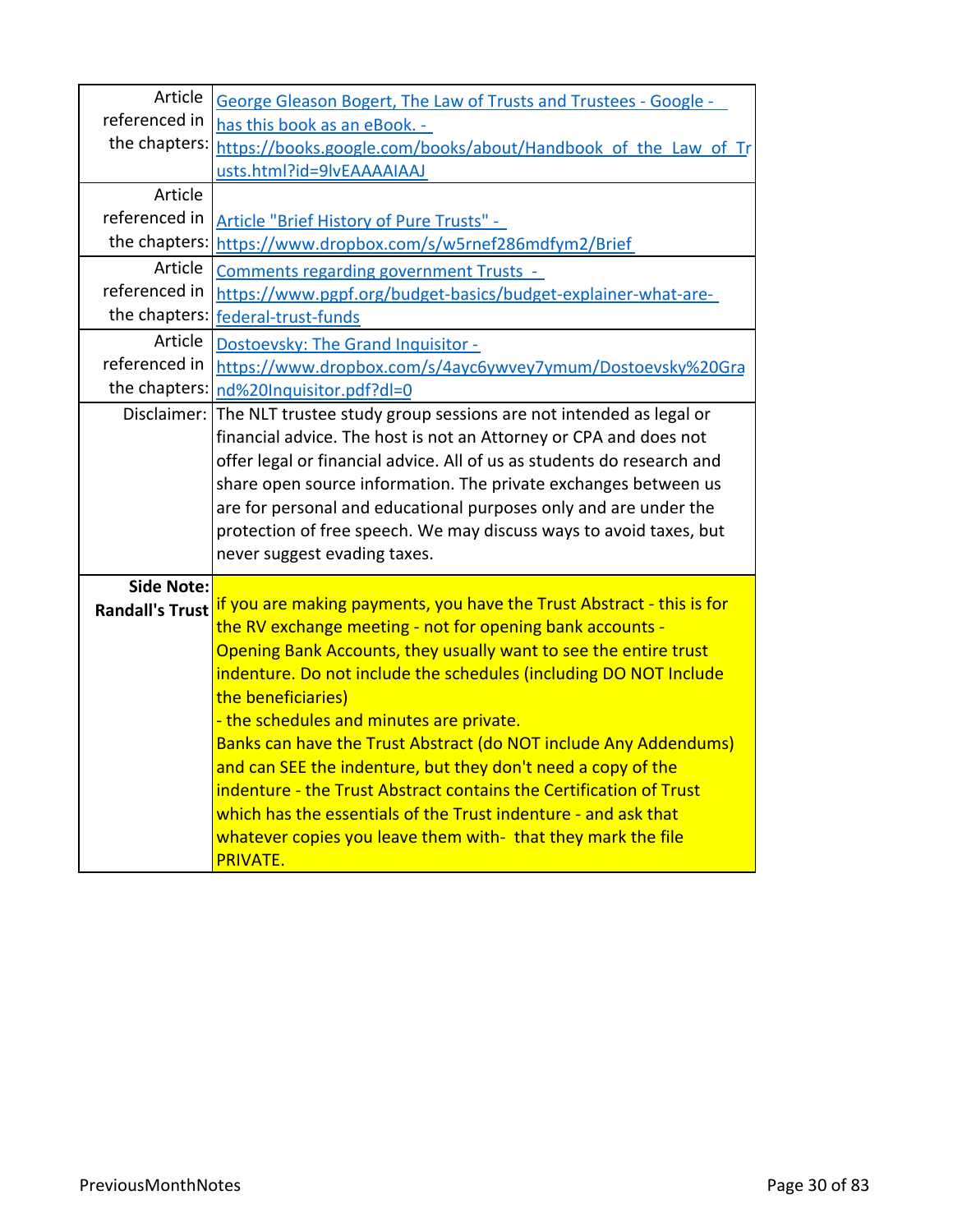| Article                | George Gleason Bogert, The Law of Trusts and Trustees - Google -                                                                 |
|------------------------|----------------------------------------------------------------------------------------------------------------------------------|
| referenced in          | has this book as an eBook. -                                                                                                     |
| the chapters:          | https://books.google.com/books/about/Handbook of the Law of Tr                                                                   |
|                        | usts.html?id=9lvEAAAAIAAJ                                                                                                        |
| Article                |                                                                                                                                  |
| referenced in          | Article "Brief History of Pure Trusts" -                                                                                         |
| the chapters:          | https://www.dropbox.com/s/w5rnef286mdfym2/Brief                                                                                  |
| Article                | <b>Comments regarding government Trusts -</b>                                                                                    |
| referenced in          | https://www.pgpf.org/budget-basics/budget-explainer-what-are-                                                                    |
| the chapters:          | federal-trust-funds                                                                                                              |
| Article                | Dostoevsky: The Grand Inquisitor -                                                                                               |
| referenced in          | https://www.dropbox.com/s/4ayc6ywvey7ymum/Dostoevsky%20Gra                                                                       |
| the chapters:          | nd%20Inquisitor.pdf?dl=0                                                                                                         |
| Disclaimer:            | The NLT trustee study group sessions are not intended as legal or                                                                |
|                        | financial advice. The host is not an Attorney or CPA and does not                                                                |
|                        | offer legal or financial advice. All of us as students do research and                                                           |
|                        | share open source information. The private exchanges between us                                                                  |
|                        | are for personal and educational purposes only and are under the                                                                 |
|                        | protection of free speech. We may discuss ways to avoid taxes, but                                                               |
|                        | never suggest evading taxes.                                                                                                     |
| <b>Side Note:</b>      |                                                                                                                                  |
| <b>Randall's Trust</b> | if you are making payments, you have the Trust Abstract - this is for                                                            |
|                        | the RV exchange meeting - not for opening bank accounts -                                                                        |
|                        | Opening Bank Accounts, they usually want to see the entire trust                                                                 |
|                        | indenture. Do not include the schedules (including DO NOT Include                                                                |
|                        | the beneficiaries)                                                                                                               |
|                        | - the schedules and minutes are private.                                                                                         |
|                        | Banks can have the Trust Abstract (do NOT include Any Addendums)<br>and can SEE the indenture, but they don't need a copy of the |
|                        | indenture - the Trust Abstract contains the Certification of Trust                                                               |
|                        | which has the essentials of the Trust indenture - and ask that                                                                   |
|                        | whatever copies you leave them with- that they mark the file                                                                     |
|                        | <b>PRIVATE.</b>                                                                                                                  |
|                        |                                                                                                                                  |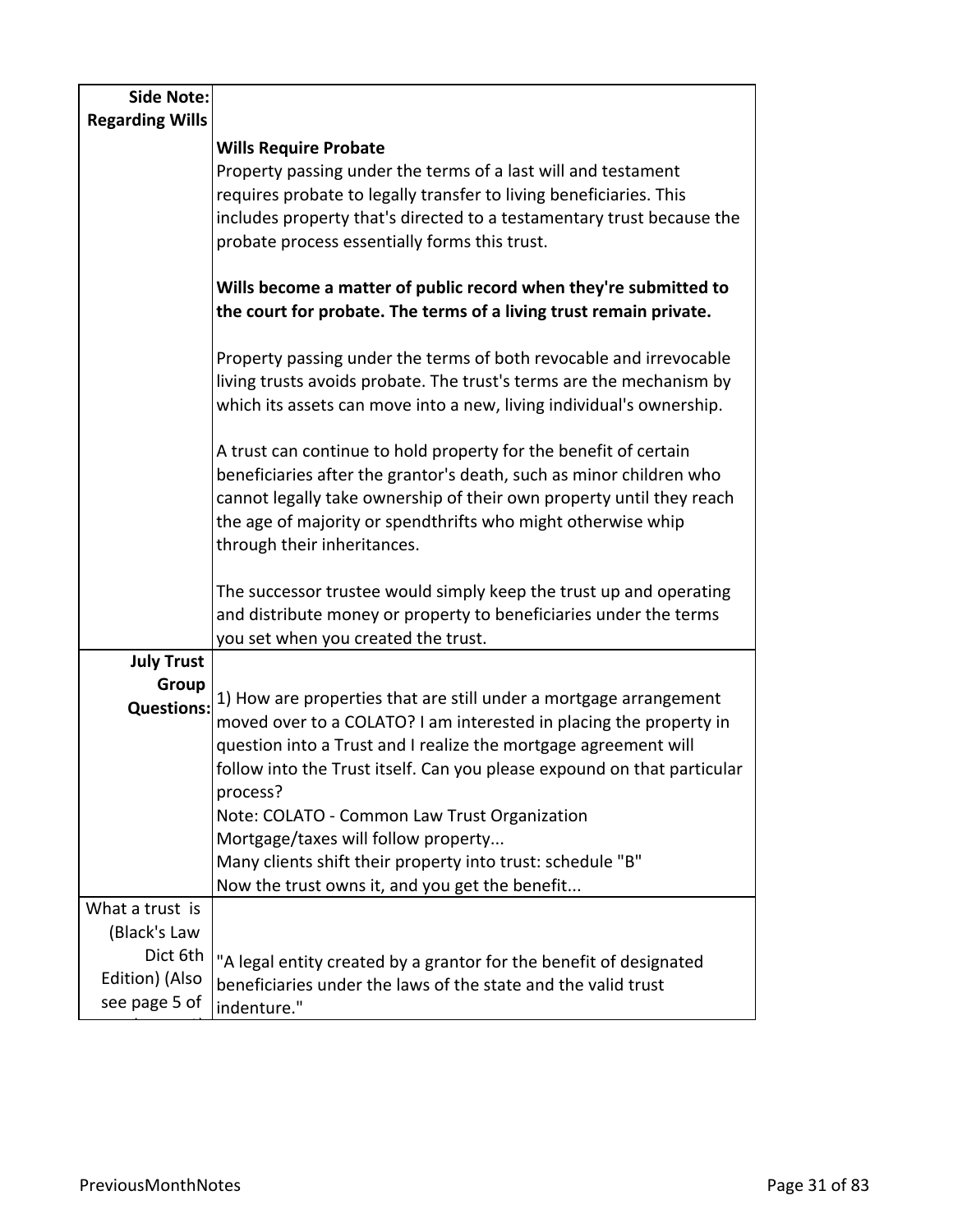| <b>Side Note:</b>               |                                                                                                                                              |
|---------------------------------|----------------------------------------------------------------------------------------------------------------------------------------------|
| <b>Regarding Wills</b>          |                                                                                                                                              |
|                                 | <b>Wills Require Probate</b>                                                                                                                 |
|                                 | Property passing under the terms of a last will and testament                                                                                |
|                                 | requires probate to legally transfer to living beneficiaries. This                                                                           |
|                                 | includes property that's directed to a testamentary trust because the                                                                        |
|                                 | probate process essentially forms this trust.                                                                                                |
|                                 | Wills become a matter of public record when they're submitted to                                                                             |
|                                 | the court for probate. The terms of a living trust remain private.                                                                           |
|                                 | Property passing under the terms of both revocable and irrevocable                                                                           |
|                                 | living trusts avoids probate. The trust's terms are the mechanism by<br>which its assets can move into a new, living individual's ownership. |
|                                 | A trust can continue to hold property for the benefit of certain                                                                             |
|                                 | beneficiaries after the grantor's death, such as minor children who                                                                          |
|                                 | cannot legally take ownership of their own property until they reach                                                                         |
|                                 | the age of majority or spendthrifts who might otherwise whip                                                                                 |
|                                 | through their inheritances.                                                                                                                  |
|                                 |                                                                                                                                              |
|                                 | The successor trustee would simply keep the trust up and operating                                                                           |
|                                 | and distribute money or property to beneficiaries under the terms                                                                            |
| <b>July Trust</b>               | you set when you created the trust.                                                                                                          |
| Group                           |                                                                                                                                              |
| <b>Questions:</b>               | 1) How are properties that are still under a mortgage arrangement                                                                            |
|                                 | moved over to a COLATO? I am interested in placing the property in                                                                           |
|                                 | question into a Trust and I realize the mortgage agreement will                                                                              |
|                                 | follow into the Trust itself. Can you please expound on that particular                                                                      |
|                                 | process?                                                                                                                                     |
|                                 | Note: COLATO - Common Law Trust Organization                                                                                                 |
|                                 | Mortgage/taxes will follow property                                                                                                          |
|                                 | Many clients shift their property into trust: schedule "B"                                                                                   |
|                                 | Now the trust owns it, and you get the benefit                                                                                               |
| What a trust is                 |                                                                                                                                              |
| (Black's Law                    |                                                                                                                                              |
| Dict 6th                        | "A legal entity created by a grantor for the benefit of designated                                                                           |
| Edition) (Also<br>see page 5 of | beneficiaries under the laws of the state and the valid trust                                                                                |
|                                 | indenture."                                                                                                                                  |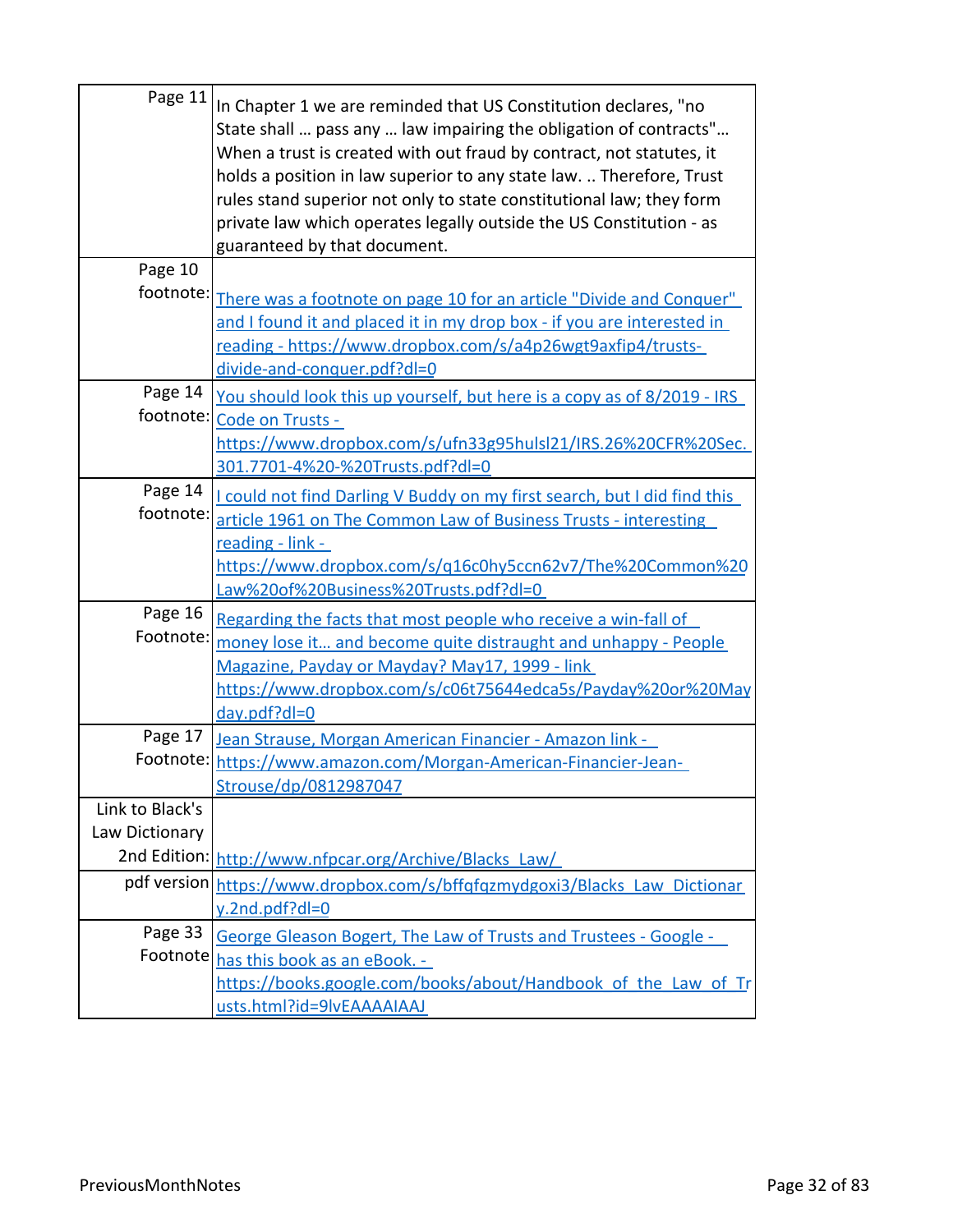| Page 11         | In Chapter 1 we are reminded that US Constitution declares, "no<br>State shall  pass any  law impairing the obligation of contracts"<br>When a trust is created with out fraud by contract, not statutes, it<br>holds a position in law superior to any state law.  Therefore, Trust<br>rules stand superior not only to state constitutional law; they form<br>private law which operates legally outside the US Constitution - as<br>guaranteed by that document. |
|-----------------|---------------------------------------------------------------------------------------------------------------------------------------------------------------------------------------------------------------------------------------------------------------------------------------------------------------------------------------------------------------------------------------------------------------------------------------------------------------------|
| Page 10         |                                                                                                                                                                                                                                                                                                                                                                                                                                                                     |
| footnote:       | There was a footnote on page 10 for an article "Divide and Conquer"<br>and I found it and placed it in my drop box - if you are interested in<br><u>reading - https://www.dropbox.com/s/a4p26wgt9axfip4/trusts-</u><br>divide-and-conquer.pdf?dl=0                                                                                                                                                                                                                  |
| Page 14         | <u>You should look this up yourself, but here is a copy as of 8/2019 - IRS</u>                                                                                                                                                                                                                                                                                                                                                                                      |
|                 | footnote: Code on Trusts -                                                                                                                                                                                                                                                                                                                                                                                                                                          |
|                 | https://www.dropbox.com/s/ufn33g95hulsl21/IRS.26%20CFR%20Sec.                                                                                                                                                                                                                                                                                                                                                                                                       |
|                 | 301.7701-4%20-%20Trusts.pdf?dl=0                                                                                                                                                                                                                                                                                                                                                                                                                                    |
| Page 14         | I could not find Darling V Buddy on my first search, but I did find this                                                                                                                                                                                                                                                                                                                                                                                            |
| footnote:       | article 1961 on The Common Law of Business Trusts - interesting                                                                                                                                                                                                                                                                                                                                                                                                     |
|                 | reading - link -                                                                                                                                                                                                                                                                                                                                                                                                                                                    |
|                 | https://www.dropbox.com/s/q16c0hy5ccn62v7/The%20Common%20                                                                                                                                                                                                                                                                                                                                                                                                           |
|                 | Law%20of%20Business%20Trusts.pdf?dl=0                                                                                                                                                                                                                                                                                                                                                                                                                               |
| Page 16         | Regarding the facts that most people who receive a win-fall of                                                                                                                                                                                                                                                                                                                                                                                                      |
| Footnote:       | money lose it and become quite distraught and unhappy - People                                                                                                                                                                                                                                                                                                                                                                                                      |
|                 | Magazine, Payday or Mayday? May17, 1999 - link                                                                                                                                                                                                                                                                                                                                                                                                                      |
|                 | https://www.dropbox.com/s/c06t75644edca5s/Payday%20or%20May                                                                                                                                                                                                                                                                                                                                                                                                         |
|                 | day.pdf?dl=0                                                                                                                                                                                                                                                                                                                                                                                                                                                        |
| Page 17         | Jean Strause, Morgan American Financier - Amazon link -                                                                                                                                                                                                                                                                                                                                                                                                             |
|                 | Footnote: https://www.amazon.com/Morgan-American-Financier-Jean-                                                                                                                                                                                                                                                                                                                                                                                                    |
|                 | Strouse/dp/0812987047                                                                                                                                                                                                                                                                                                                                                                                                                                               |
| Link to Black's |                                                                                                                                                                                                                                                                                                                                                                                                                                                                     |
| Law Dictionary  |                                                                                                                                                                                                                                                                                                                                                                                                                                                                     |
|                 | 2nd Edition: http://www.nfpcar.org/Archive/Blacks_Law/                                                                                                                                                                                                                                                                                                                                                                                                              |
|                 | pdf version https://www.dropbox.com/s/bffqfqzmydgoxi3/Blacks_Law_Dictionar                                                                                                                                                                                                                                                                                                                                                                                          |
|                 | y.2nd.pdf?dl=0                                                                                                                                                                                                                                                                                                                                                                                                                                                      |
| Page 33         | George Gleason Bogert, The Law of Trusts and Trustees - Google -                                                                                                                                                                                                                                                                                                                                                                                                    |
| Footnote        | has this book as an eBook. -                                                                                                                                                                                                                                                                                                                                                                                                                                        |
|                 | https://books.google.com/books/about/Handbook of the Law of Tr                                                                                                                                                                                                                                                                                                                                                                                                      |
|                 | usts.html?id=9lvEAAAAIAAJ                                                                                                                                                                                                                                                                                                                                                                                                                                           |
|                 |                                                                                                                                                                                                                                                                                                                                                                                                                                                                     |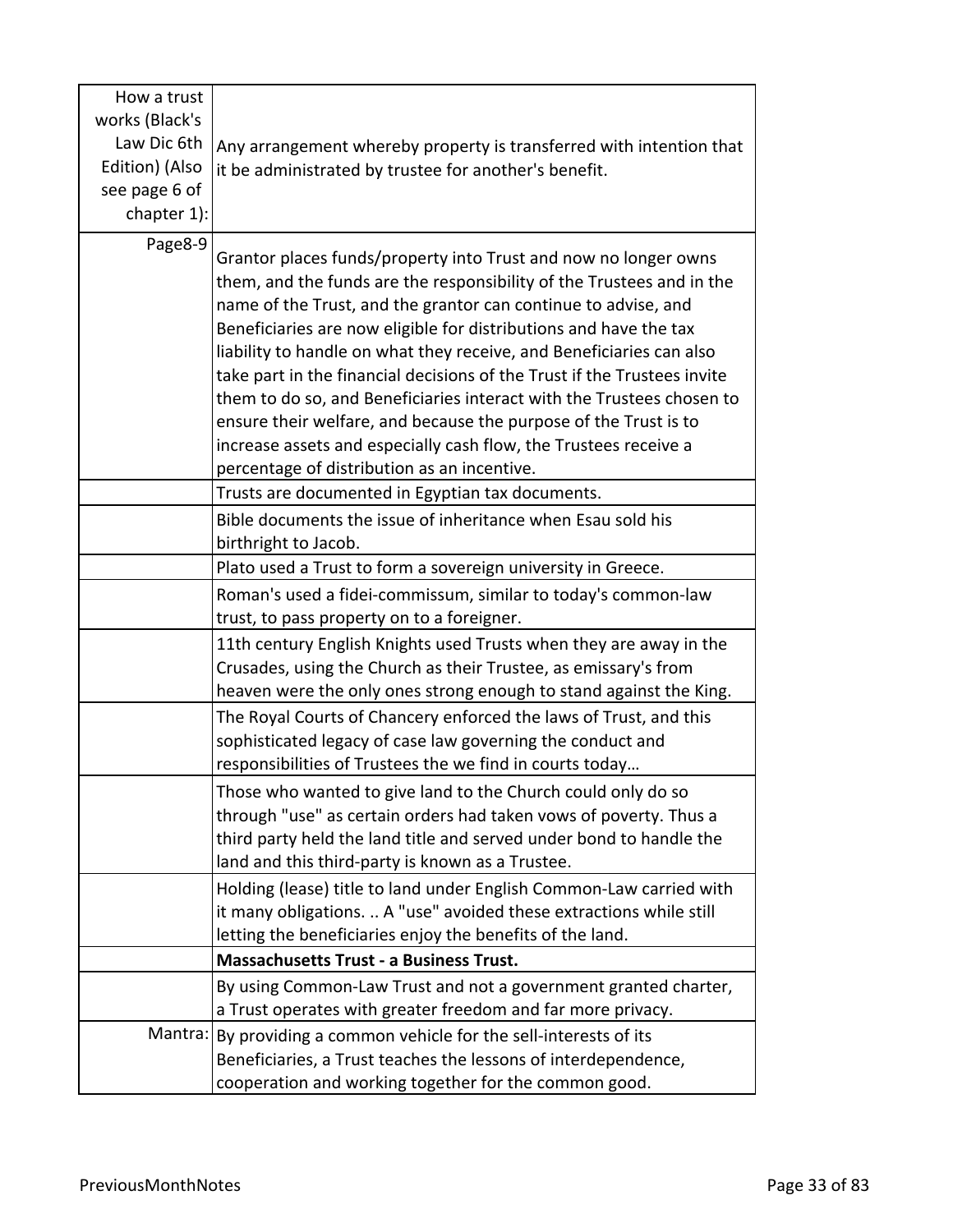| How a trust    |                                                                          |
|----------------|--------------------------------------------------------------------------|
| works (Black's |                                                                          |
| Law Dic 6th    | Any arrangement whereby property is transferred with intention that      |
| Edition) (Also | it be administrated by trustee for another's benefit.                    |
| see page 6 of  |                                                                          |
| chapter 1):    |                                                                          |
| Page8-9        |                                                                          |
|                | Grantor places funds/property into Trust and now no longer owns          |
|                | them, and the funds are the responsibility of the Trustees and in the    |
|                | name of the Trust, and the grantor can continue to advise, and           |
|                | Beneficiaries are now eligible for distributions and have the tax        |
|                | liability to handle on what they receive, and Beneficiaries can also     |
|                | take part in the financial decisions of the Trust if the Trustees invite |
|                | them to do so, and Beneficiaries interact with the Trustees chosen to    |
|                | ensure their welfare, and because the purpose of the Trust is to         |
|                | increase assets and especially cash flow, the Trustees receive a         |
|                | percentage of distribution as an incentive.                              |
|                | Trusts are documented in Egyptian tax documents.                         |
|                | Bible documents the issue of inheritance when Esau sold his              |
|                | birthright to Jacob.                                                     |
|                | Plato used a Trust to form a sovereign university in Greece.             |
|                | Roman's used a fidei-commissum, similar to today's common-law            |
|                | trust, to pass property on to a foreigner.                               |
|                | 11th century English Knights used Trusts when they are away in the       |
|                | Crusades, using the Church as their Trustee, as emissary's from          |
|                | heaven were the only ones strong enough to stand against the King.       |
|                | The Royal Courts of Chancery enforced the laws of Trust, and this        |
|                | sophisticated legacy of case law governing the conduct and               |
|                | responsibilities of Trustees the we find in courts today                 |
|                | Those who wanted to give land to the Church could only do so             |
|                | through "use" as certain orders had taken vows of poverty. Thus a        |
|                | third party held the land title and served under bond to handle the      |
|                | land and this third-party is known as a Trustee.                         |
|                | Holding (lease) title to land under English Common-Law carried with      |
|                | it many obligations.  A "use" avoided these extractions while still      |
|                | letting the beneficiaries enjoy the benefits of the land.                |
|                | <b>Massachusetts Trust - a Business Trust.</b>                           |
|                | By using Common-Law Trust and not a government granted charter,          |
|                | a Trust operates with greater freedom and far more privacy.              |
| Mantra:        | By providing a common vehicle for the sell-interests of its              |
|                | Beneficiaries, a Trust teaches the lessons of interdependence,           |
|                | cooperation and working together for the common good.                    |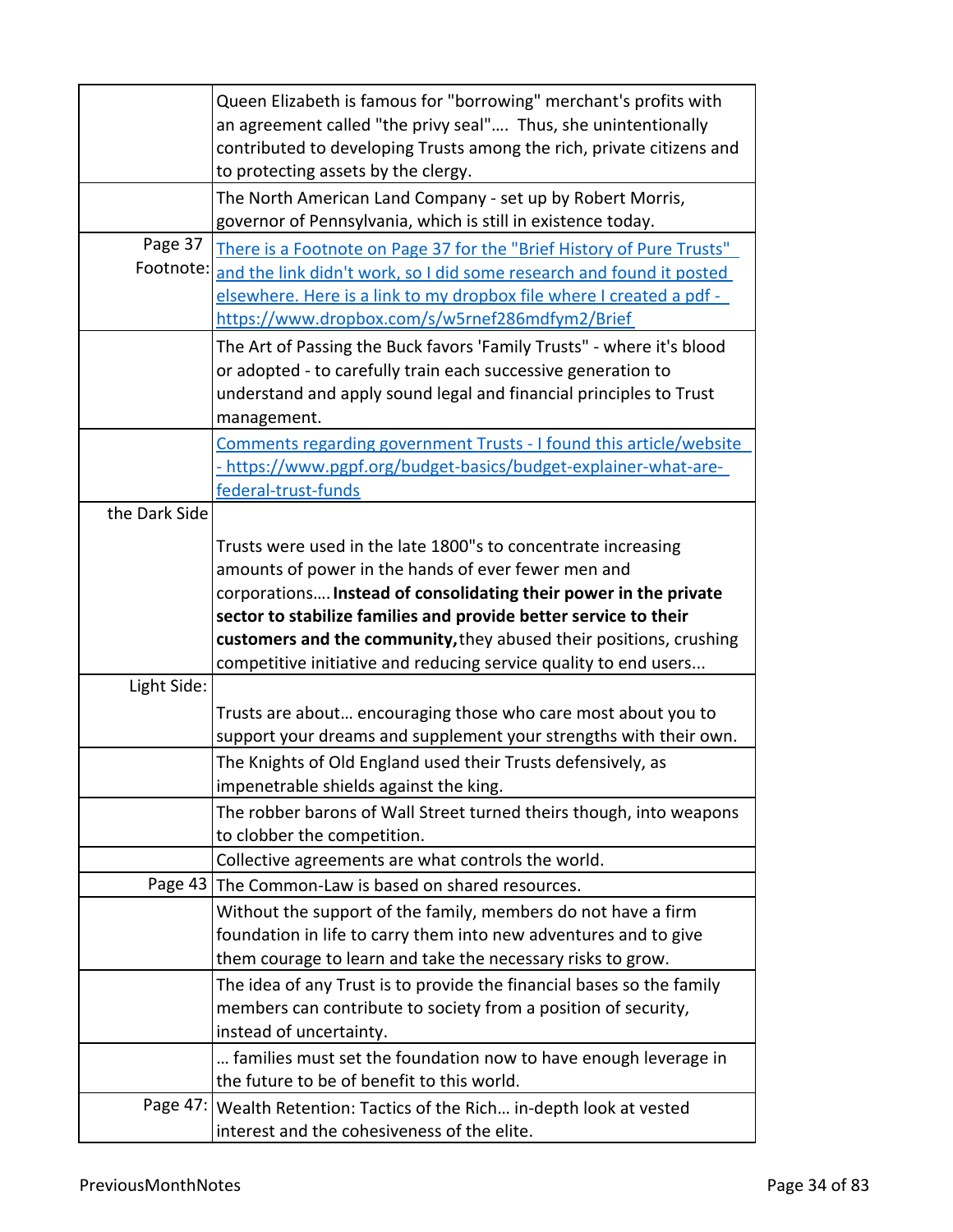|               | Queen Elizabeth is famous for "borrowing" merchant's profits with<br>an agreement called "the privy seal" Thus, she unintentionally<br>contributed to developing Trusts among the rich, private citizens and |
|---------------|--------------------------------------------------------------------------------------------------------------------------------------------------------------------------------------------------------------|
|               | to protecting assets by the clergy.                                                                                                                                                                          |
|               | The North American Land Company - set up by Robert Morris,<br>governor of Pennsylvania, which is still in existence today.                                                                                   |
| Page 37       |                                                                                                                                                                                                              |
| Footnote:     | There is a Footnote on Page 37 for the "Brief History of Pure Trusts"                                                                                                                                        |
|               | and the link didn't work, so I did some research and found it posted                                                                                                                                         |
|               | elsewhere. Here is a link to my dropbox file where I created a pdf -                                                                                                                                         |
|               | https://www.dropbox.com/s/w5rnef286mdfym2/Brief                                                                                                                                                              |
|               | The Art of Passing the Buck favors 'Family Trusts" - where it's blood                                                                                                                                        |
|               | or adopted - to carefully train each successive generation to                                                                                                                                                |
|               | understand and apply sound legal and financial principles to Trust                                                                                                                                           |
|               | management.                                                                                                                                                                                                  |
|               | Comments regarding government Trusts - I found this article/website                                                                                                                                          |
|               | - https://www.pgpf.org/budget-basics/budget-explainer-what-are-                                                                                                                                              |
|               | federal-trust-funds                                                                                                                                                                                          |
| the Dark Side |                                                                                                                                                                                                              |
|               |                                                                                                                                                                                                              |
|               | Trusts were used in the late 1800"s to concentrate increasing                                                                                                                                                |
|               | amounts of power in the hands of ever fewer men and                                                                                                                                                          |
|               | corporations Instead of consolidating their power in the private                                                                                                                                             |
|               | sector to stabilize families and provide better service to their                                                                                                                                             |
|               | customers and the community, they abused their positions, crushing                                                                                                                                           |
|               | competitive initiative and reducing service quality to end users                                                                                                                                             |
| Light Side:   |                                                                                                                                                                                                              |
|               | Trusts are about encouraging those who care most about you to                                                                                                                                                |
|               | support your dreams and supplement your strengths with their own.                                                                                                                                            |
|               | The Knights of Old England used their Trusts defensively, as                                                                                                                                                 |
|               | impenetrable shields against the king.                                                                                                                                                                       |
|               | The robber barons of Wall Street turned theirs though, into weapons                                                                                                                                          |
|               | to clobber the competition.                                                                                                                                                                                  |
|               | Collective agreements are what controls the world.                                                                                                                                                           |
|               | Page 43 The Common-Law is based on shared resources.                                                                                                                                                         |
|               | Without the support of the family, members do not have a firm                                                                                                                                                |
|               |                                                                                                                                                                                                              |
|               | foundation in life to carry them into new adventures and to give                                                                                                                                             |
|               | them courage to learn and take the necessary risks to grow.                                                                                                                                                  |
|               | The idea of any Trust is to provide the financial bases so the family                                                                                                                                        |
|               | members can contribute to society from a position of security,                                                                                                                                               |
|               | instead of uncertainty.                                                                                                                                                                                      |
|               | families must set the foundation now to have enough leverage in                                                                                                                                              |
|               | the future to be of benefit to this world.                                                                                                                                                                   |
|               | Page 47:   Wealth Retention: Tactics of the Rich in-depth look at vested                                                                                                                                     |
|               | interest and the cohesiveness of the elite.                                                                                                                                                                  |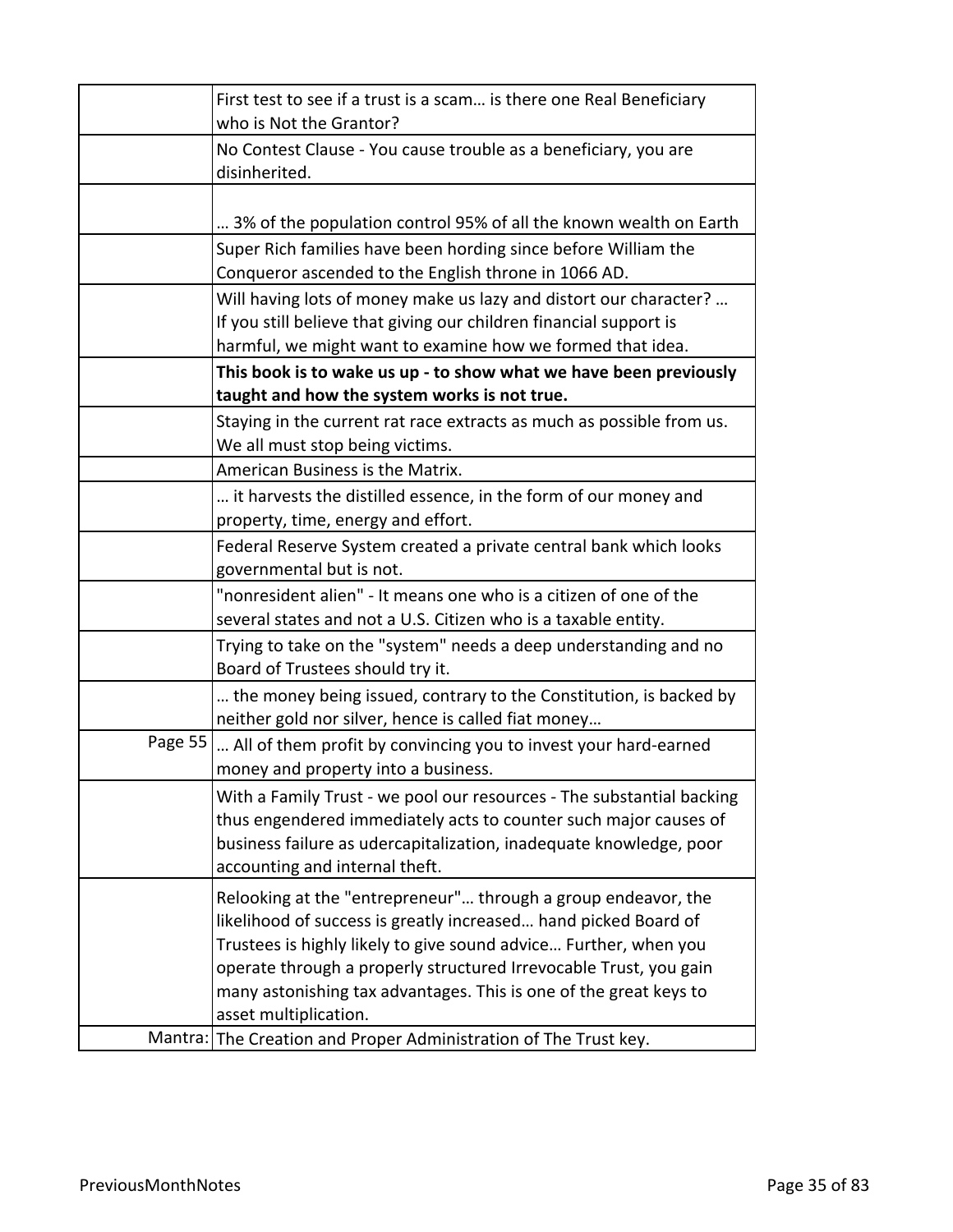|         | First test to see if a trust is a scam is there one Real Beneficiary<br>who is Not the Grantor?                                                                                                                                                                                                                                                                         |
|---------|-------------------------------------------------------------------------------------------------------------------------------------------------------------------------------------------------------------------------------------------------------------------------------------------------------------------------------------------------------------------------|
|         | No Contest Clause - You cause trouble as a beneficiary, you are<br>disinherited.                                                                                                                                                                                                                                                                                        |
|         | 3% of the population control 95% of all the known wealth on Earth                                                                                                                                                                                                                                                                                                       |
|         | Super Rich families have been hording since before William the<br>Conqueror ascended to the English throne in 1066 AD.                                                                                                                                                                                                                                                  |
|         | Will having lots of money make us lazy and distort our character?<br>If you still believe that giving our children financial support is<br>harmful, we might want to examine how we formed that idea.                                                                                                                                                                   |
|         | This book is to wake us up - to show what we have been previously<br>taught and how the system works is not true.                                                                                                                                                                                                                                                       |
|         | Staying in the current rat race extracts as much as possible from us.<br>We all must stop being victims.                                                                                                                                                                                                                                                                |
|         | American Business is the Matrix.                                                                                                                                                                                                                                                                                                                                        |
|         | it harvests the distilled essence, in the form of our money and<br>property, time, energy and effort.                                                                                                                                                                                                                                                                   |
|         | Federal Reserve System created a private central bank which looks<br>governmental but is not.                                                                                                                                                                                                                                                                           |
|         | "nonresident alien" - It means one who is a citizen of one of the<br>several states and not a U.S. Citizen who is a taxable entity.                                                                                                                                                                                                                                     |
|         | Trying to take on the "system" needs a deep understanding and no<br>Board of Trustees should try it.                                                                                                                                                                                                                                                                    |
|         | the money being issued, contrary to the Constitution, is backed by<br>neither gold nor silver, hence is called fiat money                                                                                                                                                                                                                                               |
| Page 55 | All of them profit by convincing you to invest your hard-earned<br>money and property into a business.                                                                                                                                                                                                                                                                  |
|         | With a Family Trust - we pool our resources - The substantial backing<br>thus engendered immediately acts to counter such major causes of<br>business failure as udercapitalization, inadequate knowledge, poor<br>accounting and internal theft.                                                                                                                       |
|         | Relooking at the "entrepreneur" through a group endeavor, the<br>likelihood of success is greatly increased hand picked Board of<br>Trustees is highly likely to give sound advice Further, when you<br>operate through a properly structured Irrevocable Trust, you gain<br>many astonishing tax advantages. This is one of the great keys to<br>asset multiplication. |
| Mantra: | The Creation and Proper Administration of The Trust key.                                                                                                                                                                                                                                                                                                                |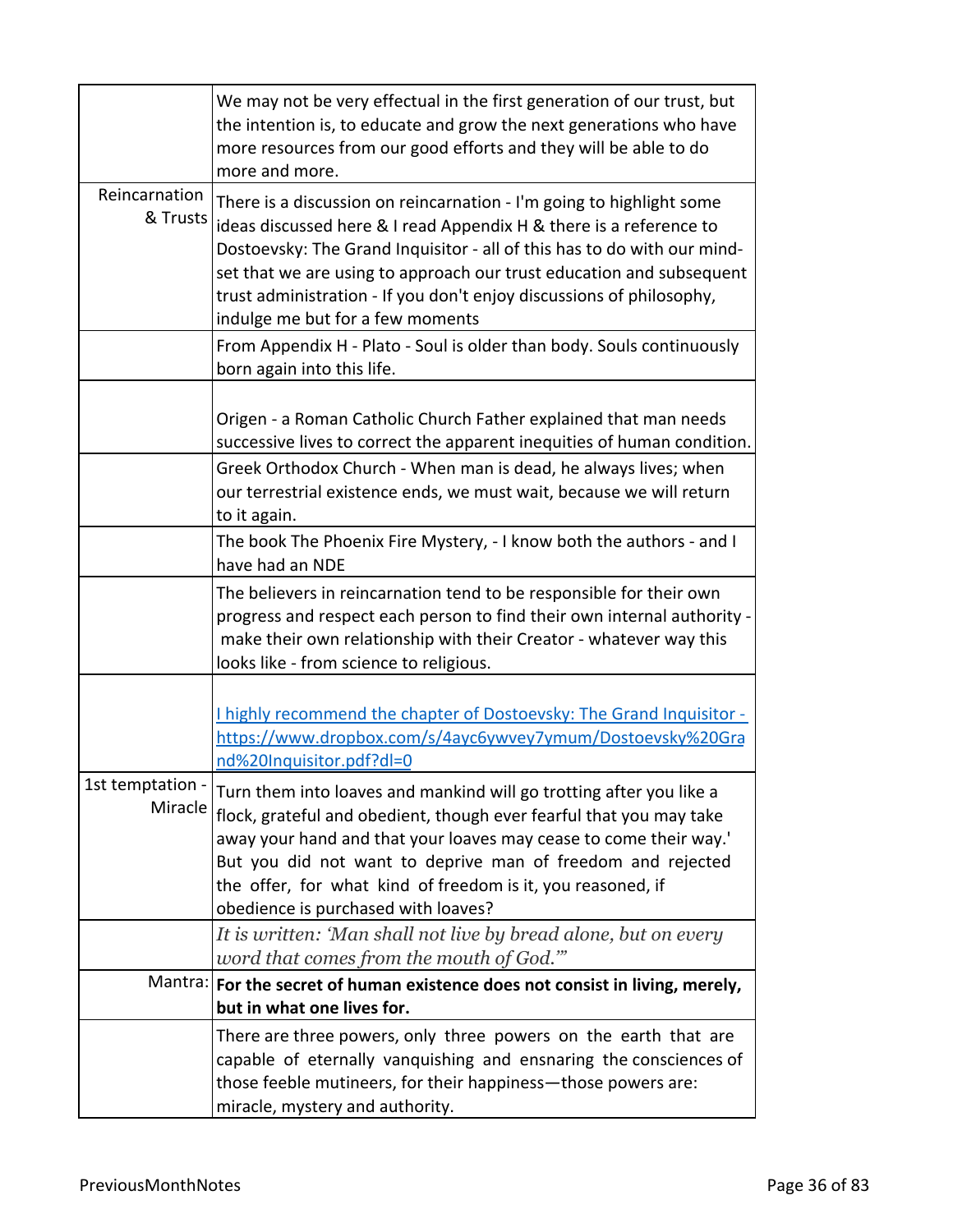|                           | We may not be very effectual in the first generation of our trust, but<br>the intention is, to educate and grow the next generations who have<br>more resources from our good efforts and they will be able to do<br>more and more.                                                                                                                                                                       |
|---------------------------|-----------------------------------------------------------------------------------------------------------------------------------------------------------------------------------------------------------------------------------------------------------------------------------------------------------------------------------------------------------------------------------------------------------|
| Reincarnation<br>& Trusts | There is a discussion on reincarnation - I'm going to highlight some<br>ideas discussed here & I read Appendix H & there is a reference to<br>Dostoevsky: The Grand Inquisitor - all of this has to do with our mind-<br>set that we are using to approach our trust education and subsequent<br>trust administration - If you don't enjoy discussions of philosophy,<br>indulge me but for a few moments |
|                           | From Appendix H - Plato - Soul is older than body. Souls continuously<br>born again into this life.                                                                                                                                                                                                                                                                                                       |
|                           | Origen - a Roman Catholic Church Father explained that man needs<br>successive lives to correct the apparent inequities of human condition.                                                                                                                                                                                                                                                               |
|                           | Greek Orthodox Church - When man is dead, he always lives; when<br>our terrestrial existence ends, we must wait, because we will return<br>to it again.                                                                                                                                                                                                                                                   |
|                           | The book The Phoenix Fire Mystery, - I know both the authors - and I<br>have had an NDE                                                                                                                                                                                                                                                                                                                   |
|                           | The believers in reincarnation tend to be responsible for their own<br>progress and respect each person to find their own internal authority -<br>make their own relationship with their Creator - whatever way this<br>looks like - from science to religious.                                                                                                                                           |
|                           | I highly recommend the chapter of Dostoevsky: The Grand Inquisitor -<br>https://www.dropbox.com/s/4ayc6ywvey7ymum/Dostoevsky%20Gra<br>nd%20Inquisitor.pdf?dl=0                                                                                                                                                                                                                                            |
| 1st temptation<br>Miracle | Turn them into loaves and mankind will go trotting after you like a<br>flock, grateful and obedient, though ever fearful that you may take<br>away your hand and that your loaves may cease to come their way.'<br>But you did not want to deprive man of freedom and rejected<br>the offer, for what kind of freedom is it, you reasoned, if<br>obedience is purchased with loaves?                      |
|                           | It is written: 'Man shall not live by bread alone, but on every<br>word that comes from the mouth of God.""                                                                                                                                                                                                                                                                                               |
|                           | Mantra:   For the secret of human existence does not consist in living, merely,<br>but in what one lives for.                                                                                                                                                                                                                                                                                             |
|                           | There are three powers, only three powers on the earth that are<br>capable of eternally vanquishing and ensnaring the consciences of<br>those feeble mutineers, for their happiness—those powers are:<br>miracle, mystery and authority.                                                                                                                                                                  |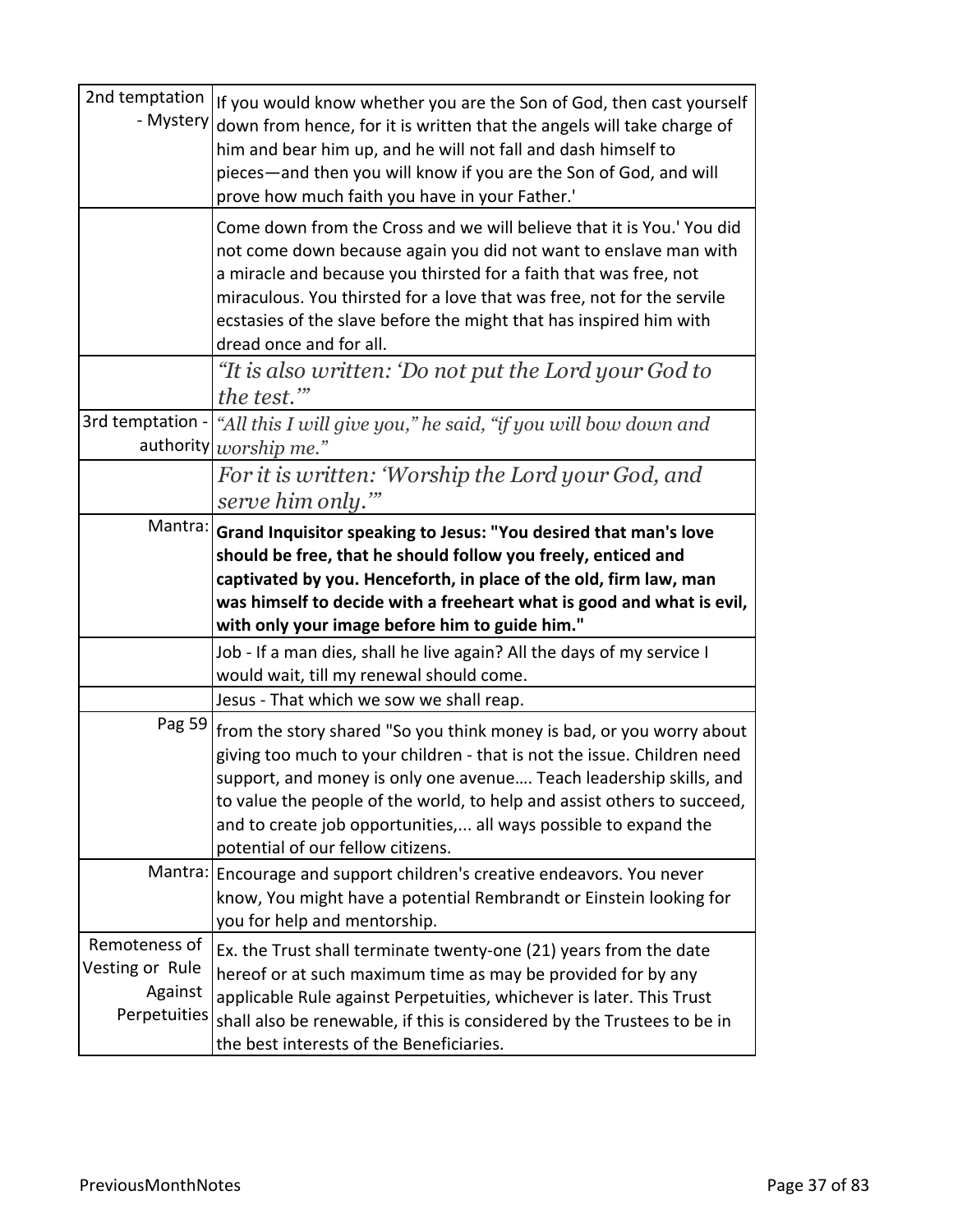| 2nd temptation<br>- Mystery                                 | If you would know whether you are the Son of God, then cast yourself<br>down from hence, for it is written that the angels will take charge of<br>him and bear him up, and he will not fall and dash himself to                                                                                                                                                                                           |
|-------------------------------------------------------------|-----------------------------------------------------------------------------------------------------------------------------------------------------------------------------------------------------------------------------------------------------------------------------------------------------------------------------------------------------------------------------------------------------------|
|                                                             | pieces—and then you will know if you are the Son of God, and will<br>prove how much faith you have in your Father.'                                                                                                                                                                                                                                                                                       |
|                                                             | Come down from the Cross and we will believe that it is You.' You did<br>not come down because again you did not want to enslave man with<br>a miracle and because you thirsted for a faith that was free, not<br>miraculous. You thirsted for a love that was free, not for the servile<br>ecstasies of the slave before the might that has inspired him with<br>dread once and for all.                 |
|                                                             | "It is also written: 'Do not put the Lord your God to<br>the test."                                                                                                                                                                                                                                                                                                                                       |
| 3rd temptation -<br>authority                               | "All this I will give you," he said, "if you will bow down and<br>worship me."                                                                                                                                                                                                                                                                                                                            |
|                                                             | For it is written: 'Worship the Lord your God, and<br>serve him only."                                                                                                                                                                                                                                                                                                                                    |
| Mantra:                                                     | Grand Inquisitor speaking to Jesus: "You desired that man's love<br>should be free, that he should follow you freely, enticed and<br>captivated by you. Henceforth, in place of the old, firm law, man<br>was himself to decide with a freeheart what is good and what is evil,<br>with only your image before him to guide him."                                                                         |
|                                                             | Job - If a man dies, shall he live again? All the days of my service I<br>would wait, till my renewal should come.                                                                                                                                                                                                                                                                                        |
|                                                             | Jesus - That which we sow we shall reap.                                                                                                                                                                                                                                                                                                                                                                  |
| Pag 59                                                      | from the story shared "So you think money is bad, or you worry about<br>giving too much to your children - that is not the issue. Children need<br>support, and money is only one avenue Teach leadership skills, and<br>to value the people of the world, to help and assist others to succeed,<br>and to create job opportunities, all ways possible to expand the<br>potential of our fellow citizens. |
|                                                             | Mantra: Encourage and support children's creative endeavors. You never<br>know, You might have a potential Rembrandt or Einstein looking for<br>you for help and mentorship.                                                                                                                                                                                                                              |
| Remoteness of<br>Vesting or Rule<br>Against<br>Perpetuities | Ex. the Trust shall terminate twenty-one (21) years from the date<br>hereof or at such maximum time as may be provided for by any<br>applicable Rule against Perpetuities, whichever is later. This Trust<br>shall also be renewable, if this is considered by the Trustees to be in<br>the best interests of the Beneficiaries.                                                                          |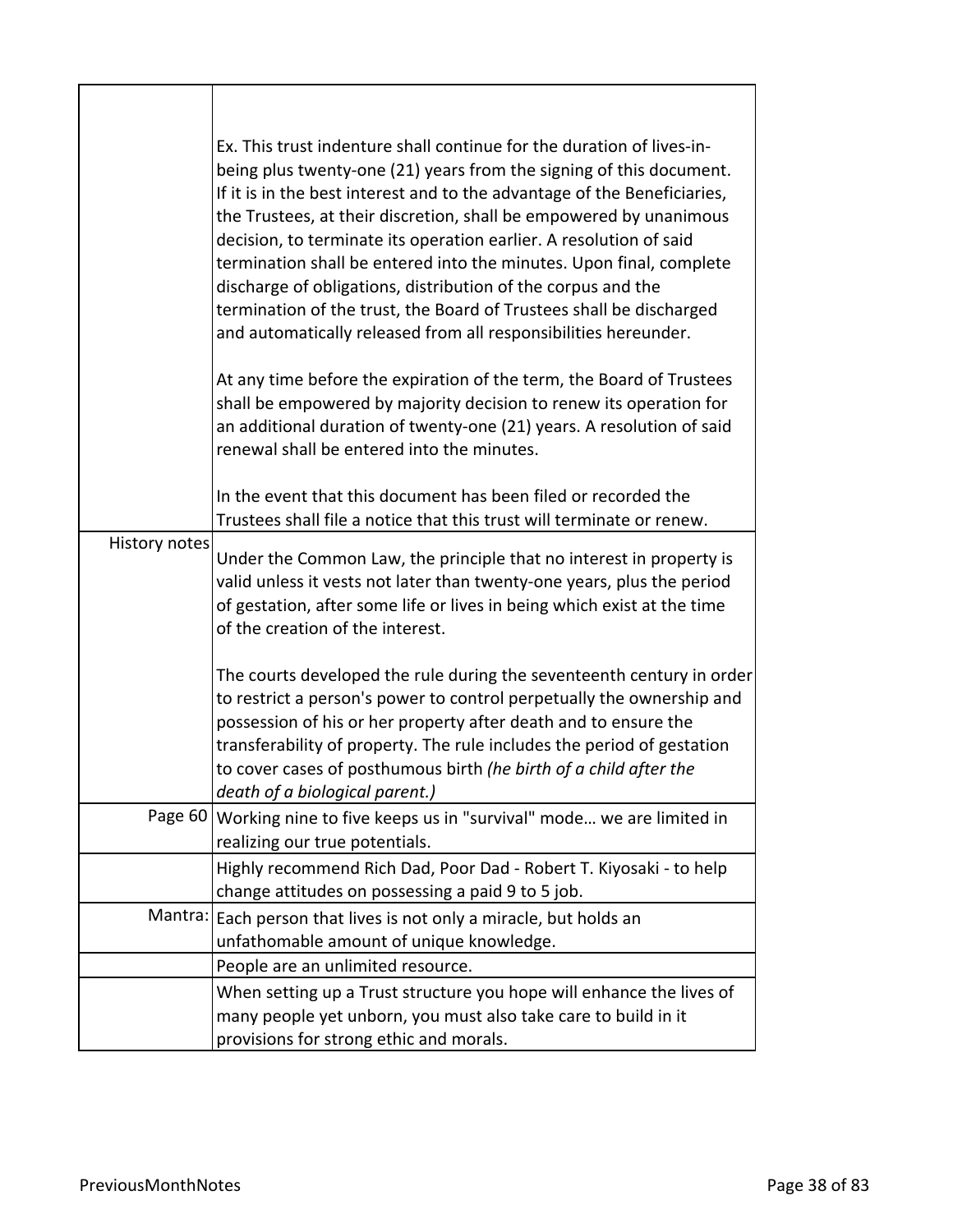|               | Ex. This trust indenture shall continue for the duration of lives-in-<br>being plus twenty-one (21) years from the signing of this document.<br>If it is in the best interest and to the advantage of the Beneficiaries,<br>the Trustees, at their discretion, shall be empowered by unanimous<br>decision, to terminate its operation earlier. A resolution of said<br>termination shall be entered into the minutes. Upon final, complete<br>discharge of obligations, distribution of the corpus and the<br>termination of the trust, the Board of Trustees shall be discharged<br>and automatically released from all responsibilities hereunder.<br>At any time before the expiration of the term, the Board of Trustees<br>shall be empowered by majority decision to renew its operation for<br>an additional duration of twenty-one (21) years. A resolution of said<br>renewal shall be entered into the minutes.<br>In the event that this document has been filed or recorded the |
|---------------|----------------------------------------------------------------------------------------------------------------------------------------------------------------------------------------------------------------------------------------------------------------------------------------------------------------------------------------------------------------------------------------------------------------------------------------------------------------------------------------------------------------------------------------------------------------------------------------------------------------------------------------------------------------------------------------------------------------------------------------------------------------------------------------------------------------------------------------------------------------------------------------------------------------------------------------------------------------------------------------------|
|               | Trustees shall file a notice that this trust will terminate or renew.                                                                                                                                                                                                                                                                                                                                                                                                                                                                                                                                                                                                                                                                                                                                                                                                                                                                                                                        |
| History notes | Under the Common Law, the principle that no interest in property is<br>valid unless it vests not later than twenty-one years, plus the period<br>of gestation, after some life or lives in being which exist at the time<br>of the creation of the interest.                                                                                                                                                                                                                                                                                                                                                                                                                                                                                                                                                                                                                                                                                                                                 |
|               | The courts developed the rule during the seventeenth century in order<br>to restrict a person's power to control perpetually the ownership and<br>possession of his or her property after death and to ensure the<br>transferability of property. The rule includes the period of gestation<br>to cover cases of posthumous birth (he birth of a child after the<br>death of a biological parent.)                                                                                                                                                                                                                                                                                                                                                                                                                                                                                                                                                                                           |
|               | Page 60   Working nine to five keeps us in "survival" mode we are limited in<br>realizing our true potentials.                                                                                                                                                                                                                                                                                                                                                                                                                                                                                                                                                                                                                                                                                                                                                                                                                                                                               |
|               | Highly recommend Rich Dad, Poor Dad - Robert T. Kiyosaki - to help<br>change attitudes on possessing a paid 9 to 5 job.                                                                                                                                                                                                                                                                                                                                                                                                                                                                                                                                                                                                                                                                                                                                                                                                                                                                      |
|               | Mantra: Each person that lives is not only a miracle, but holds an<br>unfathomable amount of unique knowledge.                                                                                                                                                                                                                                                                                                                                                                                                                                                                                                                                                                                                                                                                                                                                                                                                                                                                               |
|               | People are an unlimited resource.                                                                                                                                                                                                                                                                                                                                                                                                                                                                                                                                                                                                                                                                                                                                                                                                                                                                                                                                                            |
|               | When setting up a Trust structure you hope will enhance the lives of<br>many people yet unborn, you must also take care to build in it<br>provisions for strong ethic and morals.                                                                                                                                                                                                                                                                                                                                                                                                                                                                                                                                                                                                                                                                                                                                                                                                            |

Г

⅂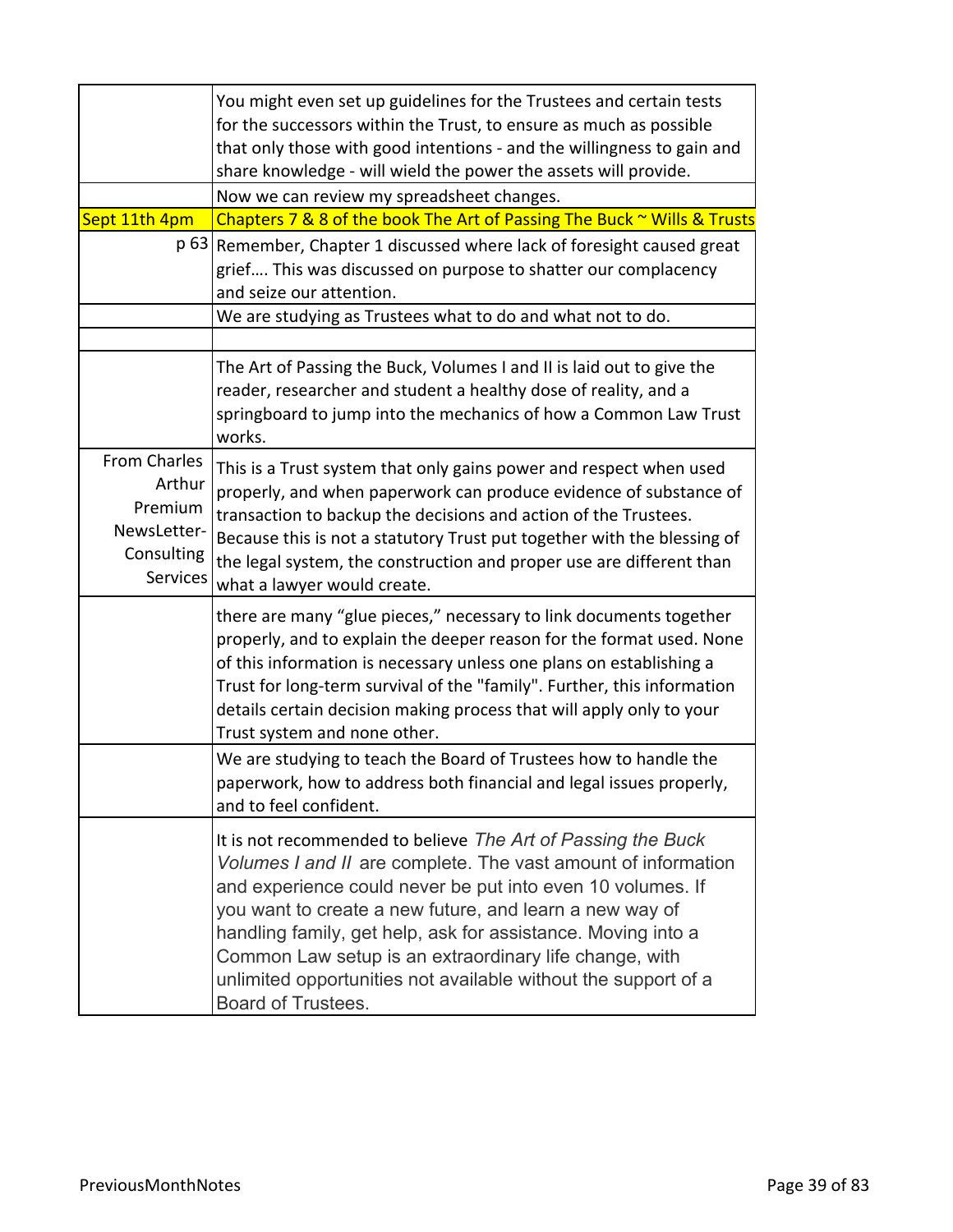|                                                                            | You might even set up guidelines for the Trustees and certain tests<br>for the successors within the Trust, to ensure as much as possible<br>that only those with good intentions - and the willingness to gain and<br>share knowledge - will wield the power the assets will provide.                                                                                                                                                                                   |
|----------------------------------------------------------------------------|--------------------------------------------------------------------------------------------------------------------------------------------------------------------------------------------------------------------------------------------------------------------------------------------------------------------------------------------------------------------------------------------------------------------------------------------------------------------------|
|                                                                            | Now we can review my spreadsheet changes.                                                                                                                                                                                                                                                                                                                                                                                                                                |
| Sept 11th 4pm                                                              | Chapters 7 & 8 of the book The Art of Passing The Buck ~ Wills & Trusts                                                                                                                                                                                                                                                                                                                                                                                                  |
|                                                                            | p 63 Remember, Chapter 1 discussed where lack of foresight caused great<br>grief This was discussed on purpose to shatter our complacency<br>and seize our attention.                                                                                                                                                                                                                                                                                                    |
|                                                                            | We are studying as Trustees what to do and what not to do.                                                                                                                                                                                                                                                                                                                                                                                                               |
|                                                                            |                                                                                                                                                                                                                                                                                                                                                                                                                                                                          |
|                                                                            | The Art of Passing the Buck, Volumes I and II is laid out to give the<br>reader, researcher and student a healthy dose of reality, and a<br>springboard to jump into the mechanics of how a Common Law Trust<br>works.                                                                                                                                                                                                                                                   |
| From Charles<br>Arthur<br>Premium<br>NewsLetter-<br>Consulting<br>Services | This is a Trust system that only gains power and respect when used<br>properly, and when paperwork can produce evidence of substance of<br>transaction to backup the decisions and action of the Trustees.<br>Because this is not a statutory Trust put together with the blessing of<br>the legal system, the construction and proper use are different than<br>what a lawyer would create.                                                                             |
|                                                                            | there are many "glue pieces," necessary to link documents together<br>properly, and to explain the deeper reason for the format used. None<br>of this information is necessary unless one plans on establishing a<br>Trust for long-term survival of the "family". Further, this information<br>details certain decision making process that will apply only to your<br>Trust system and none other.                                                                     |
|                                                                            | We are studying to teach the Board of Trustees how to handle the<br>paperwork, how to address both financial and legal issues properly,<br>and to feel confident.                                                                                                                                                                                                                                                                                                        |
|                                                                            | It is not recommended to believe The Art of Passing the Buck<br>Volumes I and II are complete. The vast amount of information<br>and experience could never be put into even 10 volumes. If<br>you want to create a new future, and learn a new way of<br>handling family, get help, ask for assistance. Moving into a<br>Common Law setup is an extraordinary life change, with<br>unlimited opportunities not available without the support of a<br>Board of Trustees. |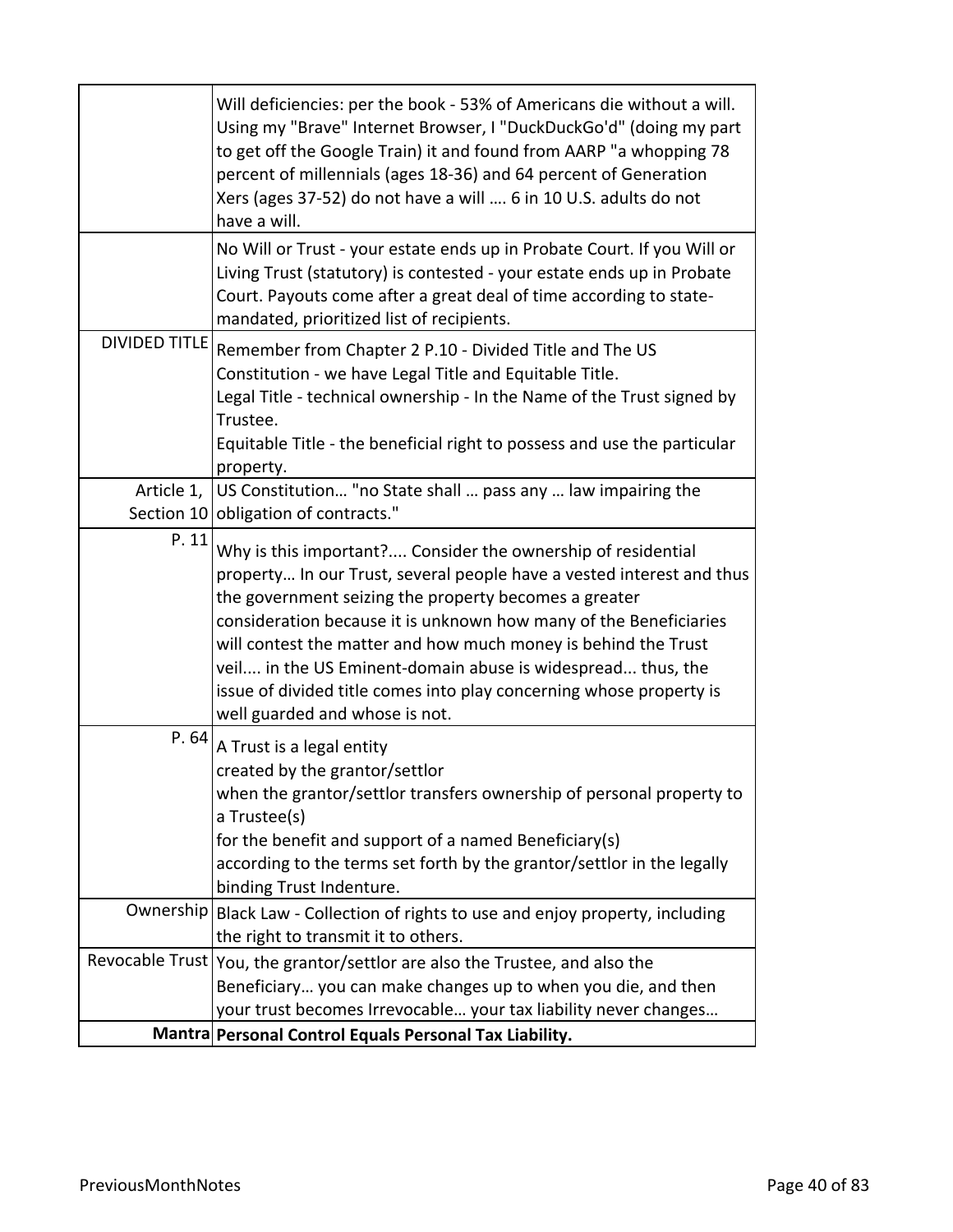| No Will or Trust - your estate ends up in Probate Court. If you Will or<br>Living Trust (statutory) is contested - your estate ends up in Probate<br>Court. Payouts come after a great deal of time according to state-<br>mandated, prioritized list of recipients.<br><b>DIVIDED TITLE</b><br>Remember from Chapter 2 P.10 - Divided Title and The US<br>Constitution - we have Legal Title and Equitable Title.<br>Legal Title - technical ownership - In the Name of the Trust signed by<br>Trustee.<br>Equitable Title - the beneficial right to possess and use the particular<br>property.<br>US Constitution "no State shall  pass any  law impairing the<br>Article 1,<br>obligation of contracts."<br>Section 10<br>P. 11<br>Why is this important? Consider the ownership of residential<br>the government seizing the property becomes a greater<br>consideration because it is unknown how many of the Beneficiaries<br>will contest the matter and how much money is behind the Trust<br>veil in the US Eminent-domain abuse is widespread thus, the<br>issue of divided title comes into play concerning whose property is<br>well guarded and whose is not.<br>P.64<br>A Trust is a legal entity<br>created by the grantor/settlor<br>when the grantor/settlor transfers ownership of personal property to<br>a Trustee(s)<br>for the benefit and support of a named Beneficiary(s)<br>according to the terms set forth by the grantor/settlor in the legally<br>binding Trust Indenture.<br>Ownership<br>Black Law - Collection of rights to use and enjoy property, including<br>the right to transmit it to others.<br>Revocable Trust   You, the grantor/settlor are also the Trustee, and also the<br>Beneficiary you can make changes up to when you die, and then<br>your trust becomes Irrevocable your tax liability never changes | Will deficiencies: per the book - 53% of Americans die without a will.<br>Using my "Brave" Internet Browser, I "DuckDuckGo'd" (doing my part<br>to get off the Google Train) it and found from AARP "a whopping 78<br>percent of millennials (ages 18-36) and 64 percent of Generation<br>Xers (ages 37-52) do not have a will  6 in 10 U.S. adults do not<br>have a will. |
|-------------------------------------------------------------------------------------------------------------------------------------------------------------------------------------------------------------------------------------------------------------------------------------------------------------------------------------------------------------------------------------------------------------------------------------------------------------------------------------------------------------------------------------------------------------------------------------------------------------------------------------------------------------------------------------------------------------------------------------------------------------------------------------------------------------------------------------------------------------------------------------------------------------------------------------------------------------------------------------------------------------------------------------------------------------------------------------------------------------------------------------------------------------------------------------------------------------------------------------------------------------------------------------------------------------------------------------------------------------------------------------------------------------------------------------------------------------------------------------------------------------------------------------------------------------------------------------------------------------------------------------------------------------------------------------------------------------------------------------------------------------------------------------------------------------------------------------------------------------|----------------------------------------------------------------------------------------------------------------------------------------------------------------------------------------------------------------------------------------------------------------------------------------------------------------------------------------------------------------------------|
|                                                                                                                                                                                                                                                                                                                                                                                                                                                                                                                                                                                                                                                                                                                                                                                                                                                                                                                                                                                                                                                                                                                                                                                                                                                                                                                                                                                                                                                                                                                                                                                                                                                                                                                                                                                                                                                             |                                                                                                                                                                                                                                                                                                                                                                            |
| property In our Trust, several people have a vested interest and thus                                                                                                                                                                                                                                                                                                                                                                                                                                                                                                                                                                                                                                                                                                                                                                                                                                                                                                                                                                                                                                                                                                                                                                                                                                                                                                                                                                                                                                                                                                                                                                                                                                                                                                                                                                                       |                                                                                                                                                                                                                                                                                                                                                                            |
|                                                                                                                                                                                                                                                                                                                                                                                                                                                                                                                                                                                                                                                                                                                                                                                                                                                                                                                                                                                                                                                                                                                                                                                                                                                                                                                                                                                                                                                                                                                                                                                                                                                                                                                                                                                                                                                             |                                                                                                                                                                                                                                                                                                                                                                            |
|                                                                                                                                                                                                                                                                                                                                                                                                                                                                                                                                                                                                                                                                                                                                                                                                                                                                                                                                                                                                                                                                                                                                                                                                                                                                                                                                                                                                                                                                                                                                                                                                                                                                                                                                                                                                                                                             |                                                                                                                                                                                                                                                                                                                                                                            |
|                                                                                                                                                                                                                                                                                                                                                                                                                                                                                                                                                                                                                                                                                                                                                                                                                                                                                                                                                                                                                                                                                                                                                                                                                                                                                                                                                                                                                                                                                                                                                                                                                                                                                                                                                                                                                                                             |                                                                                                                                                                                                                                                                                                                                                                            |
|                                                                                                                                                                                                                                                                                                                                                                                                                                                                                                                                                                                                                                                                                                                                                                                                                                                                                                                                                                                                                                                                                                                                                                                                                                                                                                                                                                                                                                                                                                                                                                                                                                                                                                                                                                                                                                                             |                                                                                                                                                                                                                                                                                                                                                                            |
|                                                                                                                                                                                                                                                                                                                                                                                                                                                                                                                                                                                                                                                                                                                                                                                                                                                                                                                                                                                                                                                                                                                                                                                                                                                                                                                                                                                                                                                                                                                                                                                                                                                                                                                                                                                                                                                             |                                                                                                                                                                                                                                                                                                                                                                            |
|                                                                                                                                                                                                                                                                                                                                                                                                                                                                                                                                                                                                                                                                                                                                                                                                                                                                                                                                                                                                                                                                                                                                                                                                                                                                                                                                                                                                                                                                                                                                                                                                                                                                                                                                                                                                                                                             |                                                                                                                                                                                                                                                                                                                                                                            |
|                                                                                                                                                                                                                                                                                                                                                                                                                                                                                                                                                                                                                                                                                                                                                                                                                                                                                                                                                                                                                                                                                                                                                                                                                                                                                                                                                                                                                                                                                                                                                                                                                                                                                                                                                                                                                                                             |                                                                                                                                                                                                                                                                                                                                                                            |
|                                                                                                                                                                                                                                                                                                                                                                                                                                                                                                                                                                                                                                                                                                                                                                                                                                                                                                                                                                                                                                                                                                                                                                                                                                                                                                                                                                                                                                                                                                                                                                                                                                                                                                                                                                                                                                                             |                                                                                                                                                                                                                                                                                                                                                                            |
|                                                                                                                                                                                                                                                                                                                                                                                                                                                                                                                                                                                                                                                                                                                                                                                                                                                                                                                                                                                                                                                                                                                                                                                                                                                                                                                                                                                                                                                                                                                                                                                                                                                                                                                                                                                                                                                             |                                                                                                                                                                                                                                                                                                                                                                            |
| Mantra Personal Control Equals Personal Tax Liability.                                                                                                                                                                                                                                                                                                                                                                                                                                                                                                                                                                                                                                                                                                                                                                                                                                                                                                                                                                                                                                                                                                                                                                                                                                                                                                                                                                                                                                                                                                                                                                                                                                                                                                                                                                                                      |                                                                                                                                                                                                                                                                                                                                                                            |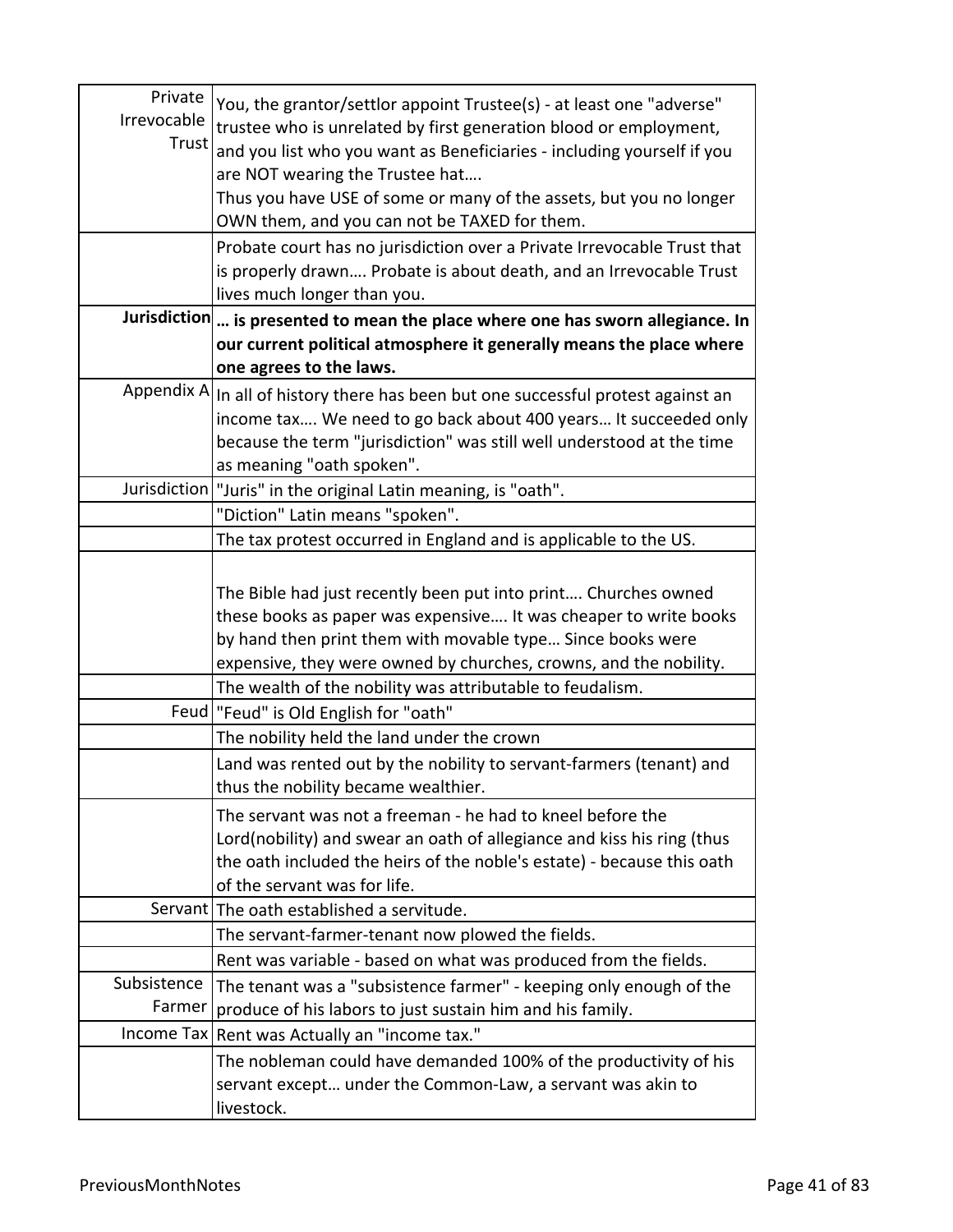| Private     | You, the grantor/settlor appoint Trustee(s) - at least one "adverse"              |
|-------------|-----------------------------------------------------------------------------------|
| Irrevocable | trustee who is unrelated by first generation blood or employment,                 |
| Trust       | and you list who you want as Beneficiaries - including yourself if you            |
|             | are NOT wearing the Trustee hat                                                   |
|             | Thus you have USE of some or many of the assets, but you no longer                |
|             | OWN them, and you can not be TAXED for them.                                      |
|             | Probate court has no jurisdiction over a Private Irrevocable Trust that           |
|             | is properly drawn Probate is about death, and an Irrevocable Trust                |
|             | lives much longer than you.                                                       |
|             | Jurisdiction  is presented to mean the place where one has sworn allegiance. In   |
|             | our current political atmosphere it generally means the place where               |
|             | one agrees to the laws.                                                           |
|             | Appendix A In all of history there has been but one successful protest against an |
|             | income tax We need to go back about 400 years It succeeded only                   |
|             | because the term "jurisdiction" was still well understood at the time             |
|             | as meaning "oath spoken".                                                         |
|             | Jurisdiction   "Juris" in the original Latin meaning, is "oath".                  |
|             | "Diction" Latin means "spoken".                                                   |
|             | The tax protest occurred in England and is applicable to the US.                  |
|             |                                                                                   |
|             | The Bible had just recently been put into print Churches owned                    |
|             | these books as paper was expensive It was cheaper to write books                  |
|             | by hand then print them with movable type Since books were                        |
|             | expensive, they were owned by churches, crowns, and the nobility.                 |
|             | The wealth of the nobility was attributable to feudalism.                         |
|             | Feud   "Feud" is Old English for "oath"                                           |
|             | The nobility held the land under the crown                                        |
|             | Land was rented out by the nobility to servant-farmers (tenant) and               |
|             | thus the nobility became wealthier.                                               |
|             | The servant was not a freeman - he had to kneel before the                        |
|             | Lord(nobility) and swear an oath of allegiance and kiss his ring (thus            |
|             | the oath included the heirs of the noble's estate) - because this oath            |
|             | of the servant was for life.                                                      |
|             | Servant The oath established a servitude.                                         |
|             | The servant-farmer-tenant now plowed the fields.                                  |
|             | Rent was variable - based on what was produced from the fields.                   |
| Subsistence | The tenant was a "subsistence farmer" - keeping only enough of the                |
| Farmer      | produce of his labors to just sustain him and his family.                         |
|             | Income Tax Rent was Actually an "income tax."                                     |
|             | The nobleman could have demanded 100% of the productivity of his                  |
|             | servant except under the Common-Law, a servant was akin to                        |
|             | livestock.                                                                        |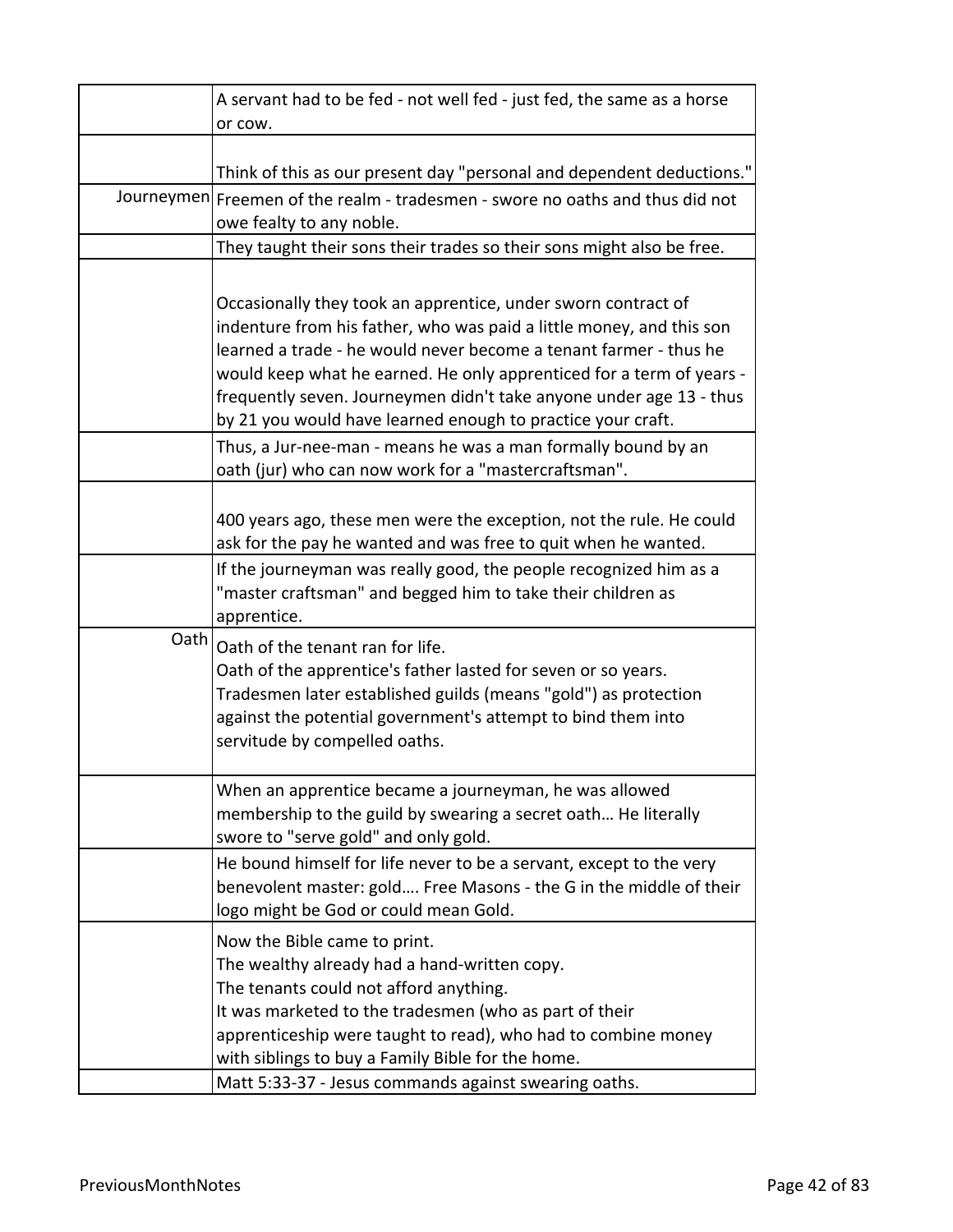|      | A servant had to be fed - not well fed - just fed, the same as a horse                                                                                                                                                                                                                                                                                    |
|------|-----------------------------------------------------------------------------------------------------------------------------------------------------------------------------------------------------------------------------------------------------------------------------------------------------------------------------------------------------------|
|      | or cow.                                                                                                                                                                                                                                                                                                                                                   |
|      | Think of this as our present day "personal and dependent deductions."                                                                                                                                                                                                                                                                                     |
|      | Journeymen Freemen of the realm - tradesmen - swore no oaths and thus did not                                                                                                                                                                                                                                                                             |
|      | owe fealty to any noble.                                                                                                                                                                                                                                                                                                                                  |
|      | They taught their sons their trades so their sons might also be free.                                                                                                                                                                                                                                                                                     |
|      |                                                                                                                                                                                                                                                                                                                                                           |
|      | Occasionally they took an apprentice, under sworn contract of<br>indenture from his father, who was paid a little money, and this son<br>learned a trade - he would never become a tenant farmer - thus he<br>would keep what he earned. He only apprenticed for a term of years -<br>frequently seven. Journeymen didn't take anyone under age 13 - thus |
|      | by 21 you would have learned enough to practice your craft.                                                                                                                                                                                                                                                                                               |
|      | Thus, a Jur-nee-man - means he was a man formally bound by an<br>oath (jur) who can now work for a "mastercraftsman".                                                                                                                                                                                                                                     |
|      | 400 years ago, these men were the exception, not the rule. He could<br>ask for the pay he wanted and was free to quit when he wanted.                                                                                                                                                                                                                     |
|      | If the journeyman was really good, the people recognized him as a<br>"master craftsman" and begged him to take their children as<br>apprentice.                                                                                                                                                                                                           |
| Oath | Oath of the tenant ran for life.<br>Oath of the apprentice's father lasted for seven or so years.<br>Tradesmen later established guilds (means "gold") as protection<br>against the potential government's attempt to bind them into<br>servitude by compelled oaths.                                                                                     |
|      | When an apprentice became a journeyman, he was allowed<br>membership to the guild by swearing a secret oath He literally<br>swore to "serve gold" and only gold.                                                                                                                                                                                          |
|      | He bound himself for life never to be a servant, except to the very<br>benevolent master: gold Free Masons - the G in the middle of their<br>logo might be God or could mean Gold.                                                                                                                                                                        |
|      | Now the Bible came to print.<br>The wealthy already had a hand-written copy.<br>The tenants could not afford anything.<br>It was marketed to the tradesmen (who as part of their<br>apprenticeship were taught to read), who had to combine money<br>with siblings to buy a Family Bible for the home.                                                    |
|      | Matt 5:33-37 - Jesus commands against swearing oaths.                                                                                                                                                                                                                                                                                                     |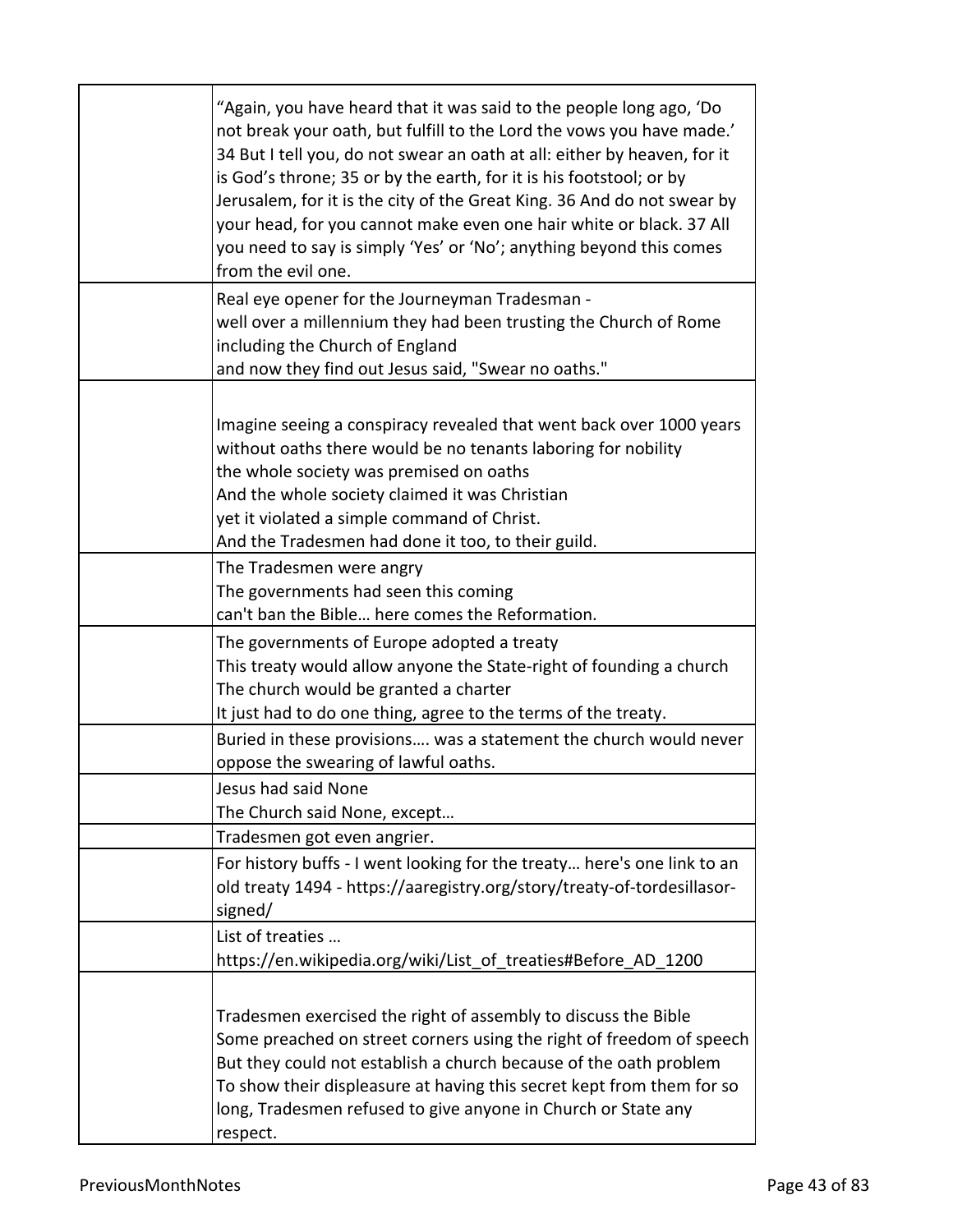| "Again, you have heard that it was said to the people long ago, 'Do<br>not break your oath, but fulfill to the Lord the vows you have made.'<br>34 But I tell you, do not swear an oath at all: either by heaven, for it<br>is God's throne; 35 or by the earth, for it is his footstool; or by<br>Jerusalem, for it is the city of the Great King. 36 And do not swear by<br>your head, for you cannot make even one hair white or black. 37 All<br>you need to say is simply 'Yes' or 'No'; anything beyond this comes<br>from the evil one. |
|------------------------------------------------------------------------------------------------------------------------------------------------------------------------------------------------------------------------------------------------------------------------------------------------------------------------------------------------------------------------------------------------------------------------------------------------------------------------------------------------------------------------------------------------|
| Real eye opener for the Journeyman Tradesman -<br>well over a millennium they had been trusting the Church of Rome<br>including the Church of England<br>and now they find out Jesus said, "Swear no oaths."                                                                                                                                                                                                                                                                                                                                   |
| Imagine seeing a conspiracy revealed that went back over 1000 years<br>without oaths there would be no tenants laboring for nobility<br>the whole society was premised on oaths<br>And the whole society claimed it was Christian<br>yet it violated a simple command of Christ.<br>And the Tradesmen had done it too, to their guild.                                                                                                                                                                                                         |
| The Tradesmen were angry<br>The governments had seen this coming<br>can't ban the Bible here comes the Reformation.                                                                                                                                                                                                                                                                                                                                                                                                                            |
| The governments of Europe adopted a treaty<br>This treaty would allow anyone the State-right of founding a church<br>The church would be granted a charter<br>It just had to do one thing, agree to the terms of the treaty.                                                                                                                                                                                                                                                                                                                   |
| Buried in these provisions was a statement the church would never<br>oppose the swearing of lawful oaths.                                                                                                                                                                                                                                                                                                                                                                                                                                      |
| Jesus had said None<br>The Church said None, except                                                                                                                                                                                                                                                                                                                                                                                                                                                                                            |
| Tradesmen got even angrier.                                                                                                                                                                                                                                                                                                                                                                                                                                                                                                                    |
| For history buffs - I went looking for the treaty here's one link to an<br>old treaty 1494 - https://aaregistry.org/story/treaty-of-tordesillasor-<br>signed/                                                                                                                                                                                                                                                                                                                                                                                  |
| List of treaties<br>https://en.wikipedia.org/wiki/List_of_treaties#Before_AD_1200                                                                                                                                                                                                                                                                                                                                                                                                                                                              |
| Tradesmen exercised the right of assembly to discuss the Bible<br>Some preached on street corners using the right of freedom of speech<br>But they could not establish a church because of the oath problem<br>To show their displeasure at having this secret kept from them for so<br>long, Tradesmen refused to give anyone in Church or State any<br>respect.                                                                                                                                                                              |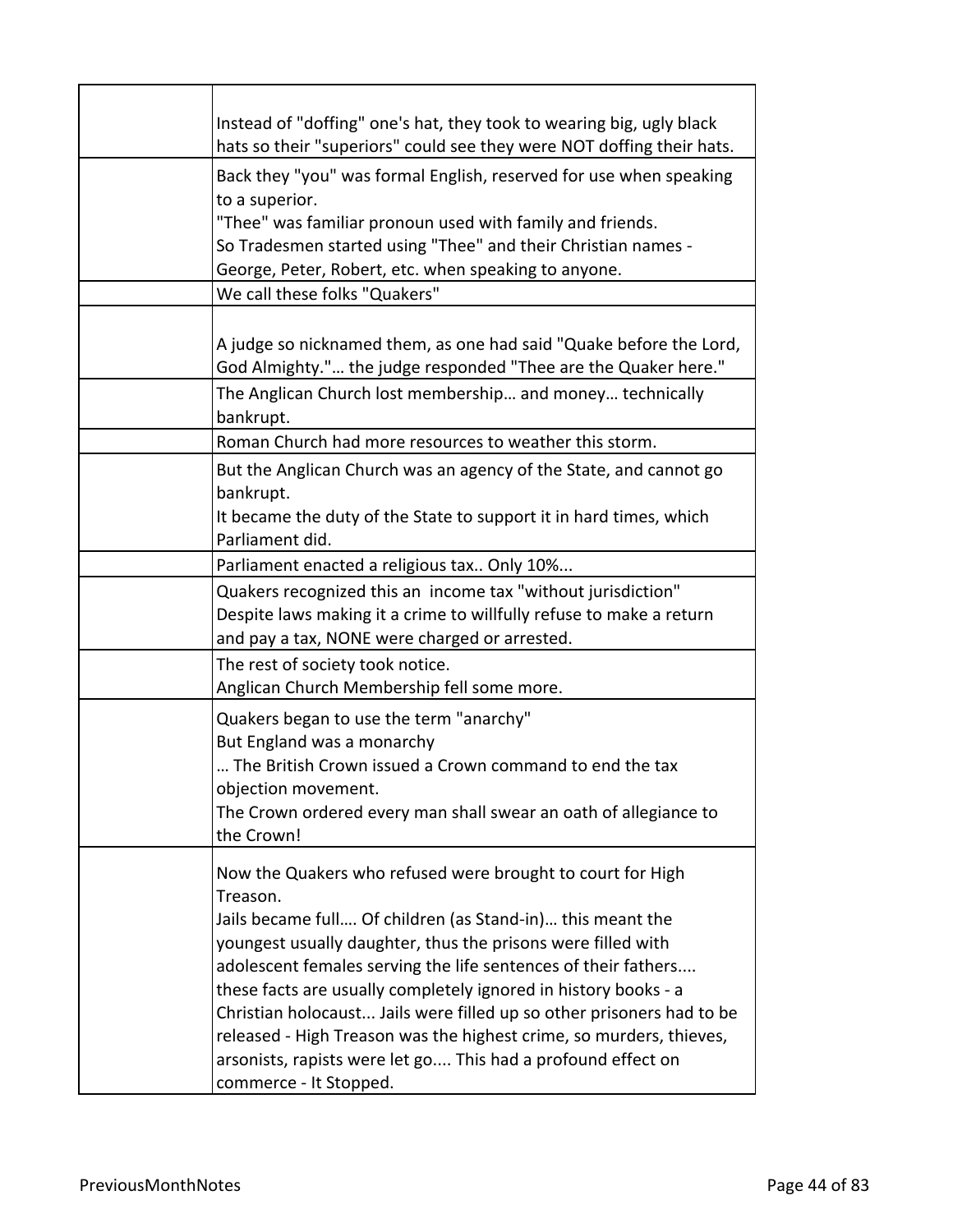| Instead of "doffing" one's hat, they took to wearing big, ugly black<br>hats so their "superiors" could see they were NOT doffing their hats.                                                                                                                                                                                                                                                                                                                                                                                                                                       |
|-------------------------------------------------------------------------------------------------------------------------------------------------------------------------------------------------------------------------------------------------------------------------------------------------------------------------------------------------------------------------------------------------------------------------------------------------------------------------------------------------------------------------------------------------------------------------------------|
| Back they "you" was formal English, reserved for use when speaking<br>to a superior.<br>"Thee" was familiar pronoun used with family and friends.<br>So Tradesmen started using "Thee" and their Christian names -<br>George, Peter, Robert, etc. when speaking to anyone.                                                                                                                                                                                                                                                                                                          |
| We call these folks "Quakers"                                                                                                                                                                                                                                                                                                                                                                                                                                                                                                                                                       |
| A judge so nicknamed them, as one had said "Quake before the Lord,<br>God Almighty." the judge responded "Thee are the Quaker here."                                                                                                                                                                                                                                                                                                                                                                                                                                                |
| The Anglican Church lost membership and money technically<br>bankrupt.                                                                                                                                                                                                                                                                                                                                                                                                                                                                                                              |
| Roman Church had more resources to weather this storm.                                                                                                                                                                                                                                                                                                                                                                                                                                                                                                                              |
| But the Anglican Church was an agency of the State, and cannot go<br>bankrupt.<br>It became the duty of the State to support it in hard times, which<br>Parliament did.                                                                                                                                                                                                                                                                                                                                                                                                             |
| Parliament enacted a religious tax Only 10%                                                                                                                                                                                                                                                                                                                                                                                                                                                                                                                                         |
| Quakers recognized this an income tax "without jurisdiction"<br>Despite laws making it a crime to willfully refuse to make a return<br>and pay a tax, NONE were charged or arrested.                                                                                                                                                                                                                                                                                                                                                                                                |
| The rest of society took notice.<br>Anglican Church Membership fell some more.                                                                                                                                                                                                                                                                                                                                                                                                                                                                                                      |
| Quakers began to use the term "anarchy"<br>But England was a monarchy<br>The British Crown issued a Crown command to end the tax<br>objection movement.<br>The Crown ordered every man shall swear an oath of allegiance to<br>the Crown!                                                                                                                                                                                                                                                                                                                                           |
| Now the Quakers who refused were brought to court for High<br>Treason.<br>Jails became full Of children (as Stand-in) this meant the<br>youngest usually daughter, thus the prisons were filled with<br>adolescent females serving the life sentences of their fathers<br>these facts are usually completely ignored in history books - a<br>Christian holocaust Jails were filled up so other prisoners had to be<br>released - High Treason was the highest crime, so murders, thieves,<br>arsonists, rapists were let go This had a profound effect on<br>commerce - It Stopped. |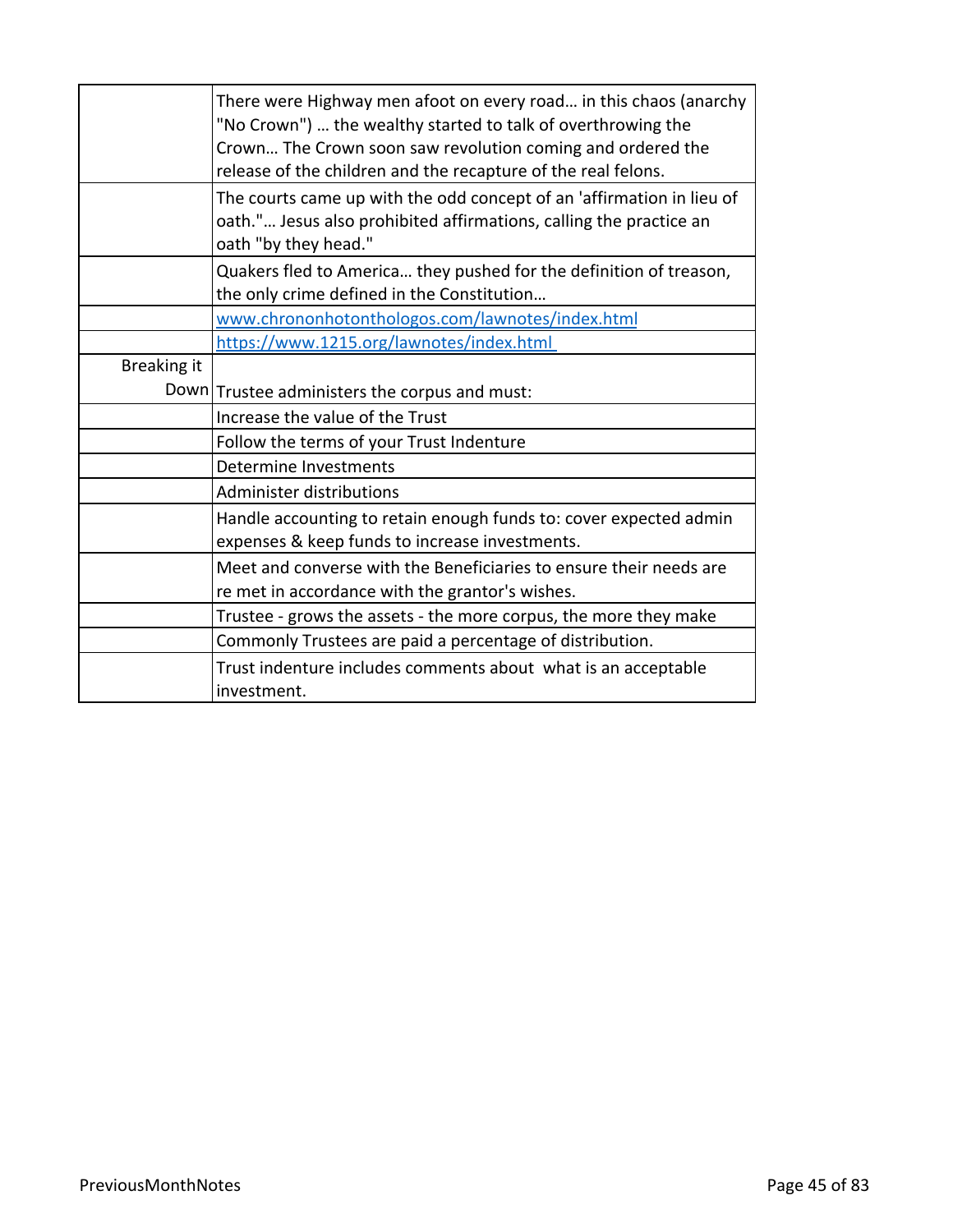|             | There were Highway men afoot on every road in this chaos (anarchy<br>"No Crown")  the wealthy started to talk of overthrowing the<br>Crown The Crown soon saw revolution coming and ordered the<br>release of the children and the recapture of the real felons. |
|-------------|------------------------------------------------------------------------------------------------------------------------------------------------------------------------------------------------------------------------------------------------------------------|
|             | The courts came up with the odd concept of an 'affirmation in lieu of<br>oath." Jesus also prohibited affirmations, calling the practice an<br>oath "by they head."                                                                                              |
|             | Quakers fled to America they pushed for the definition of treason,<br>the only crime defined in the Constitution                                                                                                                                                 |
|             | www.chrononhotonthologos.com/lawnotes/index.html                                                                                                                                                                                                                 |
|             | https://www.1215.org/lawnotes/index.html                                                                                                                                                                                                                         |
| Breaking it |                                                                                                                                                                                                                                                                  |
|             | Down Trustee administers the corpus and must:                                                                                                                                                                                                                    |
|             | Increase the value of the Trust                                                                                                                                                                                                                                  |
|             | Follow the terms of your Trust Indenture                                                                                                                                                                                                                         |
|             | Determine Investments                                                                                                                                                                                                                                            |
|             | Administer distributions                                                                                                                                                                                                                                         |
|             | Handle accounting to retain enough funds to: cover expected admin<br>expenses & keep funds to increase investments.                                                                                                                                              |
|             | Meet and converse with the Beneficiaries to ensure their needs are<br>re met in accordance with the grantor's wishes.                                                                                                                                            |
|             | Trustee - grows the assets - the more corpus, the more they make                                                                                                                                                                                                 |
|             | Commonly Trustees are paid a percentage of distribution.                                                                                                                                                                                                         |
|             | Trust indenture includes comments about what is an acceptable<br>investment.                                                                                                                                                                                     |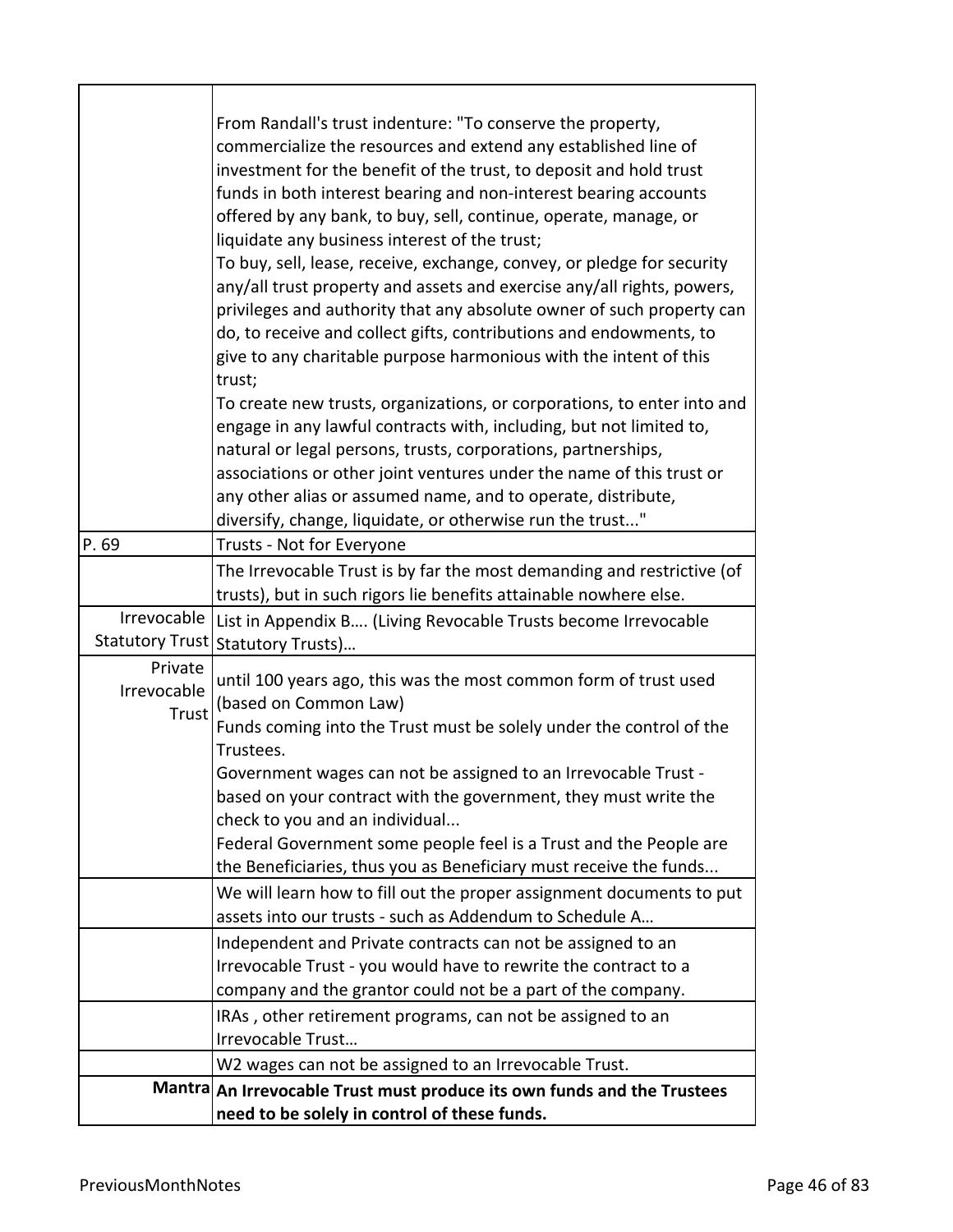| P.69                            | From Randall's trust indenture: "To conserve the property,<br>commercialize the resources and extend any established line of<br>investment for the benefit of the trust, to deposit and hold trust<br>funds in both interest bearing and non-interest bearing accounts<br>offered by any bank, to buy, sell, continue, operate, manage, or<br>liquidate any business interest of the trust;<br>To buy, sell, lease, receive, exchange, convey, or pledge for security<br>any/all trust property and assets and exercise any/all rights, powers,<br>privileges and authority that any absolute owner of such property can<br>do, to receive and collect gifts, contributions and endowments, to<br>give to any charitable purpose harmonious with the intent of this<br>trust;<br>To create new trusts, organizations, or corporations, to enter into and<br>engage in any lawful contracts with, including, but not limited to,<br>natural or legal persons, trusts, corporations, partnerships,<br>associations or other joint ventures under the name of this trust or<br>any other alias or assumed name, and to operate, distribute,<br>diversify, change, liquidate, or otherwise run the trust"<br>Trusts - Not for Everyone |
|---------------------------------|------------------------------------------------------------------------------------------------------------------------------------------------------------------------------------------------------------------------------------------------------------------------------------------------------------------------------------------------------------------------------------------------------------------------------------------------------------------------------------------------------------------------------------------------------------------------------------------------------------------------------------------------------------------------------------------------------------------------------------------------------------------------------------------------------------------------------------------------------------------------------------------------------------------------------------------------------------------------------------------------------------------------------------------------------------------------------------------------------------------------------------------------------------------------------------------------------------------------------------|
|                                 | The Irrevocable Trust is by far the most demanding and restrictive (of                                                                                                                                                                                                                                                                                                                                                                                                                                                                                                                                                                                                                                                                                                                                                                                                                                                                                                                                                                                                                                                                                                                                                             |
|                                 | trusts), but in such rigors lie benefits attainable nowhere else.                                                                                                                                                                                                                                                                                                                                                                                                                                                                                                                                                                                                                                                                                                                                                                                                                                                                                                                                                                                                                                                                                                                                                                  |
|                                 | Irrevocable   List in Appendix B (Living Revocable Trusts become Irrevocable                                                                                                                                                                                                                                                                                                                                                                                                                                                                                                                                                                                                                                                                                                                                                                                                                                                                                                                                                                                                                                                                                                                                                       |
|                                 | Statutory Trust Statutory Trusts)                                                                                                                                                                                                                                                                                                                                                                                                                                                                                                                                                                                                                                                                                                                                                                                                                                                                                                                                                                                                                                                                                                                                                                                                  |
| Private<br>Irrevocable<br>Trust | until 100 years ago, this was the most common form of trust used<br>(based on Common Law)<br>Funds coming into the Trust must be solely under the control of the<br>Trustees.                                                                                                                                                                                                                                                                                                                                                                                                                                                                                                                                                                                                                                                                                                                                                                                                                                                                                                                                                                                                                                                      |
|                                 | Government wages can not be assigned to an Irrevocable Trust -<br>based on your contract with the government, they must write the<br>check to you and an individual                                                                                                                                                                                                                                                                                                                                                                                                                                                                                                                                                                                                                                                                                                                                                                                                                                                                                                                                                                                                                                                                |
|                                 | Federal Government some people feel is a Trust and the People are                                                                                                                                                                                                                                                                                                                                                                                                                                                                                                                                                                                                                                                                                                                                                                                                                                                                                                                                                                                                                                                                                                                                                                  |
|                                 | the Beneficiaries, thus you as Beneficiary must receive the funds                                                                                                                                                                                                                                                                                                                                                                                                                                                                                                                                                                                                                                                                                                                                                                                                                                                                                                                                                                                                                                                                                                                                                                  |
|                                 | We will learn how to fill out the proper assignment documents to put<br>assets into our trusts - such as Addendum to Schedule A                                                                                                                                                                                                                                                                                                                                                                                                                                                                                                                                                                                                                                                                                                                                                                                                                                                                                                                                                                                                                                                                                                    |
|                                 | Independent and Private contracts can not be assigned to an<br>Irrevocable Trust - you would have to rewrite the contract to a<br>company and the grantor could not be a part of the company.                                                                                                                                                                                                                                                                                                                                                                                                                                                                                                                                                                                                                                                                                                                                                                                                                                                                                                                                                                                                                                      |
|                                 | IRAs, other retirement programs, can not be assigned to an<br>Irrevocable Trust                                                                                                                                                                                                                                                                                                                                                                                                                                                                                                                                                                                                                                                                                                                                                                                                                                                                                                                                                                                                                                                                                                                                                    |
|                                 | W2 wages can not be assigned to an Irrevocable Trust.                                                                                                                                                                                                                                                                                                                                                                                                                                                                                                                                                                                                                                                                                                                                                                                                                                                                                                                                                                                                                                                                                                                                                                              |
|                                 | Mantra An Irrevocable Trust must produce its own funds and the Trustees                                                                                                                                                                                                                                                                                                                                                                                                                                                                                                                                                                                                                                                                                                                                                                                                                                                                                                                                                                                                                                                                                                                                                            |
|                                 | need to be solely in control of these funds.                                                                                                                                                                                                                                                                                                                                                                                                                                                                                                                                                                                                                                                                                                                                                                                                                                                                                                                                                                                                                                                                                                                                                                                       |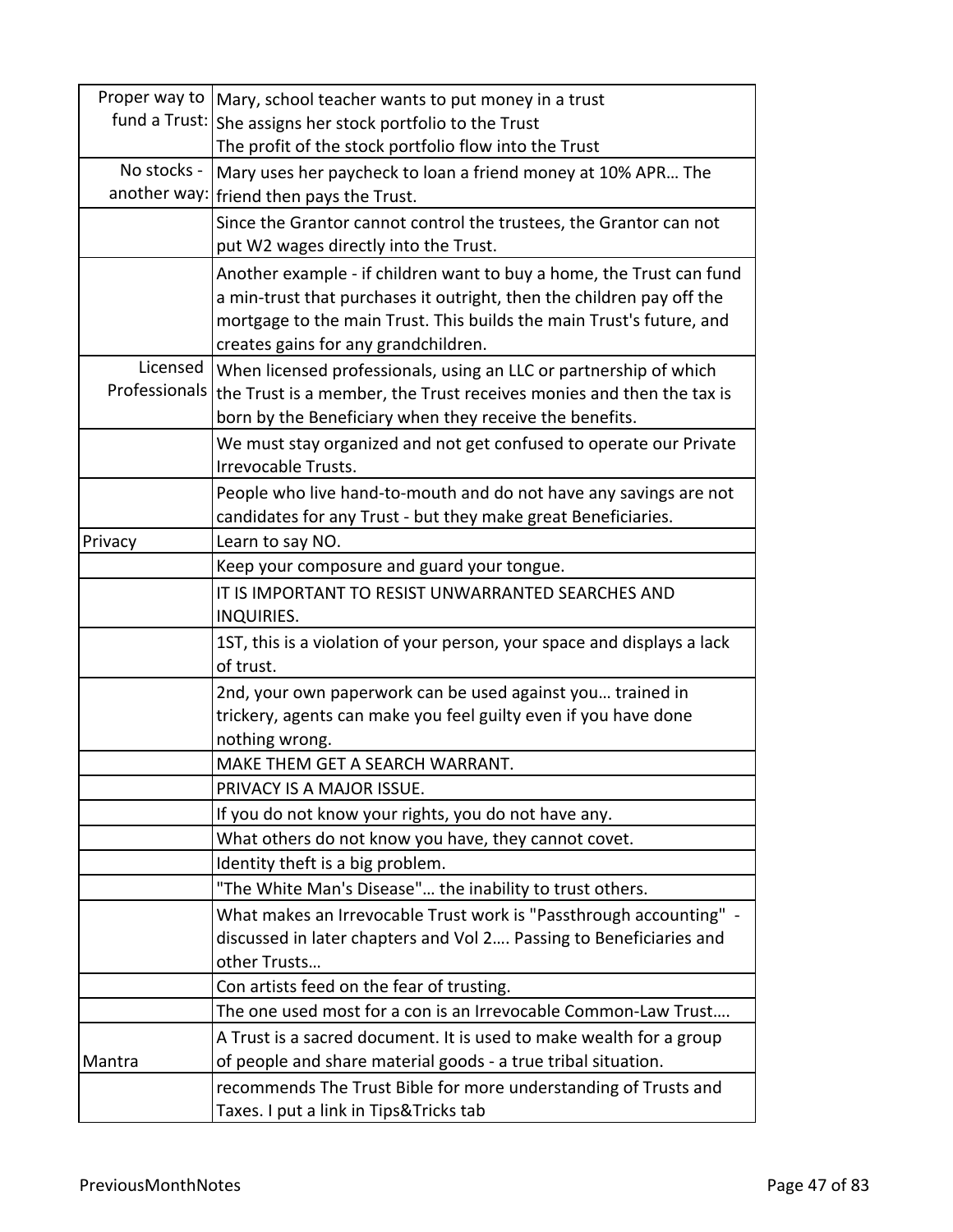|               | Proper way to   Mary, school teacher wants to put money in a trust      |
|---------------|-------------------------------------------------------------------------|
|               | fund a Trust: She assigns her stock portfolio to the Trust              |
|               | The profit of the stock portfolio flow into the Trust                   |
| No stocks -   | Mary uses her paycheck to loan a friend money at 10% APR The            |
| another way:  | friend then pays the Trust.                                             |
|               | Since the Grantor cannot control the trustees, the Grantor can not      |
|               | put W2 wages directly into the Trust.                                   |
|               | Another example - if children want to buy a home, the Trust can fund    |
|               | a min-trust that purchases it outright, then the children pay off the   |
|               | mortgage to the main Trust. This builds the main Trust's future, and    |
|               | creates gains for any grandchildren.                                    |
| Licensed      | When licensed professionals, using an LLC or partnership of which       |
| Professionals | the Trust is a member, the Trust receives monies and then the tax is    |
|               | born by the Beneficiary when they receive the benefits.                 |
|               | We must stay organized and not get confused to operate our Private      |
|               | Irrevocable Trusts.                                                     |
|               | People who live hand-to-mouth and do not have any savings are not       |
|               | candidates for any Trust - but they make great Beneficiaries.           |
| Privacy       | Learn to say NO.                                                        |
|               | Keep your composure and guard your tongue.                              |
|               | IT IS IMPORTANT TO RESIST UNWARRANTED SEARCHES AND                      |
|               | <b>INQUIRIES.</b>                                                       |
|               | 1ST, this is a violation of your person, your space and displays a lack |
|               | of trust.                                                               |
|               | 2nd, your own paperwork can be used against you trained in              |
|               | trickery, agents can make you feel guilty even if you have done         |
|               | nothing wrong.                                                          |
|               | MAKE THEM GET A SEARCH WARRANT.                                         |
|               | PRIVACY IS A MAJOR ISSUE.                                               |
|               | If you do not know your rights, you do not have any.                    |
|               | What others do not know you have, they cannot covet.                    |
|               | Identity theft is a big problem.                                        |
|               | "The White Man's Disease" the inability to trust others.                |
|               | What makes an Irrevocable Trust work is "Passthrough accounting" -      |
|               | discussed in later chapters and Vol 2 Passing to Beneficiaries and      |
|               | other Trusts                                                            |
|               | Con artists feed on the fear of trusting.                               |
|               | The one used most for a con is an Irrevocable Common-Law Trust          |
|               | A Trust is a sacred document. It is used to make wealth for a group     |
| Mantra        | of people and share material goods - a true tribal situation.           |
|               | recommends The Trust Bible for more understanding of Trusts and         |
|               | Taxes. I put a link in Tips&Tricks tab                                  |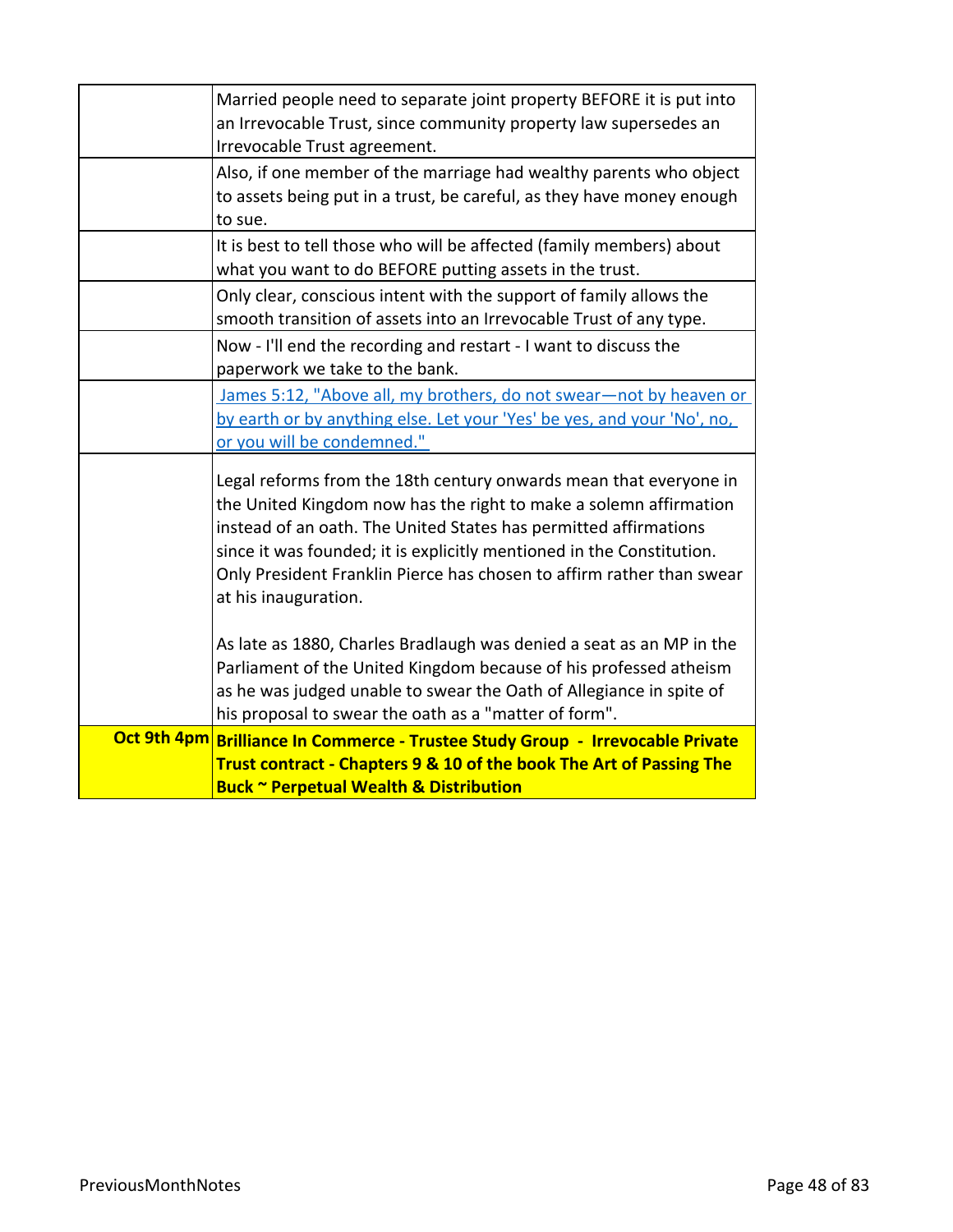| Married people need to separate joint property BEFORE it is put into<br>an Irrevocable Trust, since community property law supersedes an<br>Irrevocable Trust agreement.                                                                                                                                                                                                             |
|--------------------------------------------------------------------------------------------------------------------------------------------------------------------------------------------------------------------------------------------------------------------------------------------------------------------------------------------------------------------------------------|
| Also, if one member of the marriage had wealthy parents who object<br>to assets being put in a trust, be careful, as they have money enough<br>to sue.                                                                                                                                                                                                                               |
| It is best to tell those who will be affected (family members) about<br>what you want to do BEFORE putting assets in the trust.                                                                                                                                                                                                                                                      |
| Only clear, conscious intent with the support of family allows the<br>smooth transition of assets into an Irrevocable Trust of any type.                                                                                                                                                                                                                                             |
| Now - I'll end the recording and restart - I want to discuss the<br>paperwork we take to the bank.                                                                                                                                                                                                                                                                                   |
| James 5:12, "Above all, my brothers, do not swear-not by heaven or<br>by earth or by anything else. Let your 'Yes' be yes, and your 'No', no,<br>or you will be condemned."                                                                                                                                                                                                          |
| Legal reforms from the 18th century onwards mean that everyone in<br>the United Kingdom now has the right to make a solemn affirmation<br>instead of an oath. The United States has permitted affirmations<br>since it was founded; it is explicitly mentioned in the Constitution.<br>Only President Franklin Pierce has chosen to affirm rather than swear<br>at his inauguration. |
| As late as 1880, Charles Bradlaugh was denied a seat as an MP in the<br>Parliament of the United Kingdom because of his professed atheism<br>as he was judged unable to swear the Oath of Allegiance in spite of<br>his proposal to swear the oath as a "matter of form".                                                                                                            |
| Oct 9th 4pm Brilliance In Commerce - Trustee Study Group - Irrevocable Private<br>Trust contract - Chapters 9 & 10 of the book The Art of Passing The<br><b>Buck ~ Perpetual Wealth &amp; Distribution</b>                                                                                                                                                                           |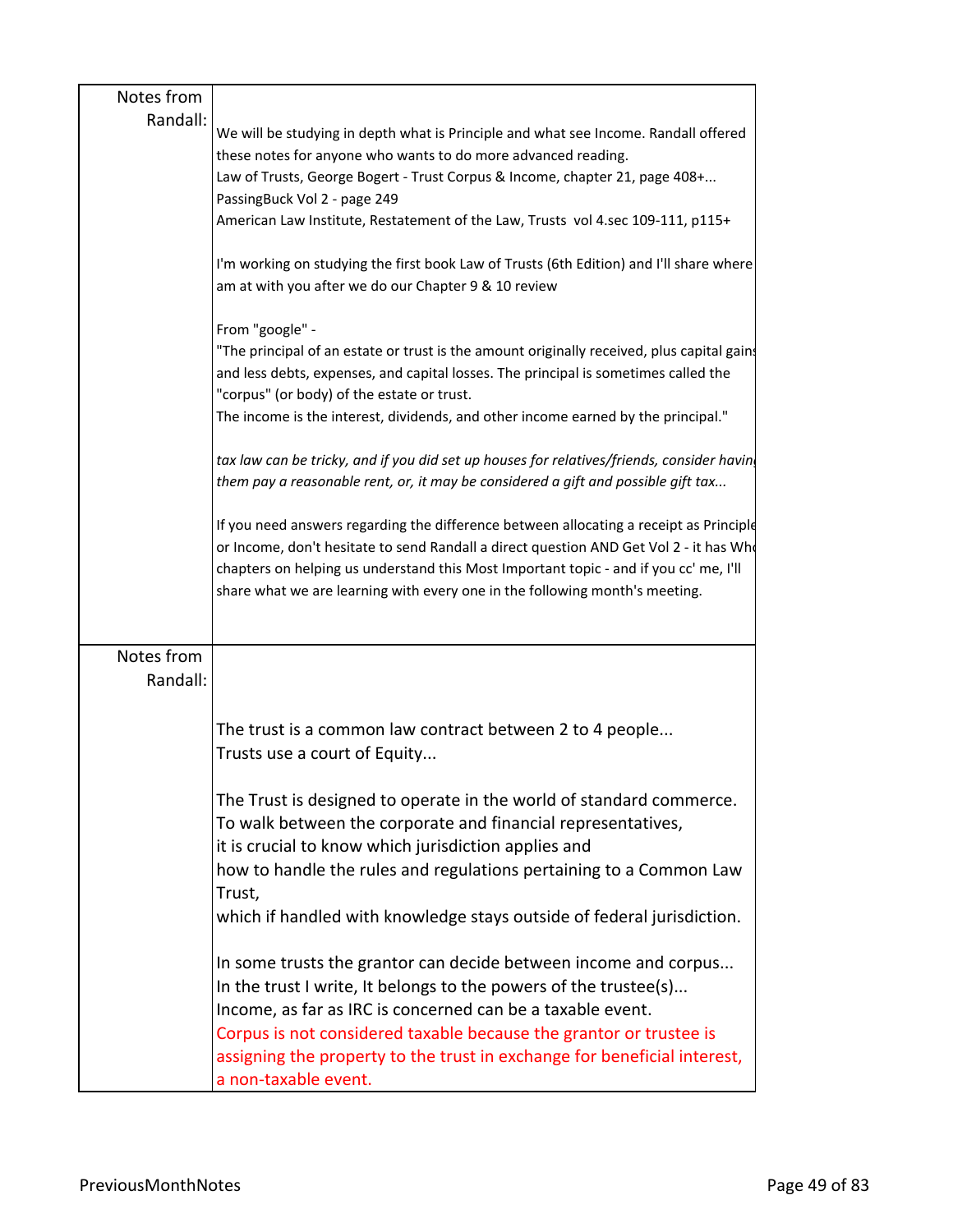| Notes from |                                                                                                                                                      |
|------------|------------------------------------------------------------------------------------------------------------------------------------------------------|
| Randall:   |                                                                                                                                                      |
|            | We will be studying in depth what is Principle and what see Income. Randall offered<br>these notes for anyone who wants to do more advanced reading. |
|            | Law of Trusts, George Bogert - Trust Corpus & Income, chapter 21, page 408+                                                                          |
|            | PassingBuck Vol 2 - page 249                                                                                                                         |
|            | American Law Institute, Restatement of the Law, Trusts vol 4.sec 109-111, p115+                                                                      |
|            |                                                                                                                                                      |
|            | I'm working on studying the first book Law of Trusts (6th Edition) and I'll share where<br>am at with you after we do our Chapter 9 & 10 review      |
|            | From "google" -                                                                                                                                      |
|            | "The principal of an estate or trust is the amount originally received, plus capital gain:                                                           |
|            | and less debts, expenses, and capital losses. The principal is sometimes called the                                                                  |
|            | "corpus" (or body) of the estate or trust.                                                                                                           |
|            | The income is the interest, dividends, and other income earned by the principal."                                                                    |
|            | tax law can be tricky, and if you did set up houses for relatives/friends, consider havin                                                            |
|            | them pay a reasonable rent, or, it may be considered a gift and possible gift tax                                                                    |
|            |                                                                                                                                                      |
|            | If you need answers regarding the difference between allocating a receipt as Principle                                                               |
|            | or Income, don't hesitate to send Randall a direct question AND Get Vol 2 - it has Who                                                               |
|            | chapters on helping us understand this Most Important topic - and if you cc' me, I'll                                                                |
|            | share what we are learning with every one in the following month's meeting.                                                                          |
|            |                                                                                                                                                      |
| Notes from |                                                                                                                                                      |
| Randall:   |                                                                                                                                                      |
|            |                                                                                                                                                      |
|            |                                                                                                                                                      |
|            | The trust is a common law contract between 2 to 4 people                                                                                             |
|            | Trusts use a court of Equity                                                                                                                         |
|            |                                                                                                                                                      |
|            | The Trust is designed to operate in the world of standard commerce.                                                                                  |
|            | To walk between the corporate and financial representatives,                                                                                         |
|            | it is crucial to know which jurisdiction applies and                                                                                                 |
|            | how to handle the rules and regulations pertaining to a Common Law                                                                                   |
|            | Trust,                                                                                                                                               |
|            | which if handled with knowledge stays outside of federal jurisdiction.                                                                               |
|            |                                                                                                                                                      |
|            | In some trusts the grantor can decide between income and corpus                                                                                      |
|            | In the trust I write, It belongs to the powers of the trustee(s)                                                                                     |
|            | Income, as far as IRC is concerned can be a taxable event.                                                                                           |
|            | Corpus is not considered taxable because the grantor or trustee is                                                                                   |
|            | assigning the property to the trust in exchange for beneficial interest,                                                                             |
|            | a non-taxable event.                                                                                                                                 |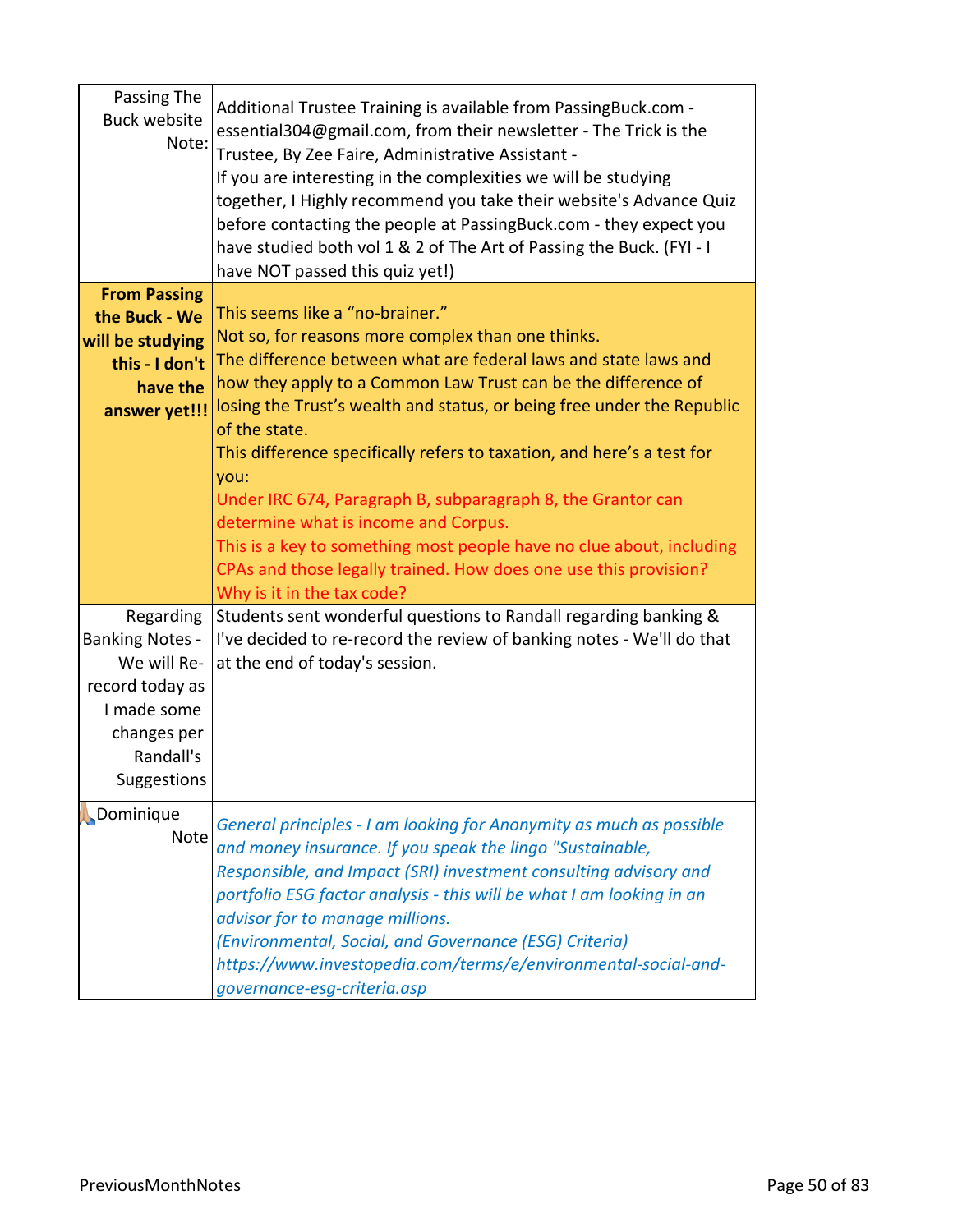| Passing The<br><b>Buck website</b><br>Note:                                                                                     | Additional Trustee Training is available from PassingBuck.com -<br>essential304@gmail.com, from their newsletter - The Trick is the<br>Trustee, By Zee Faire, Administrative Assistant -<br>If you are interesting in the complexities we will be studying<br>together, I Highly recommend you take their website's Advance Quiz<br>before contacting the people at PassingBuck.com - they expect you<br>have studied both vol 1 & 2 of The Art of Passing the Buck. (FYI - I<br>have NOT passed this quiz yet!) |
|---------------------------------------------------------------------------------------------------------------------------------|------------------------------------------------------------------------------------------------------------------------------------------------------------------------------------------------------------------------------------------------------------------------------------------------------------------------------------------------------------------------------------------------------------------------------------------------------------------------------------------------------------------|
| <b>From Passing</b><br>the Buck - We<br>will be studying<br>this - I don't<br>have the                                          | This seems like a "no-brainer."<br>Not so, for reasons more complex than one thinks.<br>The difference between what are federal laws and state laws and<br>how they apply to a Common Law Trust can be the difference of<br>losing the Trust's wealth and status, or being free under the Republic                                                                                                                                                                                                               |
| answer yet!!!                                                                                                                   | of the state.<br>This difference specifically refers to taxation, and here's a test for<br>you:<br>Under IRC 674, Paragraph B, subparagraph 8, the Grantor can<br>determine what is income and Corpus.<br>This is a key to something most people have no clue about, including<br>CPAs and those legally trained. How does one use this provision?<br>Why is it in the tax code?                                                                                                                                 |
| Regarding<br><b>Banking Notes -</b><br>We will Re-<br>record today as<br>I made some<br>changes per<br>Randall's<br>Suggestions | Students sent wonderful questions to Randall regarding banking &<br>I've decided to re-record the review of banking notes - We'll do that<br>at the end of today's session.                                                                                                                                                                                                                                                                                                                                      |
| Dominique<br>Note                                                                                                               | General principles - I am looking for Anonymity as much as possible<br>and money insurance. If you speak the lingo "Sustainable,<br>Responsible, and Impact (SRI) investment consulting advisory and<br>portfolio ESG factor analysis - this will be what I am looking in an<br>advisor for to manage millions.<br>(Environmental, Social, and Governance (ESG) Criteria)<br>https://www.investopedia.com/terms/e/environmental-social-and-<br>governance-esg-criteria.asp                                       |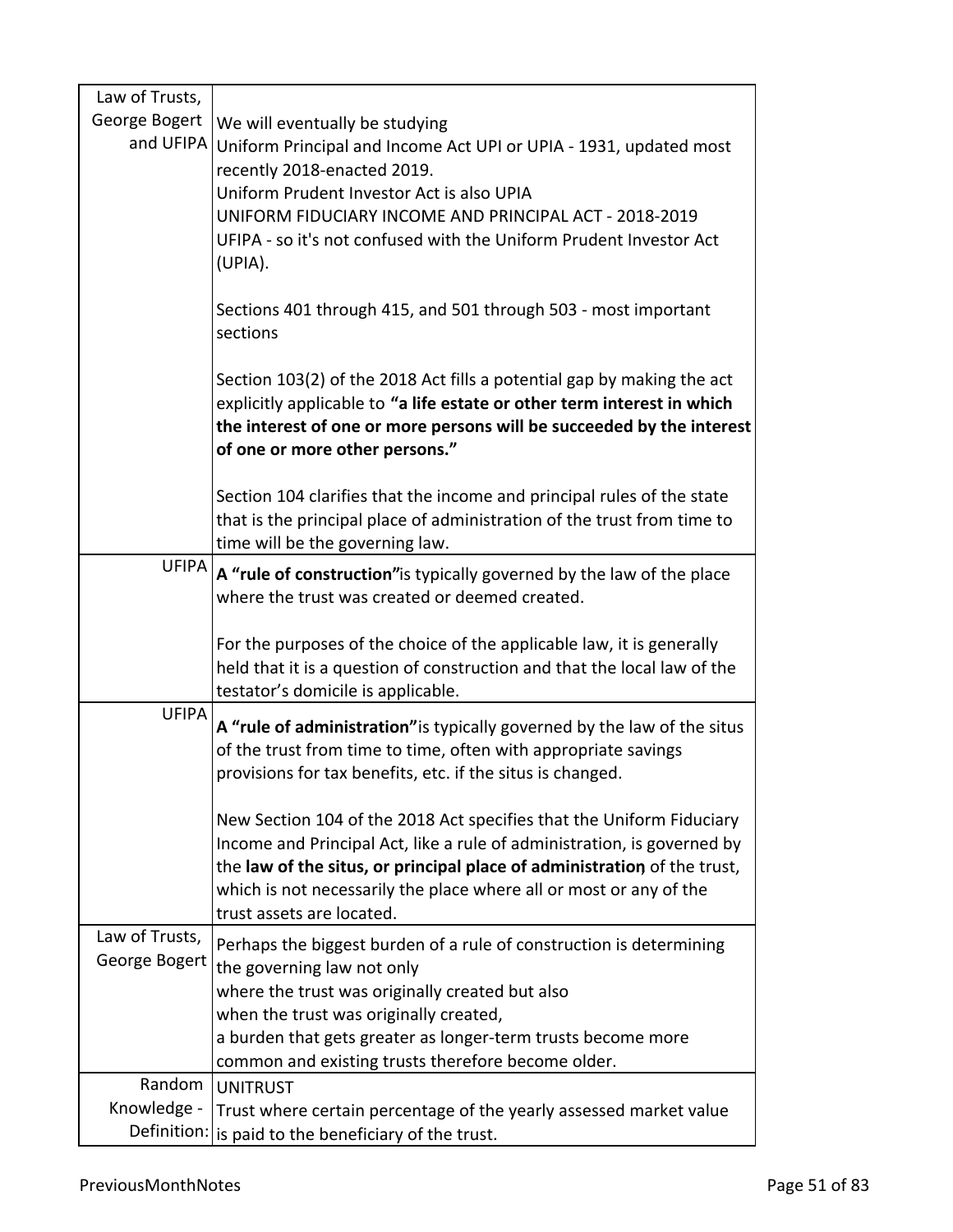| Law of Trusts,                  |                                                                                                                                                                                                                                                                                                                                |
|---------------------------------|--------------------------------------------------------------------------------------------------------------------------------------------------------------------------------------------------------------------------------------------------------------------------------------------------------------------------------|
| George Bogert                   | We will eventually be studying<br>and UFIPA Uniform Principal and Income Act UPI or UPIA - 1931, updated most<br>recently 2018-enacted 2019.<br>Uniform Prudent Investor Act is also UPIA                                                                                                                                      |
|                                 | UNIFORM FIDUCIARY INCOME AND PRINCIPAL ACT - 2018-2019<br>UFIPA - so it's not confused with the Uniform Prudent Investor Act<br>(UPIA).                                                                                                                                                                                        |
|                                 | Sections 401 through 415, and 501 through 503 - most important<br>sections                                                                                                                                                                                                                                                     |
|                                 | Section 103(2) of the 2018 Act fills a potential gap by making the act<br>explicitly applicable to "a life estate or other term interest in which<br>the interest of one or more persons will be succeeded by the interest<br>of one or more other persons."                                                                   |
|                                 | Section 104 clarifies that the income and principal rules of the state<br>that is the principal place of administration of the trust from time to<br>time will be the governing law.                                                                                                                                           |
| <b>UFIPA</b>                    | A "rule of construction" is typically governed by the law of the place<br>where the trust was created or deemed created.                                                                                                                                                                                                       |
|                                 | For the purposes of the choice of the applicable law, it is generally<br>held that it is a question of construction and that the local law of the<br>testator's domicile is applicable.                                                                                                                                        |
| <b>UFIPA</b>                    | A "rule of administration" is typically governed by the law of the situs<br>of the trust from time to time, often with appropriate savings<br>provisions for tax benefits, etc. if the situs is changed.                                                                                                                       |
|                                 | New Section 104 of the 2018 Act specifies that the Uniform Fiduciary<br>Income and Principal Act, like a rule of administration, is governed by<br>the law of the situs, or principal place of administration of the trust,<br>which is not necessarily the place where all or most or any of the<br>trust assets are located. |
| Law of Trusts,<br>George Bogert | Perhaps the biggest burden of a rule of construction is determining<br>the governing law not only                                                                                                                                                                                                                              |
|                                 | where the trust was originally created but also<br>when the trust was originally created,                                                                                                                                                                                                                                      |
|                                 | a burden that gets greater as longer-term trusts become more<br>common and existing trusts therefore become older.                                                                                                                                                                                                             |
| Random                          | <b>UNITRUST</b>                                                                                                                                                                                                                                                                                                                |
| Knowledge -                     | Trust where certain percentage of the yearly assessed market value<br>Definition: is paid to the beneficiary of the trust.                                                                                                                                                                                                     |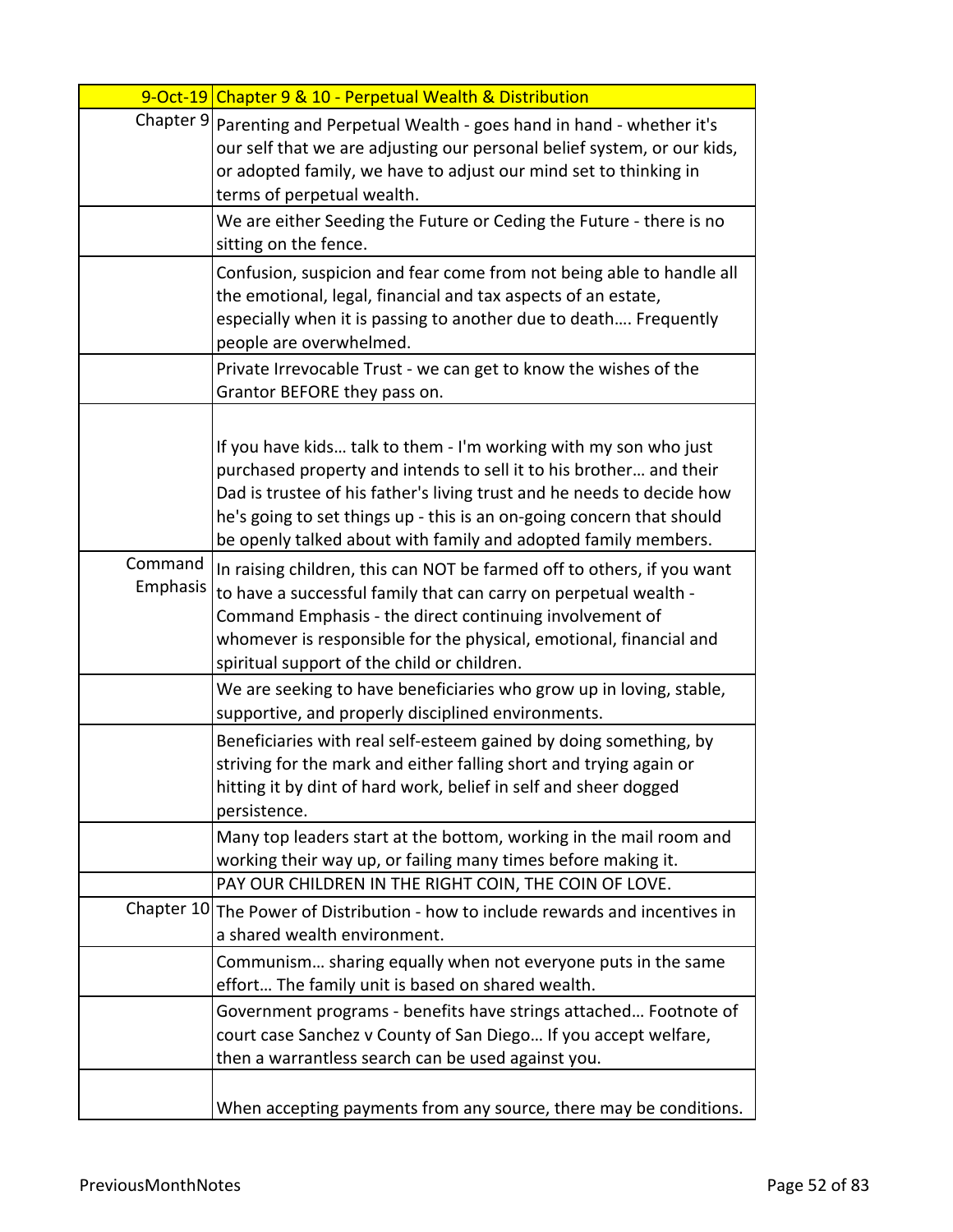|                     | 9-Oct-19 Chapter 9 & 10 - Perpetual Wealth & Distribution                                                                                                                                                                                                                                                                                                   |
|---------------------|-------------------------------------------------------------------------------------------------------------------------------------------------------------------------------------------------------------------------------------------------------------------------------------------------------------------------------------------------------------|
|                     | Chapter 9 Parenting and Perpetual Wealth - goes hand in hand - whether it's<br>our self that we are adjusting our personal belief system, or our kids,<br>or adopted family, we have to adjust our mind set to thinking in<br>terms of perpetual wealth.                                                                                                    |
|                     | We are either Seeding the Future or Ceding the Future - there is no<br>sitting on the fence.                                                                                                                                                                                                                                                                |
|                     | Confusion, suspicion and fear come from not being able to handle all<br>the emotional, legal, financial and tax aspects of an estate,<br>especially when it is passing to another due to death Frequently<br>people are overwhelmed.                                                                                                                        |
|                     | Private Irrevocable Trust - we can get to know the wishes of the<br>Grantor BEFORE they pass on.                                                                                                                                                                                                                                                            |
|                     | If you have kids talk to them - I'm working with my son who just<br>purchased property and intends to sell it to his brother and their<br>Dad is trustee of his father's living trust and he needs to decide how<br>he's going to set things up - this is an on-going concern that should<br>be openly talked about with family and adopted family members. |
| Command<br>Emphasis | In raising children, this can NOT be farmed off to others, if you want<br>to have a successful family that can carry on perpetual wealth -<br>Command Emphasis - the direct continuing involvement of<br>whomever is responsible for the physical, emotional, financial and<br>spiritual support of the child or children.                                  |
|                     | We are seeking to have beneficiaries who grow up in loving, stable,<br>supportive, and properly disciplined environments.                                                                                                                                                                                                                                   |
|                     | Beneficiaries with real self-esteem gained by doing something, by<br>striving for the mark and either falling short and trying again or<br>hitting it by dint of hard work, belief in self and sheer dogged<br>persistence.                                                                                                                                 |
|                     | Many top leaders start at the bottom, working in the mail room and<br>working their way up, or failing many times before making it.                                                                                                                                                                                                                         |
|                     | PAY OUR CHILDREN IN THE RIGHT COIN, THE COIN OF LOVE.                                                                                                                                                                                                                                                                                                       |
|                     | Chapter 10 The Power of Distribution - how to include rewards and incentives in<br>a shared wealth environment.                                                                                                                                                                                                                                             |
|                     | Communism sharing equally when not everyone puts in the same<br>effort The family unit is based on shared wealth.                                                                                                                                                                                                                                           |
|                     | Government programs - benefits have strings attached Footnote of<br>court case Sanchez v County of San Diego If you accept welfare,<br>then a warrantless search can be used against you.                                                                                                                                                                   |
|                     | When accepting payments from any source, there may be conditions.                                                                                                                                                                                                                                                                                           |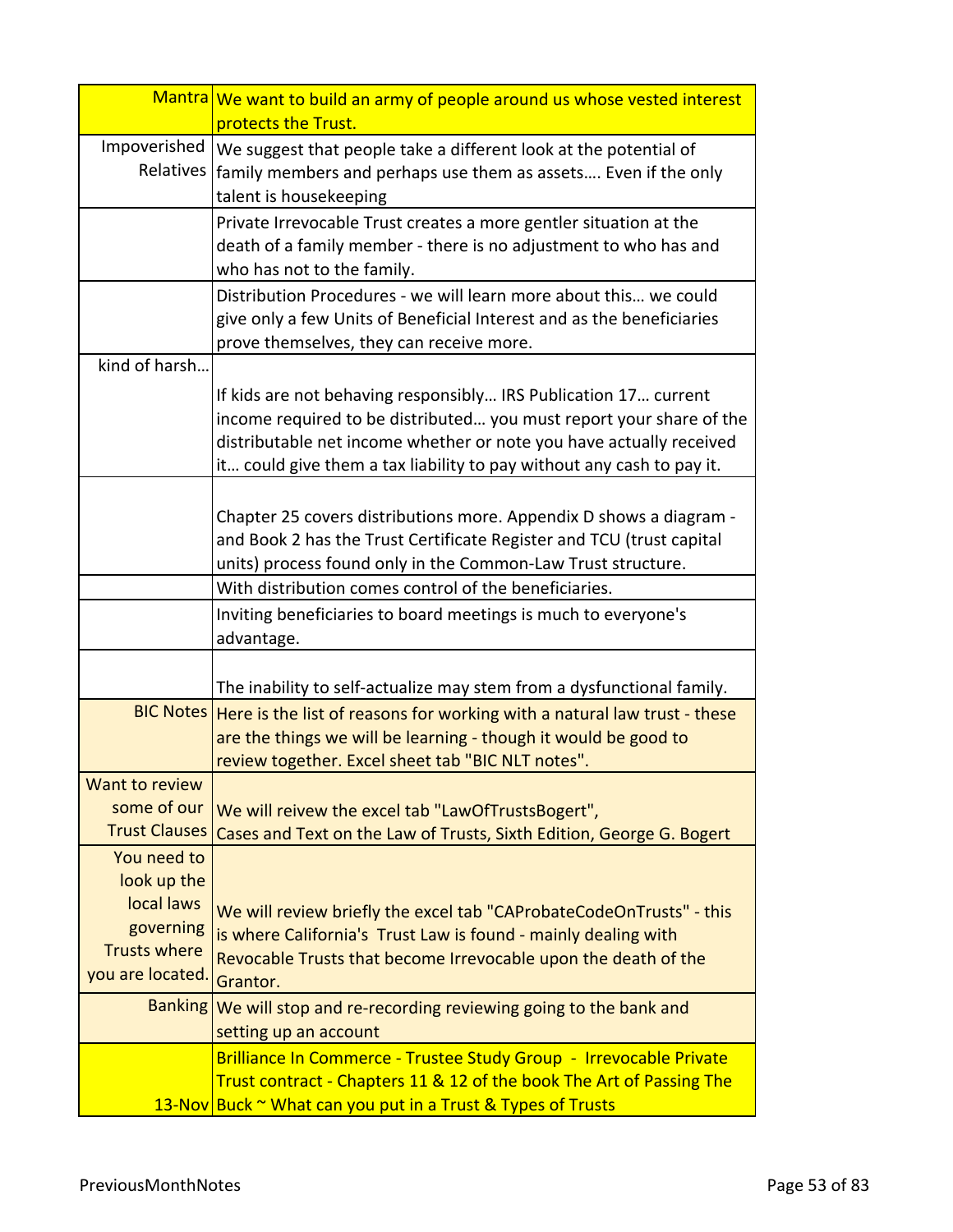|                                  | Mantra We want to build an army of people around us whose vested interest<br>protects the Trust.                                                                                                                                                                                       |
|----------------------------------|----------------------------------------------------------------------------------------------------------------------------------------------------------------------------------------------------------------------------------------------------------------------------------------|
| Impoverished<br>Relatives        | We suggest that people take a different look at the potential of<br>family members and perhaps use them as assets Even if the only<br>talent is housekeeping                                                                                                                           |
|                                  | Private Irrevocable Trust creates a more gentler situation at the<br>death of a family member - there is no adjustment to who has and<br>who has not to the family.                                                                                                                    |
|                                  | Distribution Procedures - we will learn more about this we could<br>give only a few Units of Beneficial Interest and as the beneficiaries<br>prove themselves, they can receive more.                                                                                                  |
| kind of harsh                    |                                                                                                                                                                                                                                                                                        |
|                                  | If kids are not behaving responsibly IRS Publication 17 current<br>income required to be distributed you must report your share of the<br>distributable net income whether or note you have actually received<br>it could give them a tax liability to pay without any cash to pay it. |
|                                  | Chapter 25 covers distributions more. Appendix D shows a diagram -<br>and Book 2 has the Trust Certificate Register and TCU (trust capital<br>units) process found only in the Common-Law Trust structure.                                                                             |
|                                  | With distribution comes control of the beneficiaries.                                                                                                                                                                                                                                  |
|                                  | Inviting beneficiaries to board meetings is much to everyone's<br>advantage.                                                                                                                                                                                                           |
|                                  | The inability to self-actualize may stem from a dysfunctional family.                                                                                                                                                                                                                  |
| <b>BIC Notes</b>                 | Here is the list of reasons for working with a natural law trust - these<br>are the things we will be learning - though it would be good to<br>review together. Excel sheet tab "BIC NLT notes".                                                                                       |
| Want to review.                  |                                                                                                                                                                                                                                                                                        |
| some of our                      | We will reivew the excel tab "LawOfTrustsBogert",                                                                                                                                                                                                                                      |
| <b>Trust Clauses</b>             | Cases and Text on the Law of Trusts, Sixth Edition, George G. Bogert                                                                                                                                                                                                                   |
| You need to                      |                                                                                                                                                                                                                                                                                        |
| look up the                      |                                                                                                                                                                                                                                                                                        |
| local laws                       | We will review briefly the excel tab "CAProbateCodeOnTrusts" - this                                                                                                                                                                                                                    |
| governing<br><b>Trusts where</b> | is where California's Trust Law is found - mainly dealing with                                                                                                                                                                                                                         |
| you are located.                 | Revocable Trusts that become Irrevocable upon the death of the<br>Grantor.                                                                                                                                                                                                             |
| <b>Banking</b>                   | We will stop and re-recording reviewing going to the bank and<br>setting up an account                                                                                                                                                                                                 |
|                                  | Brilliance In Commerce - Trustee Study Group - Irrevocable Private<br>Trust contract - Chapters 11 & 12 of the book The Art of Passing The                                                                                                                                             |
|                                  | 13-Nov Buck ~ What can you put in a Trust & Types of Trusts                                                                                                                                                                                                                            |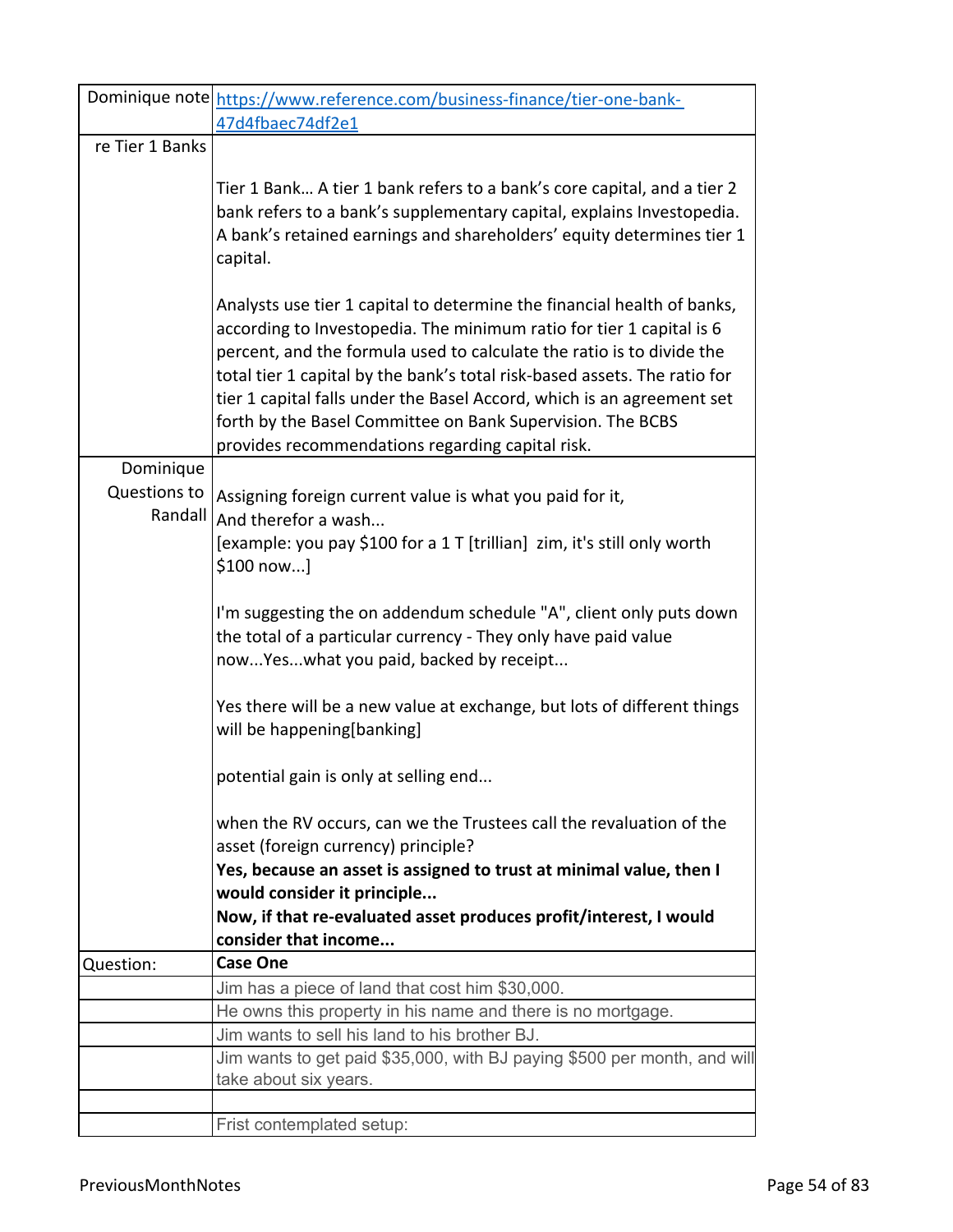|                           | Dominique note https://www.reference.com/business-finance/tier-one-bank-                                     |
|---------------------------|--------------------------------------------------------------------------------------------------------------|
|                           | 47d4fbaec74df2e1                                                                                             |
| re Tier 1 Banks           |                                                                                                              |
|                           | Tier 1 Bank A tier 1 bank refers to a bank's core capital, and a tier 2                                      |
|                           | bank refers to a bank's supplementary capital, explains Investopedia.                                        |
|                           | A bank's retained earnings and shareholders' equity determines tier 1                                        |
|                           | capital.                                                                                                     |
|                           | Analysts use tier 1 capital to determine the financial health of banks,                                      |
|                           | according to Investopedia. The minimum ratio for tier 1 capital is 6                                         |
|                           | percent, and the formula used to calculate the ratio is to divide the                                        |
|                           | total tier 1 capital by the bank's total risk-based assets. The ratio for                                    |
|                           | tier 1 capital falls under the Basel Accord, which is an agreement set                                       |
|                           | forth by the Basel Committee on Bank Supervision. The BCBS                                                   |
|                           | provides recommendations regarding capital risk.                                                             |
| Dominique<br>Questions to |                                                                                                              |
| Randall                   | Assigning foreign current value is what you paid for it,                                                     |
|                           | And therefor a wash                                                                                          |
|                           | [example: you pay \$100 for a 1 T [trillian] zim, it's still only worth<br>\$100 now]                        |
|                           | I'm suggesting the on addendum schedule "A", client only puts down                                           |
|                           | the total of a particular currency - They only have paid value                                               |
|                           | nowYeswhat you paid, backed by receipt                                                                       |
|                           |                                                                                                              |
|                           | Yes there will be a new value at exchange, but lots of different things                                      |
|                           | will be happening[banking]                                                                                   |
|                           | potential gain is only at selling end                                                                        |
|                           |                                                                                                              |
|                           | when the RV occurs, can we the Trustees call the revaluation of the                                          |
|                           | asset (foreign currency) principle?                                                                          |
|                           | Yes, because an asset is assigned to trust at minimal value, then I                                          |
|                           | would consider it principle                                                                                  |
|                           | Now, if that re-evaluated asset produces profit/interest, I would                                            |
|                           | consider that income                                                                                         |
| Question:                 | <b>Case One</b>                                                                                              |
|                           | Jim has a piece of land that cost him \$30,000.                                                              |
|                           | He owns this property in his name and there is no mortgage.<br>Jim wants to sell his land to his brother BJ. |
|                           | Jim wants to get paid \$35,000, with BJ paying \$500 per month, and will                                     |
|                           | take about six years.                                                                                        |
|                           |                                                                                                              |
|                           | Frist contemplated setup:                                                                                    |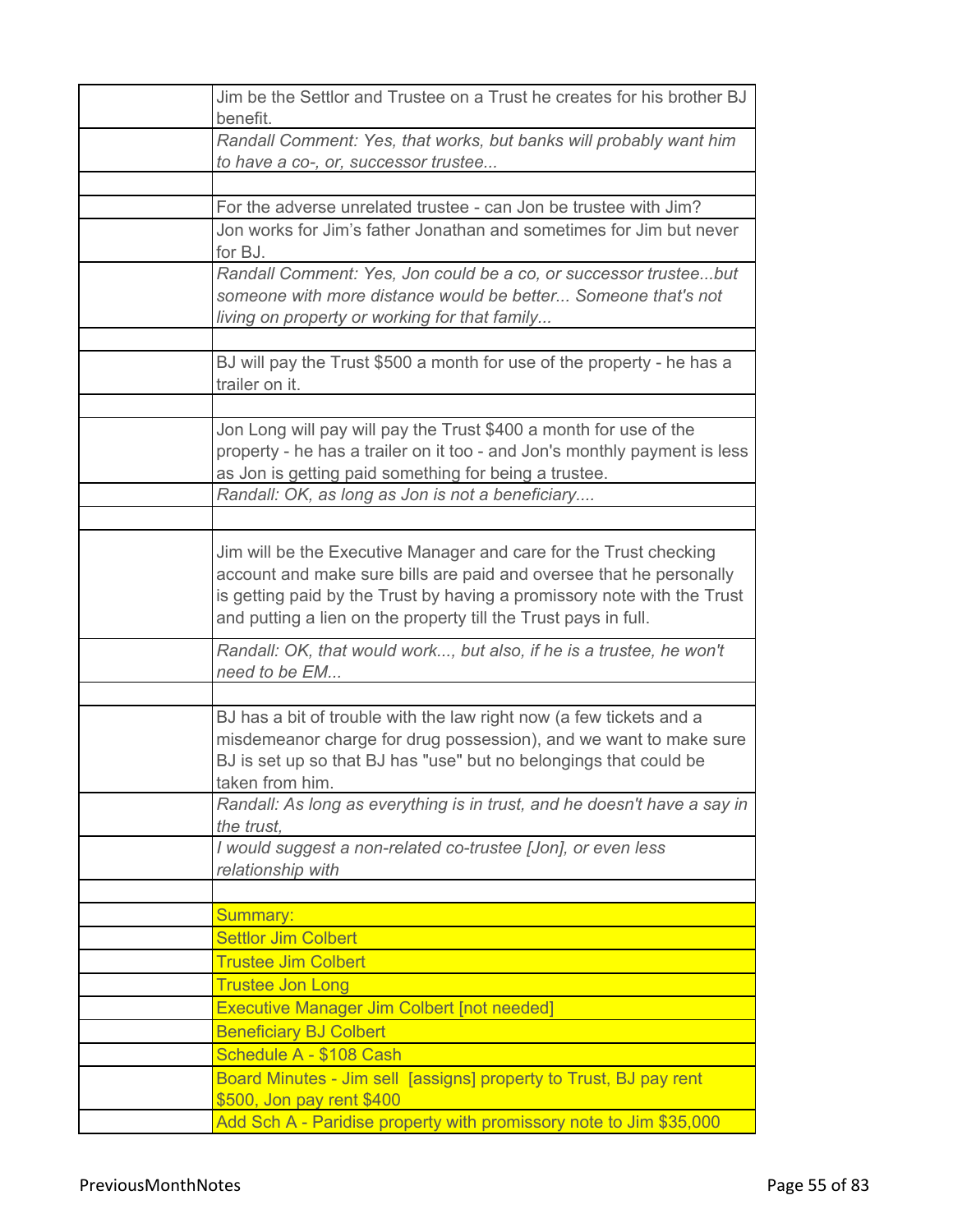| Jim be the Settlor and Trustee on a Trust he creates for his brother BJ<br>benefit.                                                                                                                                                                                                    |
|----------------------------------------------------------------------------------------------------------------------------------------------------------------------------------------------------------------------------------------------------------------------------------------|
| Randall Comment: Yes, that works, but banks will probably want him<br>to have a co-, or, successor trustee                                                                                                                                                                             |
|                                                                                                                                                                                                                                                                                        |
| For the adverse unrelated trustee - can Jon be trustee with Jim?                                                                                                                                                                                                                       |
| Jon works for Jim's father Jonathan and sometimes for Jim but never                                                                                                                                                                                                                    |
| for BJ.                                                                                                                                                                                                                                                                                |
| Randall Comment: Yes, Jon could be a co, or successor trusteebut<br>someone with more distance would be better Someone that's not                                                                                                                                                      |
| living on property or working for that family                                                                                                                                                                                                                                          |
|                                                                                                                                                                                                                                                                                        |
| BJ will pay the Trust \$500 a month for use of the property - he has a<br>trailer on it.                                                                                                                                                                                               |
|                                                                                                                                                                                                                                                                                        |
| Jon Long will pay will pay the Trust \$400 a month for use of the<br>property - he has a trailer on it too - and Jon's monthly payment is less<br>as Jon is getting paid something for being a trustee.                                                                                |
| Randall: OK, as long as Jon is not a beneficiary                                                                                                                                                                                                                                       |
|                                                                                                                                                                                                                                                                                        |
| Jim will be the Executive Manager and care for the Trust checking<br>account and make sure bills are paid and oversee that he personally<br>is getting paid by the Trust by having a promissory note with the Trust<br>and putting a lien on the property till the Trust pays in full. |
| Randall: OK, that would work, but also, if he is a trustee, he won't<br>need to be EM                                                                                                                                                                                                  |
|                                                                                                                                                                                                                                                                                        |
| BJ has a bit of trouble with the law right now (a few tickets and a<br>misdemeanor charge for drug possession), and we want to make sure<br>BJ is set up so that BJ has "use" but no belongings that could be<br>taken from him.                                                       |
| Randall: As long as everything is in trust, and he doesn't have a say in<br>the trust,                                                                                                                                                                                                 |
| I would suggest a non-related co-trustee [Jon], or even less<br>relationship with                                                                                                                                                                                                      |
|                                                                                                                                                                                                                                                                                        |
| Summary:                                                                                                                                                                                                                                                                               |
| <b>Settlor Jim Colbert</b>                                                                                                                                                                                                                                                             |
| <b>Trustee Jim Colbert</b>                                                                                                                                                                                                                                                             |
| <b>Trustee Jon Long</b>                                                                                                                                                                                                                                                                |
| <b>Executive Manager Jim Colbert [not needed]</b>                                                                                                                                                                                                                                      |
| <b>Beneficiary BJ Colbert</b>                                                                                                                                                                                                                                                          |
| Schedule A - \$108 Cash                                                                                                                                                                                                                                                                |
| Board Minutes - Jim sell [assigns] property to Trust, BJ pay rent<br>\$500, Jon pay rent \$400                                                                                                                                                                                         |
| Add Sch A - Paridise property with promissory note to Jim \$35,000                                                                                                                                                                                                                     |
|                                                                                                                                                                                                                                                                                        |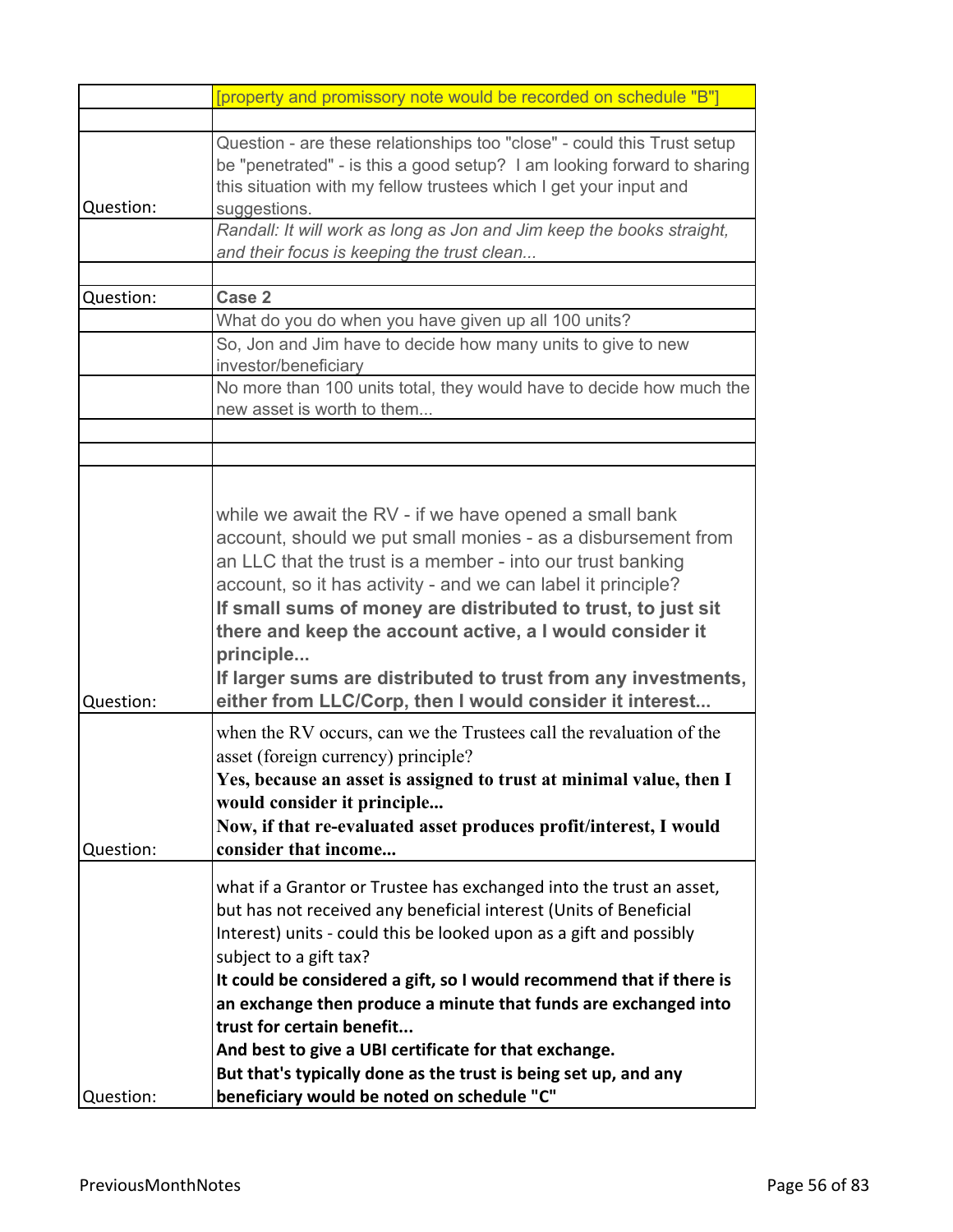|           | [property and promissory note would be recorded on schedule "B"]                                                                                                                                                                                                                                                                                                                                                                                                                                                                                                                           |
|-----------|--------------------------------------------------------------------------------------------------------------------------------------------------------------------------------------------------------------------------------------------------------------------------------------------------------------------------------------------------------------------------------------------------------------------------------------------------------------------------------------------------------------------------------------------------------------------------------------------|
|           |                                                                                                                                                                                                                                                                                                                                                                                                                                                                                                                                                                                            |
| Question: | Question - are these relationships too "close" - could this Trust setup<br>be "penetrated" - is this a good setup? I am looking forward to sharing<br>this situation with my fellow trustees which I get your input and<br>suggestions.                                                                                                                                                                                                                                                                                                                                                    |
|           | Randall: It will work as long as Jon and Jim keep the books straight,<br>and their focus is keeping the trust clean                                                                                                                                                                                                                                                                                                                                                                                                                                                                        |
|           |                                                                                                                                                                                                                                                                                                                                                                                                                                                                                                                                                                                            |
| Question: | Case 2                                                                                                                                                                                                                                                                                                                                                                                                                                                                                                                                                                                     |
|           | What do you do when you have given up all 100 units?                                                                                                                                                                                                                                                                                                                                                                                                                                                                                                                                       |
|           | So, Jon and Jim have to decide how many units to give to new<br>investor/beneficiary                                                                                                                                                                                                                                                                                                                                                                                                                                                                                                       |
|           | No more than 100 units total, they would have to decide how much the<br>new asset is worth to them                                                                                                                                                                                                                                                                                                                                                                                                                                                                                         |
|           |                                                                                                                                                                                                                                                                                                                                                                                                                                                                                                                                                                                            |
|           |                                                                                                                                                                                                                                                                                                                                                                                                                                                                                                                                                                                            |
| Question: | while we await the RV - if we have opened a small bank<br>account, should we put small monies - as a disbursement from<br>an LLC that the trust is a member - into our trust banking<br>account, so it has activity - and we can label it principle?<br>If small sums of money are distributed to trust, to just sit<br>there and keep the account active, a I would consider it<br>principle<br>If larger sums are distributed to trust from any investments,<br>either from LLC/Corp, then I would consider it interest                                                                  |
| Question: | when the RV occurs, can we the Trustees call the revaluation of the<br>asset (foreign currency) principle?<br>Yes, because an asset is assigned to trust at minimal value, then I<br>would consider it principle<br>Now, if that re-evaluated asset produces profit/interest, I would<br>consider that income                                                                                                                                                                                                                                                                              |
| Question: | what if a Grantor or Trustee has exchanged into the trust an asset,<br>but has not received any beneficial interest (Units of Beneficial<br>Interest) units - could this be looked upon as a gift and possibly<br>subject to a gift tax?<br>It could be considered a gift, so I would recommend that if there is<br>an exchange then produce a minute that funds are exchanged into<br>trust for certain benefit<br>And best to give a UBI certificate for that exchange.<br>But that's typically done as the trust is being set up, and any<br>beneficiary would be noted on schedule "C" |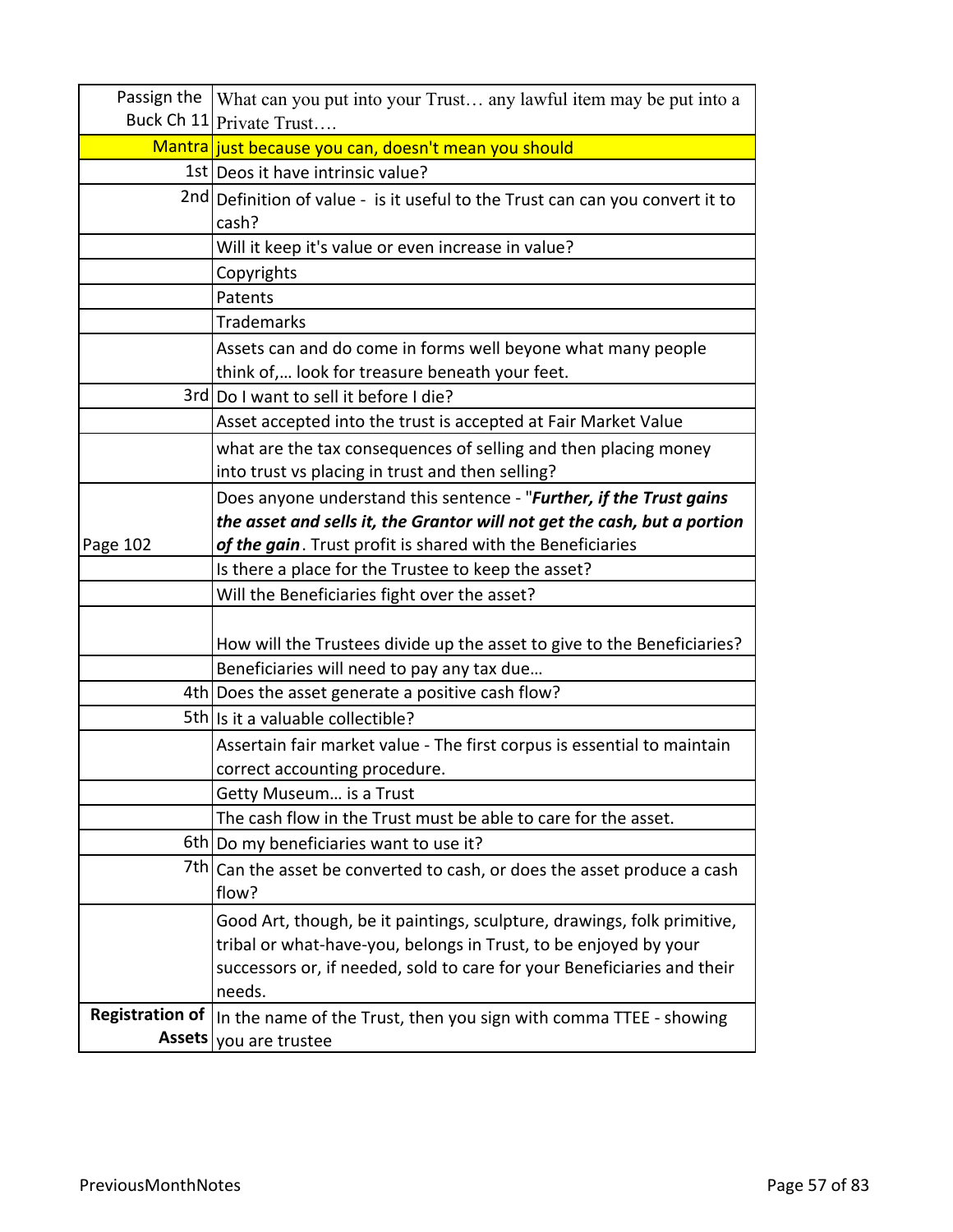| Passign the            | What can you put into your Trust any lawful item may be put into a            |
|------------------------|-------------------------------------------------------------------------------|
|                        | Buck Ch 11 Private Trust                                                      |
|                        | Mantra just because you can, doesn't mean you should                          |
|                        | 1st   Deos it have intrinsic value?                                           |
|                        | 2nd Definition of value - is it useful to the Trust can can you convert it to |
|                        | cash?                                                                         |
|                        | Will it keep it's value or even increase in value?                            |
|                        | Copyrights                                                                    |
|                        | Patents                                                                       |
|                        | <b>Trademarks</b>                                                             |
|                        | Assets can and do come in forms well beyone what many people                  |
|                        | think of, look for treasure beneath your feet.                                |
|                        | 3rd Do I want to sell it before I die?                                        |
|                        | Asset accepted into the trust is accepted at Fair Market Value                |
|                        | what are the tax consequences of selling and then placing money               |
|                        | into trust vs placing in trust and then selling?                              |
|                        | Does anyone understand this sentence - "Further, if the Trust gains           |
|                        | the asset and sells it, the Grantor will not get the cash, but a portion      |
| Page 102               | of the gain. Trust profit is shared with the Beneficiaries                    |
|                        | Is there a place for the Trustee to keep the asset?                           |
|                        | Will the Beneficiaries fight over the asset?                                  |
|                        |                                                                               |
|                        | How will the Trustees divide up the asset to give to the Beneficiaries?       |
|                        | Beneficiaries will need to pay any tax due                                    |
|                        | 4th Does the asset generate a positive cash flow?                             |
|                        | 5th Is it a valuable collectible?                                             |
|                        | Assertain fair market value - The first corpus is essential to maintain       |
|                        | correct accounting procedure.                                                 |
|                        | Getty Museum is a Trust                                                       |
|                        | The cash flow in the Trust must be able to care for the asset.                |
|                        | 6th Do my beneficiaries want to use it?                                       |
| 7th I                  | Can the asset be converted to cash, or does the asset produce a cash          |
|                        | flow?                                                                         |
|                        | Good Art, though, be it paintings, sculpture, drawings, folk primitive,       |
|                        | tribal or what-have-you, belongs in Trust, to be enjoyed by your              |
|                        | successors or, if needed, sold to care for your Beneficiaries and their       |
|                        | needs.                                                                        |
| <b>Registration of</b> | In the name of the Trust, then you sign with comma TTEE - showing             |
| <b>Assets</b>          | you are trustee                                                               |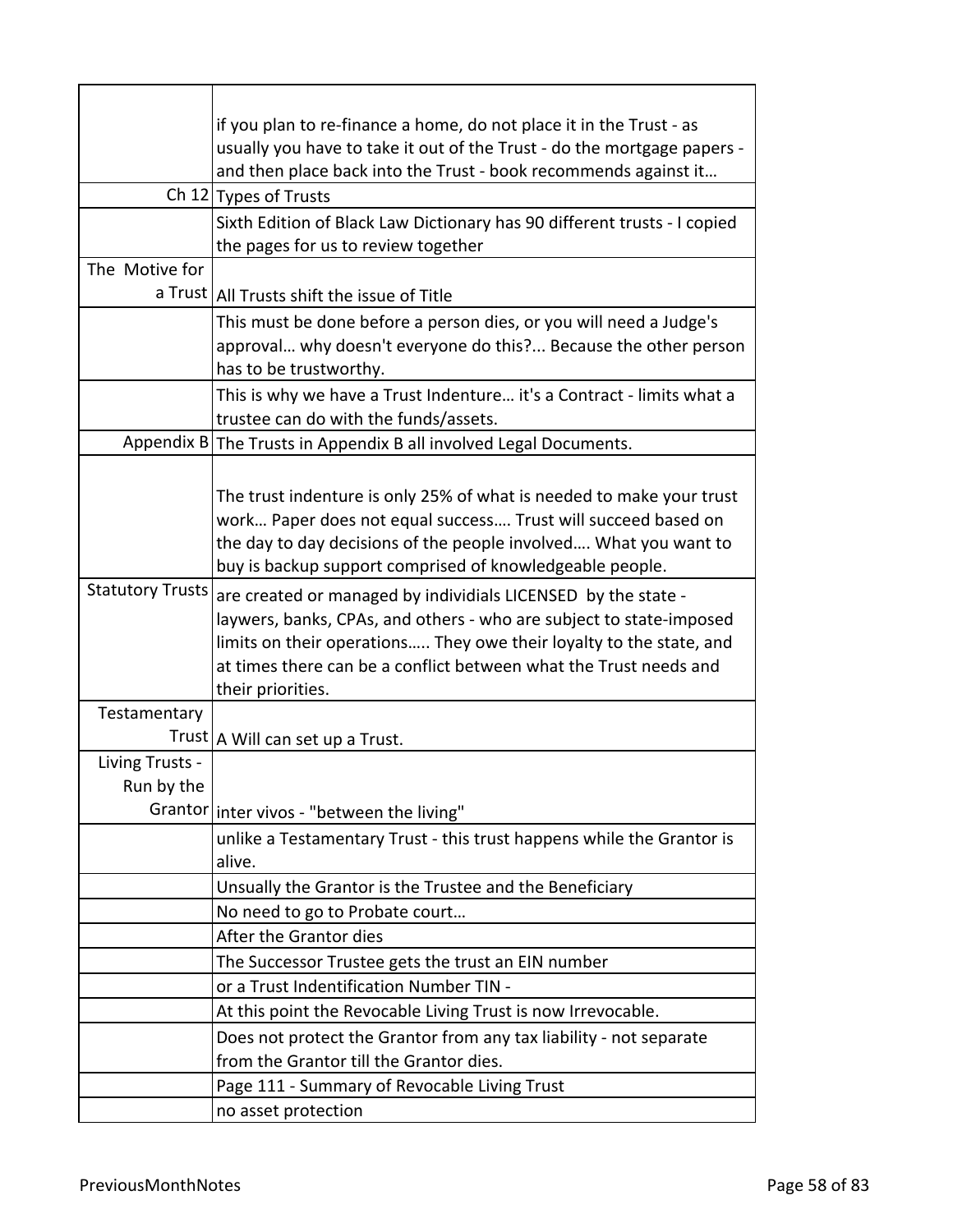|                         | if you plan to re-finance a home, do not place it in the Trust - as      |
|-------------------------|--------------------------------------------------------------------------|
|                         | usually you have to take it out of the Trust - do the mortgage papers -  |
|                         | and then place back into the Trust - book recommends against it          |
|                         | Ch 12 Types of Trusts                                                    |
|                         | Sixth Edition of Black Law Dictionary has 90 different trusts - I copied |
|                         | the pages for us to review together                                      |
| The Motive for          |                                                                          |
|                         | a Trust   All Trusts shift the issue of Title                            |
|                         | This must be done before a person dies, or you will need a Judge's       |
|                         | approval why doesn't everyone do this? Because the other person          |
|                         | has to be trustworthy.                                                   |
|                         | This is why we have a Trust Indenture it's a Contract - limits what a    |
|                         | trustee can do with the funds/assets.                                    |
| Appendix B              | The Trusts in Appendix B all involved Legal Documents.                   |
|                         |                                                                          |
|                         | The trust indenture is only 25% of what is needed to make your trust     |
|                         | work Paper does not equal success Trust will succeed based on            |
|                         | the day to day decisions of the people involved What you want to         |
|                         | buy is backup support comprised of knowledgeable people.                 |
| <b>Statutory Trusts</b> | are created or managed by individials LICENSED by the state -            |
|                         | laywers, banks, CPAs, and others - who are subject to state-imposed      |
|                         | limits on their operations They owe their loyalty to the state, and      |
|                         | at times there can be a conflict between what the Trust needs and        |
|                         | their priorities.                                                        |
| Testamentary            |                                                                          |
|                         | Trust   A Will can set up a Trust.                                       |
| Living Trusts -         |                                                                          |
| Run by the              |                                                                          |
|                         | Grantor   inter vivos - "between the living"                             |
|                         | unlike a Testamentary Trust - this trust happens while the Grantor is    |
|                         | alive.                                                                   |
|                         | Unsually the Grantor is the Trustee and the Beneficiary                  |
|                         | No need to go to Probate court                                           |
|                         | After the Grantor dies                                                   |
|                         | The Successor Trustee gets the trust an EIN number                       |
|                         | or a Trust Indentification Number TIN -                                  |
|                         | At this point the Revocable Living Trust is now Irrevocable.             |
|                         | Does not protect the Grantor from any tax liability - not separate       |
|                         | from the Grantor till the Grantor dies.                                  |
|                         | Page 111 - Summary of Revocable Living Trust                             |
|                         | no asset protection                                                      |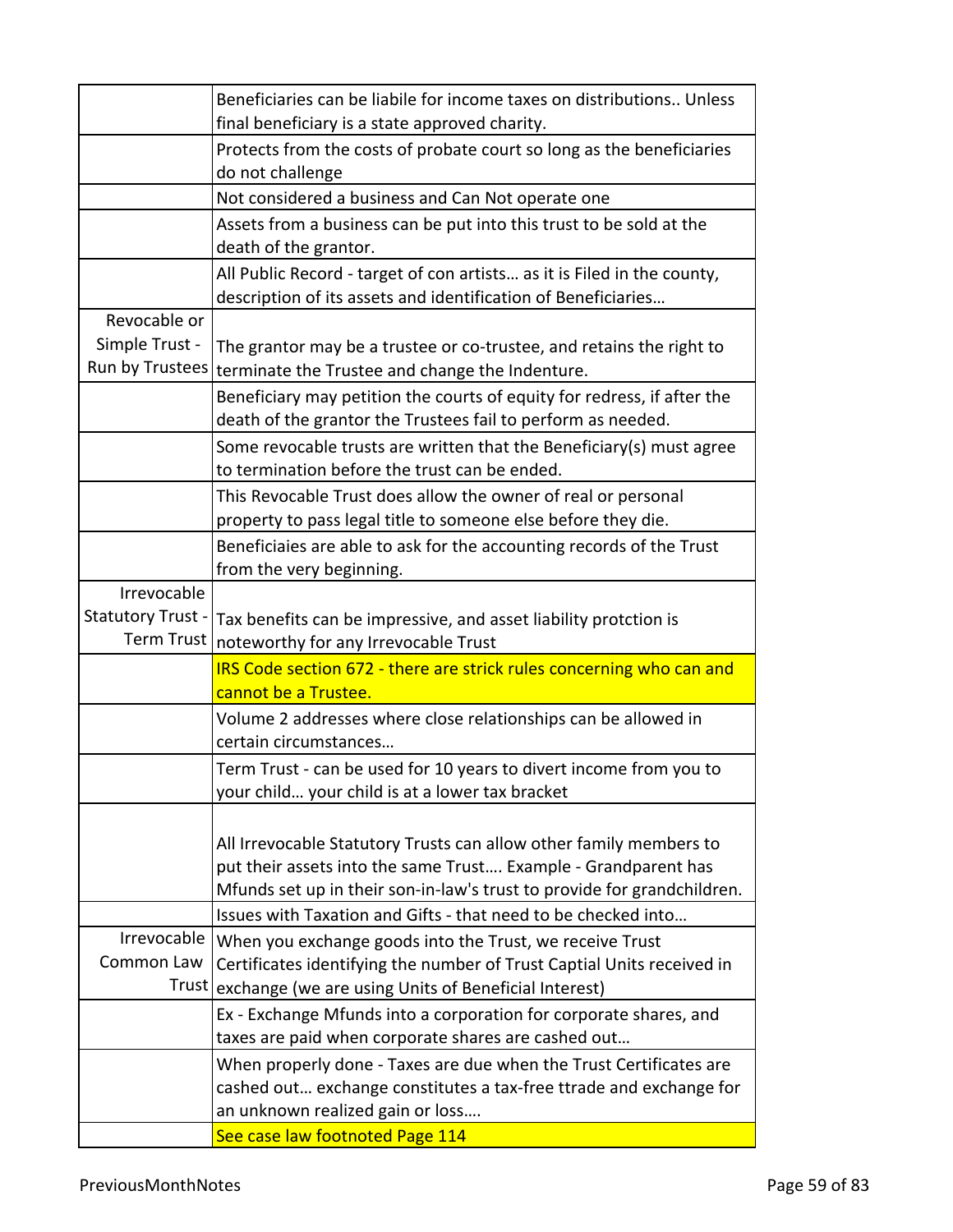|                          | Beneficiaries can be liabile for income taxes on distributions Unless   |
|--------------------------|-------------------------------------------------------------------------|
|                          | final beneficiary is a state approved charity.                          |
|                          | Protects from the costs of probate court so long as the beneficiaries   |
|                          | do not challenge                                                        |
|                          | Not considered a business and Can Not operate one                       |
|                          | Assets from a business can be put into this trust to be sold at the     |
|                          | death of the grantor.                                                   |
|                          | All Public Record - target of con artists as it is Filed in the county, |
|                          | description of its assets and identification of Beneficiaries           |
| Revocable or             |                                                                         |
| Simple Trust -           | The grantor may be a trustee or co-trustee, and retains the right to    |
| Run by Trustees          | terminate the Trustee and change the Indenture.                         |
|                          | Beneficiary may petition the courts of equity for redress, if after the |
|                          | death of the grantor the Trustees fail to perform as needed.            |
|                          | Some revocable trusts are written that the Beneficiary(s) must agree    |
|                          | to termination before the trust can be ended.                           |
|                          | This Revocable Trust does allow the owner of real or personal           |
|                          | property to pass legal title to someone else before they die.           |
|                          | Beneficiaies are able to ask for the accounting records of the Trust    |
|                          | from the very beginning.                                                |
| Irrevocable              |                                                                         |
| <b>Statutory Trust -</b> | Tax benefits can be impressive, and asset liability protction is        |
| <b>Term Trust</b>        | noteworthy for any Irrevocable Trust                                    |
|                          | IRS Code section 672 - there are strick rules concerning who can and    |
|                          | cannot be a Trustee.                                                    |
|                          | Volume 2 addresses where close relationships can be allowed in          |
|                          | certain circumstances                                                   |
|                          | Term Trust - can be used for 10 years to divert income from you to      |
|                          | your child your child is at a lower tax bracket                         |
|                          |                                                                         |
|                          | All Irrevocable Statutory Trusts can allow other family members to      |
|                          | put their assets into the same Trust Example - Grandparent has          |
|                          | Mfunds set up in their son-in-law's trust to provide for grandchildren. |
|                          | Issues with Taxation and Gifts - that need to be checked into           |
| Irrevocable              | When you exchange goods into the Trust, we receive Trust                |
| Common Law               | Certificates identifying the number of Trust Captial Units received in  |
| <b>Trust</b>             | exchange (we are using Units of Beneficial Interest)                    |
|                          | Ex - Exchange Mfunds into a corporation for corporate shares, and       |
|                          | taxes are paid when corporate shares are cashed out                     |
|                          | When properly done - Taxes are due when the Trust Certificates are      |
|                          | cashed out exchange constitutes a tax-free ttrade and exchange for      |
|                          | an unknown realized gain or loss                                        |
|                          | See case law footnoted Page 114                                         |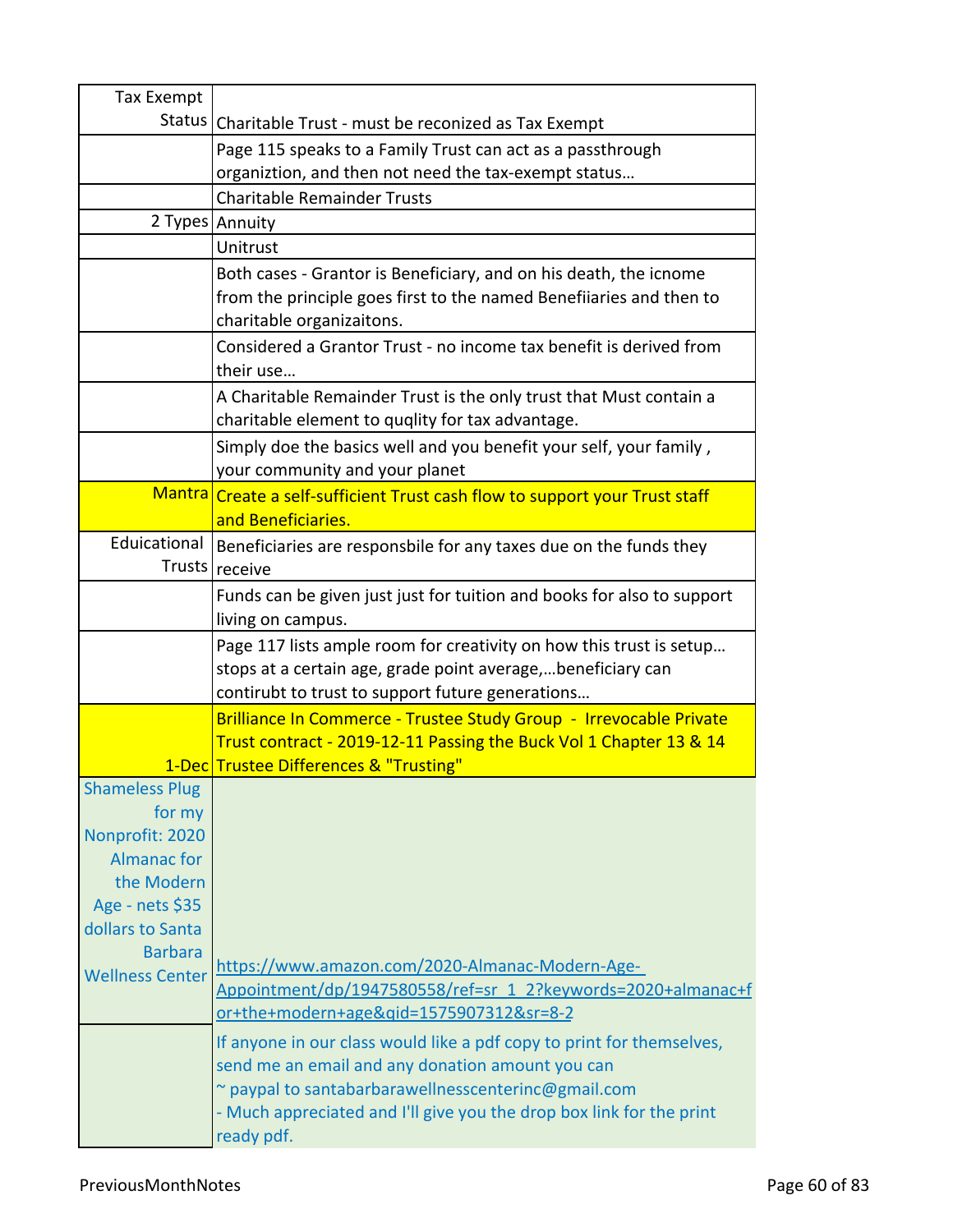| Tax Exempt                    |                                                                             |
|-------------------------------|-----------------------------------------------------------------------------|
| Status                        | Charitable Trust - must be reconized as Tax Exempt                          |
|                               | Page 115 speaks to a Family Trust can act as a passthrough                  |
|                               | organiztion, and then not need the tax-exempt status                        |
|                               | <b>Charitable Remainder Trusts</b>                                          |
|                               | 2 Types Annuity                                                             |
|                               | Unitrust                                                                    |
|                               | Both cases - Grantor is Beneficiary, and on his death, the icnome           |
|                               | from the principle goes first to the named Benefiiaries and then to         |
|                               | charitable organizaitons.                                                   |
|                               | Considered a Grantor Trust - no income tax benefit is derived from          |
|                               | their use                                                                   |
|                               | A Charitable Remainder Trust is the only trust that Must contain a          |
|                               | charitable element to quqlity for tax advantage.                            |
|                               | Simply doe the basics well and you benefit your self, your family,          |
|                               | your community and your planet                                              |
|                               | Mantra Create a self-sufficient Trust cash flow to support your Trust staff |
|                               | and Beneficiaries.                                                          |
| Eduicational                  | Beneficiaries are responsbile for any taxes due on the funds they           |
|                               | Trusts   receive                                                            |
|                               | Funds can be given just just for tuition and books for also to support      |
|                               | living on campus.                                                           |
|                               | Page 117 lists ample room for creativity on how this trust is setup         |
|                               | stops at a certain age, grade point average,beneficiary can                 |
|                               | contirubt to trust to support future generations                            |
|                               | Brilliance In Commerce - Trustee Study Group - Irrevocable Private          |
|                               | Trust contract - 2019-12-11 Passing the Buck Vol 1 Chapter 13 & 14          |
|                               | 1-Dec Trustee Differences & "Trusting"                                      |
| <b>Shameless Plug</b>         |                                                                             |
| for my                        |                                                                             |
| Nonprofit: 2020               |                                                                             |
| <b>Almanac for</b>            |                                                                             |
| the Modern<br>Age - nets \$35 |                                                                             |
| dollars to Santa              |                                                                             |
| <b>Barbara</b>                |                                                                             |
| <b>Wellness Center</b>        | https://www.amazon.com/2020-Almanac-Modern-Age-                             |
|                               | Appointment/dp/1947580558/ref=sr 1 2?keywords=2020+almanac+f                |
|                               | or+the+modern+age&gid=1575907312&sr=8-2                                     |
|                               | If anyone in our class would like a pdf copy to print for themselves,       |
|                               | send me an email and any donation amount you can                            |
|                               | ~ paypal to santabarbarawellnesscenterinc@gmail.com                         |
|                               | - Much appreciated and I'll give you the drop box link for the print        |
|                               | ready pdf.                                                                  |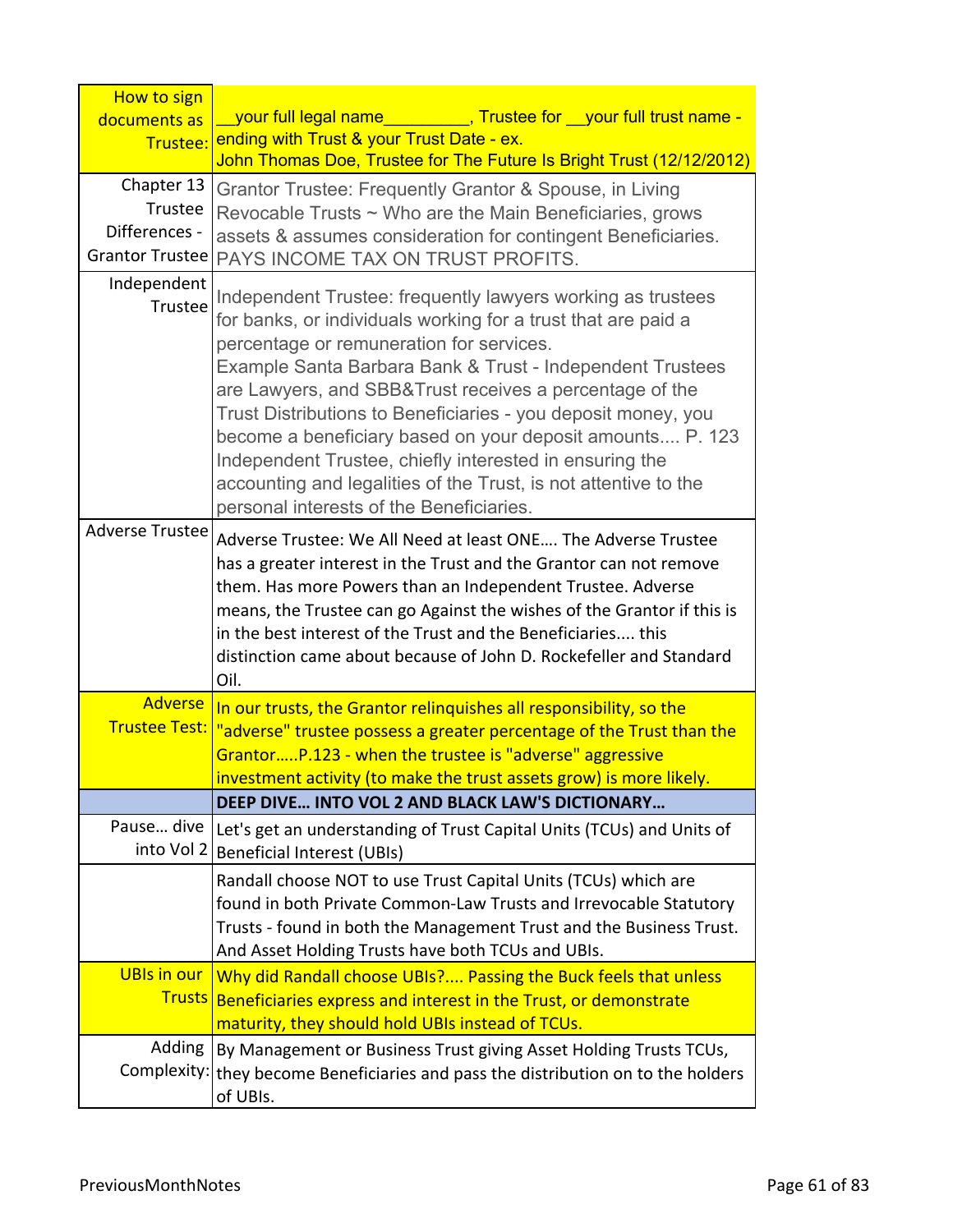| How to sign              |                                                                                   |
|--------------------------|-----------------------------------------------------------------------------------|
| documents as             | your full legal name Trustee for your full trust name -                           |
| Trustee:                 | ending with Trust & your Trust Date - ex.                                         |
|                          | John Thomas Doe, Trustee for The Future Is Bright Trust (12/12/2012)              |
| Chapter 13<br>Trustee    | Grantor Trustee: Frequently Grantor & Spouse, in Living                           |
| Differences -            | Revocable Trusts ~ Who are the Main Beneficiaries, grows                          |
| Grantor Trustee          | assets & assumes consideration for contingent Beneficiaries.                      |
|                          | PAYS INCOME TAX ON TRUST PROFITS.                                                 |
| Independent<br>Trustee   | Independent Trustee: frequently lawyers working as trustees                       |
|                          | for banks, or individuals working for a trust that are paid a                     |
|                          | percentage or remuneration for services.                                          |
|                          | Example Santa Barbara Bank & Trust - Independent Trustees                         |
|                          | are Lawyers, and SBB&Trust receives a percentage of the                           |
|                          | Trust Distributions to Beneficiaries - you deposit money, you                     |
|                          | become a beneficiary based on your deposit amounts P. 123                         |
|                          | Independent Trustee, chiefly interested in ensuring the                           |
|                          | accounting and legalities of the Trust, is not attentive to the                   |
|                          | personal interests of the Beneficiaries.                                          |
| Adverse Trustee          | Adverse Trustee: We All Need at least ONE The Adverse Trustee                     |
|                          | has a greater interest in the Trust and the Grantor can not remove                |
|                          | them. Has more Powers than an Independent Trustee. Adverse                        |
|                          | means, the Trustee can go Against the wishes of the Grantor if this is            |
|                          | in the best interest of the Trust and the Beneficiaries this                      |
|                          | distinction came about because of John D. Rockefeller and Standard                |
|                          | Oil.                                                                              |
| <b>Adverse</b>           | In our trusts, the Grantor relinguishes all responsibility, so the                |
| <b>Trustee Test:</b>     | "adverse" trustee possess a greater percentage of the Trust than the              |
|                          | GrantorP.123 - when the trustee is "adverse" aggressive                           |
|                          | investment activity (to make the trust assets grow) is more likely.               |
|                          | DEEP DIVE INTO VOL 2 AND BLACK LAW'S DICTIONARY                                   |
| Pause dive<br>into Vol 2 | Let's get an understanding of Trust Capital Units (TCUs) and Units of             |
|                          | <b>Beneficial Interest (UBIs)</b>                                                 |
|                          | Randall choose NOT to use Trust Capital Units (TCUs) which are                    |
|                          | found in both Private Common-Law Trusts and Irrevocable Statutory                 |
|                          | Trusts - found in both the Management Trust and the Business Trust.               |
|                          | And Asset Holding Trusts have both TCUs and UBIs.                                 |
| <b>UBIs in our</b>       | Why did Randall choose UBIs? Passing the Buck feels that unless                   |
|                          | Trusts Beneficiaries express and interest in the Trust, or demonstrate            |
|                          | maturity, they should hold UBIs instead of TCUs.                                  |
| Adding                   | By Management or Business Trust giving Asset Holding Trusts TCUs,                 |
|                          | Complexity: they become Beneficiaries and pass the distribution on to the holders |
|                          | of UBIs.                                                                          |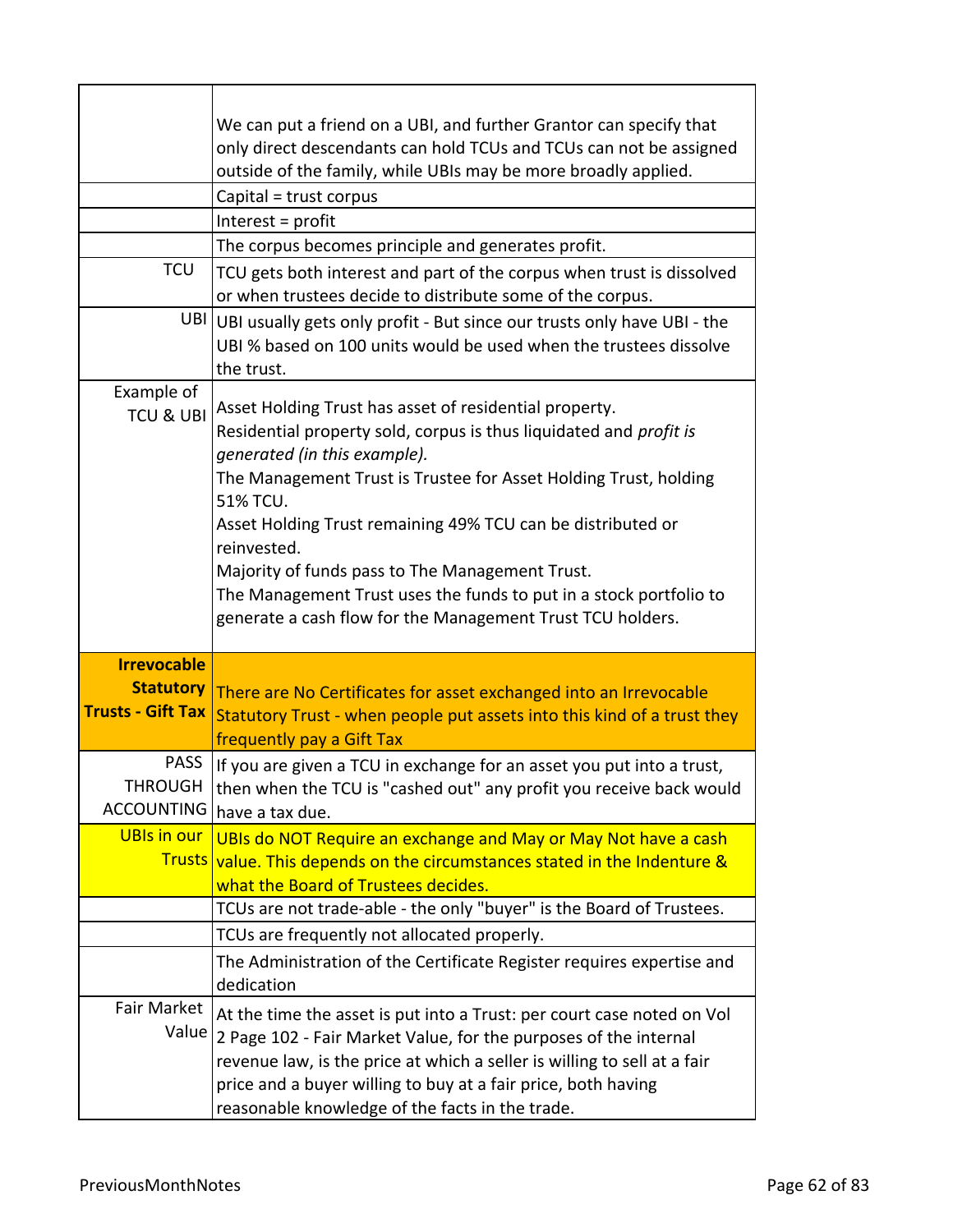| <b>TCU</b>                                                         | We can put a friend on a UBI, and further Grantor can specify that<br>only direct descendants can hold TCUs and TCUs can not be assigned<br>outside of the family, while UBIs may be more broadly applied.<br>Capital = trust corpus<br>Interest = profit<br>The corpus becomes principle and generates profit.<br>TCU gets both interest and part of the corpus when trust is dissolved                                                                                                                          |
|--------------------------------------------------------------------|-------------------------------------------------------------------------------------------------------------------------------------------------------------------------------------------------------------------------------------------------------------------------------------------------------------------------------------------------------------------------------------------------------------------------------------------------------------------------------------------------------------------|
| UBI <sup>1</sup>                                                   | or when trustees decide to distribute some of the corpus.<br>UBI usually gets only profit - But since our trusts only have UBI - the<br>UBI % based on 100 units would be used when the trustees dissolve<br>the trust.                                                                                                                                                                                                                                                                                           |
| Example of<br><b>TCU &amp; UBI</b>                                 | Asset Holding Trust has asset of residential property.<br>Residential property sold, corpus is thus liquidated and profit is<br>generated (in this example).<br>The Management Trust is Trustee for Asset Holding Trust, holding<br>51% TCU.<br>Asset Holding Trust remaining 49% TCU can be distributed or<br>reinvested.<br>Majority of funds pass to The Management Trust.<br>The Management Trust uses the funds to put in a stock portfolio to<br>generate a cash flow for the Management Trust TCU holders. |
| <b>Irrevocable</b><br><b>Statutory</b><br><b>Trusts - Gift Tax</b> | There are No Certificates for asset exchanged into an Irrevocable<br>Statutory Trust - when people put assets into this kind of a trust they<br>frequently pay a Gift Tax                                                                                                                                                                                                                                                                                                                                         |
| <b>PASS</b><br>THROUGH<br><b>ACCOUNTING</b>                        | If you are given a TCU in exchange for an asset you put into a trust,<br>then when the TCU is "cashed out" any profit you receive back would<br>have a tax due.                                                                                                                                                                                                                                                                                                                                                   |
| <b>UBIs in our</b>                                                 | UBIs do NOT Require an exchange and May or May Not have a cash<br>Trusts value. This depends on the circumstances stated in the Indenture &<br>what the Board of Trustees decides.                                                                                                                                                                                                                                                                                                                                |
|                                                                    | TCUs are not trade-able - the only "buyer" is the Board of Trustees.                                                                                                                                                                                                                                                                                                                                                                                                                                              |
|                                                                    | TCUs are frequently not allocated properly.<br>The Administration of the Certificate Register requires expertise and<br>dedication                                                                                                                                                                                                                                                                                                                                                                                |
| Fair Market<br>Value                                               | At the time the asset is put into a Trust: per court case noted on Vol<br>2 Page 102 - Fair Market Value, for the purposes of the internal<br>revenue law, is the price at which a seller is willing to sell at a fair<br>price and a buyer willing to buy at a fair price, both having<br>reasonable knowledge of the facts in the trade.                                                                                                                                                                        |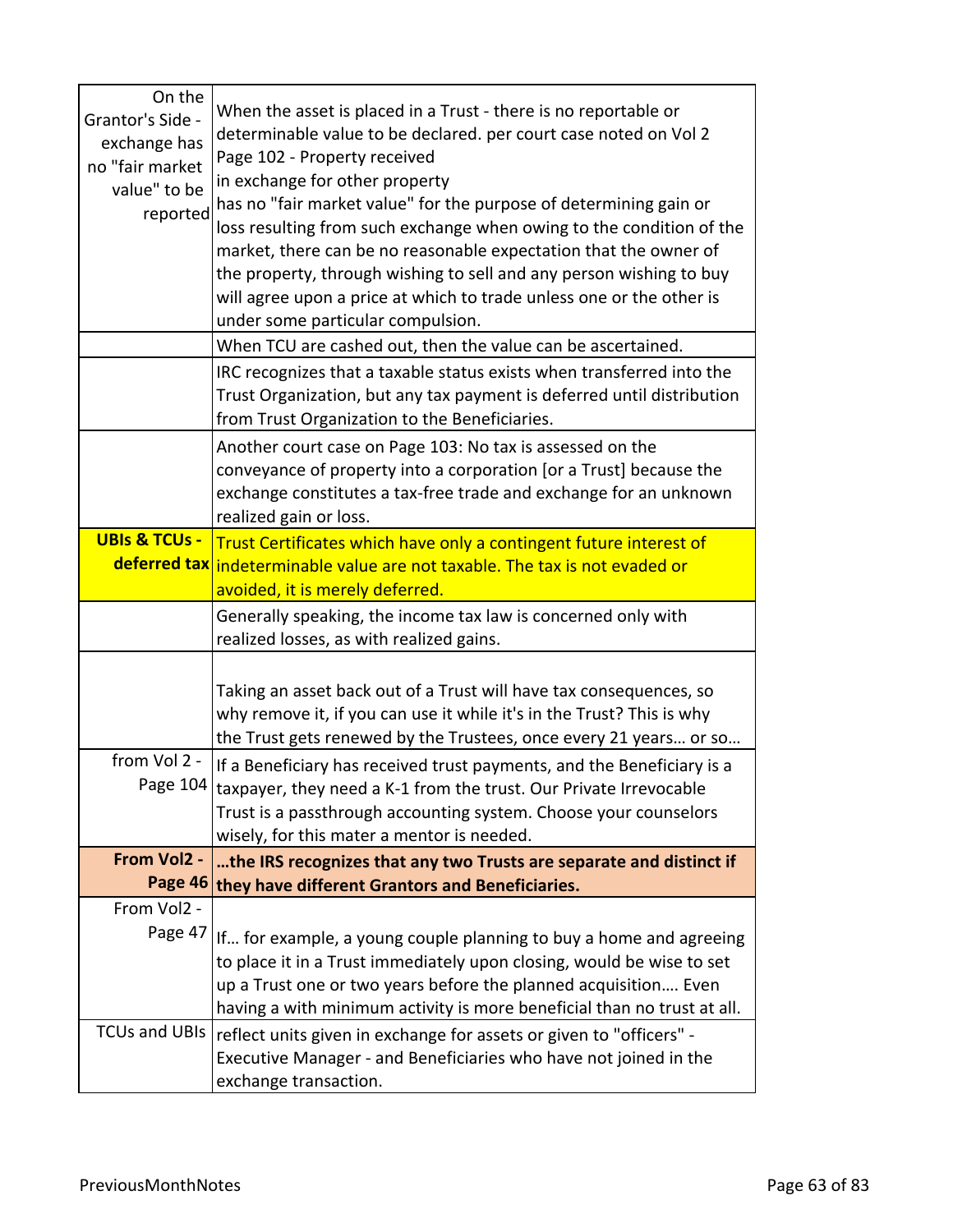| On the<br>Grantor's Side -<br>exchange has<br>no "fair market<br>value" to be<br>reported | When the asset is placed in a Trust - there is no reportable or<br>determinable value to be declared. per court case noted on Vol 2<br>Page 102 - Property received<br>in exchange for other property<br>has no "fair market value" for the purpose of determining gain or<br>loss resulting from such exchange when owing to the condition of the<br>market, there can be no reasonable expectation that the owner of<br>the property, through wishing to sell and any person wishing to buy<br>will agree upon a price at which to trade unless one or the other is<br>under some particular compulsion. |
|-------------------------------------------------------------------------------------------|------------------------------------------------------------------------------------------------------------------------------------------------------------------------------------------------------------------------------------------------------------------------------------------------------------------------------------------------------------------------------------------------------------------------------------------------------------------------------------------------------------------------------------------------------------------------------------------------------------|
|                                                                                           | When TCU are cashed out, then the value can be ascertained.                                                                                                                                                                                                                                                                                                                                                                                                                                                                                                                                                |
|                                                                                           | IRC recognizes that a taxable status exists when transferred into the<br>Trust Organization, but any tax payment is deferred until distribution<br>from Trust Organization to the Beneficiaries.                                                                                                                                                                                                                                                                                                                                                                                                           |
|                                                                                           | Another court case on Page 103: No tax is assessed on the<br>conveyance of property into a corporation [or a Trust] because the<br>exchange constitutes a tax-free trade and exchange for an unknown<br>realized gain or loss.                                                                                                                                                                                                                                                                                                                                                                             |
| <b>UBIs &amp; TCUs -</b>                                                                  | Trust Certificates which have only a contingent future interest of                                                                                                                                                                                                                                                                                                                                                                                                                                                                                                                                         |
|                                                                                           | deferred tax indeterminable value are not taxable. The tax is not evaded or<br>avoided, it is merely deferred.                                                                                                                                                                                                                                                                                                                                                                                                                                                                                             |
|                                                                                           | Generally speaking, the income tax law is concerned only with<br>realized losses, as with realized gains.                                                                                                                                                                                                                                                                                                                                                                                                                                                                                                  |
|                                                                                           | Taking an asset back out of a Trust will have tax consequences, so<br>why remove it, if you can use it while it's in the Trust? This is why<br>the Trust gets renewed by the Trustees, once every 21 years or so                                                                                                                                                                                                                                                                                                                                                                                           |
| from Vol 2 -                                                                              | If a Beneficiary has received trust payments, and the Beneficiary is a<br>Page $104$ taxpayer, they need a K-1 from the trust. Our Private Irrevocable<br>Trust is a passthrough accounting system. Choose your counselors<br>wisely, for this mater a mentor is needed.                                                                                                                                                                                                                                                                                                                                   |
| From Vol2 -                                                                               | the IRS recognizes that any two Trusts are separate and distinct if<br>Page 46 they have different Grantors and Beneficiaries.                                                                                                                                                                                                                                                                                                                                                                                                                                                                             |
| From Vol2 -                                                                               |                                                                                                                                                                                                                                                                                                                                                                                                                                                                                                                                                                                                            |
| Page 47                                                                                   | If for example, a young couple planning to buy a home and agreeing<br>to place it in a Trust immediately upon closing, would be wise to set<br>up a Trust one or two years before the planned acquisition Even<br>having a with minimum activity is more beneficial than no trust at all.                                                                                                                                                                                                                                                                                                                  |
| <b>TCUs and UBIs</b>                                                                      | reflect units given in exchange for assets or given to "officers" -<br>Executive Manager - and Beneficiaries who have not joined in the<br>exchange transaction.                                                                                                                                                                                                                                                                                                                                                                                                                                           |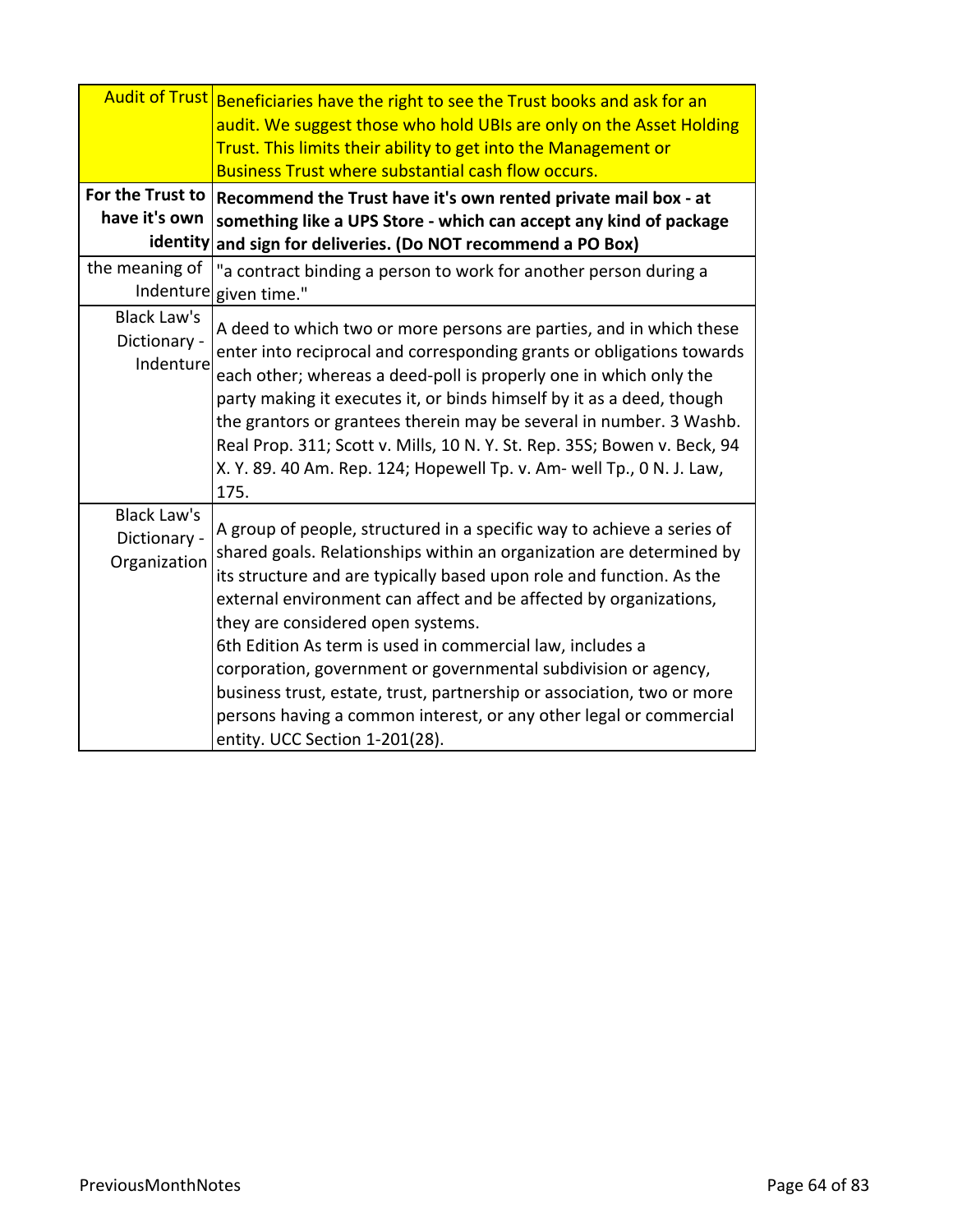|                                                    | Audit of Trust Beneficiaries have the right to see the Trust books and ask for an<br>audit. We suggest those who hold UBIs are only on the Asset Holding<br>Trust. This limits their ability to get into the Management or<br><b>Business Trust where substantial cash flow occurs.</b>                                                                                                                                                                                                                                                                                                                                                           |
|----------------------------------------------------|---------------------------------------------------------------------------------------------------------------------------------------------------------------------------------------------------------------------------------------------------------------------------------------------------------------------------------------------------------------------------------------------------------------------------------------------------------------------------------------------------------------------------------------------------------------------------------------------------------------------------------------------------|
| For the Trust to                                   | Recommend the Trust have it's own rented private mail box - at                                                                                                                                                                                                                                                                                                                                                                                                                                                                                                                                                                                    |
| have it's own                                      | something like a UPS Store - which can accept any kind of package                                                                                                                                                                                                                                                                                                                                                                                                                                                                                                                                                                                 |
| the meaning of                                     | identity and sign for deliveries. (Do NOT recommend a PO Box)<br>"a contract binding a person to work for another person during a<br>Indenture given time."                                                                                                                                                                                                                                                                                                                                                                                                                                                                                       |
| Black Law's<br>Dictionary -<br>Indenture           | A deed to which two or more persons are parties, and in which these<br>enter into reciprocal and corresponding grants or obligations towards<br>each other; whereas a deed-poll is properly one in which only the<br>party making it executes it, or binds himself by it as a deed, though<br>the grantors or grantees therein may be several in number. 3 Washb.<br>Real Prop. 311; Scott v. Mills, 10 N.Y. St. Rep. 35S; Bowen v. Beck, 94<br>X. Y. 89. 40 Am. Rep. 124; Hopewell Tp. v. Am- well Tp., 0 N. J. Law,<br>175.                                                                                                                     |
| <b>Black Law's</b><br>Dictionary -<br>Organization | A group of people, structured in a specific way to achieve a series of<br>shared goals. Relationships within an organization are determined by<br>its structure and are typically based upon role and function. As the<br>external environment can affect and be affected by organizations,<br>they are considered open systems.<br>6th Edition As term is used in commercial law, includes a<br>corporation, government or governmental subdivision or agency,<br>business trust, estate, trust, partnership or association, two or more<br>persons having a common interest, or any other legal or commercial<br>entity. UCC Section 1-201(28). |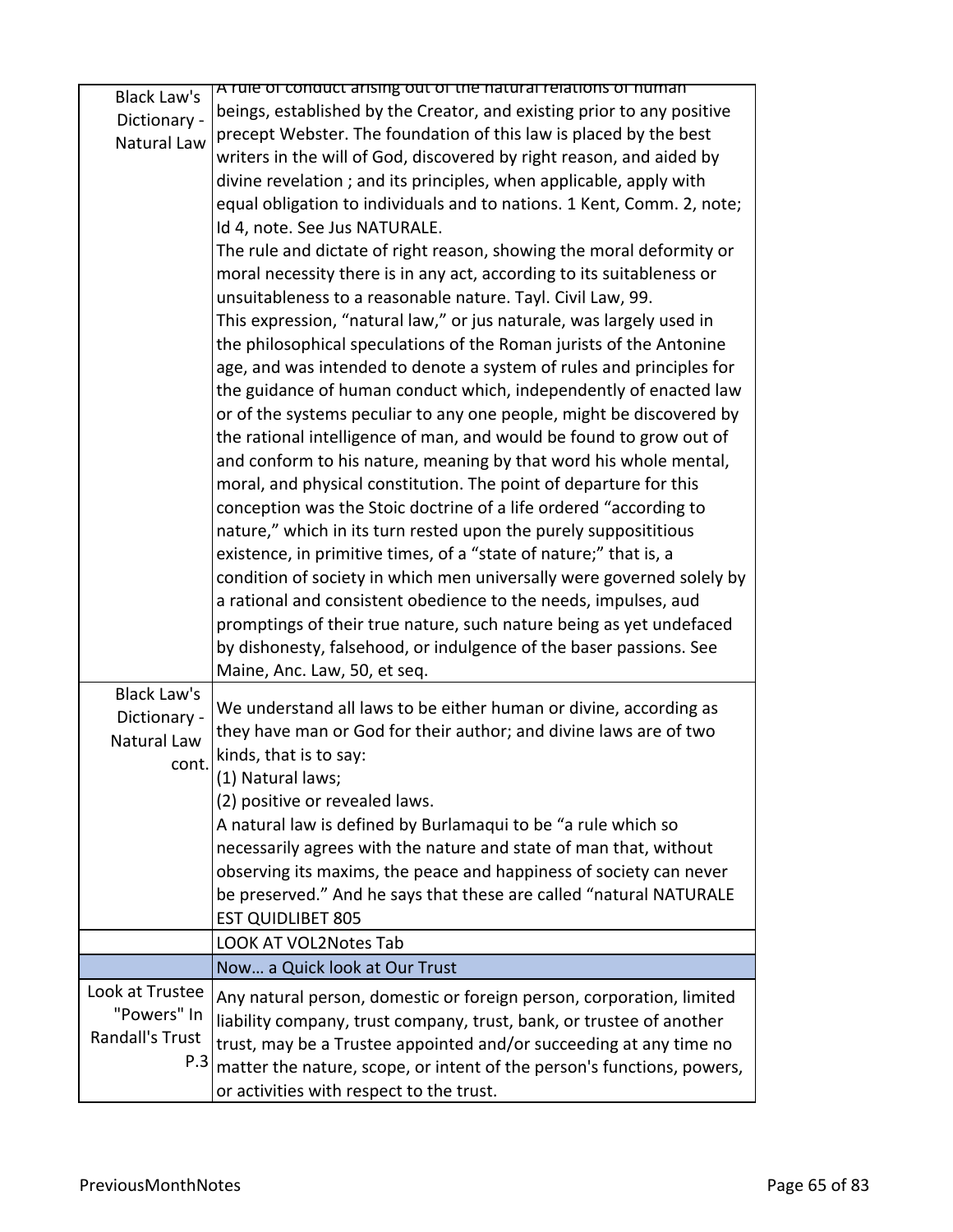| <b>Black Law's</b>     | A rule of conduct arising out of the natural relations of numan        |
|------------------------|------------------------------------------------------------------------|
| Dictionary -           | beings, established by the Creator, and existing prior to any positive |
| Natural Law            | precept Webster. The foundation of this law is placed by the best      |
|                        | writers in the will of God, discovered by right reason, and aided by   |
|                        | divine revelation; and its principles, when applicable, apply with     |
|                        | equal obligation to individuals and to nations. 1 Kent, Comm. 2, note; |
|                        | Id 4, note. See Jus NATURALE.                                          |
|                        | The rule and dictate of right reason, showing the moral deformity or   |
|                        | moral necessity there is in any act, according to its suitableness or  |
|                        | unsuitableness to a reasonable nature. Tayl. Civil Law, 99.            |
|                        | This expression, "natural law," or jus naturale, was largely used in   |
|                        | the philosophical speculations of the Roman jurists of the Antonine    |
|                        | age, and was intended to denote a system of rules and principles for   |
|                        | the guidance of human conduct which, independently of enacted law      |
|                        | or of the systems peculiar to any one people, might be discovered by   |
|                        | the rational intelligence of man, and would be found to grow out of    |
|                        | and conform to his nature, meaning by that word his whole mental,      |
|                        | moral, and physical constitution. The point of departure for this      |
|                        | conception was the Stoic doctrine of a life ordered "according to      |
|                        | nature," which in its turn rested upon the purely supposititious       |
|                        | existence, in primitive times, of a "state of nature;" that is, a      |
|                        | condition of society in which men universally were governed solely by  |
|                        | a rational and consistent obedience to the needs, impulses, aud        |
|                        | promptings of their true nature, such nature being as yet undefaced    |
|                        | by dishonesty, falsehood, or indulgence of the baser passions. See     |
|                        | Maine, Anc. Law, 50, et seq.                                           |
| <b>Black Law's</b>     | We understand all laws to be either human or divine, according as      |
| Dictionary -           | they have man or God for their author; and divine laws are of two      |
| Natural Law            | kinds, that is to say:                                                 |
| cont.                  | (1) Natural laws;                                                      |
|                        | (2) positive or revealed laws.                                         |
|                        | A natural law is defined by Burlamaqui to be "a rule which so          |
|                        | necessarily agrees with the nature and state of man that, without      |
|                        | observing its maxims, the peace and happiness of society can never     |
|                        | be preserved." And he says that these are called "natural NATURALE     |
|                        | <b>EST QUIDLIBET 805</b>                                               |
|                        | <b>LOOK AT VOL2Notes Tab</b>                                           |
|                        | Now a Quick look at Our Trust                                          |
| Look at Trustee        | Any natural person, domestic or foreign person, corporation, limited   |
| "Powers" In            | liability company, trust company, trust, bank, or trustee of another   |
| <b>Randall's Trust</b> | trust, may be a Trustee appointed and/or succeeding at any time no     |
| P.3                    | matter the nature, scope, or intent of the person's functions, powers, |
|                        | or activities with respect to the trust.                               |
|                        |                                                                        |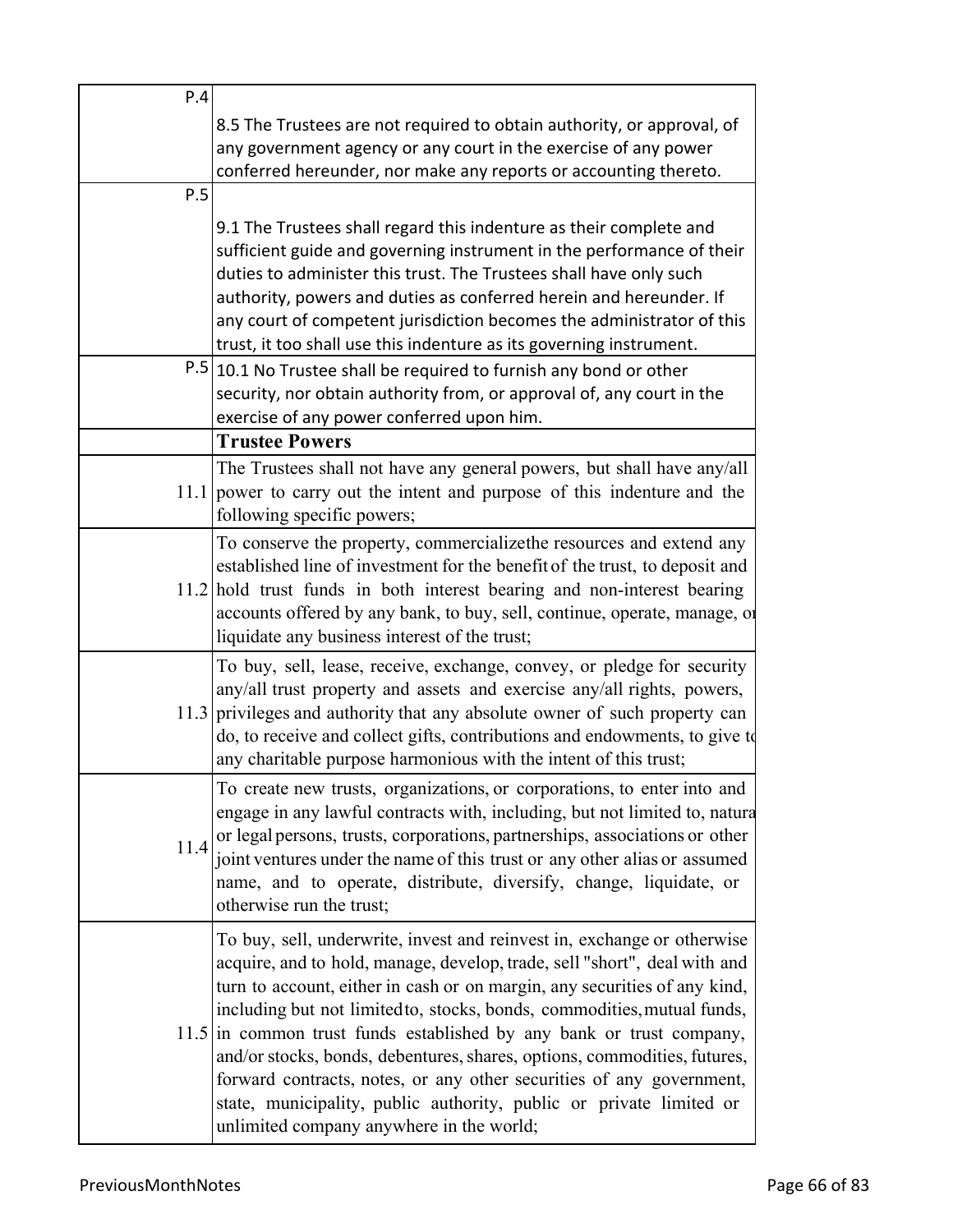| P.4  |                                                                                                                                                                                                                                                                                                                                                                                                                                                                                                                                                                                                                                                               |
|------|---------------------------------------------------------------------------------------------------------------------------------------------------------------------------------------------------------------------------------------------------------------------------------------------------------------------------------------------------------------------------------------------------------------------------------------------------------------------------------------------------------------------------------------------------------------------------------------------------------------------------------------------------------------|
|      | 8.5 The Trustees are not required to obtain authority, or approval, of<br>any government agency or any court in the exercise of any power<br>conferred hereunder, nor make any reports or accounting thereto.                                                                                                                                                                                                                                                                                                                                                                                                                                                 |
| P.5  |                                                                                                                                                                                                                                                                                                                                                                                                                                                                                                                                                                                                                                                               |
|      | 9.1 The Trustees shall regard this indenture as their complete and<br>sufficient guide and governing instrument in the performance of their<br>duties to administer this trust. The Trustees shall have only such<br>authority, powers and duties as conferred herein and hereunder. If<br>any court of competent jurisdiction becomes the administrator of this<br>trust, it too shall use this indenture as its governing instrument.                                                                                                                                                                                                                       |
|      | P.5 10.1 No Trustee shall be required to furnish any bond or other<br>security, nor obtain authority from, or approval of, any court in the<br>exercise of any power conferred upon him.                                                                                                                                                                                                                                                                                                                                                                                                                                                                      |
|      | <b>Trustee Powers</b>                                                                                                                                                                                                                                                                                                                                                                                                                                                                                                                                                                                                                                         |
|      | The Trustees shall not have any general powers, but shall have any/all<br>$11.1$ power to carry out the intent and purpose of this indenture and the<br>following specific powers;                                                                                                                                                                                                                                                                                                                                                                                                                                                                            |
|      | To conserve the property, commercializethe resources and extend any<br>established line of investment for the benefit of the trust, to deposit and<br>11.2 hold trust funds in both interest bearing and non-interest bearing<br>accounts offered by any bank, to buy, sell, continue, operate, manage, or<br>liquidate any business interest of the trust;                                                                                                                                                                                                                                                                                                   |
|      | To buy, sell, lease, receive, exchange, convey, or pledge for security<br>any/all trust property and assets and exercise any/all rights, powers,<br>11.3 privileges and authority that any absolute owner of such property can<br>do, to receive and collect gifts, contributions and endowments, to give to<br>any charitable purpose harmonious with the intent of this trust;                                                                                                                                                                                                                                                                              |
| 11.4 | To create new trusts, organizations, or corporations, to enter into and<br>engage in any lawful contracts with, including, but not limited to, natura<br>or legal persons, trusts, corporations, partnerships, associations or other<br>joint ventures under the name of this trust or any other alias or assumed<br>name, and to operate, distribute, diversify, change, liquidate, or<br>otherwise run the trust;                                                                                                                                                                                                                                           |
|      | To buy, sell, underwrite, invest and reinvest in, exchange or otherwise<br>acquire, and to hold, manage, develop, trade, sell "short", deal with and<br>turn to account, either in cash or on margin, any securities of any kind,<br>including but not limited to, stocks, bonds, commodities, mutual funds,<br>$11.5$ in common trust funds established by any bank or trust company,<br>and/or stocks, bonds, debentures, shares, options, commodities, futures,<br>forward contracts, notes, or any other securities of any government,<br>state, municipality, public authority, public or private limited or<br>unlimited company anywhere in the world; |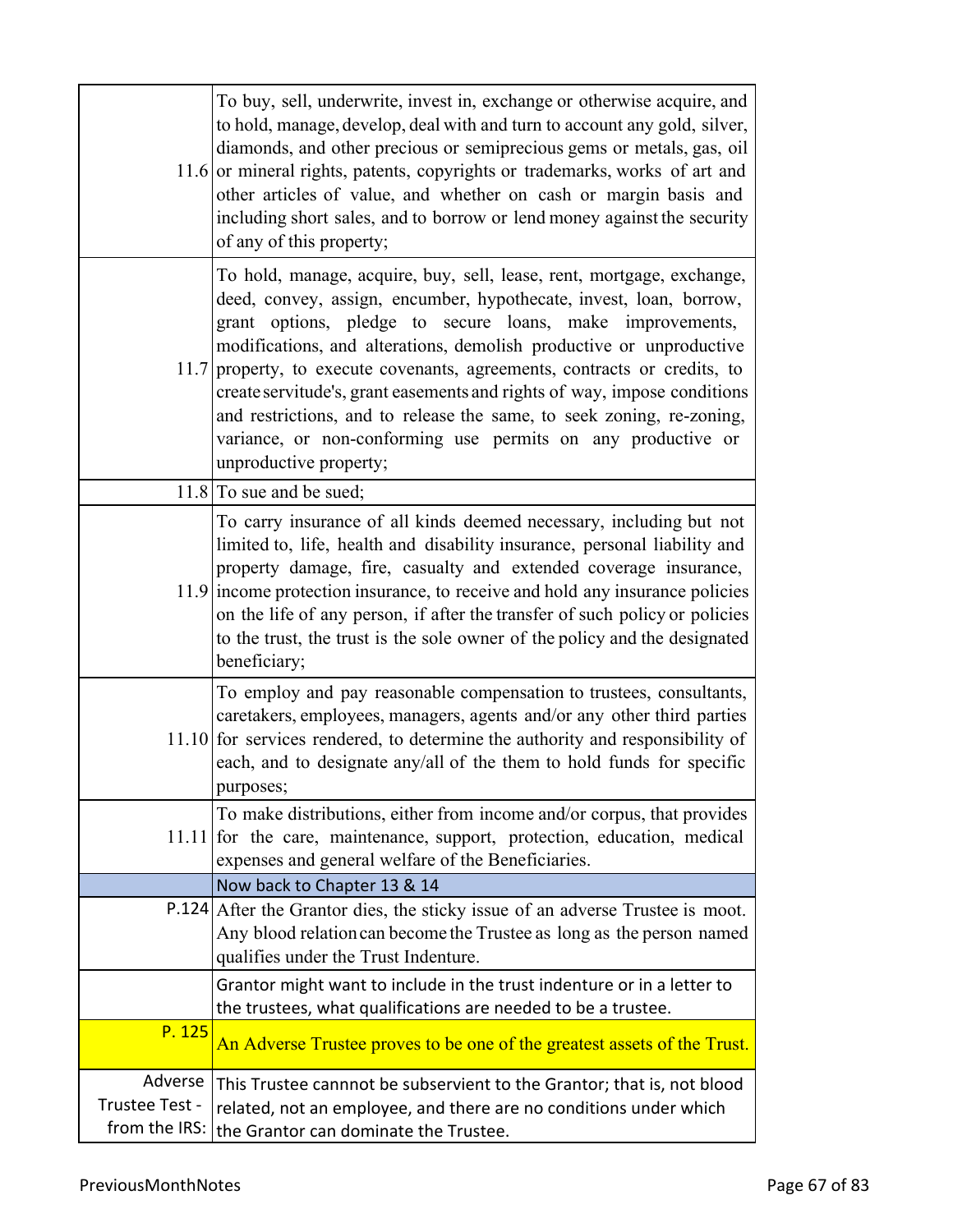|                | To buy, sell, underwrite, invest in, exchange or otherwise acquire, and<br>to hold, manage, develop, deal with and turn to account any gold, silver,<br>diamonds, and other precious or semiprecious gems or metals, gas, oil<br>11.6 or mineral rights, patents, copyrights or trademarks, works of art and<br>other articles of value, and whether on cash or margin basis and<br>including short sales, and to borrow or lend money against the security<br>of any of this property;                                                                                                                     |
|----------------|-------------------------------------------------------------------------------------------------------------------------------------------------------------------------------------------------------------------------------------------------------------------------------------------------------------------------------------------------------------------------------------------------------------------------------------------------------------------------------------------------------------------------------------------------------------------------------------------------------------|
|                | To hold, manage, acquire, buy, sell, lease, rent, mortgage, exchange,<br>deed, convey, assign, encumber, hypothecate, invest, loan, borrow,<br>grant options, pledge to secure loans, make improvements,<br>modifications, and alterations, demolish productive or unproductive<br>11.7 property, to execute covenants, agreements, contracts or credits, to<br>create servitude's, grant easements and rights of way, impose conditions<br>and restrictions, and to release the same, to seek zoning, re-zoning,<br>variance, or non-conforming use permits on any productive or<br>unproductive property; |
|                | $11.8$ To sue and be sued;                                                                                                                                                                                                                                                                                                                                                                                                                                                                                                                                                                                  |
|                | To carry insurance of all kinds deemed necessary, including but not<br>limited to, life, health and disability insurance, personal liability and<br>property damage, fire, casualty and extended coverage insurance,<br>11.9 income protection insurance, to receive and hold any insurance policies<br>on the life of any person, if after the transfer of such policy or policies<br>to the trust, the trust is the sole owner of the policy and the designated<br>beneficiary;                                                                                                                           |
|                | To employ and pay reasonable compensation to trustees, consultants,<br>caretakers, employees, managers, agents and/or any other third parties<br>$11.10$ for services rendered, to determine the authority and responsibility of<br>each, and to designate any/all of the them to hold funds for specific<br>purposes;                                                                                                                                                                                                                                                                                      |
|                | To make distributions, either from income and/or corpus, that provides<br>11.11 for the care, maintenance, support, protection, education, medical<br>expenses and general welfare of the Beneficiaries.                                                                                                                                                                                                                                                                                                                                                                                                    |
|                | Now back to Chapter 13 & 14                                                                                                                                                                                                                                                                                                                                                                                                                                                                                                                                                                                 |
|                | P.124 After the Grantor dies, the sticky issue of an adverse Trustee is moot.<br>Any blood relation can become the Trustee as long as the person named<br>qualifies under the Trust Indenture.                                                                                                                                                                                                                                                                                                                                                                                                              |
|                | Grantor might want to include in the trust indenture or in a letter to                                                                                                                                                                                                                                                                                                                                                                                                                                                                                                                                      |
| P. 125         | the trustees, what qualifications are needed to be a trustee.<br>An Adverse Trustee proves to be one of the greatest assets of the Trust.                                                                                                                                                                                                                                                                                                                                                                                                                                                                   |
| Adverse        | This Trustee cannnot be subservient to the Grantor; that is, not blood                                                                                                                                                                                                                                                                                                                                                                                                                                                                                                                                      |
| Trustee Test - | related, not an employee, and there are no conditions under which                                                                                                                                                                                                                                                                                                                                                                                                                                                                                                                                           |
| from the IRS:  | the Grantor can dominate the Trustee.                                                                                                                                                                                                                                                                                                                                                                                                                                                                                                                                                                       |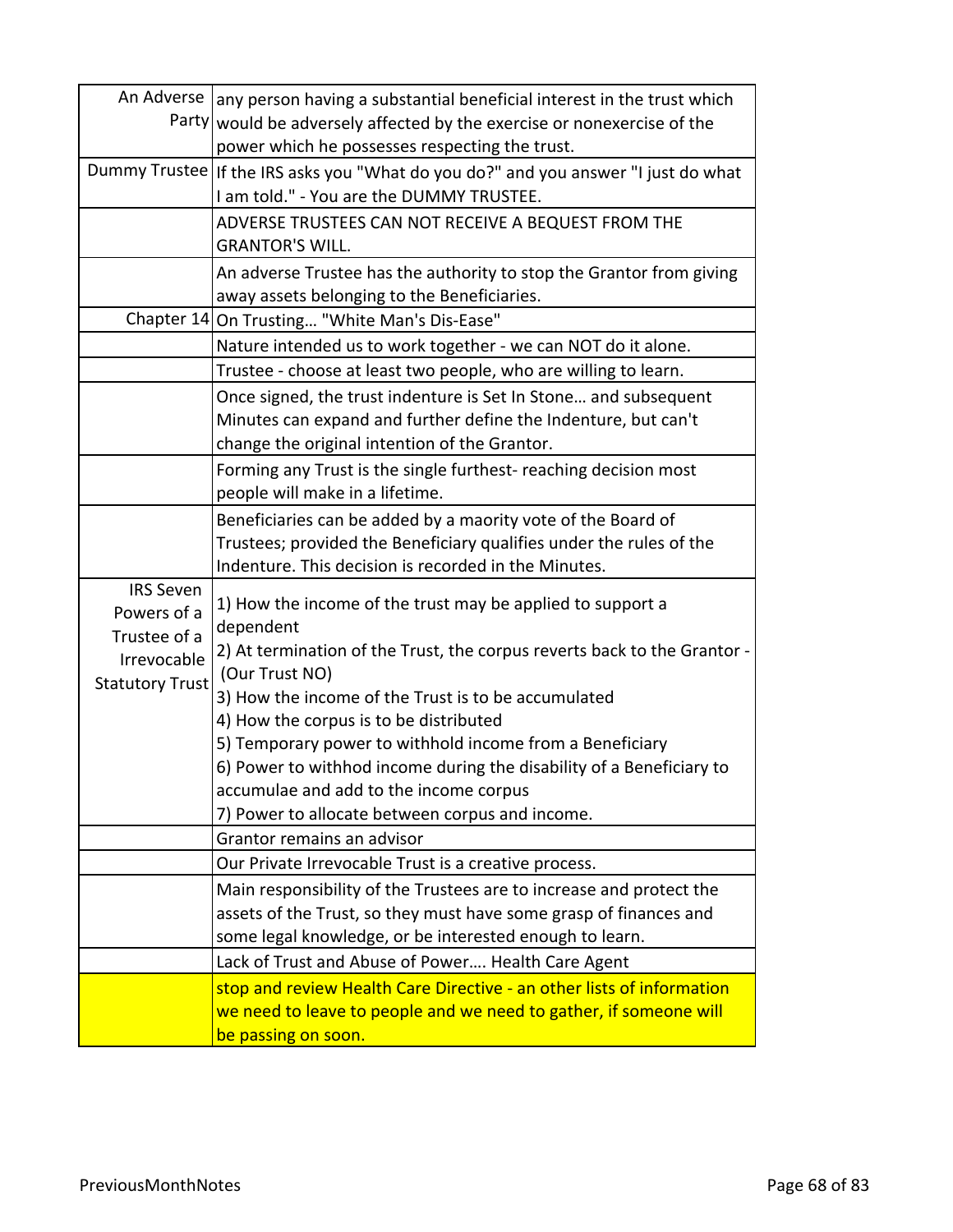|                        | An Adverse   any person having a substantial beneficial interest in the trust which                |
|------------------------|----------------------------------------------------------------------------------------------------|
|                        | Party would be adversely affected by the exercise or nonexercise of the                            |
|                        | power which he possesses respecting the trust.                                                     |
|                        | Dummy Trustee   If the IRS asks you "What do you do?" and you answer "I just do what               |
|                        | I am told." - You are the DUMMY TRUSTEE.                                                           |
|                        | ADVERSE TRUSTEES CAN NOT RECEIVE A BEQUEST FROM THE                                                |
|                        | <b>GRANTOR'S WILL.</b>                                                                             |
|                        | An adverse Trustee has the authority to stop the Grantor from giving                               |
|                        | away assets belonging to the Beneficiaries.                                                        |
|                        | Chapter 14 On Trusting "White Man's Dis-Ease"                                                      |
|                        | Nature intended us to work together - we can NOT do it alone.                                      |
|                        | Trustee - choose at least two people, who are willing to learn.                                    |
|                        | Once signed, the trust indenture is Set In Stone and subsequent                                    |
|                        | Minutes can expand and further define the Indenture, but can't                                     |
|                        | change the original intention of the Grantor.                                                      |
|                        | Forming any Trust is the single furthest-reaching decision most                                    |
|                        | people will make in a lifetime.                                                                    |
|                        | Beneficiaries can be added by a maority vote of the Board of                                       |
|                        | Trustees; provided the Beneficiary qualifies under the rules of the                                |
|                        | Indenture. This decision is recorded in the Minutes.                                               |
| <b>IRS Seven</b>       |                                                                                                    |
| Powers of a            | 1) How the income of the trust may be applied to support a                                         |
| Trustee of a           | dependent                                                                                          |
| Irrevocable            | 2) At termination of the Trust, the corpus reverts back to the Grantor -<br>(Our Trust NO)         |
| <b>Statutory Trust</b> | 3) How the income of the Trust is to be accumulated                                                |
|                        |                                                                                                    |
|                        | 4) How the corpus is to be distributed<br>5) Temporary power to withhold income from a Beneficiary |
|                        | 6) Power to withhod income during the disability of a Beneficiary to                               |
|                        |                                                                                                    |
|                        | accumulae and add to the income corpus                                                             |
|                        | 7) Power to allocate between corpus and income.<br>Grantor remains an advisor                      |
|                        |                                                                                                    |
|                        | Our Private Irrevocable Trust is a creative process.                                               |
|                        | Main responsibility of the Trustees are to increase and protect the                                |
|                        | assets of the Trust, so they must have some grasp of finances and                                  |
|                        | some legal knowledge, or be interested enough to learn.                                            |
|                        | Lack of Trust and Abuse of Power Health Care Agent                                                 |
|                        | stop and review Health Care Directive - an other lists of information                              |
|                        | we need to leave to people and we need to gather, if someone will                                  |
|                        | be passing on soon.                                                                                |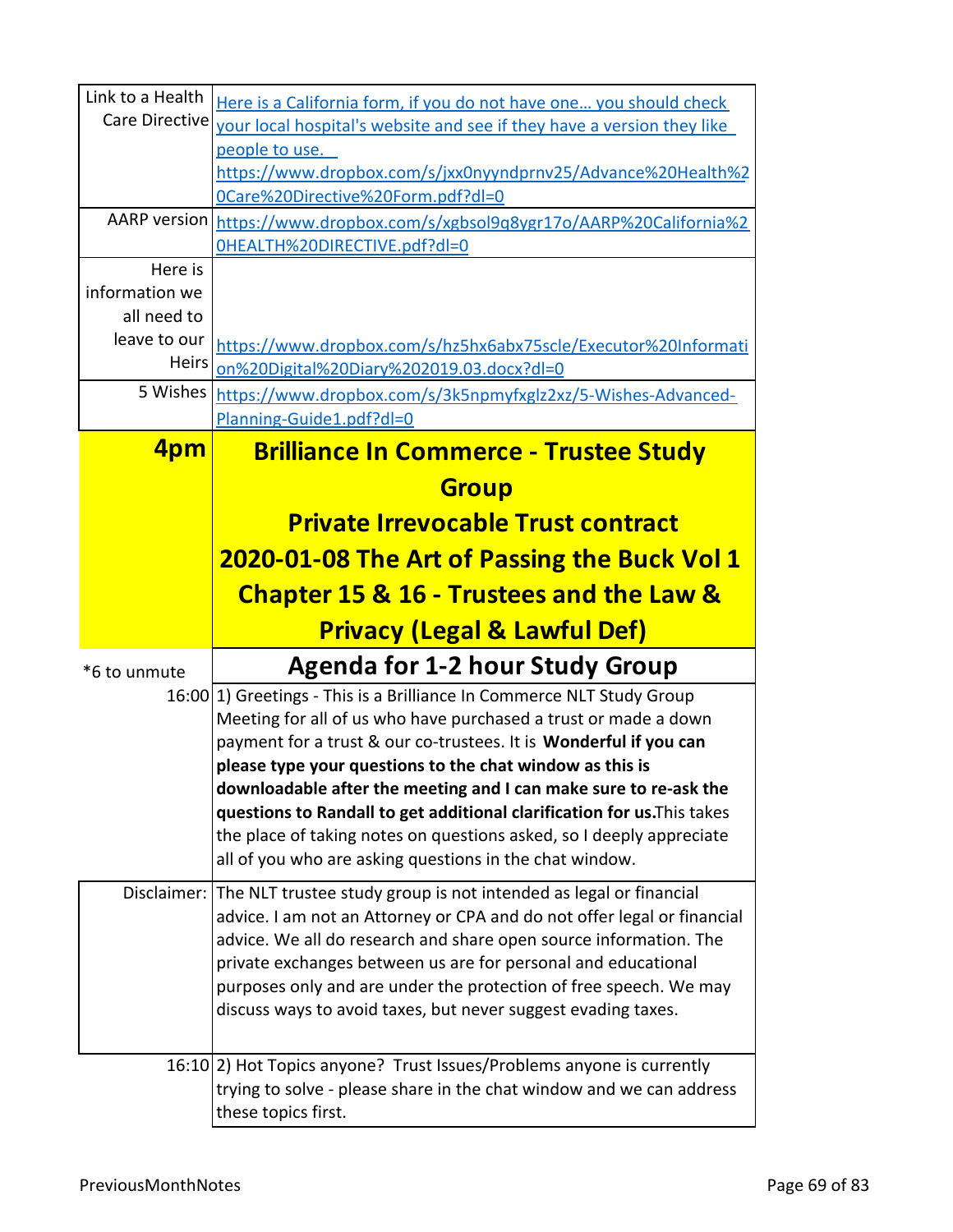| Link to a Health            | Here is a California form, if you do not have one you should check                                                                             |
|-----------------------------|------------------------------------------------------------------------------------------------------------------------------------------------|
| Care Directive              | your local hospital's website and see if they have a version they like                                                                         |
|                             | people to use.                                                                                                                                 |
|                             | https://www.dropbox.com/s/jxx0nyyndprnv25/Advance%20Health%2                                                                                   |
|                             | OCare%20Directive%20Form.pdf?dl=0                                                                                                              |
| AARP version                | https://www.dropbox.com/s/xgbsol9q8ygr17o/AARP%20California%2                                                                                  |
|                             | OHEALTH%20DIRECTIVE.pdf?dl=0                                                                                                                   |
| Here is                     |                                                                                                                                                |
| information we              |                                                                                                                                                |
| all need to<br>leave to our |                                                                                                                                                |
| <b>Heirs</b>                | https://www.dropbox.com/s/hz5hx6abx75scle/Executor%20Informati                                                                                 |
|                             | on%20Digital%20Diary%202019.03.docx?dl=0                                                                                                       |
| 5 Wishes                    | https://www.dropbox.com/s/3k5npmyfxglz2xz/5-Wishes-Advanced-                                                                                   |
|                             | Planning-Guide1.pdf?dl=0                                                                                                                       |
| 4pm                         | <b>Brilliance In Commerce - Trustee Study</b>                                                                                                  |
|                             | <b>Group</b>                                                                                                                                   |
|                             | <b>Private Irrevocable Trust contract</b>                                                                                                      |
|                             | <b>2020-01-08 The Art of Passing the Buck Vol 1</b>                                                                                            |
|                             | <b>Chapter 15 &amp; 16 - Trustees and the Law &amp;</b>                                                                                        |
|                             | <b>Privacy (Legal &amp; Lawful Def)</b>                                                                                                        |
|                             |                                                                                                                                                |
|                             |                                                                                                                                                |
| *6 to unmute                | <b>Agenda for 1-2 hour Study Group</b>                                                                                                         |
|                             | 16:00 [1] Greetings - This is a Brilliance In Commerce NLT Study Group                                                                         |
|                             | Meeting for all of us who have purchased a trust or made a down                                                                                |
|                             | payment for a trust & our co-trustees. It is Wonderful if you can                                                                              |
|                             | please type your questions to the chat window as this is<br>downloadable after the meeting and I can make sure to re-ask the                   |
|                             | questions to Randall to get additional clarification for us. This takes                                                                        |
|                             | the place of taking notes on questions asked, so I deeply appreciate                                                                           |
|                             | all of you who are asking questions in the chat window.                                                                                        |
| Disclaimer:                 | The NLT trustee study group is not intended as legal or financial                                                                              |
|                             | advice. I am not an Attorney or CPA and do not offer legal or financial                                                                        |
|                             | advice. We all do research and share open source information. The                                                                              |
|                             | private exchanges between us are for personal and educational                                                                                  |
|                             | purposes only and are under the protection of free speech. We may                                                                              |
|                             | discuss ways to avoid taxes, but never suggest evading taxes.                                                                                  |
|                             |                                                                                                                                                |
|                             | 16:10 [2] Hot Topics anyone? Trust Issues/Problems anyone is currently<br>trying to solve - please share in the chat window and we can address |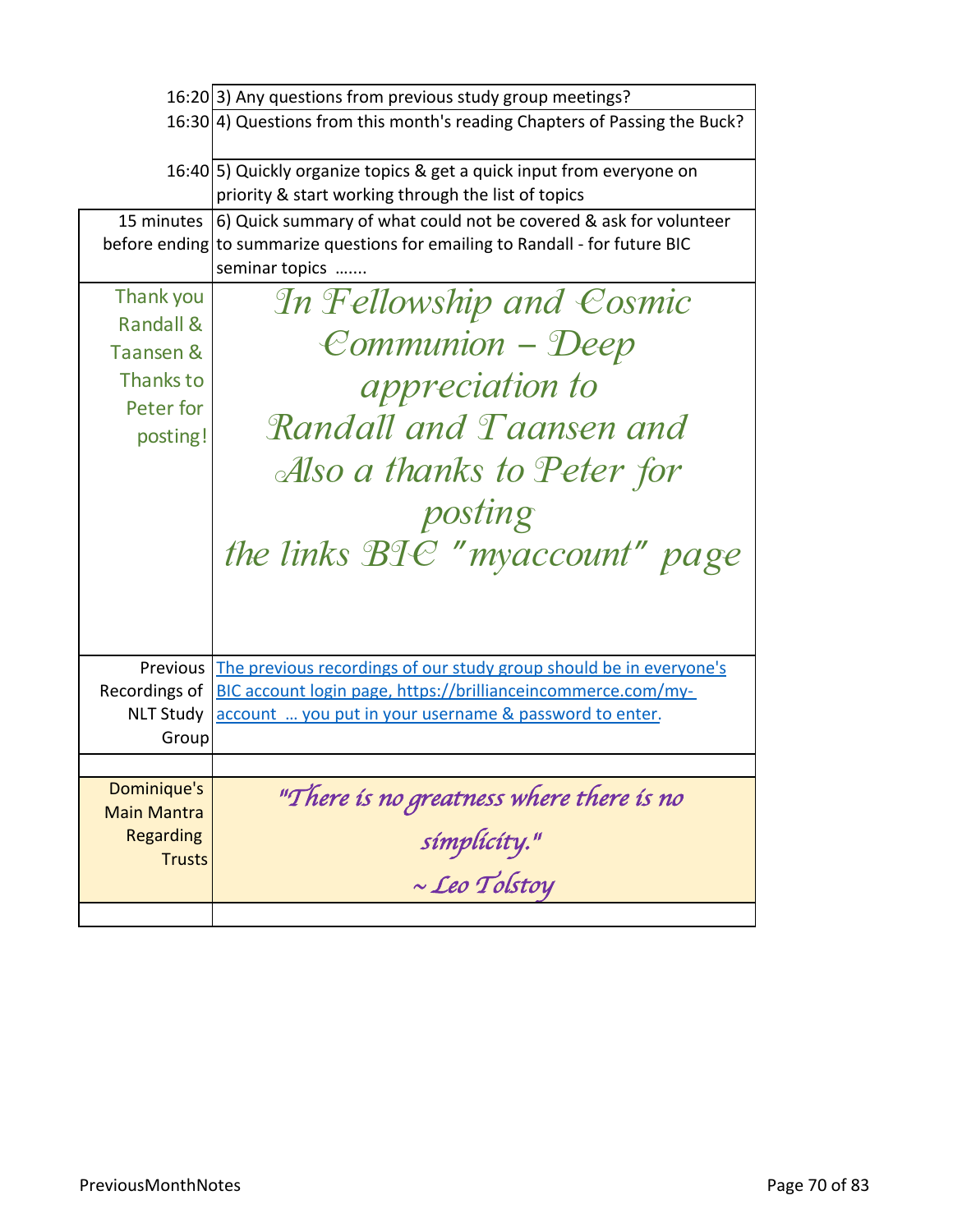|                           | 16:20 3) Any questions from previous study group meetings?                                                                    |
|---------------------------|-------------------------------------------------------------------------------------------------------------------------------|
|                           | 16:30 4) Questions from this month's reading Chapters of Passing the Buck?                                                    |
|                           | 16:40 [5] Quickly organize topics & get a quick input from everyone on<br>priority & start working through the list of topics |
| 15 minutes                | 6) Quick summary of what could not be covered & ask for volunteer                                                             |
| before ending             | to summarize questions for emailing to Randall - for future BIC                                                               |
|                           | seminar topics                                                                                                                |
| Thank you                 | In Fellowship and Cosmic                                                                                                      |
| <b>Randall &amp;</b>      |                                                                                                                               |
| Taansen &                 | Communion - Deep                                                                                                              |
| Thanks to                 | <i>appreciation to</i>                                                                                                        |
| Peter for                 |                                                                                                                               |
| posting!                  | Randall and Taansen and                                                                                                       |
|                           | Also a thanks to Peter for                                                                                                    |
|                           |                                                                                                                               |
|                           | posting                                                                                                                       |
|                           | the links BIC "myaccount" page                                                                                                |
|                           |                                                                                                                               |
| Previous                  | The previous recordings of our study group should be in everyone's                                                            |
| Recordings of             | BIC account login page, https://brillianceincommerce.com/my-                                                                  |
| <b>NLT Study</b><br>Group | account  you put in your username & password to enter.                                                                        |
|                           |                                                                                                                               |
| Dominique's               |                                                                                                                               |
| <b>Main Mantra</b>        | "There is no greatness where there is no                                                                                      |
| Regarding                 | símplícíty."                                                                                                                  |
| <b>Trusts</b>             |                                                                                                                               |
|                           | $\sim$ Leo Tolstoy                                                                                                            |
|                           |                                                                                                                               |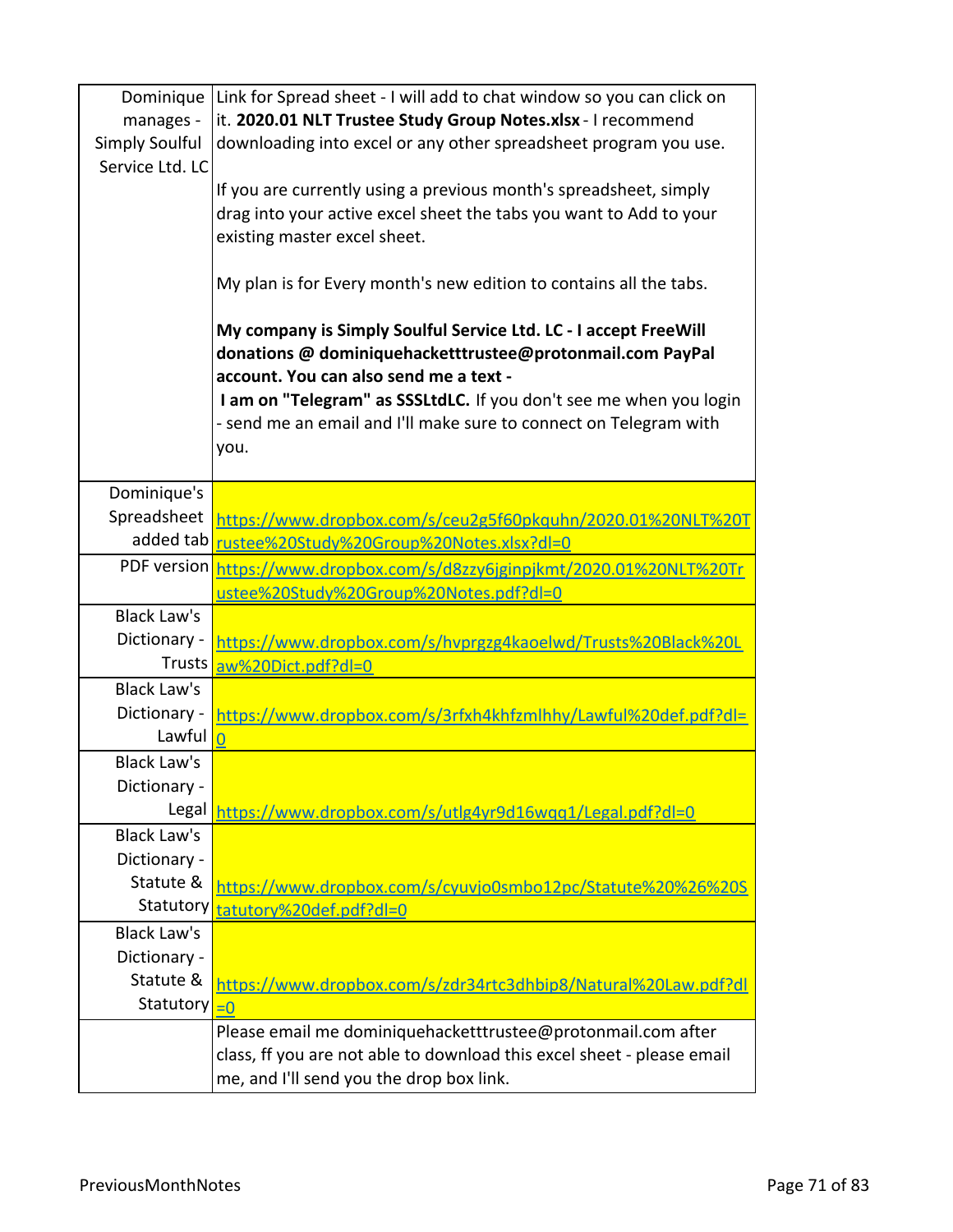| Dominique                 | Link for Spread sheet - I will add to chat window so you can click on                                                                                                                                                                                                                                                      |
|---------------------------|----------------------------------------------------------------------------------------------------------------------------------------------------------------------------------------------------------------------------------------------------------------------------------------------------------------------------|
| manages -                 | it. 2020.01 NLT Trustee Study Group Notes.xlsx - I recommend                                                                                                                                                                                                                                                               |
| <b>Simply Soulful</b>     | downloading into excel or any other spreadsheet program you use.                                                                                                                                                                                                                                                           |
| Service Ltd. LC           |                                                                                                                                                                                                                                                                                                                            |
|                           | If you are currently using a previous month's spreadsheet, simply                                                                                                                                                                                                                                                          |
|                           | drag into your active excel sheet the tabs you want to Add to your                                                                                                                                                                                                                                                         |
|                           | existing master excel sheet.                                                                                                                                                                                                                                                                                               |
|                           |                                                                                                                                                                                                                                                                                                                            |
|                           | My plan is for Every month's new edition to contains all the tabs.                                                                                                                                                                                                                                                         |
|                           | My company is Simply Soulful Service Ltd. LC - I accept FreeWill<br>donations @ dominiquehacketttrustee@protonmail.com PayPal<br>account. You can also send me a text -<br>I am on "Telegram" as SSSLtdLC. If you don't see me when you login<br>- send me an email and I'll make sure to connect on Telegram with<br>you. |
| Dominique's               |                                                                                                                                                                                                                                                                                                                            |
| Spreadsheet               |                                                                                                                                                                                                                                                                                                                            |
| added tab                 | https://www.dropbox.com/s/ceu2g5f60pkquhn/2020.01%20NLT%20T                                                                                                                                                                                                                                                                |
|                           | rustee%20Study%20Group%20Notes.xlsx?dl=0                                                                                                                                                                                                                                                                                   |
| PDF version               | https://www.dropbox.com/s/d8zzy6jginpjkmt/2020.01%20NLT%20Tr                                                                                                                                                                                                                                                               |
| <b>Black Law's</b>        | ustee%20Study%20Group%20Notes.pdf?dl=0                                                                                                                                                                                                                                                                                     |
| Dictionary -              |                                                                                                                                                                                                                                                                                                                            |
| <b>Trusts</b>             | https://www.dropbox.com/s/hvprgzg4kaoelwd/Trusts%20Black%20L                                                                                                                                                                                                                                                               |
| <b>Black Law's</b>        | aw%20Dict.pdf?dl=0                                                                                                                                                                                                                                                                                                         |
| Dictionary -              |                                                                                                                                                                                                                                                                                                                            |
| Lawful                    | https://www.dropbox.com/s/3rfxh4khfzmlhhy/Lawful%20def.pdf?dl=<br>$\overline{0}$                                                                                                                                                                                                                                           |
| <b>Black Law's</b>        |                                                                                                                                                                                                                                                                                                                            |
| Dictionary -              |                                                                                                                                                                                                                                                                                                                            |
| Legal                     |                                                                                                                                                                                                                                                                                                                            |
| <b>Black Law's</b>        | https://www.dropbox.com/s/utlg4yr9d16wqq1/Legal.pdf?dl=0                                                                                                                                                                                                                                                                   |
| Dictionary -              |                                                                                                                                                                                                                                                                                                                            |
| Statute &                 |                                                                                                                                                                                                                                                                                                                            |
| <b>Statutory</b>          | https://www.dropbox.com/s/cyuvjo0smbo12pc/Statute%20%26%20S                                                                                                                                                                                                                                                                |
|                           | tatutory%20def.pdf?dl=0                                                                                                                                                                                                                                                                                                    |
| <b>Black Law's</b>        |                                                                                                                                                                                                                                                                                                                            |
| Dictionary -<br>Statute & |                                                                                                                                                                                                                                                                                                                            |
|                           | https://www.dropbox.com/s/zdr34rtc3dhbip8/Natural%20Law.pdf?dl                                                                                                                                                                                                                                                             |
| Statutory                 | $= 0$                                                                                                                                                                                                                                                                                                                      |
|                           | Please email me dominiquehacketttrustee@protonmail.com after                                                                                                                                                                                                                                                               |
|                           | class, ff you are not able to download this excel sheet - please email                                                                                                                                                                                                                                                     |
|                           | me, and I'll send you the drop box link.                                                                                                                                                                                                                                                                                   |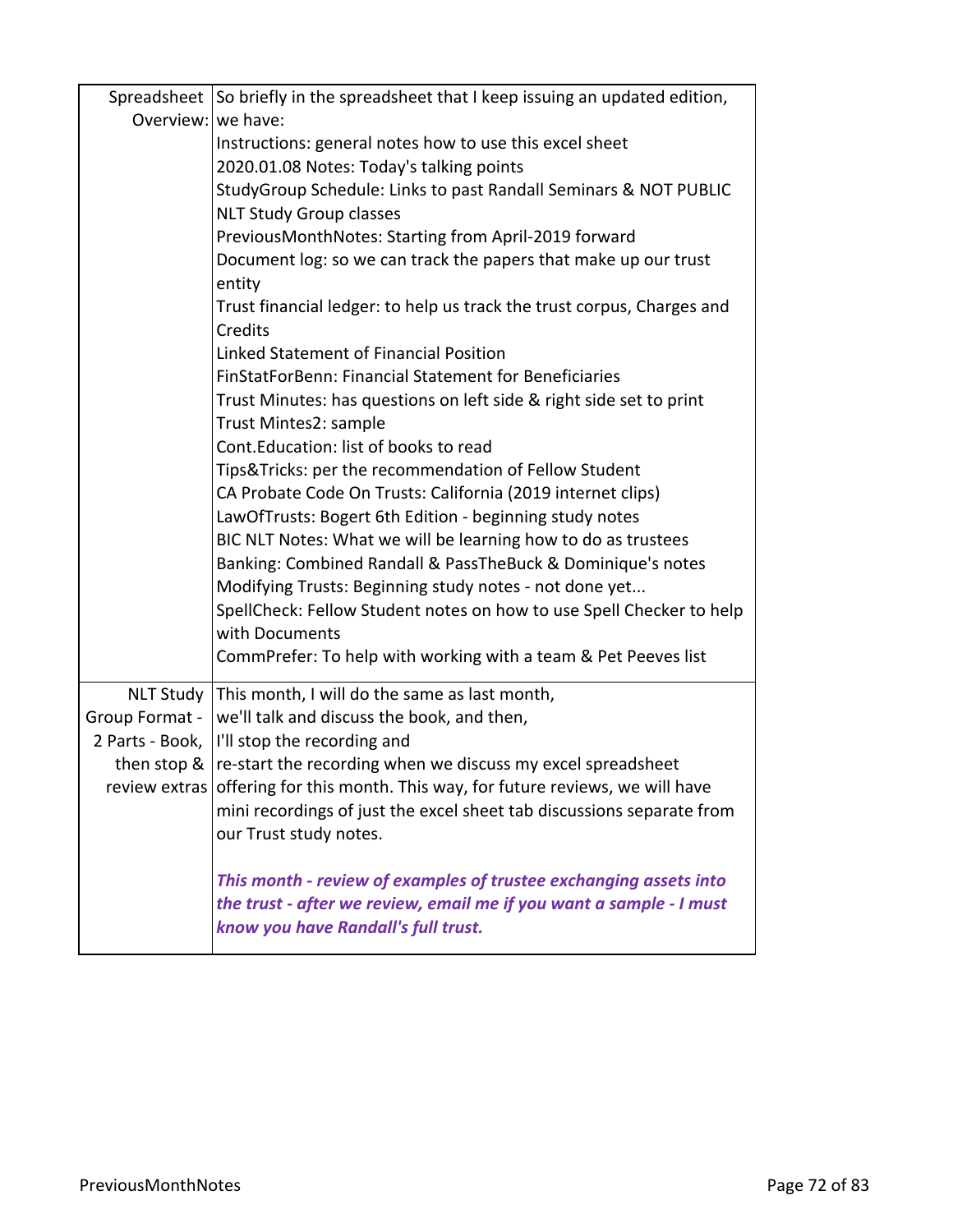|                    | Spreadsheet So briefly in the spreadsheet that I keep issuing an updated edition,            |
|--------------------|----------------------------------------------------------------------------------------------|
| Overview: we have: |                                                                                              |
|                    | Instructions: general notes how to use this excel sheet                                      |
|                    | 2020.01.08 Notes: Today's talking points                                                     |
|                    | StudyGroup Schedule: Links to past Randall Seminars & NOT PUBLIC                             |
|                    | <b>NLT Study Group classes</b>                                                               |
|                    | PreviousMonthNotes: Starting from April-2019 forward                                         |
|                    | Document log: so we can track the papers that make up our trust                              |
|                    | entity                                                                                       |
|                    | Trust financial ledger: to help us track the trust corpus, Charges and<br>Credits            |
|                    | Linked Statement of Financial Position                                                       |
|                    | FinStatForBenn: Financial Statement for Beneficiaries                                        |
|                    | Trust Minutes: has questions on left side & right side set to print<br>Trust Mintes2: sample |
|                    | Cont. Education: list of books to read                                                       |
|                    |                                                                                              |
|                    | Tips&Tricks: per the recommendation of Fellow Student                                        |
|                    | CA Probate Code On Trusts: California (2019 internet clips)                                  |
|                    | LawOfTrusts: Bogert 6th Edition - beginning study notes                                      |
|                    | BIC NLT Notes: What we will be learning how to do as trustees                                |
|                    | Banking: Combined Randall & PassTheBuck & Dominique's notes                                  |
|                    | Modifying Trusts: Beginning study notes - not done yet                                       |
|                    | SpellCheck: Fellow Student notes on how to use Spell Checker to help<br>with Documents       |
|                    | CommPrefer: To help with working with a team & Pet Peeves list                               |
|                    |                                                                                              |
|                    | NLT Study   This month, I will do the same as last month,                                    |
| Group Format -     | we'll talk and discuss the book, and then,                                                   |
|                    | 2 Parts - Book,  I'll stop the recording and                                                 |
|                    | then stop &   re-start the recording when we discuss my excel spreadsheet                    |
|                    | review extras offering for this month. This way, for future reviews, we will have            |
|                    | mini recordings of just the excel sheet tab discussions separate from                        |
|                    | our Trust study notes.                                                                       |
|                    | This month - review of examples of trustee exchanging assets into                            |
|                    | the trust - after we review, email me if you want a sample - I must                          |
|                    | know you have Randall's full trust.                                                          |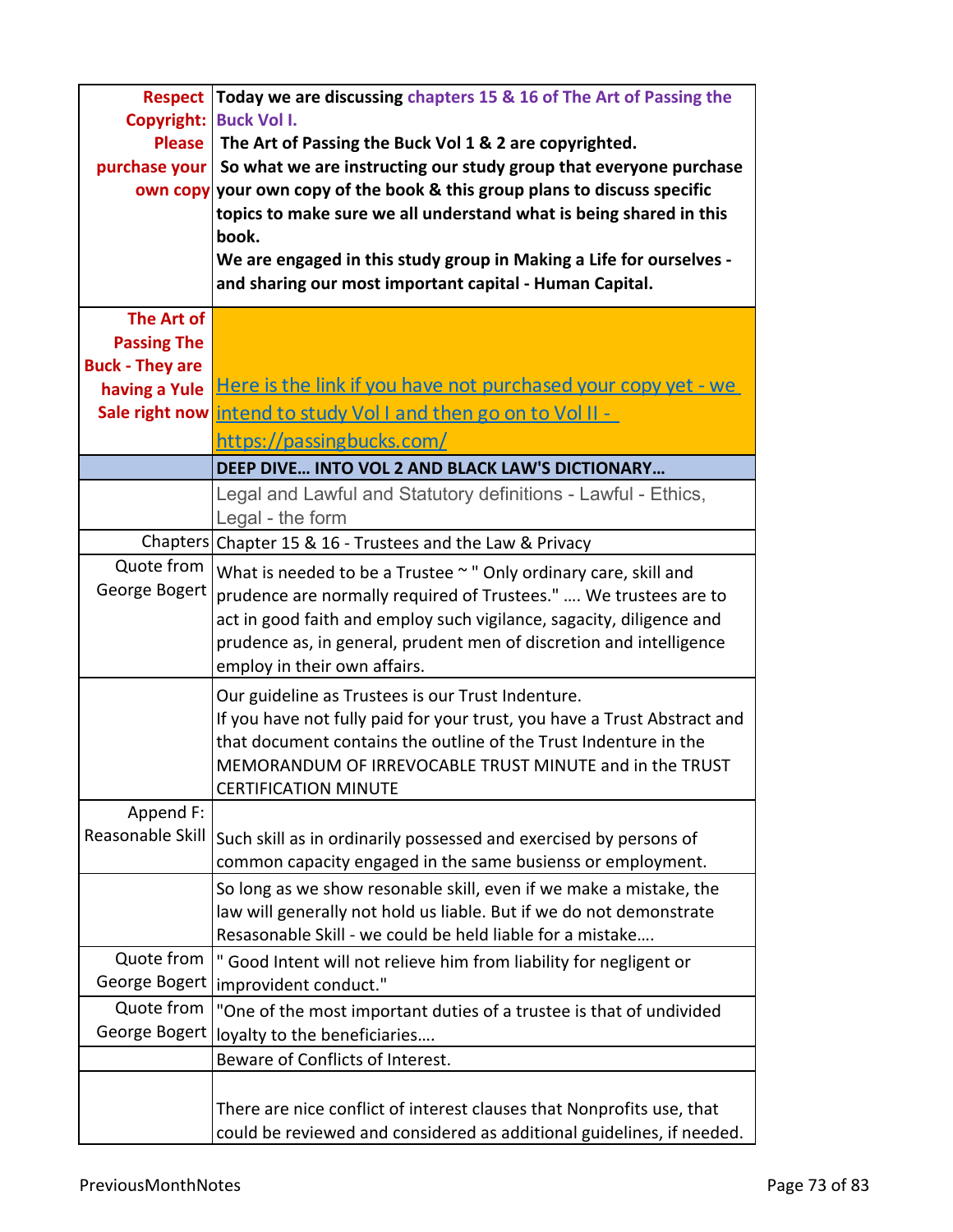|                        | <b>Respect Today we are discussing chapters 15 &amp; 16 of The Art of Passing the</b>  |
|------------------------|----------------------------------------------------------------------------------------|
| Copyright:             | <b>Buck Vol I.</b>                                                                     |
| <b>Please</b>          | The Art of Passing the Buck Vol 1 & 2 are copyrighted.                                 |
| purchase your          | So what we are instructing our study group that everyone purchase                      |
|                        | own copy your own copy of the book & this group plans to discuss specific              |
|                        | topics to make sure we all understand what is being shared in this                     |
|                        | book.                                                                                  |
|                        | We are engaged in this study group in Making a Life for ourselves -                    |
|                        | and sharing our most important capital - Human Capital.                                |
|                        |                                                                                        |
| The Art of             |                                                                                        |
| <b>Passing The</b>     |                                                                                        |
| <b>Buck - They are</b> |                                                                                        |
| having a Yule          | Here is the link if you have not purchased your copy yet - we                          |
|                        | Sale right now intend to study Volland then go on to Volli-                            |
|                        | https://passingbucks.com/                                                              |
|                        | DEEP DIVE INTO VOL 2 AND BLACK LAW'S DICTIONARY                                        |
|                        | Legal and Lawful and Statutory definitions - Lawful - Ethics,                          |
|                        | Legal - the form                                                                       |
|                        | Chapters Chapter 15 & 16 - Trustees and the Law & Privacy                              |
| Quote from             | What is needed to be a Trustee ~ " Only ordinary care, skill and                       |
| George Bogert          | prudence are normally required of Trustees."  We trustees are to                       |
|                        | act in good faith and employ such vigilance, sagacity, diligence and                   |
|                        | prudence as, in general, prudent men of discretion and intelligence                    |
|                        | employ in their own affairs.                                                           |
|                        | Our guideline as Trustees is our Trust Indenture.                                      |
|                        | If you have not fully paid for your trust, you have a Trust Abstract and               |
|                        | that document contains the outline of the Trust Indenture in the                       |
|                        |                                                                                        |
|                        | MEMORANDUM OF IRREVOCABLE TRUST MINUTE and in the TRUST<br><b>CERTIFICATION MINUTE</b> |
| Append F:              |                                                                                        |
| Reasonable Skill       |                                                                                        |
|                        | Such skill as in ordinarily possessed and exercised by persons of                      |
|                        | common capacity engaged in the same busienss or employment.                            |
|                        | So long as we show resonable skill, even if we make a mistake, the                     |
|                        | law will generally not hold us liable. But if we do not demonstrate                    |
|                        | Resasonable Skill - we could be held liable for a mistake                              |
| Quote from             | " Good Intent will not relieve him from liability for negligent or                     |
| George Bogert          | improvident conduct."                                                                  |
| Quote from             | "One of the most important duties of a trustee is that of undivided                    |
| George Bogert          | loyalty to the beneficiaries                                                           |
|                        | Beware of Conflicts of Interest.                                                       |
|                        |                                                                                        |
|                        | There are nice conflict of interest clauses that Nonprofits use, that                  |
|                        | could be reviewed and considered as additional guidelines, if needed.                  |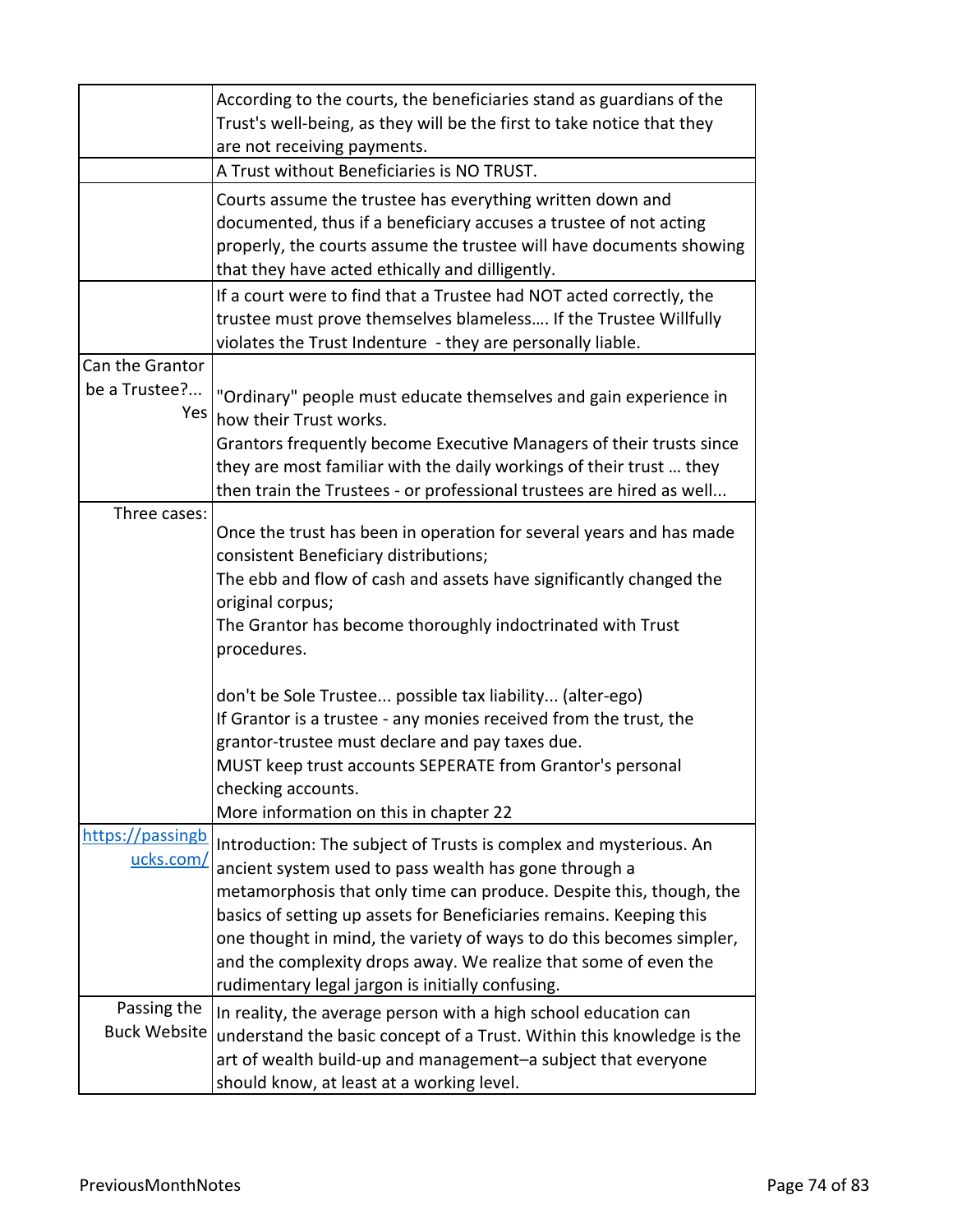|                     | According to the courts, the beneficiaries stand as guardians of the                                  |
|---------------------|-------------------------------------------------------------------------------------------------------|
|                     | Trust's well-being, as they will be the first to take notice that they<br>are not receiving payments. |
|                     | A Trust without Beneficiaries is NO TRUST.                                                            |
|                     | Courts assume the trustee has everything written down and                                             |
|                     | documented, thus if a beneficiary accuses a trustee of not acting                                     |
|                     | properly, the courts assume the trustee will have documents showing                                   |
|                     | that they have acted ethically and dilligently.                                                       |
|                     | If a court were to find that a Trustee had NOT acted correctly, the                                   |
|                     | trustee must prove themselves blameless If the Trustee Willfully                                      |
|                     | violates the Trust Indenture - they are personally liable.                                            |
| Can the Grantor     |                                                                                                       |
| be a Trustee?       | "Ordinary" people must educate themselves and gain experience in                                      |
| Yes                 | how their Trust works.                                                                                |
|                     | Grantors frequently become Executive Managers of their trusts since                                   |
|                     | they are most familiar with the daily workings of their trust  they                                   |
| Three cases:        | then train the Trustees - or professional trustees are hired as well                                  |
|                     | Once the trust has been in operation for several years and has made                                   |
|                     | consistent Beneficiary distributions;                                                                 |
|                     | The ebb and flow of cash and assets have significantly changed the                                    |
|                     | original corpus;                                                                                      |
|                     | The Grantor has become thoroughly indoctrinated with Trust                                            |
|                     | procedures.                                                                                           |
|                     | don't be Sole Trustee possible tax liability (alter-ego)                                              |
|                     | If Grantor is a trustee - any monies received from the trust, the                                     |
|                     | grantor-trustee must declare and pay taxes due.                                                       |
|                     | MUST keep trust accounts SEPERATE from Grantor's personal                                             |
|                     | checking accounts.                                                                                    |
|                     | More information on this in chapter 22                                                                |
| https://passingb    | Introduction: The subject of Trusts is complex and mysterious. An                                     |
| ucks.com/           | ancient system used to pass wealth has gone through a                                                 |
|                     | metamorphosis that only time can produce. Despite this, though, the                                   |
|                     | basics of setting up assets for Beneficiaries remains. Keeping this                                   |
|                     | one thought in mind, the variety of ways to do this becomes simpler,                                  |
|                     | and the complexity drops away. We realize that some of even the                                       |
|                     | rudimentary legal jargon is initially confusing.                                                      |
| Passing the         | In reality, the average person with a high school education can                                       |
| <b>Buck Website</b> | understand the basic concept of a Trust. Within this knowledge is the                                 |
|                     | art of wealth build-up and management-a subject that everyone                                         |
|                     | should know, at least at a working level.                                                             |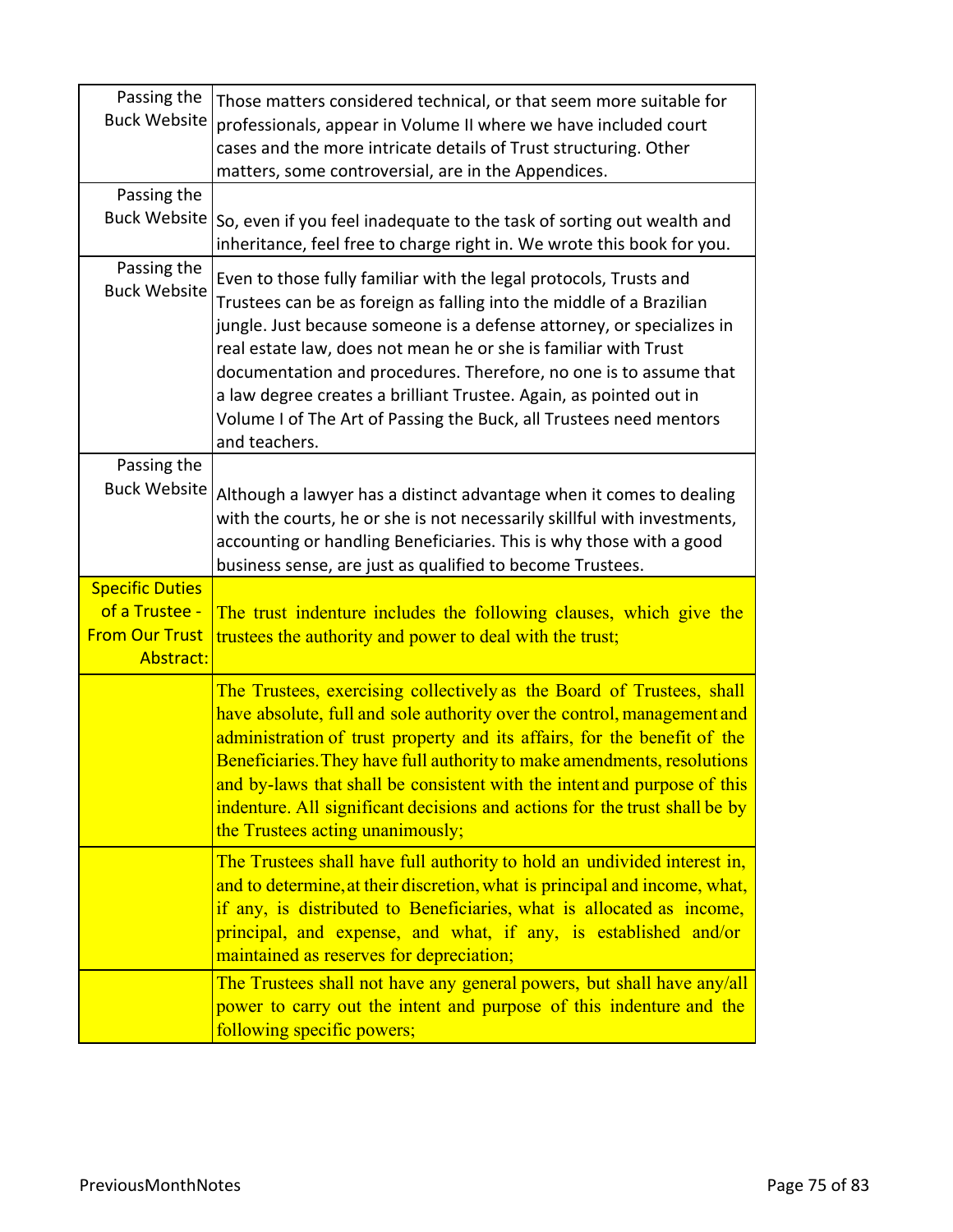| Passing the<br><b>Buck Website</b>                   | Those matters considered technical, or that seem more suitable for<br>professionals, appear in Volume II where we have included court<br>cases and the more intricate details of Trust structuring. Other<br>matters, some controversial, are in the Appendices.                                                                                                                                                                                                                                                        |
|------------------------------------------------------|-------------------------------------------------------------------------------------------------------------------------------------------------------------------------------------------------------------------------------------------------------------------------------------------------------------------------------------------------------------------------------------------------------------------------------------------------------------------------------------------------------------------------|
| Passing the<br>Buck Website                          |                                                                                                                                                                                                                                                                                                                                                                                                                                                                                                                         |
|                                                      | So, even if you feel inadequate to the task of sorting out wealth and<br>inheritance, feel free to charge right in. We wrote this book for you.                                                                                                                                                                                                                                                                                                                                                                         |
| Passing the<br><b>Buck Website</b>                   | Even to those fully familiar with the legal protocols, Trusts and<br>Trustees can be as foreign as falling into the middle of a Brazilian<br>jungle. Just because someone is a defense attorney, or specializes in<br>real estate law, does not mean he or she is familiar with Trust<br>documentation and procedures. Therefore, no one is to assume that<br>a law degree creates a brilliant Trustee. Again, as pointed out in<br>Volume I of The Art of Passing the Buck, all Trustees need mentors<br>and teachers. |
| Passing the<br><b>Buck Website</b>                   |                                                                                                                                                                                                                                                                                                                                                                                                                                                                                                                         |
|                                                      | Although a lawyer has a distinct advantage when it comes to dealing<br>with the courts, he or she is not necessarily skillful with investments,<br>accounting or handling Beneficiaries. This is why those with a good<br>business sense, are just as qualified to become Trustees.                                                                                                                                                                                                                                     |
| <b>Specific Duties</b>                               |                                                                                                                                                                                                                                                                                                                                                                                                                                                                                                                         |
| of a Trustee -<br><b>From Our Trust</b><br>Abstract: | The trust indenture includes the following clauses, which give the<br>trustees the authority and power to deal with the trust;                                                                                                                                                                                                                                                                                                                                                                                          |
|                                                      | The Trustees, exercising collectively as the Board of Trustees, shall<br>have absolute, full and sole authority over the control, management and<br>administration of trust property and its affairs, for the benefit of the<br>Beneficiaries. They have full authority to make amendments, resolutions<br>and by-laws that shall be consistent with the intent and purpose of this<br>indenture. All significant decisions and actions for the trust shall be by<br>the Trustees acting unanimously;                   |
|                                                      | The Trustees shall have full authority to hold an undivided interest in,<br>and to determine, at their discretion, what is principal and income, what,<br>if any, is distributed to Beneficiaries, what is allocated as income,<br>principal, and expense, and what, if any, is established and/or<br>maintained as reserves for depreciation;                                                                                                                                                                          |
|                                                      |                                                                                                                                                                                                                                                                                                                                                                                                                                                                                                                         |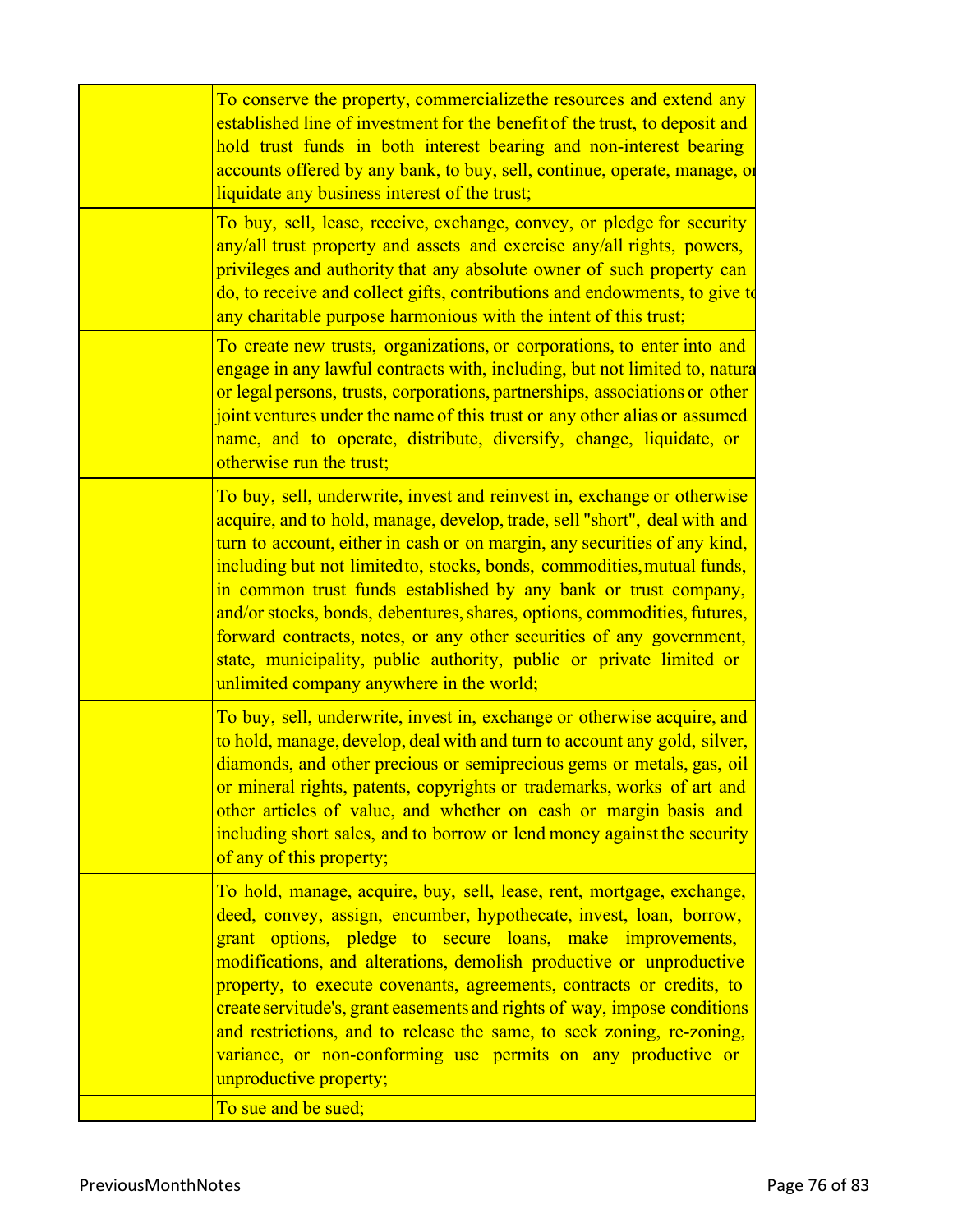| To conserve the property, commercializethe resources and extend any<br>established line of investment for the benefit of the trust, to deposit and<br>hold trust funds in both interest bearing and non-interest bearing<br>accounts offered by any bank, to buy, sell, continue, operate, manage, or<br>liquidate any business interest of the trust;                                                                                                                                                                                                                                                                                                 |
|--------------------------------------------------------------------------------------------------------------------------------------------------------------------------------------------------------------------------------------------------------------------------------------------------------------------------------------------------------------------------------------------------------------------------------------------------------------------------------------------------------------------------------------------------------------------------------------------------------------------------------------------------------|
| To buy, sell, lease, receive, exchange, convey, or pledge for security<br>any/all trust property and assets and exercise any/all rights, powers,<br>privileges and authority that any absolute owner of such property can<br>do, to receive and collect gifts, contributions and endowments, to give to<br>any charitable purpose harmonious with the intent of this trust;                                                                                                                                                                                                                                                                            |
| To create new trusts, organizations, or corporations, to enter into and<br>engage in any lawful contracts with, including, but not limited to, natura<br>or legal persons, trusts, corporations, partnerships, associations or other<br>joint ventures under the name of this trust or any other alias or assumed<br>name, and to operate, distribute, diversify, change, liquidate, or<br>otherwise run the trust;                                                                                                                                                                                                                                    |
| To buy, sell, underwrite, invest and reinvest in, exchange or otherwise<br>acquire, and to hold, manage, develop, trade, sell "short", deal with and<br>turn to account, either in cash or on margin, any securities of any kind,<br>including but not limited to, stocks, bonds, commodities, mutual funds,<br>in common trust funds established by any bank or trust company,<br>and/or stocks, bonds, debentures, shares, options, commodities, futures,<br>forward contracts, notes, or any other securities of any government,<br>state, municipality, public authority, public or private limited or<br>unlimited company anywhere in the world; |
| To buy, sell, underwrite, invest in, exchange or otherwise acquire, and<br>to hold, manage, develop, deal with and turn to account any gold, silver,<br>diamonds, and other precious or semiprecious gems or metals, gas, oil<br>or mineral rights, patents, copyrights or trademarks, works of art and<br>other articles of value, and whether on cash or margin basis and<br>including short sales, and to borrow or lend money against the security<br>of any of this property;                                                                                                                                                                     |
| To hold, manage, acquire, buy, sell, lease, rent, mortgage, exchange,<br>deed, convey, assign, encumber, hypothecate, invest, loan, borrow,<br>grant options, pledge to secure loans, make improvements,<br>modifications, and alterations, demolish productive or unproductive<br>property, to execute covenants, agreements, contracts or credits, to<br>create servitude's, grant easements and rights of way, impose conditions<br>and restrictions, and to release the same, to seek zoning, re-zoning,<br>variance, or non-conforming use permits on any productive or<br>unproductive property;<br>To sue and be sued;                          |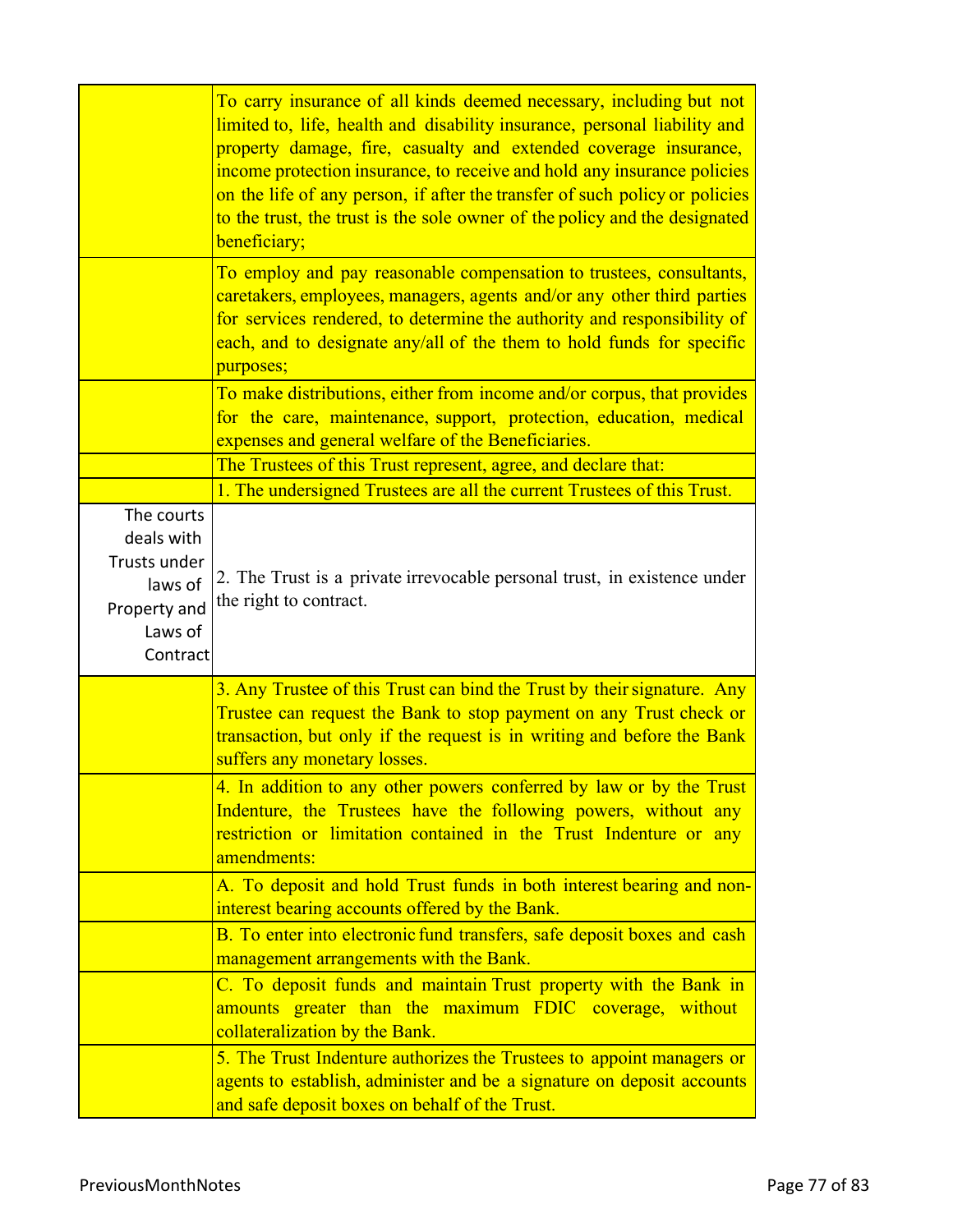|                                                                                            | To carry insurance of all kinds deemed necessary, including but not<br>limited to, life, health and disability insurance, personal liability and<br>property damage, fire, casualty and extended coverage insurance,<br>income protection insurance, to receive and hold any insurance policies<br>on the life of any person, if after the transfer of such policy or policies<br>to the trust, the trust is the sole owner of the policy and the designated<br>beneficiary; |
|--------------------------------------------------------------------------------------------|------------------------------------------------------------------------------------------------------------------------------------------------------------------------------------------------------------------------------------------------------------------------------------------------------------------------------------------------------------------------------------------------------------------------------------------------------------------------------|
|                                                                                            | To employ and pay reasonable compensation to trustees, consultants,<br>caretakers, employees, managers, agents and/or any other third parties<br>for services rendered, to determine the authority and responsibility of<br>each, and to designate any/all of the them to hold funds for specific<br>purposes;                                                                                                                                                               |
|                                                                                            | To make distributions, either from income and/or corpus, that provides<br>for the care, maintenance, support, protection, education, medical<br>expenses and general welfare of the Beneficiaries.                                                                                                                                                                                                                                                                           |
|                                                                                            | The Trustees of this Trust represent, agree, and declare that:                                                                                                                                                                                                                                                                                                                                                                                                               |
|                                                                                            | 1. The undersigned Trustees are all the current Trustees of this Trust.                                                                                                                                                                                                                                                                                                                                                                                                      |
| The courts<br>deals with<br>Trusts under<br>laws of<br>Property and<br>Laws of<br>Contract | 2. The Trust is a private irrevocable personal trust, in existence under<br>the right to contract.                                                                                                                                                                                                                                                                                                                                                                           |
|                                                                                            | 3. Any Trustee of this Trust can bind the Trust by their signature. Any<br>Trustee can request the Bank to stop payment on any Trust check or<br>transaction, but only if the request is in writing and before the Bank<br>suffers any monetary losses.                                                                                                                                                                                                                      |
|                                                                                            | 4. In addition to any other powers conferred by law or by the Trust<br>Indenture, the Trustees have the following powers, without any<br>restriction or limitation contained in the Trust Indenture or<br>any<br>amendments:                                                                                                                                                                                                                                                 |
|                                                                                            | A. To deposit and hold Trust funds in both interest bearing and non-<br>interest bearing accounts offered by the Bank.                                                                                                                                                                                                                                                                                                                                                       |
|                                                                                            | B. To enter into electronic fund transfers, safe deposit boxes and cash<br>management arrangements with the Bank.                                                                                                                                                                                                                                                                                                                                                            |
|                                                                                            | C. To deposit funds and maintain Trust property with the Bank in<br>amounts greater than the maximum FDIC coverage, without<br>collateralization by the Bank.                                                                                                                                                                                                                                                                                                                |
|                                                                                            | 5. The Trust Indenture authorizes the Trustees to appoint managers or<br>agents to establish, administer and be a signature on deposit accounts<br>and safe deposit boxes on behalf of the Trust.                                                                                                                                                                                                                                                                            |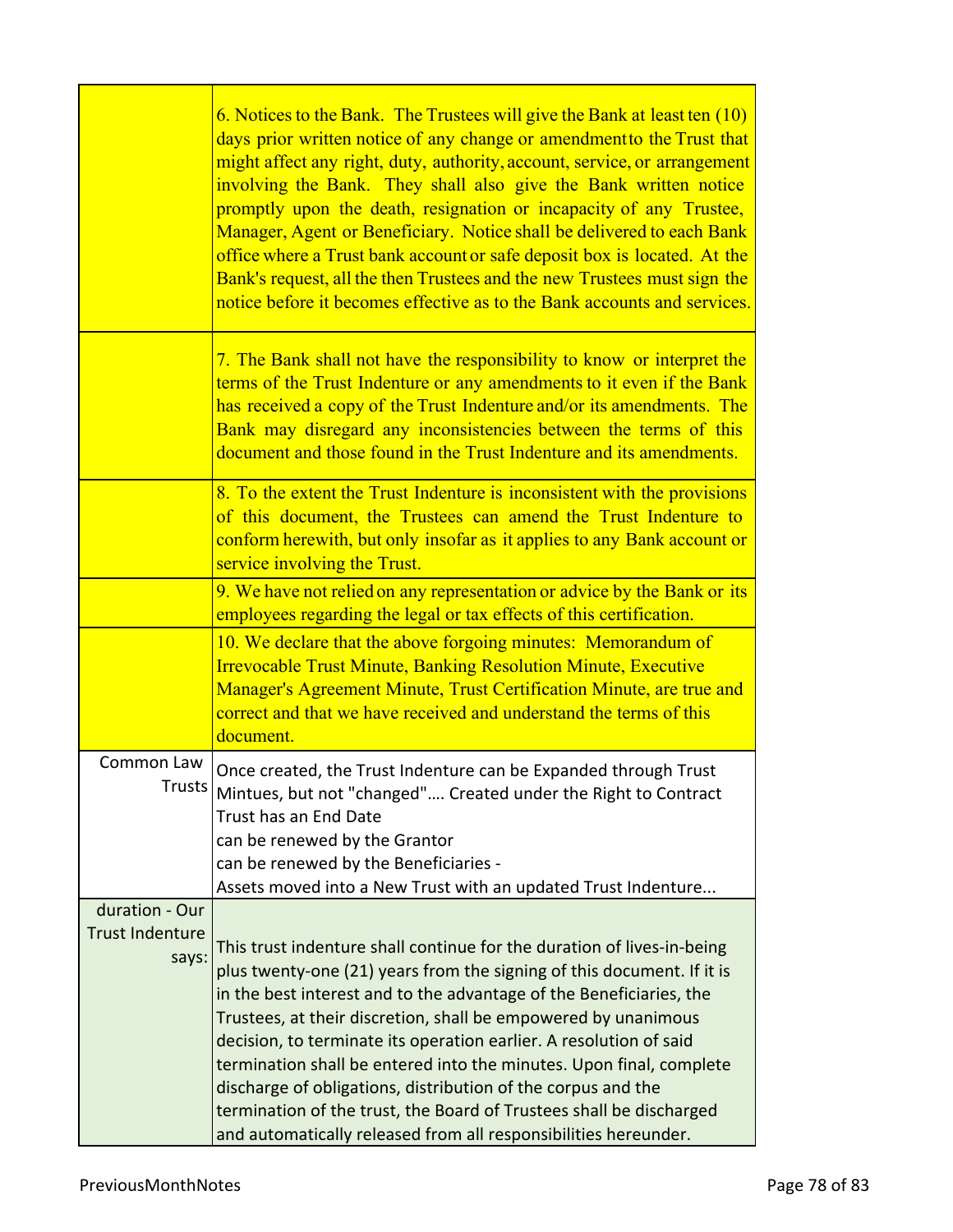|                                                   | 6. Notices to the Bank. The Trustees will give the Bank at least ten (10)<br>days prior written notice of any change or amendment to the Trust that<br>might affect any right, duty, authority, account, service, or arrangement<br>involving the Bank. They shall also give the Bank written notice<br>promptly upon the death, resignation or incapacity of any Trustee,<br>Manager, Agent or Beneficiary. Notice shall be delivered to each Bank<br>office where a Trust bank account or safe deposit box is located. At the<br>Bank's request, all the then Trustees and the new Trustees must sign the<br>notice before it becomes effective as to the Bank accounts and services. |
|---------------------------------------------------|-----------------------------------------------------------------------------------------------------------------------------------------------------------------------------------------------------------------------------------------------------------------------------------------------------------------------------------------------------------------------------------------------------------------------------------------------------------------------------------------------------------------------------------------------------------------------------------------------------------------------------------------------------------------------------------------|
|                                                   | 7. The Bank shall not have the responsibility to know or interpret the<br>terms of the Trust Indenture or any amendments to it even if the Bank<br>has received a copy of the Trust Indenture and/or its amendments. The<br>Bank may disregard any inconsistencies between the terms of this<br>document and those found in the Trust Indenture and its amendments.                                                                                                                                                                                                                                                                                                                     |
|                                                   | 8. To the extent the Trust Indenture is inconsistent with the provisions<br>of this document, the Trustees can amend the Trust Indenture to<br>conform herewith, but only insofar as it applies to any Bank account or<br>service involving the Trust.                                                                                                                                                                                                                                                                                                                                                                                                                                  |
|                                                   | 9. We have not relied on any representation or advice by the Bank or its<br>employees regarding the legal or tax effects of this certification.                                                                                                                                                                                                                                                                                                                                                                                                                                                                                                                                         |
|                                                   | 10. We declare that the above forgoing minutes: Memorandum of<br><b>Irrevocable Trust Minute, Banking Resolution Minute, Executive</b><br>Manager's Agreement Minute, Trust Certification Minute, are true and<br>correct and that we have received and understand the terms of this<br>document.                                                                                                                                                                                                                                                                                                                                                                                       |
| Common Law<br>Trusts I                            | Once created, the Trust Indenture can be Expanded through Trust<br>Mintues, but not "changed" Created under the Right to Contract<br>Trust has an End Date<br>can be renewed by the Grantor<br>can be renewed by the Beneficiaries -<br>Assets moved into a New Trust with an updated Trust Indenture                                                                                                                                                                                                                                                                                                                                                                                   |
| duration - Our<br><b>Trust Indenture</b><br>says: | This trust indenture shall continue for the duration of lives-in-being<br>plus twenty-one (21) years from the signing of this document. If it is<br>in the best interest and to the advantage of the Beneficiaries, the<br>Trustees, at their discretion, shall be empowered by unanimous<br>decision, to terminate its operation earlier. A resolution of said<br>termination shall be entered into the minutes. Upon final, complete<br>discharge of obligations, distribution of the corpus and the<br>termination of the trust, the Board of Trustees shall be discharged<br>and automatically released from all responsibilities hereunder.                                        |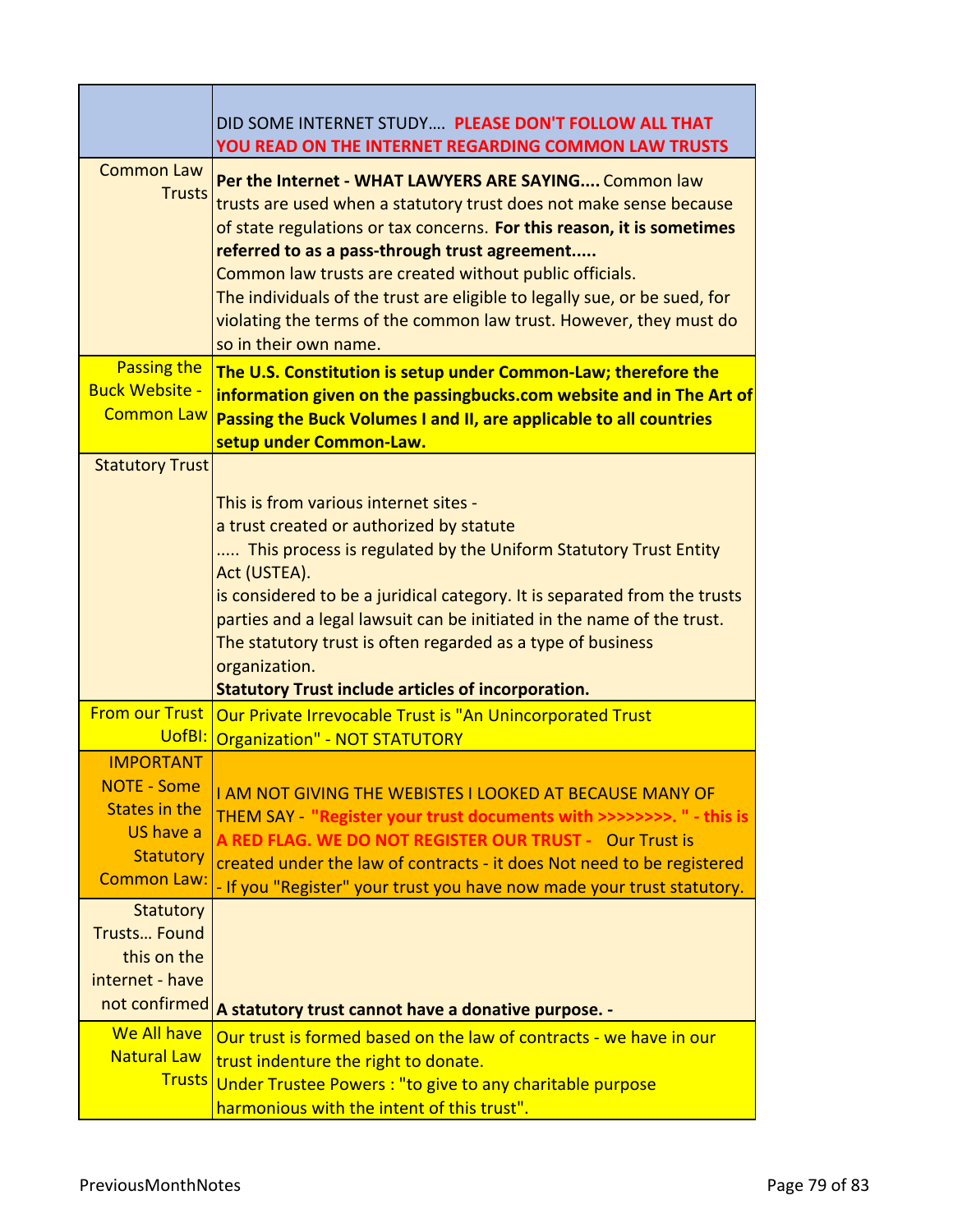|                                                                                                                       | DID SOME INTERNET STUDY PLEASE DON'T FOLLOW ALL THAT<br>YOU READ ON THE INTERNET REGARDING COMMON LAW TRUSTS                                                                                                                                                                                                                                                                                                                                                                                  |
|-----------------------------------------------------------------------------------------------------------------------|-----------------------------------------------------------------------------------------------------------------------------------------------------------------------------------------------------------------------------------------------------------------------------------------------------------------------------------------------------------------------------------------------------------------------------------------------------------------------------------------------|
| <b>Common Law</b><br><b>Trusts</b>                                                                                    | Per the Internet - WHAT LAWYERS ARE SAYING Common law<br>trusts are used when a statutory trust does not make sense because<br>of state regulations or tax concerns. For this reason, it is sometimes<br>referred to as a pass-through trust agreement<br>Common law trusts are created without public officials.<br>The individuals of the trust are eligible to legally sue, or be sued, for<br>violating the terms of the common law trust. However, they must do<br>so in their own name. |
| Passing the<br><b>Buck Website -</b><br><b>Common Law</b>                                                             | The U.S. Constitution is setup under Common-Law; therefore the<br>information given on the passingbucks.com website and in The Art of<br>Passing the Buck Volumes I and II, are applicable to all countries<br>setup under Common-Law.                                                                                                                                                                                                                                                        |
| <b>Statutory Trust</b>                                                                                                | This is from various internet sites -<br>a trust created or authorized by statute<br>This process is regulated by the Uniform Statutory Trust Entity<br>Act (USTEA).<br>is considered to be a juridical category. It is separated from the trusts<br>parties and a legal lawsuit can be initiated in the name of the trust.<br>The statutory trust is often regarded as a type of business<br>organization.<br><b>Statutory Trust include articles of incorporation.</b>                      |
| <b>From our Trust</b>                                                                                                 | Our Private Irrevocable Trust is "An Unincorporated Trust<br>UofBI: Organization" - NOT STATUTORY                                                                                                                                                                                                                                                                                                                                                                                             |
| <b>IMPORTANT</b><br><b>NOTE - Some</b><br><b>States in the</b><br>US have a<br><b>Statutory</b><br><b>Common Law:</b> | <u>I AM NOT GIVING THE WEBISTES I LOOKED AT BECAUSE MANY OF</u><br>THEM SAY - "Register your trust documents with >>>>>>>>. " - this is<br>A RED FLAG. WE DO NOT REGISTER OUR TRUST - Our Trust is<br>created under the law of contracts - it does Not need to be registered<br>- If you "Register" your trust you have now made your trust statutory.                                                                                                                                        |
| <b>Statutory</b><br><b>Trusts Found</b><br>this on the<br>internet - have                                             | not confirmed   A statutory trust cannot have a donative purpose. -                                                                                                                                                                                                                                                                                                                                                                                                                           |
| We All have<br><b>Natural Law</b>                                                                                     | Our trust is formed based on the law of contracts - we have in our<br>trust indenture the right to donate.<br>Trusts Under Trustee Powers : "to give to any charitable purpose<br>harmonious with the intent of this trust".                                                                                                                                                                                                                                                                  |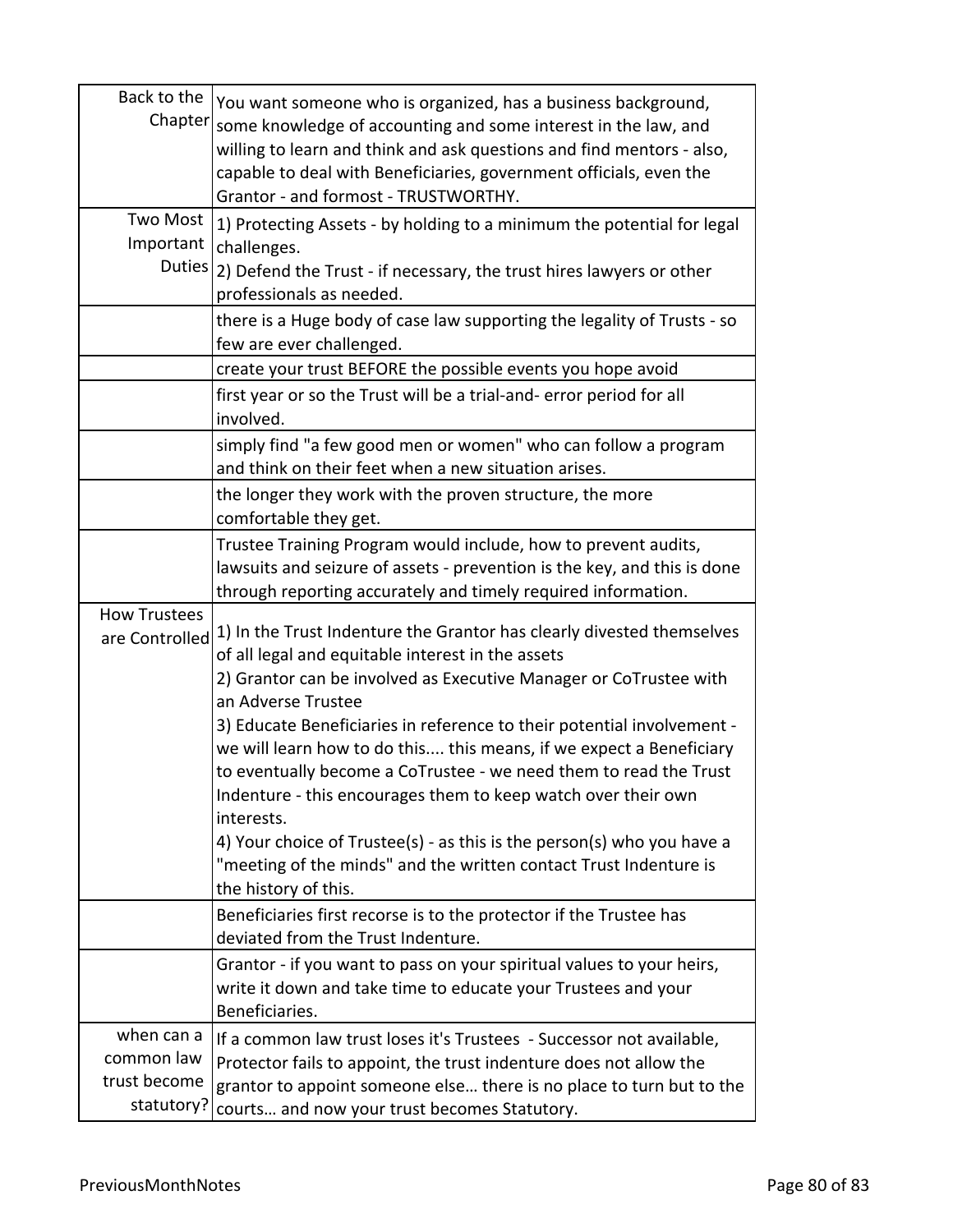| Back to the<br>Chapter                                 | You want someone who is organized, has a business background,<br>some knowledge of accounting and some interest in the law, and<br>willing to learn and think and ask questions and find mentors - also,<br>capable to deal with Beneficiaries, government officials, even the<br>Grantor - and formost - TRUSTWORTHY.                                                                                                                                                                                                                                                                                                                                                                            |
|--------------------------------------------------------|---------------------------------------------------------------------------------------------------------------------------------------------------------------------------------------------------------------------------------------------------------------------------------------------------------------------------------------------------------------------------------------------------------------------------------------------------------------------------------------------------------------------------------------------------------------------------------------------------------------------------------------------------------------------------------------------------|
| Two Most<br>Important<br><b>Duties</b>                 | 1) Protecting Assets - by holding to a minimum the potential for legal<br>challenges.<br>2) Defend the Trust - if necessary, the trust hires lawyers or other<br>professionals as needed.                                                                                                                                                                                                                                                                                                                                                                                                                                                                                                         |
|                                                        | there is a Huge body of case law supporting the legality of Trusts - so<br>few are ever challenged.                                                                                                                                                                                                                                                                                                                                                                                                                                                                                                                                                                                               |
|                                                        | create your trust BEFORE the possible events you hope avoid                                                                                                                                                                                                                                                                                                                                                                                                                                                                                                                                                                                                                                       |
|                                                        | first year or so the Trust will be a trial-and- error period for all<br>involved.                                                                                                                                                                                                                                                                                                                                                                                                                                                                                                                                                                                                                 |
|                                                        | simply find "a few good men or women" who can follow a program<br>and think on their feet when a new situation arises.                                                                                                                                                                                                                                                                                                                                                                                                                                                                                                                                                                            |
|                                                        | the longer they work with the proven structure, the more<br>comfortable they get.                                                                                                                                                                                                                                                                                                                                                                                                                                                                                                                                                                                                                 |
|                                                        | Trustee Training Program would include, how to prevent audits,<br>lawsuits and seizure of assets - prevention is the key, and this is done<br>through reporting accurately and timely required information.                                                                                                                                                                                                                                                                                                                                                                                                                                                                                       |
| <b>How Trustees</b><br>are Controlled                  | 1) In the Trust Indenture the Grantor has clearly divested themselves<br>of all legal and equitable interest in the assets<br>2) Grantor can be involved as Executive Manager or CoTrustee with<br>an Adverse Trustee<br>3) Educate Beneficiaries in reference to their potential involvement -<br>we will learn how to do this this means, if we expect a Beneficiary<br>to eventually become a CoTrustee - we need them to read the Trust<br>Indenture - this encourages them to keep watch over their own<br>interests.<br>4) Your choice of Trustee(s) - as this is the person(s) who you have a<br>"meeting of the minds" and the written contact Trust Indenture is<br>the history of this. |
|                                                        | Beneficiaries first recorse is to the protector if the Trustee has<br>deviated from the Trust Indenture.                                                                                                                                                                                                                                                                                                                                                                                                                                                                                                                                                                                          |
|                                                        | Grantor - if you want to pass on your spiritual values to your heirs,<br>write it down and take time to educate your Trustees and your<br>Beneficiaries.                                                                                                                                                                                                                                                                                                                                                                                                                                                                                                                                          |
| when can a<br>common law<br>trust become<br>statutory? | If a common law trust loses it's Trustees - Successor not available,<br>Protector fails to appoint, the trust indenture does not allow the<br>grantor to appoint someone else there is no place to turn but to the<br>courts and now your trust becomes Statutory.                                                                                                                                                                                                                                                                                                                                                                                                                                |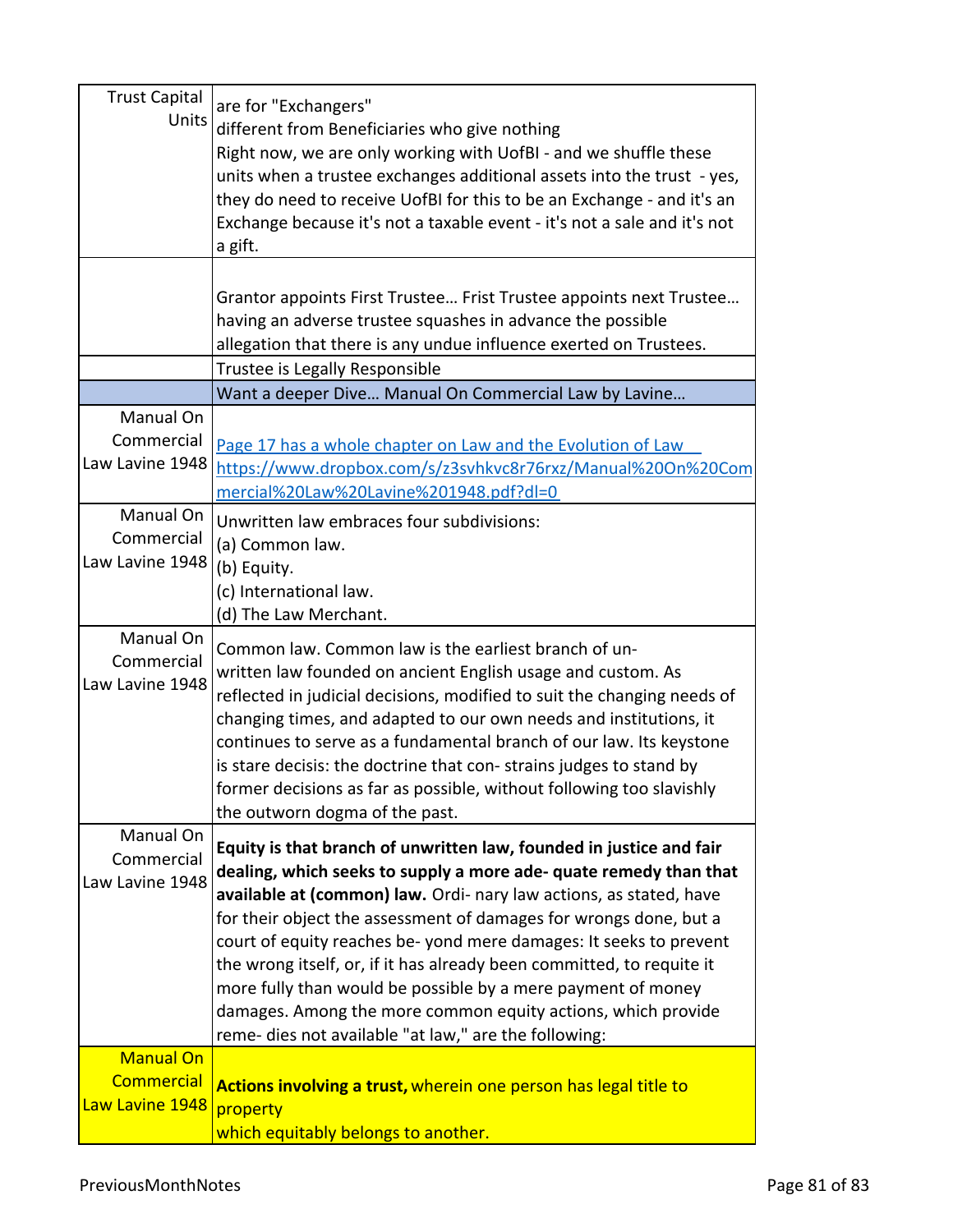| <b>Trust Capital</b><br><b>Units</b>                     | are for "Exchangers"<br>different from Beneficiaries who give nothing<br>Right now, we are only working with UofBI - and we shuffle these<br>units when a trustee exchanges additional assets into the trust - yes,<br>they do need to receive UofBI for this to be an Exchange - and it's an<br>Exchange because it's not a taxable event - it's not a sale and it's not<br>a gift.                                                                                                                                                                                                                                       |
|----------------------------------------------------------|----------------------------------------------------------------------------------------------------------------------------------------------------------------------------------------------------------------------------------------------------------------------------------------------------------------------------------------------------------------------------------------------------------------------------------------------------------------------------------------------------------------------------------------------------------------------------------------------------------------------------|
|                                                          | Grantor appoints First Trustee Frist Trustee appoints next Trustee<br>having an adverse trustee squashes in advance the possible<br>allegation that there is any undue influence exerted on Trustees.                                                                                                                                                                                                                                                                                                                                                                                                                      |
|                                                          | Trustee is Legally Responsible                                                                                                                                                                                                                                                                                                                                                                                                                                                                                                                                                                                             |
| Manual On<br>Commercial<br>Law Lavine 1948               | Want a deeper Dive Manual On Commercial Law by Lavine<br>Page 17 has a whole chapter on Law and the Evolution of Law<br>https://www.dropbox.com/s/z3svhkvc8r76rxz/Manual%20On%20Com<br>mercial%20Law%20Lavine%201948.pdf?dl=0                                                                                                                                                                                                                                                                                                                                                                                              |
| Manual On<br>Commercial<br>Law Lavine 1948               | Unwritten law embraces four subdivisions:<br>(a) Common law.<br>(b) Equity.<br>(c) International law.<br>(d) The Law Merchant.                                                                                                                                                                                                                                                                                                                                                                                                                                                                                             |
| Manual On<br>Commercial<br>Law Lavine 1948               | Common law. Common law is the earliest branch of un-<br>written law founded on ancient English usage and custom. As<br>reflected in judicial decisions, modified to suit the changing needs of<br>changing times, and adapted to our own needs and institutions, it<br>continues to serve as a fundamental branch of our law. Its keystone<br>is stare decisis: the doctrine that con-strains judges to stand by<br>former decisions as far as possible, without following too slavishly<br>the outworn dogma of the past.                                                                                                 |
| Manual On<br>Commercial<br>Law Lavine 1948               | Equity is that branch of unwritten law, founded in justice and fair<br>dealing, which seeks to supply a more ade- quate remedy than that<br>available at (common) law. Ordi- nary law actions, as stated, have<br>for their object the assessment of damages for wrongs done, but a<br>court of equity reaches be-yond mere damages: It seeks to prevent<br>the wrong itself, or, if it has already been committed, to requite it<br>more fully than would be possible by a mere payment of money<br>damages. Among the more common equity actions, which provide<br>reme- dies not available "at law," are the following: |
| <b>Manual On</b><br><b>Commercial</b><br>Law Lavine 1948 | Actions involving a trust, wherein one person has legal title to<br>property<br>which equitably belongs to another.                                                                                                                                                                                                                                                                                                                                                                                                                                                                                                        |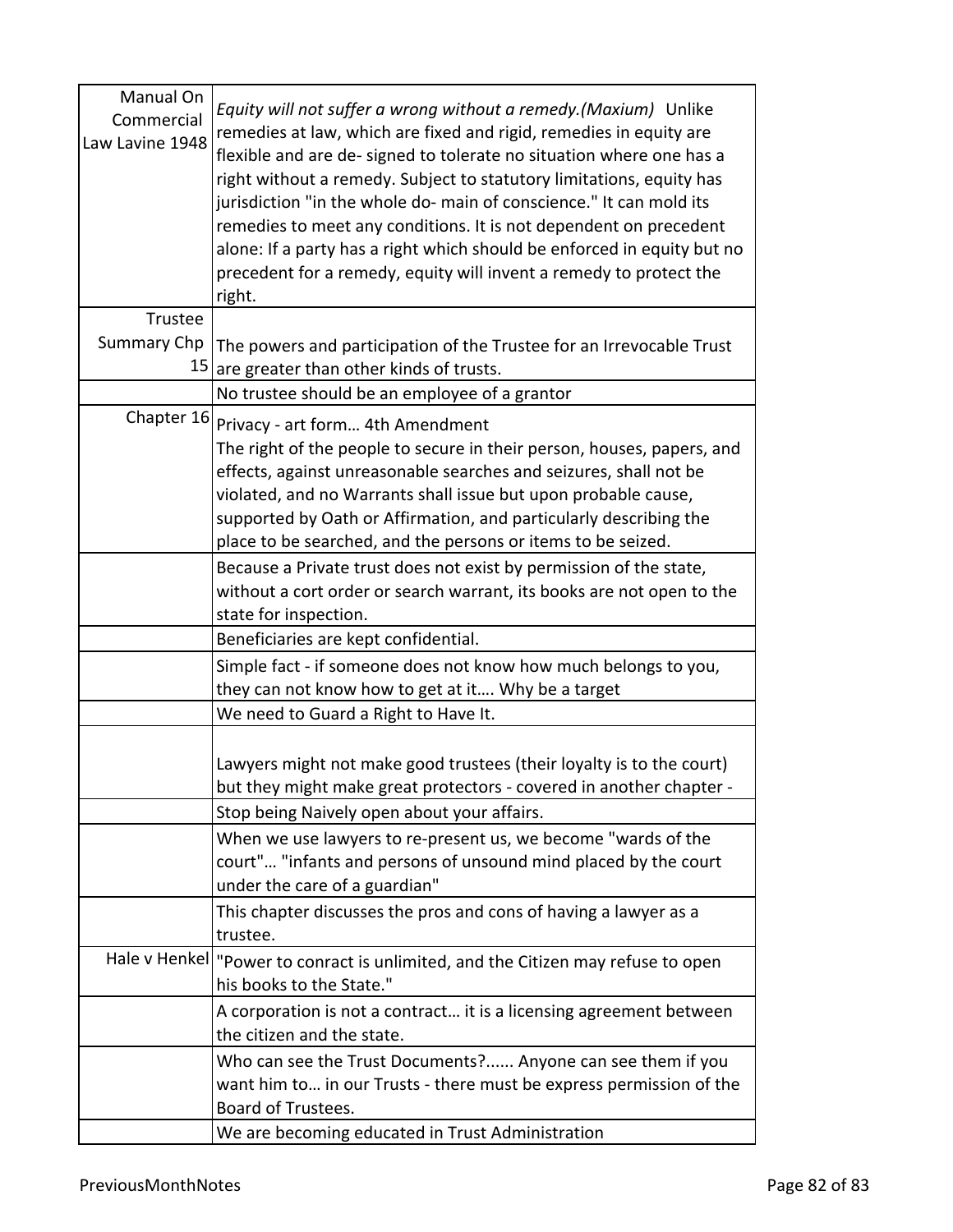| Manual On<br>Commercial<br>Law Lavine 1948 | Equity will not suffer a wrong without a remedy. (Maxium) Unlike<br>remedies at law, which are fixed and rigid, remedies in equity are<br>flexible and are de-signed to tolerate no situation where one has a<br>right without a remedy. Subject to statutory limitations, equity has<br>jurisdiction "in the whole do- main of conscience." It can mold its<br>remedies to meet any conditions. It is not dependent on precedent<br>alone: If a party has a right which should be enforced in equity but no<br>precedent for a remedy, equity will invent a remedy to protect the<br>right. |
|--------------------------------------------|----------------------------------------------------------------------------------------------------------------------------------------------------------------------------------------------------------------------------------------------------------------------------------------------------------------------------------------------------------------------------------------------------------------------------------------------------------------------------------------------------------------------------------------------------------------------------------------------|
| Trustee                                    |                                                                                                                                                                                                                                                                                                                                                                                                                                                                                                                                                                                              |
| <b>Summary Chp</b><br>15                   | The powers and participation of the Trustee for an Irrevocable Trust<br>are greater than other kinds of trusts.                                                                                                                                                                                                                                                                                                                                                                                                                                                                              |
|                                            | No trustee should be an employee of a grantor                                                                                                                                                                                                                                                                                                                                                                                                                                                                                                                                                |
| Chapter 16                                 | Privacy - art form 4th Amendment<br>The right of the people to secure in their person, houses, papers, and<br>effects, against unreasonable searches and seizures, shall not be<br>violated, and no Warrants shall issue but upon probable cause,<br>supported by Oath or Affirmation, and particularly describing the<br>place to be searched, and the persons or items to be seized.                                                                                                                                                                                                       |
|                                            | Because a Private trust does not exist by permission of the state,<br>without a cort order or search warrant, its books are not open to the<br>state for inspection.                                                                                                                                                                                                                                                                                                                                                                                                                         |
|                                            | Beneficiaries are kept confidential.                                                                                                                                                                                                                                                                                                                                                                                                                                                                                                                                                         |
|                                            | Simple fact - if someone does not know how much belongs to you,<br>they can not know how to get at it Why be a target                                                                                                                                                                                                                                                                                                                                                                                                                                                                        |
|                                            | We need to Guard a Right to Have It.                                                                                                                                                                                                                                                                                                                                                                                                                                                                                                                                                         |
|                                            | Lawyers might not make good trustees (their loyalty is to the court)<br>but they might make great protectors - covered in another chapter -<br>Stop being Naively open about your affairs.<br>When we use lawyers to re-present us, we become "wards of the<br>court" "infants and persons of unsound mind placed by the court                                                                                                                                                                                                                                                               |
|                                            | under the care of a guardian"                                                                                                                                                                                                                                                                                                                                                                                                                                                                                                                                                                |
|                                            | This chapter discusses the pros and cons of having a lawyer as a<br>trustee.                                                                                                                                                                                                                                                                                                                                                                                                                                                                                                                 |
|                                            | Hale v Henkel "Power to conract is unlimited, and the Citizen may refuse to open<br>his books to the State."                                                                                                                                                                                                                                                                                                                                                                                                                                                                                 |
|                                            | A corporation is not a contract it is a licensing agreement between<br>the citizen and the state.                                                                                                                                                                                                                                                                                                                                                                                                                                                                                            |
|                                            | Who can see the Trust Documents? Anyone can see them if you<br>want him to in our Trusts - there must be express permission of the<br>Board of Trustees.                                                                                                                                                                                                                                                                                                                                                                                                                                     |
|                                            | We are becoming educated in Trust Administration                                                                                                                                                                                                                                                                                                                                                                                                                                                                                                                                             |